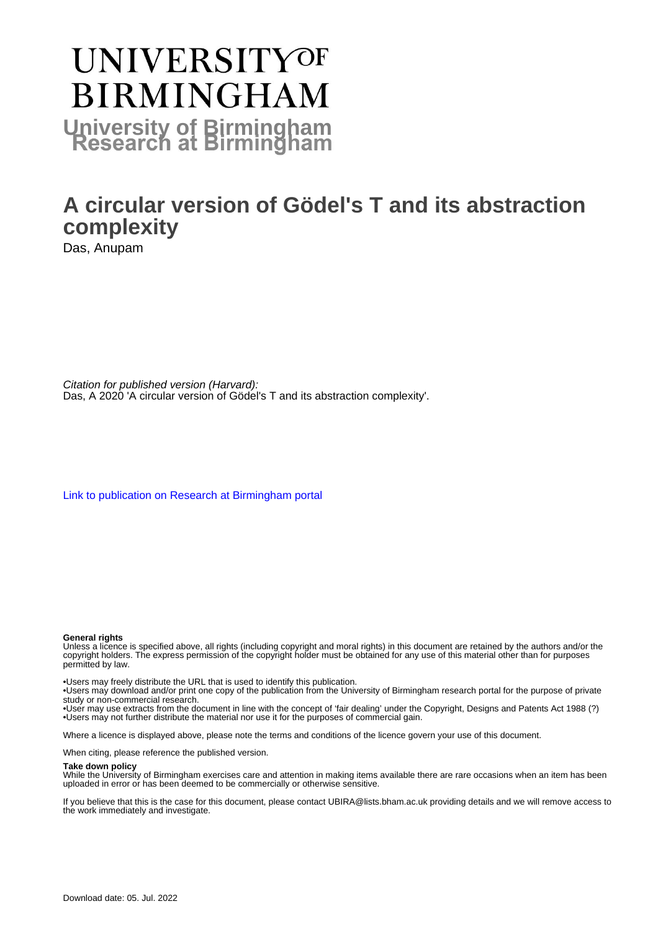# **UNIVERSITYOF BIRMINGHAM University of Birmingham**

# **A circular version of Gödel's T and its abstraction complexity**

Das, Anupam

Citation for published version (Harvard): Das, A 2020 'A circular version of Gödel's T and its abstraction complexity'.

[Link to publication on Research at Birmingham portal](https://birmingham.elsevierpure.com/en/publications/19921341-a5d2-49ed-ac77-3064f9094e62)

#### **General rights**

Unless a licence is specified above, all rights (including copyright and moral rights) in this document are retained by the authors and/or the copyright holders. The express permission of the copyright holder must be obtained for any use of this material other than for purposes permitted by law.

• Users may freely distribute the URL that is used to identify this publication.

• Users may download and/or print one copy of the publication from the University of Birmingham research portal for the purpose of private study or non-commercial research.

• User may use extracts from the document in line with the concept of 'fair dealing' under the Copyright, Designs and Patents Act 1988 (?) • Users may not further distribute the material nor use it for the purposes of commercial gain.

Where a licence is displayed above, please note the terms and conditions of the licence govern your use of this document.

When citing, please reference the published version.

#### **Take down policy**

While the University of Birmingham exercises care and attention in making items available there are rare occasions when an item has been uploaded in error or has been deemed to be commercially or otherwise sensitive.

If you believe that this is the case for this document, please contact UBIRA@lists.bham.ac.uk providing details and we will remove access to the work immediately and investigate.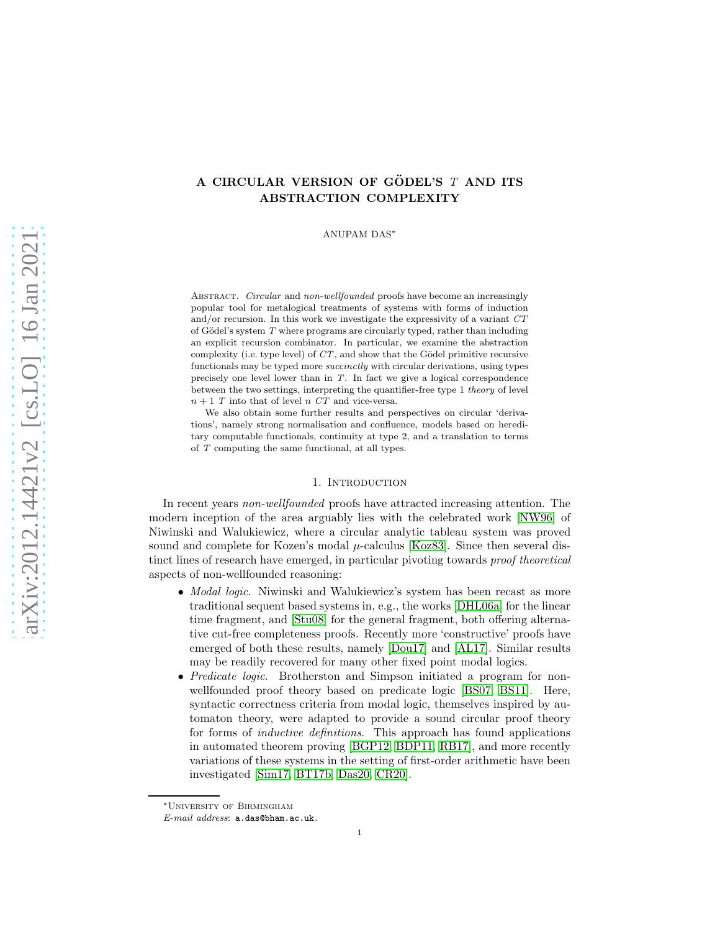# A CIRCULAR VERSION OF GÖDEL'S  $T$  and its ABSTRACTION COMPLEXITY

ANUPAM DAS<sup>∗</sup>

Abstract. *Circular* and *non-wellfounded* proofs have become an increasingly popular tool for metalogical treatments of systems with forms of induction and/or recursion. In this work we investigate the expressivity of a variant *CT* of Gödel's system *T* where programs are circularly typed, rather than including an explicit recursion combinator. In particular, we examine the abstraction complexity (i.e. type level) of  $CT$ , and show that the Gödel primitive recursive functionals may be typed more *succinctly* with circular derivations, using types precisely one level lower than in *T*. In fact we give a logical correspondence between the two settings, interpreting the quantifier-free type 1 *theory* of level  $n + 1$  *T* into that of level *n CT* and vice-versa.

We also obtain some further results and perspectives on circular 'derivations', namely strong normalisation and confluence, models based on hereditary computable functionals, continuity at type 2, and a translation to terms of *T* computing the same functional, at all types.

#### 1. INTRODUCTION

In recent years *non-wellfounded* proofs have attracted increasing attention. The modern inception of the area arguably lies with the celebrated work [\[NW96\]](#page-66-0) of Niwinski and Walukiewicz, where a circular analytic tableau system was proved sound and complete for Kozen's modal  $\mu$ -calculus [\[Koz83\]](#page-65-0). Since then several distinct lines of research have emerged, in particular pivoting towards proof theoretical aspects of non-wellfounded reasoning:

- *Modal logic.* Niwinski and Walukiewicz's system has been recast as more traditional sequent based systems in, e.g., the works [\[DHL06a\]](#page-64-0) for the linear time fragment, and [\[Stu08\]](#page-66-1) for the general fragment, both offering alternative cut-free completeness proofs. Recently more 'constructive' proofs have emerged of both these results, namely [\[Dou17\]](#page-64-1) and [\[AL17\]](#page-63-0). Similar results may be readily recovered for many other fixed point modal logics.
- Predicate logic. Brotherston and Simpson initiated a program for nonwellfounded proof theory based on predicate logic [\[BS07,](#page-64-2) [BS11\]](#page-64-3). Here, syntactic correctness criteria from modal logic, themselves inspired by automaton theory, were adapted to provide a sound circular proof theory for forms of *inductive definitions*. This approach has found applications in automated theorem proving [\[BGP12,](#page-64-4) [BDP11,](#page-63-1) [RB17\]](#page-66-2), and more recently variations of these systems in the setting of first-order arithmetic have been investigated [\[Sim17,](#page-66-3) [BT17b,](#page-64-5) [Das20,](#page-64-6) [CR20\]](#page-64-7).

<sup>∗</sup>University of Birmingham

*E-mail address*: a.das@bham.ac.uk.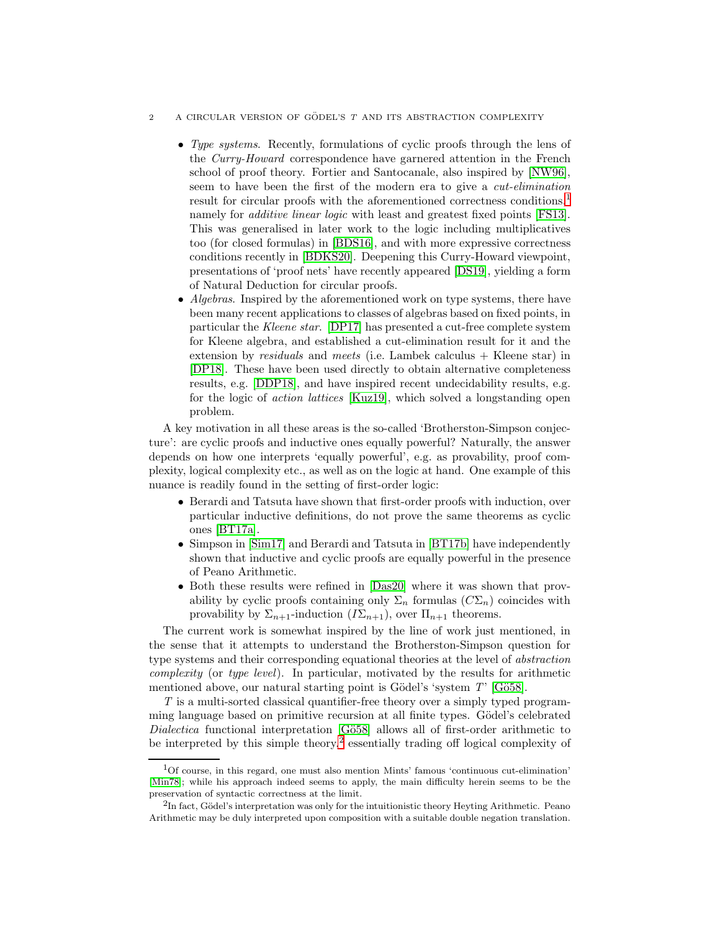- 2 A CIRCULAR VERSION OF GÖDEL'S  $T$  AND ITS ABSTRACTION COMPLEXITY
	- Type systems. Recently, formulations of cyclic proofs through the lens of the Curry-Howard correspondence have garnered attention in the French school of proof theory. Fortier and Santocanale, also inspired by [\[NW96\]](#page-66-0), seem to have been the first of the modern era to give a cut-elimination result for circular proofs with the aforementioned correctness conditions,<sup>[1](#page-2-0)</sup> namely for *additive linear logic* with least and greatest fixed points [\[FS13\]](#page-65-1). This was generalised in later work to the logic including multiplicatives too (for closed formulas) in [\[BDS16\]](#page-63-2), and with more expressive correctness conditions recently in [\[BDKS20\]](#page-63-3). Deepening this Curry-Howard viewpoint, presentations of 'proof nets' have recently appeared [\[DS19\]](#page-65-2), yielding a form of Natural Deduction for circular proofs.
	- Algebras. Inspired by the aforementioned work on type systems, there have been many recent applications to classes of algebras based on fixed points, in particular the Kleene star. [\[DP17\]](#page-64-8) has presented a cut-free complete system for Kleene algebra, and established a cut-elimination result for it and the extension by *residuals* and *meets* (i.e. Lambek calculus  $+$  Kleene star) in [\[DP18\]](#page-64-9). These have been used directly to obtain alternative completeness results, e.g. [\[DDP18\]](#page-64-10), and have inspired recent undecidability results, e.g. for the logic of action lattices [\[Kuz19\]](#page-65-3), which solved a longstanding open problem.

A key motivation in all these areas is the so-called 'Brotherston-Simpson conjecture': are cyclic proofs and inductive ones equally powerful? Naturally, the answer depends on how one interprets 'equally powerful', e.g. as provability, proof complexity, logical complexity etc., as well as on the logic at hand. One example of this nuance is readily found in the setting of first-order logic:

- Berardi and Tatsuta have shown that first-order proofs with induction, over particular inductive definitions, do not prove the same theorems as cyclic ones [\[BT17a\]](#page-64-11).
- Simpson in [\[Sim17\]](#page-66-3) and Berardi and Tatsuta in [\[BT17b\]](#page-64-5) have independently shown that inductive and cyclic proofs are equally powerful in the presence of Peano Arithmetic.
- Both these results were refined in [\[Das20\]](#page-64-6) where it was shown that provability by cyclic proofs containing only  $\Sigma_n$  formulas  $(C\Sigma_n)$  coincides with provability by  $\Sigma_{n+1}$ -induction  $(I\Sigma_{n+1})$ , over  $\Pi_{n+1}$  theorems.

The current work is somewhat inspired by the line of work just mentioned, in the sense that it attempts to understand the Brotherston-Simpson question for type systems and their corresponding equational theories at the level of abstraction complexity (or type level). In particular, motivated by the results for arithmetic mentioned above, our natural starting point is Gödel's 'system  $T$ ' [Gö58].

T is a multi-sorted classical quantifier-free theory over a simply typed programming language based on primitive recursion at all finite types. Gödel's celebrated Dialectica functional interpretation  $[G\ddot{o}58]$  allows all of first-order arithmetic to be interpreted by this simple theory,<sup>[2](#page-2-1)</sup> essentially trading off logical complexity of

<span id="page-2-0"></span><sup>1</sup>Of course, in this regard, one must also mention Mints' famous 'continuous cut-elimination' [\[Min78\]](#page-66-4); while his approach indeed seems to apply, the main difficulty herein seems to be the preservation of syntactic correctness at the limit.

<span id="page-2-1"></span> ${}^{2}$ In fact, Gödel's interpretation was only for the intuitionistic theory Heyting Arithmetic. Peano Arithmetic may be duly interpreted upon composition with a suitable double negation translation.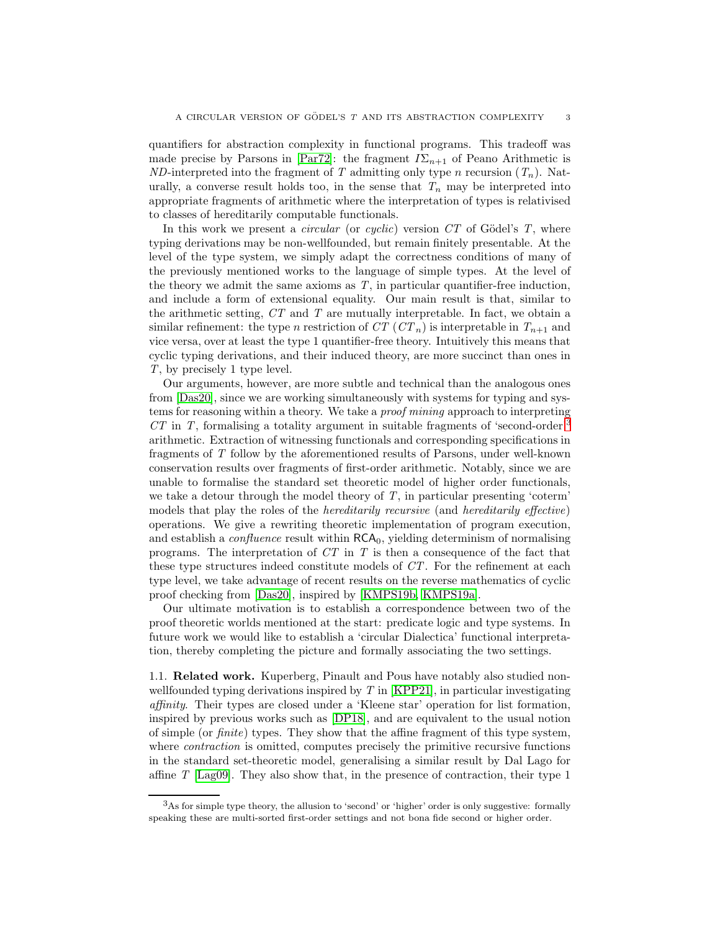quantifiers for abstraction complexity in functional programs. This tradeoff was made precise by Parsons in [\[Par72\]](#page-66-5): the fragment  $I\Sigma_{n+1}$  of Peano Arithmetic is ND-interpreted into the fragment of T admitting only type n recursion  $(T_n)$ . Naturally, a converse result holds too, in the sense that  $T_n$  may be interpreted into appropriate fragments of arithmetic where the interpretation of types is relativised to classes of hereditarily computable functionals.

In this work we present a *circular* (or *cyclic*) version  $CT$  of Gödel's T, where typing derivations may be non-wellfounded, but remain finitely presentable. At the level of the type system, we simply adapt the correctness conditions of many of the previously mentioned works to the language of simple types. At the level of the theory we admit the same axioms as  $T$ , in particular quantifier-free induction, and include a form of extensional equality. Our main result is that, similar to the arithmetic setting,  $CT$  and  $T$  are mutually interpretable. In fact, we obtain a similar refinement: the type n restriction of  $CT$  ( $CT_n$ ) is interpretable in  $T_{n+1}$  and vice versa, over at least the type 1 quantifier-free theory. Intuitively this means that cyclic typing derivations, and their induced theory, are more succinct than ones in T, by precisely 1 type level.

Our arguments, however, are more subtle and technical than the analogous ones from [\[Das20\]](#page-64-6), since we are working simultaneously with systems for typing and systems for reasoning within a theory. We take a proof mining approach to interpreting  $CT$  in T, formalising a totality argument in suitable fragments of 'second-order'<sup>[3](#page-3-0)</sup> arithmetic. Extraction of witnessing functionals and corresponding specifications in fragments of T follow by the aforementioned results of Parsons, under well-known conservation results over fragments of first-order arithmetic. Notably, since we are unable to formalise the standard set theoretic model of higher order functionals, we take a detour through the model theory of  $T$ , in particular presenting 'coterm' models that play the roles of the hereditarily recursive (and hereditarily effective) operations. We give a rewriting theoretic implementation of program execution, and establish a *confluence* result within  $RCA<sub>0</sub>$ , yielding determinism of normalising programs. The interpretation of  $CT$  in T is then a consequence of the fact that these type structures indeed constitute models of CT. For the refinement at each type level, we take advantage of recent results on the reverse mathematics of cyclic proof checking from [\[Das20\]](#page-64-6), inspired by [\[KMPS19b,](#page-65-5) [KMPS19a\]](#page-65-6).

Our ultimate motivation is to establish a correspondence between two of the proof theoretic worlds mentioned at the start: predicate logic and type systems. In future work we would like to establish a 'circular Dialectica' functional interpretation, thereby completing the picture and formally associating the two settings.

1.1. Related work. Kuperberg, Pinault and Pous have notably also studied nonwellfounded typing derivations inspired by  $T$  in  $KPP21$ , in particular investigating affinity. Their types are closed under a 'Kleene star' operation for list formation, inspired by previous works such as [\[DP18\]](#page-64-9), and are equivalent to the usual notion of simple (or finite) types. They show that the affine fragment of this type system, where *contraction* is omitted, computes precisely the primitive recursive functions in the standard set-theoretic model, generalising a similar result by Dal Lago for affine T [\[Lag09\]](#page-65-8). They also show that, in the presence of contraction, their type 1

<span id="page-3-0"></span><sup>3</sup>As for simple type theory, the allusion to 'second' or 'higher' order is only suggestive: formally speaking these are multi-sorted first-order settings and not bona fide second or higher order.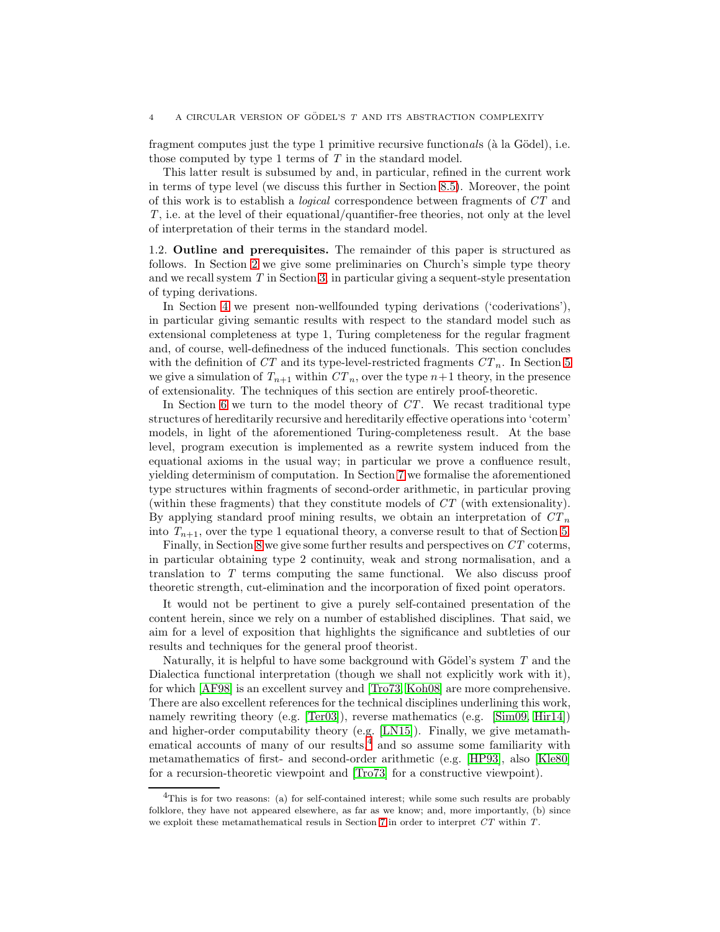fragment computes just the type 1 primitive recursive functionals ( $\hat{a}$  la Gödel), i.e. those computed by type 1 terms of T in the standard model.

This latter result is subsumed by and, in particular, refined in the current work in terms of type level (we discuss this further in Section [8.5\)](#page-55-0). Moreover, the point of this work is to establish a logical correspondence between fragments of CT and T, i.e. at the level of their equational/quantifier-free theories, not only at the level of interpretation of their terms in the standard model.

1.2. Outline and prerequisites. The remainder of this paper is structured as follows. In Section [2](#page-5-0) we give some preliminaries on Church's simple type theory and we recall system T in Section [3,](#page-9-0) in particular giving a sequent-style presentation of typing derivations.

In Section [4](#page-13-0) we present non-wellfounded typing derivations ('coderivations'), in particular giving semantic results with respect to the standard model such as extensional completeness at type 1, Turing completeness for the regular fragment and, of course, well-definedness of the induced functionals. This section concludes with the definition of CT and its type-level-restricted fragments  $CT_n$ . In Section [5](#page-23-0) we give a simulation of  $T_{n+1}$  within  $CT_n$ , over the type  $n+1$  theory, in the presence of extensionality. The techniques of this section are entirely proof-theoretic.

In Section [6](#page-31-0) we turn to the model theory of  $CT$ . We recast traditional type structures of hereditarily recursive and hereditarily effective operations into 'coterm' models, in light of the aforementioned Turing-completeness result. At the base level, program execution is implemented as a rewrite system induced from the equational axioms in the usual way; in particular we prove a confluence result, yielding determinism of computation. In Section [7](#page-42-0) we formalise the aforementioned type structures within fragments of second-order arithmetic, in particular proving (within these fragments) that they constitute models of CT (with extensionality). By applying standard proof mining results, we obtain an interpretation of  $CT_n$ into  $T_{n+1}$ , over the type 1 equational theory, a converse result to that of Section [5.](#page-23-0)

Finally, in Section [8](#page-48-0) we give some further results and perspectives on CT coterms, in particular obtaining type 2 continuity, weak and strong normalisation, and a translation to T terms computing the same functional. We also discuss proof theoretic strength, cut-elimination and the incorporation of fixed point operators.

It would not be pertinent to give a purely self-contained presentation of the content herein, since we rely on a number of established disciplines. That said, we aim for a level of exposition that highlights the significance and subtleties of our results and techniques for the general proof theorist.

Naturally, it is helpful to have some background with Gödel's system  $T$  and the Dialectica functional interpretation (though we shall not explicitly work with it), for which [\[AF98\]](#page-63-4) is an excellent survey and [\[Tro73,](#page-66-6) [Koh08\]](#page-65-9) are more comprehensive. There are also excellent references for the technical disciplines underlining this work, namely rewriting theory (e.g. [\[Ter03\]](#page-66-7)), reverse mathematics (e.g. [\[Sim09,](#page-66-8) [Hir14\]](#page-65-10)) and higher-order computability theory (e.g. [\[LN15\]](#page-66-9)). Finally, we give metamath-ematical accounts of many of our results,<sup>[4](#page-4-0)</sup> and so assume some familiarity with metamathematics of first- and second-order arithmetic (e.g. [\[HP93\]](#page-65-11), also [\[Kle80\]](#page-65-12) for a recursion-theoretic viewpoint and [\[Tro73\]](#page-66-6) for a constructive viewpoint).

<span id="page-4-0"></span><sup>&</sup>lt;sup>4</sup>This is for two reasons: (a) for self-contained interest; while some such results are probably folklore, they have not appeared elsewhere, as far as we know; and, more importantly, (b) since we exploit these metamathematical resuls in Section [7](#page-42-0) in order to interpret *CT* within *T*.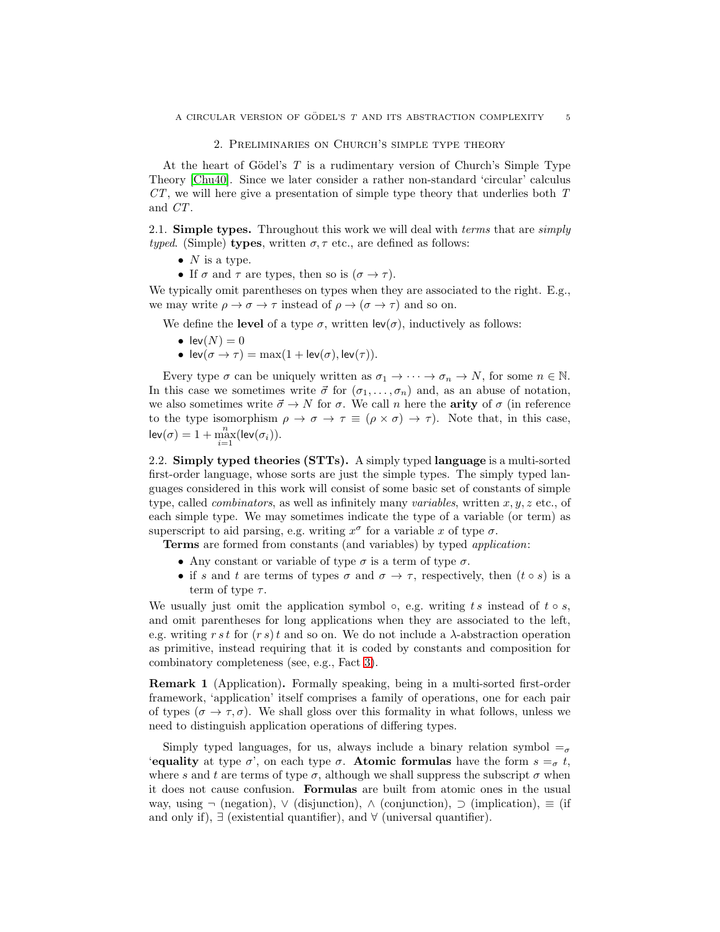### 2. Preliminaries on Church's simple type theory

<span id="page-5-0"></span>At the heart of Gödel's  $T$  is a rudimentary version of Church's Simple Type Theory [\[Chu40\]](#page-64-12). Since we later consider a rather non-standard 'circular' calculus  $CT$ , we will here give a presentation of simple type theory that underlies both  $T$ and CT.

2.1. **Simple types.** Throughout this work we will deal with *terms* that are *simply* typed. (Simple) types, written  $\sigma, \tau$  etc., are defined as follows:

- $N$  is a type.
- If  $\sigma$  and  $\tau$  are types, then so is  $(\sigma \to \tau)$ .

We typically omit parentheses on types when they are associated to the right. E.g., we may write  $\rho \to \sigma \to \tau$  instead of  $\rho \to (\sigma \to \tau)$  and so on.

We define the **level** of a type  $\sigma$ , written  $\text{lev}(\sigma)$ , inductively as follows:

- lev $(N) = 0$
- $lev(\sigma \to \tau) = max(1 + lev(\sigma), lev(\tau)).$

Every type  $\sigma$  can be uniquely written as  $\sigma_1 \to \cdots \to \sigma_n \to N$ , for some  $n \in \mathbb{N}$ . In this case we sometimes write  $\vec{\sigma}$  for  $(\sigma_1, \ldots, \sigma_n)$  and, as an abuse of notation, we also sometimes write  $\vec{\sigma} \rightarrow N$  for  $\sigma$ . We call n here the **arity** of  $\sigma$  (in reference to the type isomorphism  $\rho \to \sigma \to \tau \equiv (\rho \times \sigma) \to \tau$ . Note that, in this case,  $\mathsf{lev}(\sigma) = 1 + \max_{i=1}^n (\mathsf{lev}(\sigma_i)).$ 

2.2. Simply typed theories (STTs). A simply typed language is a multi-sorted first-order language, whose sorts are just the simple types. The simply typed languages considered in this work will consist of some basic set of constants of simple type, called *combinators*, as well as infinitely many *variables*, written  $x, y, z$  etc., of each simple type. We may sometimes indicate the type of a variable (or term) as superscript to aid parsing, e.g. writing  $x^{\sigma}$  for a variable x of type  $\sigma$ .

**Terms** are formed from constants (and variables) by typed *application*:

- Any constant or variable of type  $\sigma$  is a term of type  $\sigma$ .
- if s and t are terms of types  $\sigma$  and  $\sigma \to \tau$ , respectively, then  $(t \circ s)$  is a term of type  $\tau$ .

We usually just omit the application symbol  $\circ$ , e.g. writing ts instead of t  $\circ$  s, and omit parentheses for long applications when they are associated to the left, e.g. writing r s t for  $(r s)t$  and so on. We do not include a  $\lambda$ -abstraction operation as primitive, instead requiring that it is coded by constants and composition for combinatory completeness (see, e.g., Fact [3\)](#page-7-0).

Remark 1 (Application). Formally speaking, being in a multi-sorted first-order framework, 'application' itself comprises a family of operations, one for each pair of types ( $\sigma \to \tau, \sigma$ ). We shall gloss over this formality in what follows, unless we need to distinguish application operations of differing types.

Simply typed languages, for us, always include a binary relation symbol  $=_{\sigma}$ 'equality at type  $\sigma'$ , on each type  $\sigma$ . Atomic formulas have the form  $s = \sigma t$ , where s and t are terms of type  $\sigma$ , although we shall suppress the subscript  $\sigma$  when it does not cause confusion. Formulas are built from atomic ones in the usual way, using  $\neg$  (negation),  $\vee$  (disjunction),  $\wedge$  (conjunction),  $\ni$  (implication),  $\equiv$  (if and only if),  $\exists$  (existential quantifier), and  $\forall$  (universal quantifier).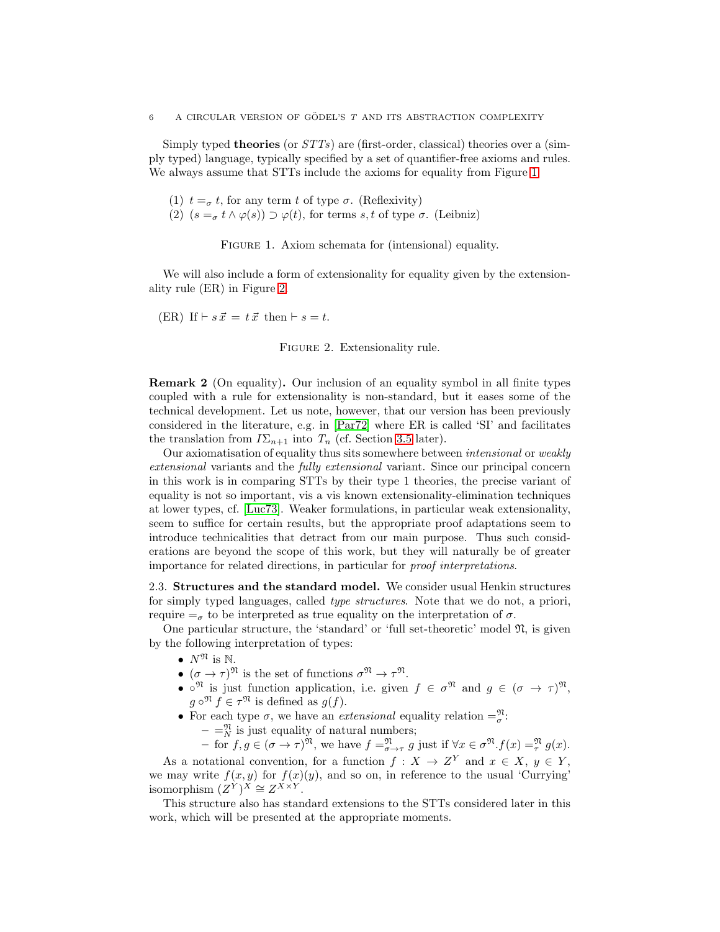Simply typed **theories** (or  $STTs$ ) are (first-order, classical) theories over a (simply typed) language, typically specified by a set of quantifier-free axioms and rules. We always assume that STTs include the axioms for equality from Figure [1.](#page-6-0)

- (1)  $t = \sigma t$ , for any term t of type  $\sigma$ . (Reflexivity)
- (2)  $(s =_\sigma t \wedge \varphi(s)) \supset \varphi(t)$ , for terms s, t of type  $\sigma$ . (Leibniz)

<span id="page-6-0"></span>FIGURE 1. Axiom schemata for (intensional) equality.

We will also include a form of extensionality for equality given by the extensionality rule (ER) in Figure [2.](#page-6-1)

(ER) If  $\vdash s\vec{x} = t\vec{x}$  then  $\vdash s = t$ .

<span id="page-6-1"></span>FIGURE 2. Extensionality rule.

Remark 2 (On equality). Our inclusion of an equality symbol in all finite types coupled with a rule for extensionality is non-standard, but it eases some of the technical development. Let us note, however, that our version has been previously considered in the literature, e.g. in [\[Par72\]](#page-66-5) where ER is called 'SI' and facilitates the translation from  $I\Sigma_{n+1}$  into  $T_n$  (cf. Section [3.5](#page-11-0) later).

Our axiomatisation of equality thus sits somewhere between *intensional* or *weakly* extensional variants and the fully extensional variant. Since our principal concern in this work is in comparing STTs by their type 1 theories, the precise variant of equality is not so important, vis a vis known extensionality-elimination techniques at lower types, cf. [\[Luc73\]](#page-66-10). Weaker formulations, in particular weak extensionality, seem to suffice for certain results, but the appropriate proof adaptations seem to introduce technicalities that detract from our main purpose. Thus such considerations are beyond the scope of this work, but they will naturally be of greater importance for related directions, in particular for proof interpretations.

<span id="page-6-2"></span>2.3. Structures and the standard model. We consider usual Henkin structures for simply typed languages, called type structures. Note that we do not, a priori, require  $=_{\sigma}$  to be interpreted as true equality on the interpretation of  $\sigma$ .

One particular structure, the 'standard' or 'full set-theoretic' model  $\mathfrak{N}$ , is given by the following interpretation of types:

- $N^{\mathfrak{N}}$  is N.
- $(\sigma \to \tau)^{\mathfrak{N}}$  is the set of functions  $\sigma^{\mathfrak{N}} \to \tau^{\mathfrak{N}}$ .
- $\circ^{\mathfrak{N}}$  is just function application, i.e. given  $f \in \sigma^{\mathfrak{N}}$  and  $g \in (\sigma \to \tau)^{\mathfrak{N}}$ ,  $g \circ^{\mathfrak{N}} f \in \tau^{\mathfrak{N}}$  is defined as  $g(f)$ .
- For each type  $\sigma$ , we have an *extensional* equality relation  $=\frac{\mathfrak{N}}{\sigma}$ :  $-$  =  $\frac{m}{N}$  is just equality of natural numbers;

 $-\text{ for } f, g \in (\sigma \to \tau)^{\mathfrak{N}}, \text{ we have } f =_{\sigma \to \tau}^{\mathfrak{N}} g \text{ just if } \forall x \in \sigma^{\mathfrak{N}}. f(x) =_{\tau}^{\mathfrak{N}} g(x).$ 

As a notational convention, for a function  $f: X \to Z^Y$  and  $x \in X$ ,  $y \in Y$ , we may write  $f(x, y)$  for  $f(x)(y)$ , and so on, in reference to the usual 'Currying' isomorphism  $(Z^{\hat{Y}})^{\hat{X}} \cong Z^{\hat{X} \times \hat{Y}}$ .

This structure also has standard extensions to the STTs considered later in this work, which will be presented at the appropriate moments.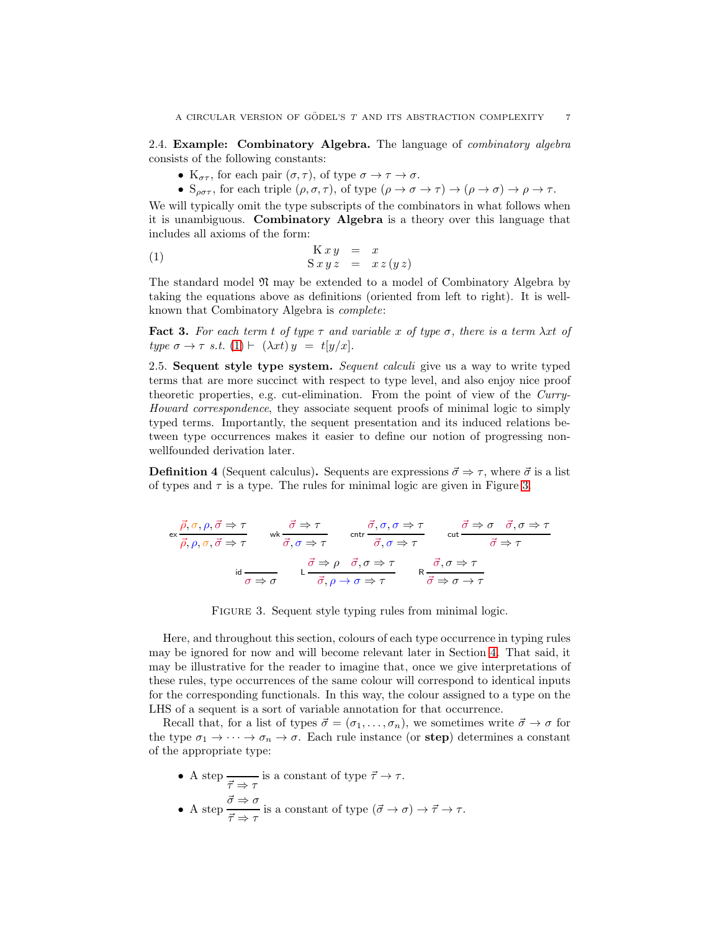<span id="page-7-3"></span>2.4. Example: Combinatory Algebra. The language of combinatory algebra consists of the following constants:

- $K_{\sigma\tau}$ , for each pair  $(\sigma, \tau)$ , of type  $\sigma \to \tau \to \sigma$ .
- <span id="page-7-1"></span>•  $S_{\rho\sigma\tau}$ , for each triple  $(\rho, \sigma, \tau)$ , of type  $(\rho \to \sigma \to \tau) \to (\rho \to \sigma) \to \rho \to \tau$ .

We will typically omit the type subscripts of the combinators in what follows when it is unambiguous. Combinatory Algebra is a theory over this language that includes all axioms of the form:

$$
\begin{array}{rcl}\n\text{K } x \, y & = & x \\
\text{S } x \, y \, z & = & x \, z \, (y \, z)\n\end{array}
$$

The standard model  $\mathfrak{N}$  may be extended to a model of Combinatory Algebra by taking the equations above as definitions (oriented from left to right). It is wellknown that Combinatory Algebra is complete:

<span id="page-7-0"></span>**Fact 3.** For each term t of type  $\tau$  and variable x of type  $\sigma$ , there is a term  $\lambda xt$  of type  $\sigma \to \tau$  s.t.  $(1) \vdash (\lambda x t) y = t[y/x].$  $(1) \vdash (\lambda x t) y = t[y/x].$ 

2.5. Sequent style type system. Sequent calculi give us a way to write typed terms that are more succinct with respect to type level, and also enjoy nice proof theoretic properties, e.g. cut-elimination. From the point of view of the Curry-Howard correspondence, they associate sequent proofs of minimal logic to simply typed terms. Importantly, the sequent presentation and its induced relations between type occurrences makes it easier to define our notion of progressing nonwellfounded derivation later.

**Definition 4** (Sequent calculus). Sequents are expressions  $\vec{\sigma} \Rightarrow \tau$ , where  $\vec{\sigma}$  is a list of types and  $\tau$  is a type. The rules for minimal logic are given in Figure [3.](#page-7-2)

$$
\mathsf{ex} \frac{\vec{\rho}, \sigma, \rho, \vec{\sigma} \Rightarrow \tau}{\vec{\rho}, \rho, \sigma, \vec{\sigma} \Rightarrow \tau} \qquad \mathsf{wk} \frac{\vec{\sigma} \Rightarrow \tau}{\vec{\sigma}, \sigma \Rightarrow \tau} \qquad \mathsf{cntr} \frac{\vec{\sigma}, \sigma, \sigma \Rightarrow \tau}{\vec{\sigma}, \sigma \Rightarrow \tau} \qquad \mathsf{cut} \frac{\vec{\sigma} \Rightarrow \sigma \quad \vec{\sigma}, \sigma \Rightarrow \tau}{\vec{\sigma} \Rightarrow \tau}
$$
\n
$$
\mathsf{id} \frac{\vec{\sigma} \Rightarrow \rho \quad \vec{\sigma}, \sigma \Rightarrow \tau}{\sigma \Rightarrow \sigma} \qquad \mathsf{L} \frac{\vec{\sigma} \Rightarrow \rho \quad \vec{\sigma}, \sigma \Rightarrow \tau}{\vec{\sigma}, \rho \rightarrow \sigma \Rightarrow \tau} \qquad \mathsf{R} \frac{\vec{\sigma}, \sigma \Rightarrow \tau}{\vec{\sigma} \Rightarrow \sigma \rightarrow \tau}
$$

<span id="page-7-2"></span>FIGURE 3. Sequent style typing rules from minimal logic.

Here, and throughout this section, colours of each type occurrence in typing rules may be ignored for now and will become relevant later in Section [4.](#page-13-0) That said, it may be illustrative for the reader to imagine that, once we give interpretations of these rules, type occurrences of the same colour will correspond to identical inputs for the corresponding functionals. In this way, the colour assigned to a type on the LHS of a sequent is a sort of variable annotation for that occurrence.

Recall that, for a list of types  $\vec{\sigma} = (\sigma_1, \ldots, \sigma_n)$ , we sometimes write  $\vec{\sigma} \to \sigma$  for the type  $\sigma_1 \to \cdots \to \sigma_n \to \sigma$ . Each rule instance (or step) determines a constant of the appropriate type:

- A step  $\frac{\overline{\tau}}{\overline{\tau}} \to \tau$  is a constant of type  $\overline{\tau} \to \tau$ .
- A step  $\frac{\vec{\sigma} \Rightarrow \sigma}{\rightarrow}$  $\frac{\vec{\tau}}{\vec{\tau}} \Rightarrow \tau$  is a constant of type  $(\vec{\sigma} \to \sigma) \to \vec{\tau} \to \tau$ .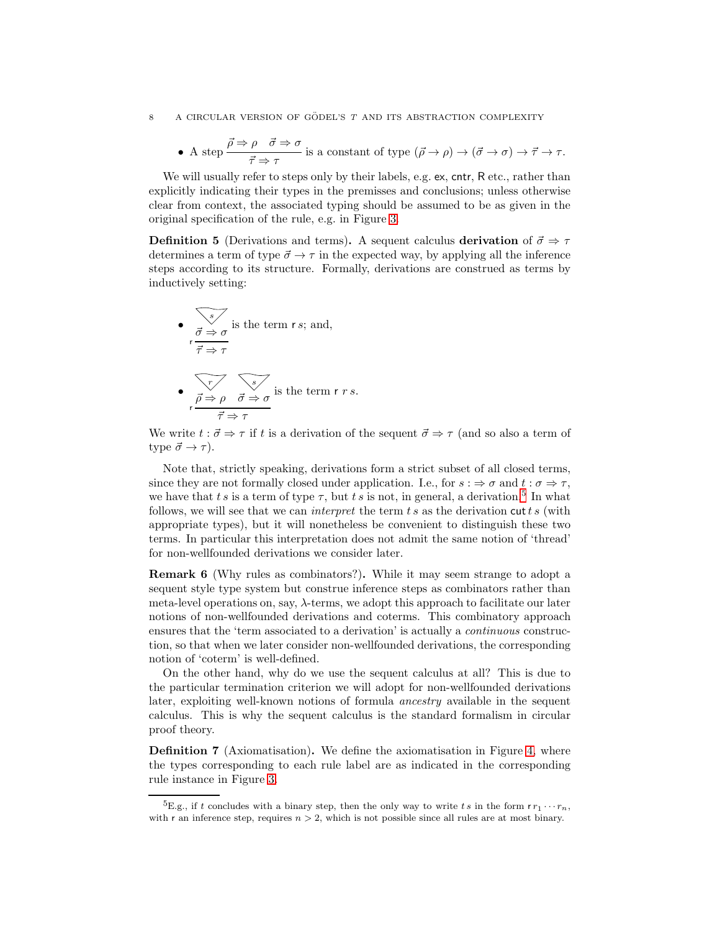• A step 
$$
\frac{\vec{\rho} \Rightarrow \rho \quad \vec{\sigma} \Rightarrow \sigma}{\vec{\tau} \Rightarrow \tau}
$$
 is a constant of type  $(\vec{\rho} \to \rho) \to (\vec{\sigma} \to \sigma) \to \vec{\tau} \to \tau$ .

We will usually refer to steps only by their labels, e.g. ex, cntr, R etc., rather than explicitly indicating their types in the premisses and conclusions; unless otherwise clear from context, the associated typing should be assumed to be as given in the original specification of the rule, e.g. in Figure [3.](#page-7-2)

**Definition 5** (Derivations and terms). A sequent calculus derivation of  $\vec{\sigma} \Rightarrow \tau$ determines a term of type  $\vec{\sigma} \rightarrow \tau$  in the expected way, by applying all the inference steps according to its structure. Formally, derivations are construed as terms by inductively setting:

\n- \n
$$
\vec{\sigma} \Rightarrow \sigma
$$
 is the term  $r \, s$ ; and,\n  $\vec{\tau} \Rightarrow \tau$ \n
\n- \n $\vec{\tau} \Rightarrow \tau$ \n
\n- \n $\vec{\rho} \Rightarrow \rho \quad \vec{\sigma} \Rightarrow \sigma$  is the term  $r \, r \, s$ .\n
\n

We write  $t : \vec{\sigma} \Rightarrow \tau$  if t is a derivation of the sequent  $\vec{\sigma} \Rightarrow \tau$  (and so also a term of type  $\vec{\sigma} \rightarrow \tau$ ).

Note that, strictly speaking, derivations form a strict subset of all closed terms, since they are not formally closed under application. I.e., for  $s : \Rightarrow \sigma$  and  $t : \sigma \Rightarrow \tau$ , we have that t s is a term of type  $\tau$ , but t s is not, in general, a derivation.<sup>[5](#page-8-0)</sup> In what follows, we will see that we can *interpret* the term  $ts$  as the derivation cut  $ts$  (with appropriate types), but it will nonetheless be convenient to distinguish these two terms. In particular this interpretation does not admit the same notion of 'thread' for non-wellfounded derivations we consider later.

Remark 6 (Why rules as combinators?). While it may seem strange to adopt a sequent style type system but construe inference steps as combinators rather than meta-level operations on, say,  $\lambda$ -terms, we adopt this approach to facilitate our later notions of non-wellfounded derivations and coterms. This combinatory approach ensures that the 'term associated to a derivation' is actually a continuous construction, so that when we later consider non-wellfounded derivations, the corresponding notion of 'coterm' is well-defined.

On the other hand, why do we use the sequent calculus at all? This is due to the particular termination criterion we will adopt for non-wellfounded derivations later, exploiting well-known notions of formula ancestry available in the sequent calculus. This is why the sequent calculus is the standard formalism in circular proof theory.

Definition 7 (Axiomatisation). We define the axiomatisation in Figure [4,](#page-9-1) where the types corresponding to each rule label are as indicated in the corresponding rule instance in Figure [3.](#page-7-2)

<span id="page-8-0"></span><sup>&</sup>lt;sup>5</sup>E.g., if t concludes with a binary step, then the only way to write ts in the form  $rr_1 \cdots r_n$ , with r an inference step, requires  $n > 2$ , which is not possible since all rules are at most binary.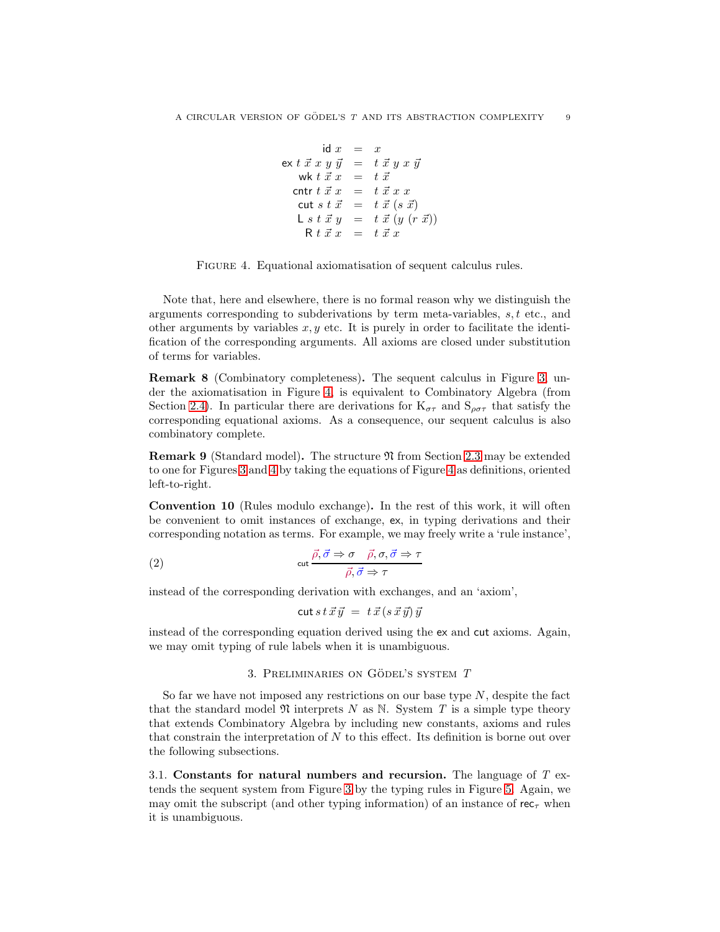$$
\begin{array}{rcl}\n\text{id } x & = & x \\
\text{ex } t \; \vec{x} \; x \; y \; \vec{y} & = & t \; \vec{x} \; y \; x \; \vec{y} \\
\text{wk } t \; \vec{x} \; x & = & t \; \vec{x} \\
\text{cntr } t \; \vec{x} \; x & = & t \; \vec{x} \; x \; x \\
\text{cut } s \; t \; \vec{x} & = & t \; \vec{x} \; (s \; \vec{x}) \\
\text{L } s \; t \; \vec{x} \; y & = & t \; \vec{x} \; (y \; (r \; \vec{x})) \\
\text{R } t \; \vec{x} \; x & = & t \; \vec{x} \; x\n\end{array}
$$

<span id="page-9-1"></span>

Note that, here and elsewhere, there is no formal reason why we distinguish the arguments corresponding to subderivations by term meta-variables,  $s, t$  etc., and other arguments by variables  $x, y$  etc. It is purely in order to facilitate the identification of the corresponding arguments. All axioms are closed under substitution of terms for variables.

Remark 8 (Combinatory completeness). The sequent calculus in Figure [3,](#page-7-2) under the axiomatisation in Figure [4,](#page-9-1) is equivalent to Combinatory Algebra (from Section [2.4\)](#page-7-3). In particular there are derivations for  $K_{\sigma\tau}$  and  $S_{\rho\sigma\tau}$  that satisfy the corresponding equational axioms. As a consequence, our sequent calculus is also combinatory complete.

Remark 9 (Standard model). The structure N from Section [2.3](#page-6-2) may be extended to one for Figures [3](#page-7-2) and [4](#page-9-1) by taking the equations of Figure [4](#page-9-1) as definitions, oriented left-to-right.

Convention 10 (Rules modulo exchange). In the rest of this work, it will often be convenient to omit instances of exchange, ex, in typing derivations and their corresponding notation as terms. For example, we may freely write a 'rule instance',

(2) 
$$
\cot \frac{\vec{\rho}, \vec{\sigma} \Rightarrow \sigma \quad \vec{\rho}, \sigma, \vec{\sigma} \Rightarrow \tau}{\vec{\rho}, \vec{\sigma} \Rightarrow \tau}
$$

instead of the corresponding derivation with exchanges, and an 'axiom',

$$
\mathsf{cut}\, s\, t\, \vec{x}\, \vec{y}\;=\; t\, \vec{x}\, (s\, \vec{x}\, \vec{y})\, \vec{y}
$$

<span id="page-9-0"></span>instead of the corresponding equation derived using the ex and cut axioms. Again, we may omit typing of rule labels when it is unambiguous.

#### 3. PRELIMINARIES ON GÖDEL'S SYSTEM  $T$

So far we have not imposed any restrictions on our base type  $N$ , despite the fact that the standard model  $\mathfrak N$  interprets N as N. System T is a simple type theory that extends Combinatory Algebra by including new constants, axioms and rules that constrain the interpretation of  $N$  to this effect. Its definition is borne out over the following subsections.

3.1. Constants for natural numbers and recursion. The language of  $T$  extends the sequent system from Figure [3](#page-7-2) by the typing rules in Figure [5.](#page-10-0) Again, we may omit the subscript (and other typing information) of an instance of  $rec_{\tau}$  when it is unambiguous.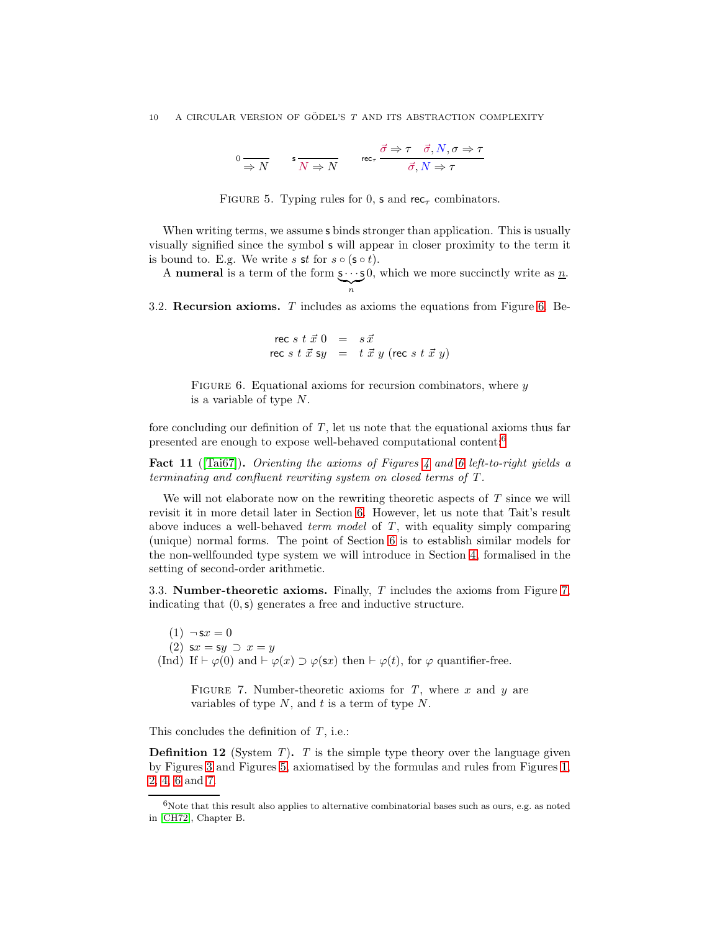$$
0 \xrightarrow{\sim} N \qquad \text{s} \xrightarrow[N \Rightarrow N]{} \qquad \text{rec}_{\tau} \xrightarrow{\vec{\sigma} \Rightarrow \tau} \overrightarrow{\sigma}, N, \sigma \Rightarrow \tau
$$

<span id="page-10-0"></span>FIGURE 5. Typing rules for 0, s and rec<sub> $\tau$ </sub> combinators.

When writing terms, we assume **s** binds stronger than application. This is usually visually signified since the symbol s will appear in closer proximity to the term it is bound to. E.g. We write s st for  $s \circ (s \circ t)$ .

A **numeral** is a term of the form  $s \cdots s$  $\sum_{n}$ n 0, which we more succinctly write as  $\underline{n}$ .

3.2. Recursion axioms. T includes as axioms the equations from Figure [6.](#page-10-1) Be-

<span id="page-10-1"></span>
$$
\begin{array}{rcl}\n\text{rec } s \; t \; \vec{x} \; 0 & = & s \; \vec{x} \\
\text{rec } s \; t \; \vec{x} \; \text{sy} & = & t \; \vec{x} \; y \; (\text{rec } s \; t \; \vec{x} \; y)\n\end{array}
$$

FIGURE 6. Equational axioms for recursion combinators, where  $\eta$ is a variable of type N.

fore concluding our definition of  $T$ , let us note that the equational axioms thus far presented are enough to expose well-behaved computational content:[6](#page-10-2)

<span id="page-10-4"></span>Fact 11 ( $[Tai67]$ ). Orienting the axioms of Figures [4](#page-9-1) and [6](#page-10-1) left-to-right yields a terminating and confluent rewriting system on closed terms of T .

We will not elaborate now on the rewriting theoretic aspects of  $T$  since we will revisit it in more detail later in Section [6.](#page-31-0) However, let us note that Tait's result above induces a well-behaved term model of  $T$ , with equality simply comparing (unique) normal forms. The point of Section [6](#page-31-0) is to establish similar models for the non-wellfounded type system we will introduce in Section [4,](#page-13-0) formalised in the setting of second-order arithmetic.

3.3. Number-theoretic axioms. Finally, T includes the axioms from Figure [7,](#page-10-3) indicating that  $(0, s)$  generates a free and inductive structure.

<span id="page-10-5"></span> $(1) \neg x = 0$ (2)  $sx = sy \supset x = y$ (Ind) If  $\vdash \varphi(0)$  and  $\vdash \varphi(x) \supset \varphi(\mathsf{s}x)$  then  $\vdash \varphi(t)$ , for  $\varphi$  quantifier-free.

<span id="page-10-3"></span>FIGURE 7. Number-theoretic axioms for  $T$ , where  $x$  and  $y$  are variables of type  $N$ , and  $t$  is a term of type  $N$ .

This concludes the definition of  $T$ , i.e.:

**Definition 12** (System  $T$ ).  $T$  is the simple type theory over the language given by Figures [3](#page-7-2) and Figures [5,](#page-10-0) axiomatised by the formulas and rules from Figures [1,](#page-6-0) [2,](#page-6-1) [4,](#page-9-1) [6](#page-10-1) and [7.](#page-10-3)

<span id="page-10-2"></span> $6$ Note that this result also applies to alternative combinatorial bases such as ours, e.g. as noted in [\[CH72\]](#page-64-13), Chapter B.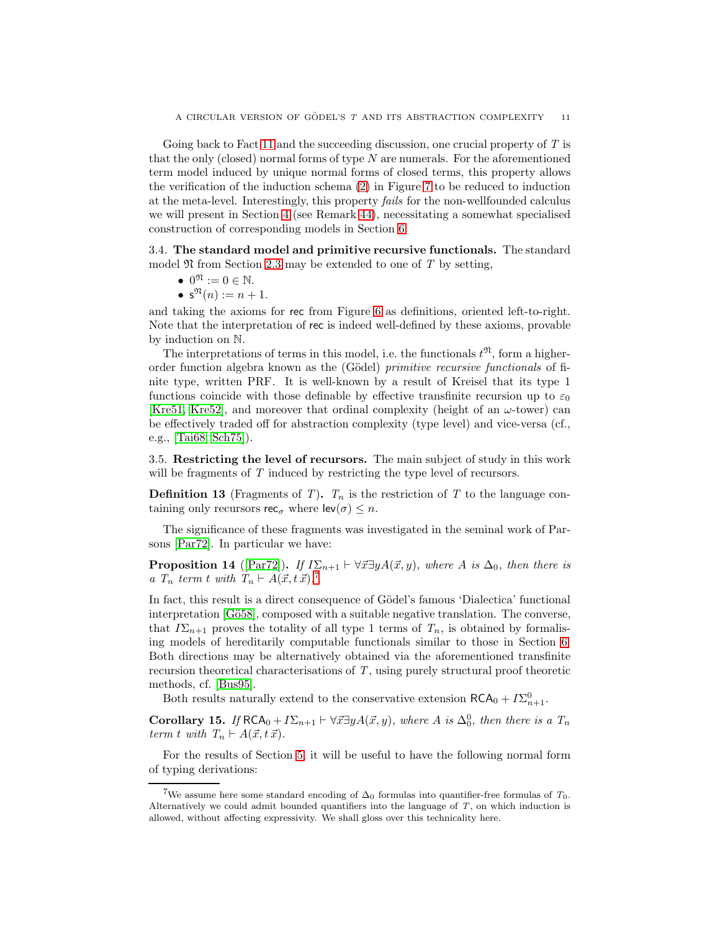Going back to Fact [11](#page-10-4) and the succeeding discussion, one crucial property of  $T$  is that the only (closed) normal forms of type  $N$  are numerals. For the aforementioned term model induced by unique normal forms of closed terms, this property allows the verification of the induction schema [\(2\)](#page-10-5) in Figure [7](#page-10-3) to be reduced to induction at the meta-level. Interestingly, this property fails for the non-wellfounded calculus we will present in Section [4](#page-13-0) (see Remark [44\)](#page-33-0), necessitating a somewhat specialised construction of corresponding models in Section [6.](#page-31-0)

3.4. The standard model and primitive recursive functionals. The standard model  $\mathfrak N$  from Section [2.3](#page-6-2) may be extended to one of T by setting,

- $0^{\mathfrak{N}} := 0 \in \mathbb{N}$ .
- $s^{\Re}(n) := n + 1.$

and taking the axioms for rec from Figure [6](#page-10-1) as definitions, oriented left-to-right. Note that the interpretation of rec is indeed well-defined by these axioms, provable by induction on N.

The interpretations of terms in this model, i.e. the functionals  $t^{\mathfrak{R}}$ , form a higherorder function algebra known as the (Gödel) *primitive recursive functionals* of finite type, written PRF. It is well-known by a result of Kreisel that its type 1 functions coincide with those definable by effective transfinite recursion up to  $\varepsilon_0$ [\[Kre51,](#page-65-13) [Kre52\]](#page-65-14), and moreover that ordinal complexity (height of an  $\omega$ -tower) can be effectively traded off for abstraction complexity (type level) and vice-versa (cf., e.g., [\[Tai68,](#page-66-12) [Sch75\]](#page-66-13)).

<span id="page-11-0"></span>3.5. Restricting the level of recursors. The main subject of study in this work will be fragments of T induced by restricting the type level of recursors.

**Definition 13** (Fragments of T).  $T_n$  is the restriction of T to the language containing only recursors  $\mathsf{rec}_{\sigma}$  where  $\mathsf{lev}(\sigma) \leq n$ .

The significance of these fragments was investigated in the seminal work of Parsons [\[Par72\]](#page-66-5). In particular we have:

<span id="page-11-2"></span>**Proposition 14** ([\[Par72\]](#page-66-5)). If  $I\Sigma_{n+1} \vdash \forall \vec{x} \exists y A(\vec{x}, y)$ , where A is  $\Delta_0$ , then there is a  $T_n$  term t with  $T_n \vdash A(\vec{x}, t\ \vec{x}).^7$  $T_n \vdash A(\vec{x}, t\ \vec{x}).^7$ 

In fact, this result is a direct consequence of Gödel's famous 'Dialectica' functional interpretation [Gö58], composed with a suitable negative translation. The converse, that  $I\Sigma_{n+1}$  proves the totality of all type 1 terms of  $T_n$ , is obtained by formalising models of hereditarily computable functionals similar to those in Section [6.](#page-31-0) Both directions may be alternatively obtained via the aforementioned transfinite recursion theoretical characterisations of T, using purely structural proof theoretic methods, cf. [\[Bus95\]](#page-64-14).

Both results naturally extend to the conservative extension  $\mathsf{RCA}_0 + I\Sigma^0_{n+1}$ .

Corollary 15. If  $RCA_0 + I\Sigma_{n+1} \vdash \forall \vec{x} \exists y A(\vec{x}, y)$ , where A is  $\Delta_0^0$ , then there is a  $T_n$ term t with  $T_n \vdash A(\vec{x}, t\vec{x}).$ 

For the results of Section [5,](#page-23-0) it will be useful to have the following normal form of typing derivations:

<span id="page-11-1"></span><sup>&</sup>lt;sup>7</sup>We assume here some standard encoding of  $\Delta_0$  formulas into quantifier-free formulas of  $T_0$ . Alternatively we could admit bounded quantifiers into the language of *T*, on which induction is allowed, without affecting expressivity. We shall gloss over this technicality here.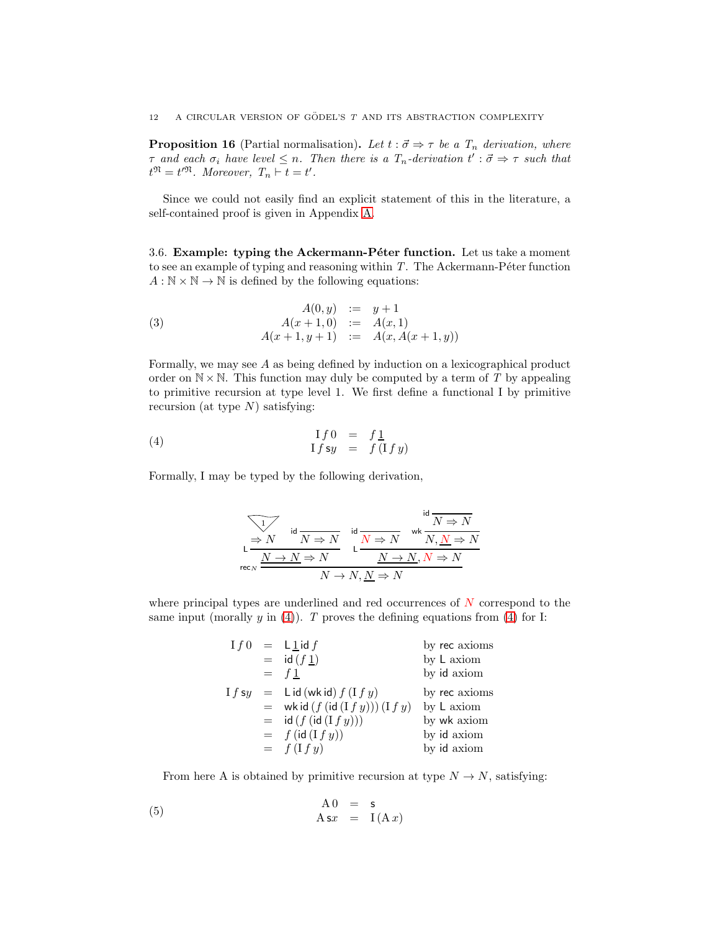<span id="page-12-1"></span>**Proposition 16** (Partial normalisation). Let  $t : \vec{\sigma} \Rightarrow \tau$  be a  $T_n$  derivation, where  $\tau$  and each  $\sigma_i$  have level  $\leq n$ . Then there is a  $T_n$ -derivation  $t' : \vec{\sigma} \Rightarrow \tau$  such that  $t^{\mathfrak{N}}=t^{\prime\mathfrak{N}}$ . Moreover,  $T_n \vdash t = t'$ .

Since we could not easily find an explicit statement of this in the literature, a self-contained proof is given in Appendix [A.](#page-67-0)

<span id="page-12-2"></span>3.6. Example: typing the Ackermann-Péter function. Let us take a moment to see an example of typing and reasoning within  $T$ . The Ackermann-Péter function  $A : \mathbb{N} \times \mathbb{N} \to \mathbb{N}$  is defined by the following equations:

<span id="page-12-3"></span>(3) 
$$
A(0, y) := y + 1 \n A(x + 1, 0) := A(x, 1) \n A(x + 1, y + 1) := A(x, A(x + 1, y))
$$

Formally, we may see A as being defined by induction on a lexicographical product order on  $N \times N$ . This function may duly be computed by a term of T by appealing to primitive recursion at type level 1. We first define a functional I by primitive recursion (at type  $N$ ) satisfying:

$$
\begin{array}{rcl}\n(4) & \text{if } 0 = f \underline{1} \\
\text{If } sy = f (\text{If } y)\n\end{array}
$$

Formally, I may be typed by the following derivation,

<span id="page-12-0"></span>
$$
\begin{array}{c|c}\n\hline\n\downarrow & \text{id} \\
\downarrow & \text{N} \Rightarrow N \\
\downarrow & \text{N} \Rightarrow N\n\end{array} \quad\n\begin{array}{c}\n\text{id} & \text{M} \Rightarrow N \\
\downarrow & \text{M} \Rightarrow N \\
\downarrow & \text{M} \Rightarrow N\n\end{array}
$$
\n
$$
\begin{array}{c}\n\text{Id} & \text{M} \Rightarrow N \\
\downarrow & \text{M} \Rightarrow N, N \Rightarrow N \\
\downarrow & \text{M} \Rightarrow N, N \Rightarrow N\n\end{array}
$$

where principal types are underlined and red occurrences of  $N$  correspond to the same input (morally y in [\(4\)](#page-12-0)). T proves the defining equations from (4) for I:

| If 0    | $= L1$ id f                    | by rec axioms |
|---------|--------------------------------|---------------|
|         | $=$ id $(f_1)$                 | by L axiom    |
|         | $=$ f 1                        | by id axiom   |
| 1 f s u | $=$ Lid (wkid) $f(If y)$       | by rec axioms |
|         | $=$ wkid $(f(id(Ify))) (If y)$ | by L axiom    |
|         | $=$ id $(f(id(Ify)))$          | by wk axiom   |
|         | $= f(id(Ify))$                 | by id axiom   |
|         | $= f(If y)$                    | by id axiom   |

From here A is obtained by primitive recursion at type  $N \to N$ , satisfying:

(5) 
$$
A0 = s
$$

$$
A s x = I(A x)
$$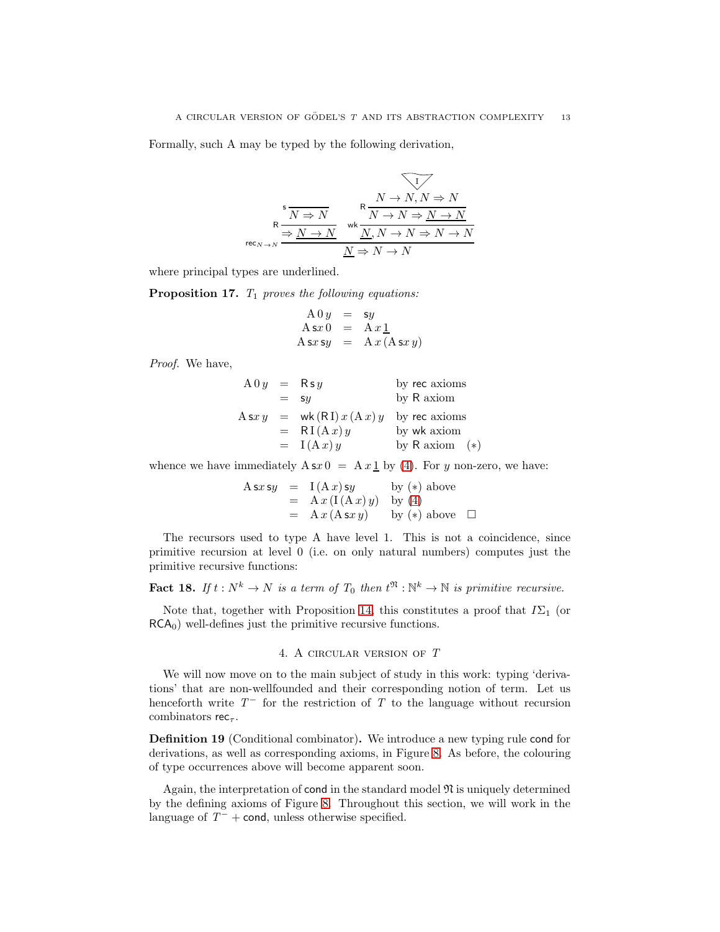Formally, such A may be typed by the following derivation,

$$
\begin{array}{c}\n\text{s} \\
\hline\n\text{R} \\
\hline\n\text{R} \\
\hline\n\end{array}\n\longrightarrow N \begin{array}{c}\n\text{R} \\
\hline\nN \to N, N \Rightarrow N \\
\hline\n\text{W} \land N \to N \Rightarrow N \to N \\
\hline\n\text{W} \land N \to N \to N \to N\n\end{array}
$$
\n
$$
\begin{array}{c}\n\text{R} \\
\hline\n\text{N} \to N \to N \Rightarrow N \to N \\
\hline\n\text{M} \to N \to N \to N\n\end{array}
$$

where principal types are underlined.

<span id="page-13-2"></span>**Proposition 17.**  $T_1$  proves the following equations:

$$
A 0 y = sy
$$
  
\n
$$
A s x 0 = A x \underline{1}
$$
  
\n
$$
A s x s y = A x (A s x y)
$$

Proof. We have,

| $A0y =$     | $Rsy$          | by rec axioms |
|-------------|----------------|---------------|
| $= sy$      | by R axiom     |               |
| $Asxy =$    | $wk(RI)x(Ax)y$ | by rec axioms |
| $= RI(Ax)y$ | by wk axiom    |               |
| $= I(Ax)y$  | by R axiom (*) |               |

whence we have immediately  $A \simeq 0 = Ax \cdot 1$  by [\(4\)](#page-12-0). For y non-zero, we have:

$$
A s x s y = I(A x) s y \t by (*) above= A x (I(A x) y) by (4)= A x (A s x y) \t by (*) above  $\square$
$$

The recursors used to type A have level 1. This is not a coincidence, since primitive recursion at level 0 (i.e. on only natural numbers) computes just the primitive recursive functions:

<span id="page-13-1"></span>**Fact 18.** If  $t : N^k \to N$  is a term of  $T_0$  then  $t^{\mathfrak{N}} : \mathbb{N}^k \to \mathbb{N}$  is primitive recursive.

<span id="page-13-0"></span>Note that, together with Proposition [14,](#page-11-2) this constitutes a proof that  $I\Sigma_1$  (or  $RCA<sub>0</sub>$ ) well-defines just the primitive recursive functions.

# 4. A circular version of T

We will now move on to the main subject of study in this work: typing 'derivations' that are non-wellfounded and their corresponding notion of term. Let us henceforth write  $T^-$  for the restriction of T to the language without recursion combinators rec<sub> $\tau$ </sub>.

Definition 19 (Conditional combinator). We introduce a new typing rule cond for derivations, as well as corresponding axioms, in Figure [8.](#page-14-0) As before, the colouring of type occurrences above will become apparent soon.

Again, the interpretation of cond in the standard model  $\mathfrak{N}$  is uniquely determined by the defining axioms of Figure [8.](#page-14-0) Throughout this section, we will work in the language of  $T^-$  + cond, unless otherwise specified.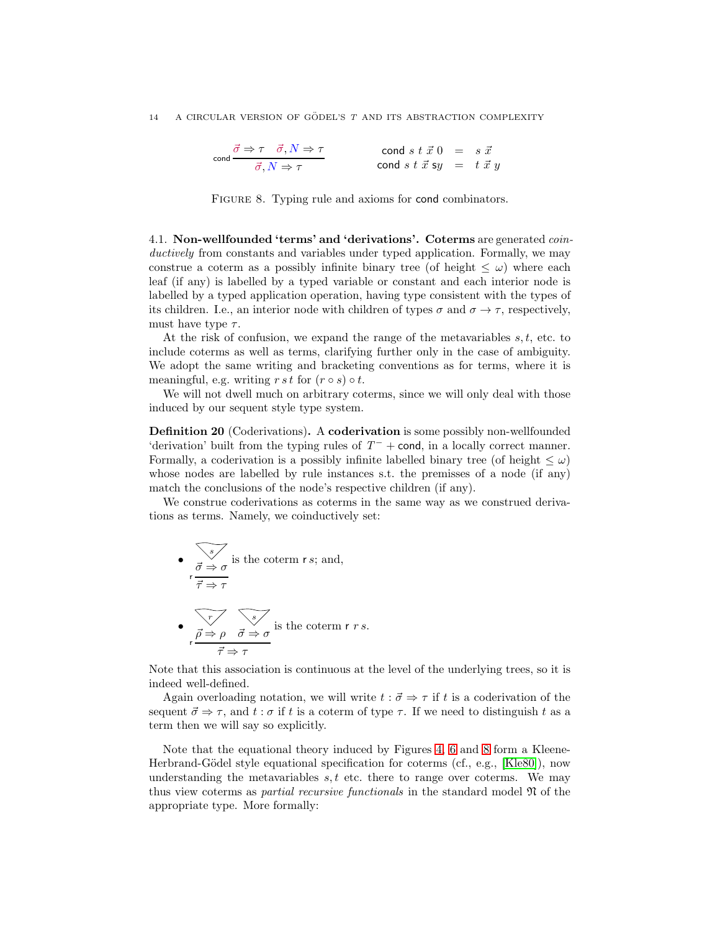$$
\cosh \frac{\vec{\sigma} \Rightarrow \tau \quad \vec{\sigma}, N \Rightarrow \tau}{\vec{\sigma}, N \Rightarrow \tau} \qquad \text{cond } s \; t \; \vec{x} \; 0 \; = \; s \; \vec{x}
$$
\n
$$
\cosh s \; t \; \vec{x} \; sy \; = \; t \; \vec{x} \; y
$$

<span id="page-14-0"></span>FIGURE 8. Typing rule and axioms for cond combinators.

4.1. Non-wellfounded 'terms' and 'derivations'. Coterms are generated coinductively from constants and variables under typed application. Formally, we may construe a coterm as a possibly infinite binary tree (of height  $\leq \omega$ ) where each leaf (if any) is labelled by a typed variable or constant and each interior node is labelled by a typed application operation, having type consistent with the types of its children. I.e., an interior node with children of types  $\sigma$  and  $\sigma \to \tau$ , respectively, must have type  $\tau$ .

At the risk of confusion, we expand the range of the metavariables  $s, t$ , etc. to include coterms as well as terms, clarifying further only in the case of ambiguity. We adopt the same writing and bracketing conventions as for terms, where it is meaningful, e.g. writing  $r \, s \, t$  for  $(r \circ s) \circ t$ .

We will not dwell much on arbitrary coterms, since we will only deal with those induced by our sequent style type system.

Definition 20 (Coderivations). A coderivation is some possibly non-wellfounded 'derivation' built from the typing rules of  $T^-$  + cond, in a locally correct manner. Formally, a coderivation is a possibly infinite labelled binary tree (of height  $\leq \omega$ ) whose nodes are labelled by rule instances s.t. the premisses of a node (if any) match the conclusions of the node's respective children (if any).

We construe coderivations as coterms in the same way as we construed derivations as terms. Namely, we coinductively set:

\n- \n
$$
\vec{\sigma} \Rightarrow \sigma
$$
 is the coterm *r s*; and,\n  $\vec{\tau} \Rightarrow \tau$ \n
\n- \n $\vec{\tau} \Rightarrow \rho$ \n
\n- \n $\vec{\rho} \Rightarrow \rho$ \n
\n- \n $\vec{\tau} \Rightarrow \tau$ \n
\n- \n $\vec{\tau} \Rightarrow \tau$ \n
\n

Note that this association is continuous at the level of the underlying trees, so it is indeed well-defined.

Again overloading notation, we will write  $t : \vec{\sigma} \Rightarrow \tau$  if t is a coderivation of the sequent  $\vec{\sigma} \Rightarrow \tau$ , and  $t : \sigma$  if t is a coterm of type  $\tau$ . If we need to distinguish t as a term then we will say so explicitly.

Note that the equational theory induced by Figures [4,](#page-9-1) [6](#page-10-1) and [8](#page-14-0) form a Kleene-Herbrand-Gödel style equational specification for coterms (cf., e.g., [\[Kle80\]](#page-65-12)), now understanding the metavariables  $s, t$  etc. there to range over coterms. We may thus view coterms as *partial recursive functionals* in the standard model  $\mathfrak{N}$  of the appropriate type. More formally: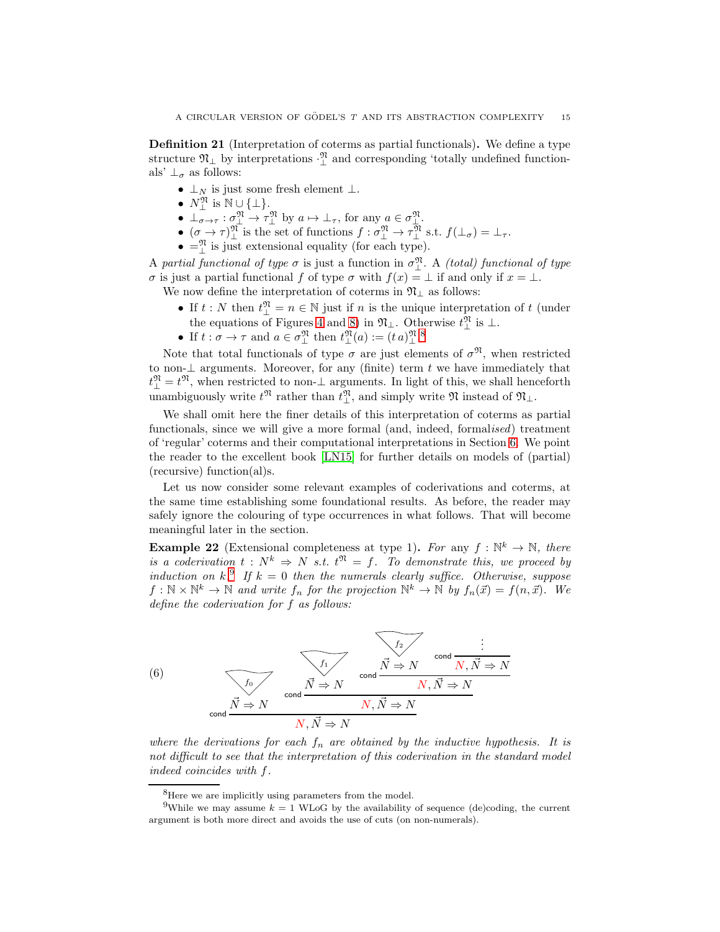<span id="page-15-4"></span>Definition 21 (Interpretation of coterms as partial functionals). We define a type structure  $\mathfrak{N}_{\perp}$  by interpretations  $\cdot_{\perp}^{\mathfrak{N}}$  and corresponding 'totally undefined functionals'  $\perp_{\sigma}$  as follows:

- $\perp_N$  is just some fresh element  $\perp$ .
- $N^{\mathfrak{N}}_{\perp}$  is  $\mathbb{N} \cup \{\perp\}.$
- $\bot_{\sigma \to \tau}^{\pi} : \sigma_{\bot}^{\mathfrak{N}} \to \tau_{\bot}^{\mathfrak{N}}$  by  $a \mapsto \bot_{\tau}$ , for any  $a \in \sigma_{\bot}^{\mathfrak{N}}$ .
- $(\sigma \to \tau)_{\perp}^{\mathfrak{N}}$  is the set of functions  $f : \sigma_{\perp}^{\mathfrak{N}} \to \tau_{\perp}^{\mathfrak{N}}$  s.t.  $f(\perp_{\sigma}) = \perp_{\tau}$ .
- $\bullet = \frac{\mathfrak{N}}{\mathfrak{L}}$  is just extensional equality (for each type).

A partial functional of type  $\sigma$  is just a function in  $\sigma_{\perp}^{y}$ . A (total) functional of type σ is just a partial functional f of type σ with  $f(x) = \bot$  if and only if  $x = \bot$ .

- We now define the interpretation of coterms in  $\mathfrak{N}_{\perp}$  as follows:
	- If  $t : N$  then  $t^{\mathfrak{N}}_{\perp} = n \in \mathbb{N}$  just if  $n$  is the unique interpretation of  $t$  (under the equations of Figures [4](#page-9-1) and [8\)](#page-14-0) in  $\mathfrak{N}_\perp$ . Otherwise  $t_\perp^{\mathfrak{N}}$  is  $\perp$ .
	- If  $t : \sigma \to \tau$  and  $a \in \sigma_\perp^{\mathfrak{N}}$  then  $t_\perp^{\mathfrak{N}}(a) := (t \, a)_{\perp}^{\mathfrak{N}}$ .

Note that total functionals of type  $\sigma$  are just elements of  $\sigma^{\mathfrak{N}}$ , when restricted to non- $\perp$  arguments. Moreover, for any (finite) term t we have immediately that  $t_{\perp}^{\mathfrak{N}}=t^{\mathfrak{N}},$  when restricted to non- $\perp$  arguments. In light of this, we shall henceforth unambiguously write  $t^{\mathfrak{N}}$  rather than  $t^{\mathfrak{N}}_{\perp}$ , and simply write  $\mathfrak{N}$  instead of  $\mathfrak{N}_{\perp}$ .

We shall omit here the finer details of this interpretation of coterms as partial functionals, since we will give a more formal (and, indeed, formalised) treatment of 'regular' coterms and their computational interpretations in Section [6.](#page-31-0) We point the reader to the excellent book [\[LN15\]](#page-66-9) for further details on models of (partial) (recursive) function(al)s.

Let us now consider some relevant examples of coderivations and coterms, at the same time establishing some foundational results. As before, the reader may safely ignore the colouring of type occurrences in what follows. That will become meaningful later in the section.

<span id="page-15-2"></span>**Example 22** (Extensional completeness at type 1). For any  $f : \mathbb{N}^k \to \mathbb{N}$ , there is a coderivation  $t : N^k \Rightarrow N$  s.t.  $t^{\mathfrak{N}} = f$ . To demonstrate this, we proceed by induction on  $k$ .<sup>[9](#page-15-1)</sup> If  $k = 0$  then the numerals clearly suffice. Otherwise, suppose  $f: \mathbb{N} \times \mathbb{N}^k \to \mathbb{N}$  and write  $f_n$  for the projection  $\mathbb{N}^k \to \mathbb{N}$  by  $f_n(\vec{x}) = f(n, \vec{x})$ . We define the coderivation for f as follows:

<span id="page-15-3"></span>

where the derivations for each  $f_n$  are obtained by the inductive hypothesis. It is not difficult to see that the interpretation of this coderivation in the standard model indeed coincides with f.

<span id="page-15-0"></span><sup>&</sup>lt;sup>8</sup>Here we are implicitly using parameters from the model.

<span id="page-15-1"></span><sup>&</sup>lt;sup>9</sup>While we may assume  $k = 1$  WLoG by the availability of sequence (de)coding, the current argument is both more direct and avoids the use of cuts (on non-numerals).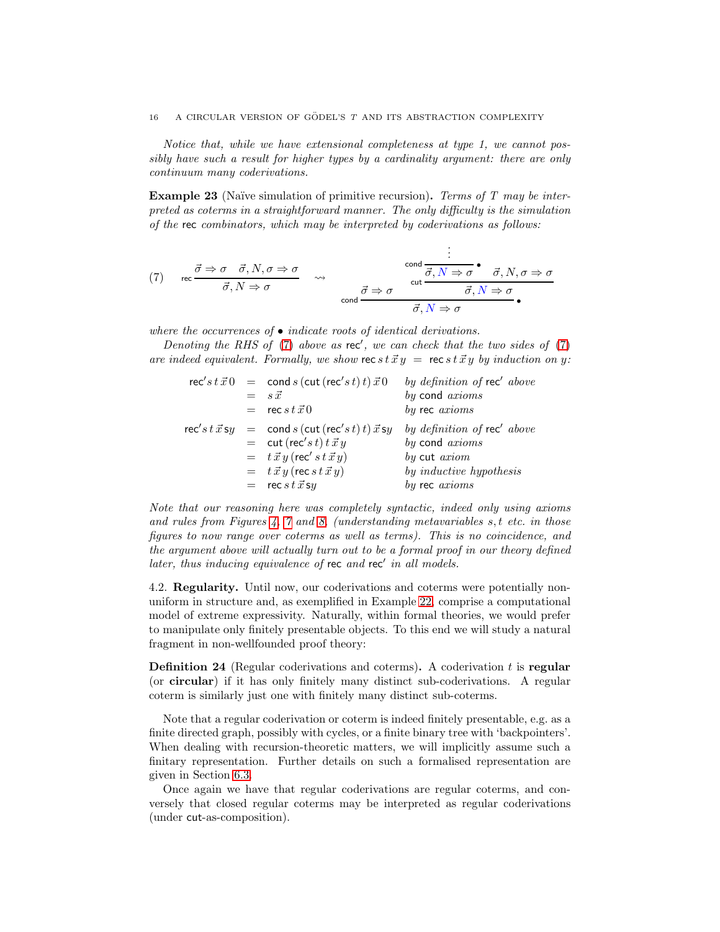Notice that, while we have extensional completeness at type 1, we cannot possibly have such a result for higher types by a cardinality argument: there are only continuum many coderivations.

<span id="page-16-1"></span>**Example 23** (Naïve simulation of primitive recursion). Terms of T may be interpreted as coterms in a straightforward manner. The only difficulty is the simulation of the rec combinators, which may be interpreted by coderivations as follows:

<span id="page-16-0"></span>(7) 
$$
\operatorname{rec} \frac{\vec{\sigma} \Rightarrow \sigma \quad \vec{\sigma}, N, \sigma \Rightarrow \sigma}{\vec{\sigma}, N \Rightarrow \sigma} \rightsquigarrow
$$
  
\n $\frac{\vec{\sigma}}{\vec{\sigma}, N \Rightarrow \sigma} \rightsquigarrow$   
\n $\operatorname{cond} \frac{\vec{\sigma} \Rightarrow \sigma}{\vec{\sigma}, N \Rightarrow \sigma} \cdot \frac{\vec{\sigma}, N, \sigma \Rightarrow \sigma}{\vec{\sigma}, N \Rightarrow \sigma}$ 

where the occurrences of  $\bullet$  indicate roots of identical derivations.

Denoting the RHS of [\(7\)](#page-16-0) above as  $rec'$ , we can check that the two sides of (7) are indeed equivalent. Formally, we show rec s  $t \vec{X} y = \text{rec} s t \vec{X} y$  by induction on y:

|  | $\operatorname{rec}' s t \vec{x} 0 = \operatorname{cond} s (\operatorname{cut} (\operatorname{rec}' s t) t) \vec{x} 0$ | by definition of rec' above |
|--|------------------------------------------------------------------------------------------------------------------------|-----------------------------|
|  | $=$ $s\vec{x}$                                                                                                         | by cond axioms              |
|  | $=$ rec s t $\vec{x}$ 0                                                                                                | by rec axioms               |
|  | $\operatorname{rec}' s t \vec{x}$ sy $=$ cond s (cut (rec's t) t) $\vec{x}$ sy                                         | by definition of rec' above |
|  | $=$ cut (rec's t) t $\vec{x} y$                                                                                        | by cond axioms              |
|  | $=$ $t \vec{x} y$ (rec's $t \vec{x} y$ )                                                                               | by cut <i>axiom</i>         |
|  | $=$ $t \vec{x} y$ (rec s $t \vec{x} y$ )                                                                               | by inductive hypothesis     |
|  | $=$ rec s t $\vec{x}$ sy                                                                                               | by rec axioms               |

Note that our reasoning here was completely syntactic, indeed only using axioms and rules from Figures [4,](#page-9-1) [7](#page-10-3) and [8,](#page-14-0) (understanding metavariables s, t etc. in those figures to now range over coterms as well as terms). This is no coincidence, and the argument above will actually turn out to be a formal proof in our theory defined later, thus inducing equivalence of rec and rec' in all models.

4.2. Regularity. Until now, our coderivations and coterms were potentially nonuniform in structure and, as exemplified in Example [22,](#page-15-2) comprise a computational model of extreme expressivity. Naturally, within formal theories, we would prefer to manipulate only finitely presentable objects. To this end we will study a natural fragment in non-wellfounded proof theory:

**Definition 24** (Regular coderivations and coterms). A coderivation  $t$  is regular (or circular) if it has only finitely many distinct sub-coderivations. A regular coterm is similarly just one with finitely many distinct sub-coterms.

Note that a regular coderivation or coterm is indeed finitely presentable, e.g. as a finite directed graph, possibly with cycles, or a finite binary tree with 'backpointers'. When dealing with recursion-theoretic matters, we will implicitly assume such a finitary representation. Further details on such a formalised representation are given in Section [6.3.](#page-33-1)

Once again we have that regular coderivations are regular coterms, and conversely that closed regular coterms may be interpreted as regular coderivations (under cut-as-composition).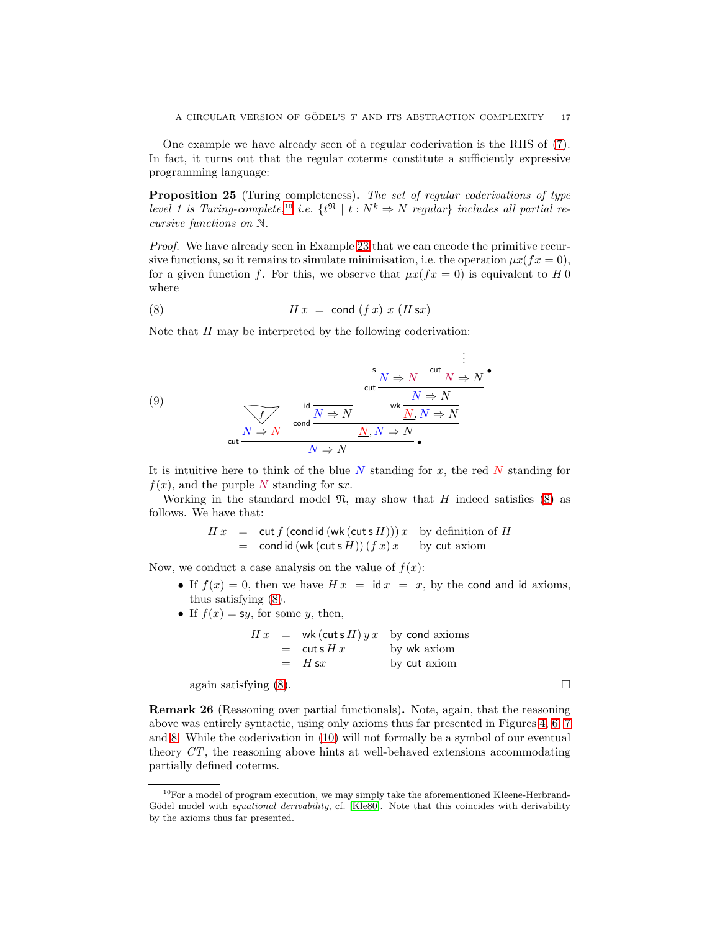One example we have already seen of a regular coderivation is the RHS of [\(7\)](#page-16-0). In fact, it turns out that the regular coterms constitute a sufficiently expressive programming language:

<span id="page-17-2"></span>Proposition 25 (Turing completeness). The set of regular coderivations of type level 1 is Turing-complete,<sup>[10](#page-17-0)</sup> i.e.  $\{t^{\mathfrak{N}} \mid t : N^k \Rightarrow N \text{ regular}\}\$ includes all partial recursive functions on N.

Proof. We have already seen in Example [23](#page-16-1) that we can encode the primitive recursive functions, so it remains to simulate minimisation, i.e. the operation  $\mu x(fx = 0)$ , for a given function f. For this, we observe that  $\mu x(fx = 0)$  is equivalent to H 0 where

<span id="page-17-1"></span>(8) H x = cond (f x) x (H sx)

Note that  $H$  may be interpreted by the following coderivation:

<span id="page-17-3"></span>(9)  

$$
\begin{array}{c}\n \text{out } N \to N \\
 \text{out } N \to N\n\end{array}
$$
\n
$$
\begin{array}{c}\n \text{out } N \to N \\
 \text{out } N \to N\n\end{array}
$$
\n
$$
\begin{array}{c}\n \text{out } N \to N \\
 \text{out } N \to N\n\end{array}
$$
\n
$$
\begin{array}{c}\n \text{out } N \to N \\
 \text{out } N \to N\n\end{array}
$$

It is intuitive here to think of the blue  $N$  standing for  $x$ , the red  $N$  standing for  $f(x)$ , and the purple N standing for sx.

Working in the standard model  $\mathfrak{N}$ , may show that H indeed satisfies [\(8\)](#page-17-1) as follows. We have that:

$$
H x = \text{cut } f \left( \text{cond } \text{id} \left( \text{wk} \left( \text{cuts } H \right) \right) \right) x \text{ by definition of } H
$$
  
= \text{cond } \text{id} \left( \text{wk} \left( \text{cuts } H \right) \right) \left( f x \right) x \text{ by cut axiom}

Now, we conduct a case analysis on the value of  $f(x)$ :

- If  $f(x) = 0$ , then we have  $Hx = idx = x$ , by the cond and id axioms, thus satisfying [\(8\)](#page-17-1).
- If  $f(x) = sy$ , for some y, then,

$$
H x = \text{wk}(\text{cuts } H) y x \text{ by cond axioms}
$$
  
=  $\text{cuts } H x$  by wk axiom  
=  $H \text{ s} x$  by cut axiom  
again satisfying (8).

Remark 26 (Reasoning over partial functionals). Note, again, that the reasoning above was entirely syntactic, using only axioms thus far presented in Figures [4,](#page-9-1) [6,](#page-10-1) [7](#page-10-3) and [8.](#page-14-0) While the coderivation in [\(10\)](#page-21-0) will not formally be a symbol of our eventual theory CT, the reasoning above hints at well-behaved extensions accommodating partially defined coterms.

<span id="page-17-0"></span><sup>&</sup>lt;sup>10</sup>For a model of program execution, we may simply take the aforementioned Kleene-Herbrand-Gödel model with *equational derivability*, cf. [\[Kle80\]](#page-65-12). Note that this coincides with derivability by the axioms thus far presented.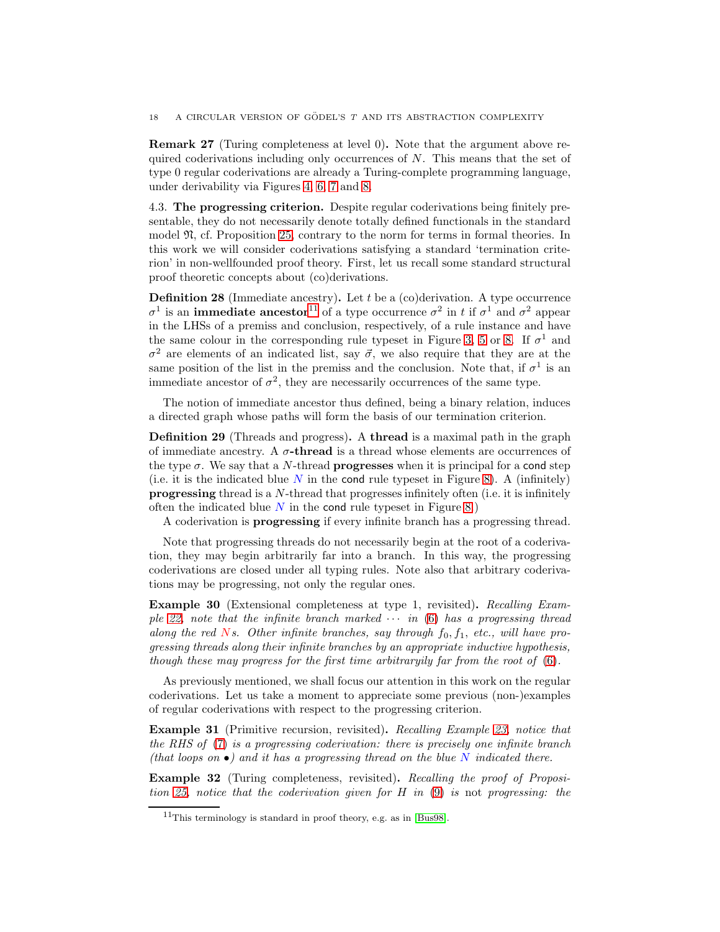Remark 27 (Turing completeness at level 0). Note that the argument above required coderivations including only occurrences of  $N$ . This means that the set of type 0 regular coderivations are already a Turing-complete programming language, under derivability via Figures [4,](#page-9-1) [6,](#page-10-1) [7](#page-10-3) and [8.](#page-14-0)

4.3. The progressing criterion. Despite regular coderivations being finitely presentable, they do not necessarily denote totally defined functionals in the standard model N, cf. Proposition [25,](#page-17-2) contrary to the norm for terms in formal theories. In this work we will consider coderivations satisfying a standard 'termination criterion' in non-wellfounded proof theory. First, let us recall some standard structural proof theoretic concepts about (co)derivations.

**Definition 28** (Immediate ancestry). Let t be a  $(c)$  derivation. A type occurrence  $\sigma$ <sup>1</sup> is an **immediate ancestor**<sup>[11](#page-18-0)</sup> of a type occurrence  $\sigma$ <sup>2</sup> in t if  $\sigma$ <sup>1</sup> and  $\sigma$ <sup>2</sup> appear in the LHSs of a premiss and conclusion, respectively, of a rule instance and have the same colour in the corresponding rule typeset in Figure [3,](#page-7-2) [5](#page-10-0) or [8.](#page-14-0) If  $\sigma$ <sup>1</sup> and  $\sigma^2$  are elements of an indicated list, say  $\vec{\sigma}$ , we also require that they are at the same position of the list in the premiss and the conclusion. Note that, if  $\sigma^1$  is an immediate ancestor of  $\sigma^2$ , they are necessarily occurrences of the same type.

The notion of immediate ancestor thus defined, being a binary relation, induces a directed graph whose paths will form the basis of our termination criterion.

Definition 29 (Threads and progress). A thread is a maximal path in the graph of immediate ancestry. A  $\sigma\text{-} \mathbf{thread}$  is a thread whose elements are occurrences of the type  $\sigma$ . We say that a N-thread **progresses** when it is principal for a cond step (i.e. it is the indicated blue  $N$  in the cond rule typeset in Figure [8\)](#page-14-0). A (infinitely) progressing thread is a N-thread that progresses infinitely often (i.e. it is infinitely often the indicated blue  $N$  in the cond rule typeset in Figure [8.](#page-14-0))

A coderivation is progressing if every infinite branch has a progressing thread.

Note that progressing threads do not necessarily begin at the root of a coderivation, they may begin arbitrarily far into a branch. In this way, the progressing coderivations are closed under all typing rules. Note also that arbitrary coderivations may be progressing, not only the regular ones.

Example 30 (Extensional completeness at type 1, revisited). Recalling Exam-ple [22,](#page-15-2) note that the infinite branch marked  $\cdots$  in [\(6\)](#page-15-3) has a progressing thread along the red Ns. Other infinite branches, say through  $f_0, f_1, \text{ etc., will have pro-}$ gressing threads along their infinite branches by an appropriate inductive hypothesis, though these may progress for the first time arbitraryily far from the root of [\(6\)](#page-15-3).

As previously mentioned, we shall focus our attention in this work on the regular coderivations. Let us take a moment to appreciate some previous (non-)examples of regular coderivations with respect to the progressing criterion.

<span id="page-18-1"></span>Example 31 (Primitive recursion, revisited). Recalling Example [23,](#page-16-1) notice that the RHS of [\(7\)](#page-16-0) is a progressing coderivation: there is precisely one infinite branch (that loops on  $\bullet$ ) and it has a progressing thread on the blue N indicated there.

Example 32 (Turing completeness, revisited). Recalling the proof of Proposition [25,](#page-17-2) notice that the coderivation given for H in [\(9\)](#page-17-3) is not progressing: the

<span id="page-18-0"></span> $11$ This terminology is standard in proof theory, e.g. as in [\[Bus98\]](#page-64-15).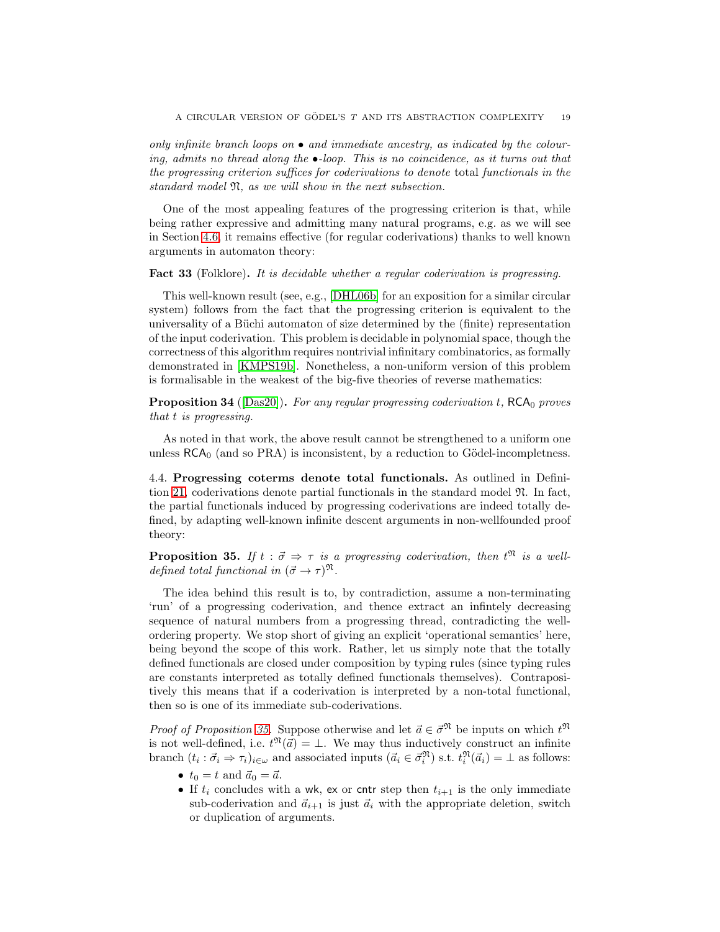only infinite branch loops on  $\bullet$  and immediate ancestry, as indicated by the colouring, admits no thread along the •-loop. This is no coincidence, as it turns out that the progressing criterion suffices for coderivations to denote total functionals in the standard model N, as we will show in the next subsection.

One of the most appealing features of the progressing criterion is that, while being rather expressive and admitting many natural programs, e.g. as we will see in Section [4.6,](#page-20-0) it remains effective (for regular coderivations) thanks to well known arguments in automaton theory:

#### Fact 33 (Folklore). It is decidable whether a regular coderivation is progressing.

This well-known result (see, e.g., [\[DHL06b\]](#page-64-16) for an exposition for a similar circular system) follows from the fact that the progressing criterion is equivalent to the universality of a Büchi automaton of size determined by the (finite) representation of the input coderivation. This problem is decidable in polynomial space, though the correctness of this algorithm requires nontrivial infinitary combinatorics, as formally demonstrated in [\[KMPS19b\]](#page-65-5). Nonetheless, a non-uniform version of this problem is formalisable in the weakest of the big-five theories of reverse mathematics:

**Proposition 34** ([\[Das20\]](#page-64-6)). For any regular progressing coderivation t,  $RCA_0$  proves that t is progressing.

As noted in that work, the above result cannot be strengthened to a uniform one unless  $RCA<sub>0</sub>$  (and so PRA) is inconsistent, by a reduction to Gödel-incompletness.

4.4. Progressing coterms denote total functionals. As outlined in Defini-tion [21,](#page-15-4) coderivations denote partial functionals in the standard model  $\mathfrak{N}$ . In fact, the partial functionals induced by progressing coderivations are indeed totally defined, by adapting well-known infinite descent arguments in non-wellfounded proof theory:

<span id="page-19-0"></span>**Proposition 35.** If  $t : \vec{\sigma} \Rightarrow \tau$  is a progressing coderivation, then  $t^{\mathfrak{N}}$  is a welldefined total functional in  $({\vec \sigma} \to \tau)^{\mathfrak{N}}$ .

The idea behind this result is to, by contradiction, assume a non-terminating 'run' of a progressing coderivation, and thence extract an infintely decreasing sequence of natural numbers from a progressing thread, contradicting the wellordering property. We stop short of giving an explicit 'operational semantics' here, being beyond the scope of this work. Rather, let us simply note that the totally defined functionals are closed under composition by typing rules (since typing rules are constants interpreted as totally defined functionals themselves). Contrapositively this means that if a coderivation is interpreted by a non-total functional, then so is one of its immediate sub-coderivations.

*Proof of Proposition [35.](#page-19-0)* Suppose otherwise and let  $\vec{a} \in \vec{\sigma}^{\mathfrak{N}}$  be inputs on which  $t^{\mathfrak{N}}$ is not well-defined, i.e.  $t^{\mathfrak{N}}(\vec{a}) = \bot$ . We may thus inductively construct an infinite branch  $(t_i : \vec{\sigma}_i \Rightarrow \tau_i)_{i \in \omega}$  and associated inputs  $(\vec{\alpha}_i \in \vec{\sigma}_i^{\mathfrak{N}})$  s.t.  $t_i^{\mathfrak{N}}(\vec{\alpha}_i) = \bot$  as follows:

- $t_0 = t$  and  $\vec{a}_0 = \vec{a}$ .
- If  $t_i$  concludes with a wk, ex or cntr step then  $t_{i+1}$  is the only immediate sub-coderivation and  $\vec{a}_{i+1}$  is just  $\vec{a}_i$  with the appropriate deletion, switch or duplication of arguments.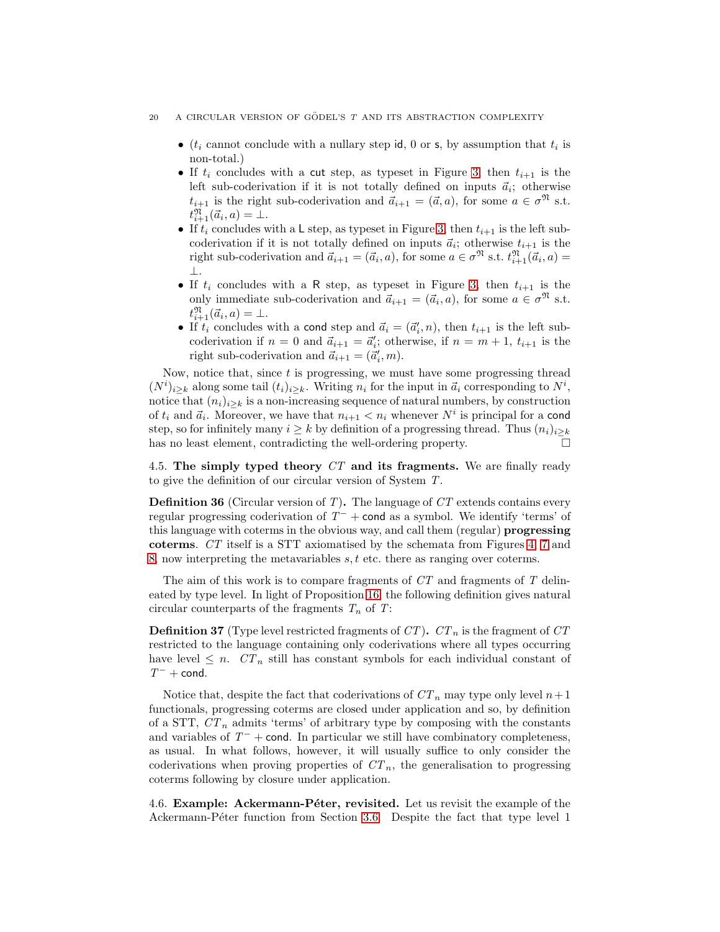- ( $t_i$  cannot conclude with a nullary step id, 0 or s, by assumption that  $t_i$  is non-total.)
- If  $t_i$  concludes with a cut step, as typeset in Figure [3,](#page-7-2) then  $t_{i+1}$  is the left sub-coderivation if it is not totally defined on inputs  $\vec{a}_i$ ; otherwise  $t_{i+1}$  is the right sub-coderivation and  $\ddot{a}_{i+1} = (\vec{a}, a)$ , for some  $a \in \sigma^{\mathfrak{N}}$  s.t.  $t_{i+1}^{\mathfrak{N}}(\vec{a}_i,a)=\mathcal{I}.$
- If  $t_i$  concludes with a L step, as typeset in Figure [3,](#page-7-2) then  $t_{i+1}$  is the left subcoderivation if it is not totally defined on inputs  $\vec{a}_i$ ; otherwise  $t_{i+1}$  is the right sub-coderivation and  $\vec{a}_{i+1} = (\vec{a}_i, a)$ , for some  $a \in \sigma^{\mathfrak{N}}$  s.t.  $t^{\mathfrak{N}}_{i+1}(\vec{a}_i, a) =$ ⊥.
- If  $t_i$  concludes with a R step, as typeset in Figure [3,](#page-7-2) then  $t_{i+1}$  is the only immediate sub-coderivation and  $\vec{a}_{i+1} = (\vec{a}_i, a)$ , for some  $a \in \sigma^{\mathfrak{N}}$  s.t.  $t_{i+1}^{\mathfrak{N}}(\vec{a}_i,a)=\bot.$
- If  $t_i$  concludes with a cond step and  $\vec{a}_i = (\vec{a}'_i, n)$ , then  $t_{i+1}$  is the left subcoderivation if  $n = 0$  and  $\vec{a}_{i+1} = \vec{a}'_i$ ; otherwise, if  $n = m + 1$ ,  $t_{i+1}$  is the right sub-coderivation and  $\vec{a}_{i+1} = (\vec{a}'_i, m)$ .

Now, notice that, since  $t$  is progressing, we must have some progressing thread  $(N^{i})_{i\geq k}$  along some tail  $(t_i)_{i\geq k}$ . Writing  $n_i$  for the input in  $\vec{a}_i$  corresponding to  $N^{i}$ , notice that  $(n_i)_{i\geq k}$  is a non-increasing sequence of natural numbers, by construction of  $t_i$  and  $\vec{a}_i$ . Moreover, we have that  $n_{i+1} < n_i$  whenever  $N^i$  is principal for a cond step, so for infinitely many  $i \geq k$  by definition of a progressing thread. Thus  $(n_i)_{i\geq k}$ has no least element, contradicting the well-ordering property.

4.5. The simply typed theory CT and its fragments. We are finally ready to give the definition of our circular version of System T.

**Definition 36** (Circular version of T). The language of  $CT$  extends contains every regular progressing coderivation of  $T^-$  + cond as a symbol. We identify 'terms' of this language with coterms in the obvious way, and call them (regular) progressing coterms. CT itself is a STT axiomatised by the schemata from Figures [4,](#page-9-1) [7](#page-10-3) and [8,](#page-14-0) now interpreting the metavariables  $s, t$  etc. there as ranging over coterms.

The aim of this work is to compare fragments of  $CT$  and fragments of  $T$  delineated by type level. In light of Proposition [16,](#page-12-1) the following definition gives natural circular counterparts of the fragments  $T_n$  of  $T$ :

**Definition 37** (Type level restricted fragments of  $CT$ ).  $CT_n$  is the fragment of  $CT$ restricted to the language containing only coderivations where all types occurring have level  $\leq n$ .  $CT_n$  still has constant symbols for each individual constant of  $T^-+$  cond.

Notice that, despite the fact that coderivations of  $CT_n$  may type only level  $n+1$ functionals, progressing coterms are closed under application and so, by definition of a STT,  $CT_n$  admits 'terms' of arbitrary type by composing with the constants and variables of  $T^-$  + cond. In particular we still have combinatory completeness, as usual. In what follows, however, it will usually suffice to only consider the coderivations when proving properties of  $CT_n$ , the generalisation to progressing coterms following by closure under application.

<span id="page-20-0"></span>4.6. **Example: Ackermann-Péter, revisited.** Let us revisit the example of the Ackermann-Péter function from Section [3.6.](#page-12-2) Despite the fact that type level 1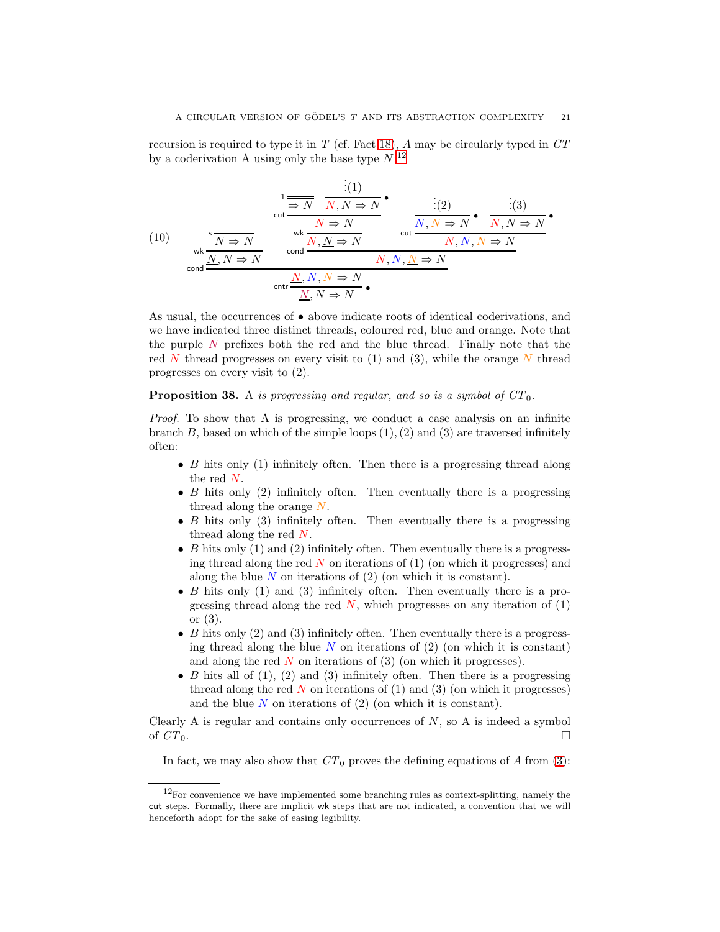recursion is required to type it in  $T$  (cf. Fact [18\)](#page-13-1),  $A$  may be circularly typed in  $CT$ by a coderivation A using only the base type  $N:^{12}$  $N:^{12}$  $N:^{12}$ 

<span id="page-21-0"></span>(10) 
$$
\frac{\frac{1}{N} \frac{N}{N} \frac{N}{N,N} \rightarrow N}{\frac{N \rightarrow N}{N \rightarrow N}} \quad \text{cut } \frac{N \rightarrow N}{N, N \rightarrow N} \quad \text{cut } \frac{N, N \rightarrow N}{N, N \rightarrow N} \quad \text{cut } \frac{N, N \rightarrow N}{N, N, N \rightarrow N}
$$
(10) 
$$
\frac{\frac{1}{N} \frac{N}{N} \rightarrow N}{\frac{N}{N} \rightarrow N} \quad \text{cont } \frac{N, N, N \rightarrow N}{N, N \rightarrow N}
$$
(11) 
$$
\frac{N, N \rightarrow N}{N, N \rightarrow N} \quad \text{cut } \frac{N, N, N \rightarrow N}{N, N \rightarrow N}
$$

As usual, the occurrences of • above indicate roots of identical coderivations, and we have indicated three distinct threads, coloured red, blue and orange. Note that the purple N prefixes both the red and the blue thread. Finally note that the red N thread progresses on every visit to  $(1)$  and  $(3)$ , while the orange N thread progresses on every visit to (2).

# **Proposition 38.** A is progressing and regular, and so is a symbol of  $CT_0$ .

Proof. To show that A is progressing, we conduct a case analysis on an infinite branch  $B$ , based on which of the simple loops  $(1), (2)$  and  $(3)$  are traversed infinitely often:

- $B$  hits only (1) infinitely often. Then there is a progressing thread along the red  $N$ .
- $B$  hits only (2) infinitely often. Then eventually there is a progressing thread along the orange  $N$ .
- B hits only  $(3)$  infinitely often. Then eventually there is a progressing thread along the red  $N$ .
- B hits only  $(1)$  and  $(2)$  infinitely often. Then eventually there is a progressing thread along the red  $N$  on iterations of (1) (on which it progresses) and along the blue  $N$  on iterations of  $(2)$  (on which it is constant).
- B hits only  $(1)$  and  $(3)$  infinitely often. Then eventually there is a progressing thread along the red  $\overline{N}$ , which progresses on any iteration of (1) or (3).
- B hits only  $(2)$  and  $(3)$  infinitely often. Then eventually there is a progressing thread along the blue  $N$  on iterations of  $(2)$  (on which it is constant) and along the red  $N$  on iterations of (3) (on which it progresses).
- B hits all of  $(1)$ ,  $(2)$  and  $(3)$  infinitely often. Then there is a progressing thread along the red  $N$  on iterations of (1) and (3) (on which it progresses) and the blue  $N$  on iterations of  $(2)$  (on which it is constant).

Clearly A is regular and contains only occurrences of  $N$ , so A is indeed a symbol of  $CT_0$ .

In fact, we may also show that  $CT_0$  proves the defining equations of A from [\(3\)](#page-12-3):

<span id="page-21-1"></span> $12$ For convenience we have implemented some branching rules as context-splitting, namely the cut steps. Formally, there are implicit wk steps that are not indicated, a convention that we will henceforth adopt for the sake of easing legibility.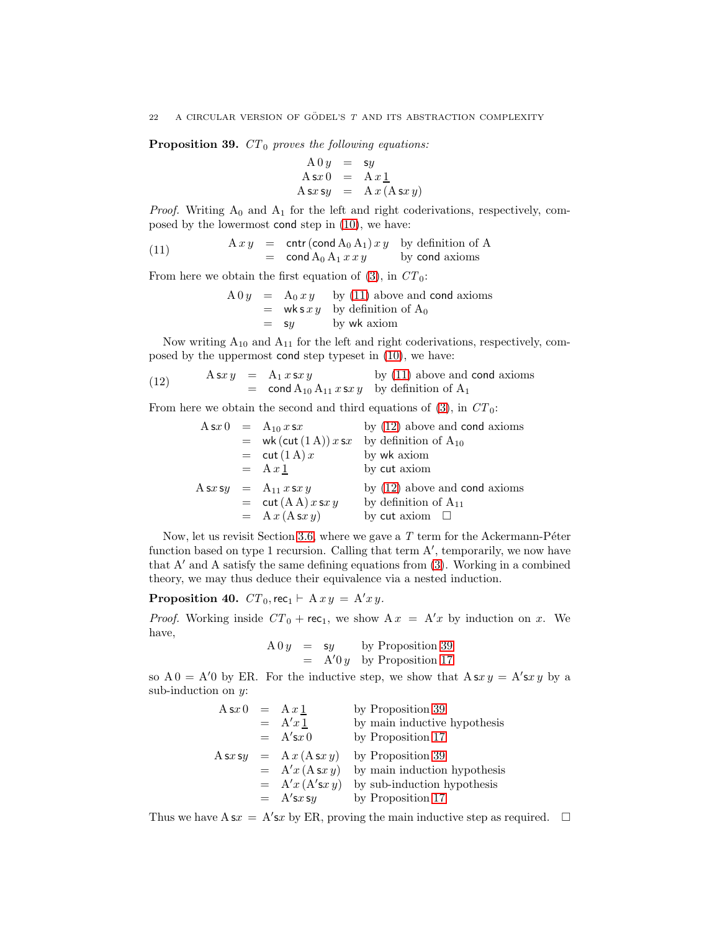<span id="page-22-2"></span>**Proposition 39.**  $CT_0$  proves the following equations:

$$
A 0 y = sy
$$
  
\n
$$
A s x 0 = A x \underline{1}
$$
  
\n
$$
A s x s y = A x (A s x y)
$$

*Proof.* Writing  $A_0$  and  $A_1$  for the left and right coderivations, respectively, composed by the lowermost cond step in [\(10\)](#page-21-0), we have:

(11) 
$$
A x y = \text{cntr}(\text{cond } A_0 A_1) x y \text{ by definition of } A
$$

$$
= \text{cond } A_0 A_1 x x y \text{ by cond axioms}
$$

From here we obtain the first equation of [\(3\)](#page-12-3), in  $CT_0$ :

<span id="page-22-0"></span>
$$
A 0 y = A_0 x y
$$
 by (11) above and **cond** axioms  
= **wks** x y by definition of A<sub>0</sub>  
= sy by wk axiom

Now writing  $A_{10}$  and  $A_{11}$  for the left and right coderivations, respectively, composed by the uppermost cond step typeset in [\(10\)](#page-21-0), we have:

(12) 
$$
A \text{ s}x y = A_1 x \text{ s}x y \qquad \text{by (11) above and cond axioms} \\ = \text{cond } A_{10} A_{11} x \text{ s}x y \qquad \text{by definition of } A_1
$$

From here we obtain the second and third equations of  $(3)$ , in  $CT_0$ :

<span id="page-22-1"></span>
$$
A s x 0 = A_{10} x s x
$$
 by (12) above and **cond** axioms  
= wk(cut (1 A)) x s x by definition of A<sub>10</sub>  
= cut (1 A) x by w k axiom  
= A x 1 by cut axiom  

$$
A s x s y = A_{11} x s x y
$$
 by (12) above and **cond** axioms  
= cut (A A) x s x y by definition of A<sub>11</sub>  
= A x (A s x y) by cut axiom

Now, let us revisit Section [3.6,](#page-12-2) where we gave a  $T$  term for the Ackermann-Péter function based on type 1 recursion. Calling that term A', temporarily, we now have that A′ and A satisfy the same defining equations from [\(3\)](#page-12-3). Working in a combined theory, we may thus deduce their equivalence via a nested induction.

**Proposition 40.**  $CT_0$ , rec<sub>1</sub> ⊢ A  $xy = A'xy$ .

*Proof.* Working inside  $CT_0$  + rec<sub>1</sub>, we show  $Ax = A'x$  by induction on x. We have,

> $A 0 y = sy$  by Proposition [39](#page-22-2)  $=$  A'0 y by Proposition [17](#page-13-2)

so  $A0 = A'0$  by ER. For the inductive step, we show that  $A \simeq y = A' \simeq y$  by a sub-induction on  $y$ :

| $A \, \text{s} x \, 0 = Ax \, \underline{1}$ |                   | by Proposition 39            |
|----------------------------------------------|-------------------|------------------------------|
|                                              | $= A'x1$          | by main inductive hypothesis |
|                                              | $= A'sx0$         | by Proposition 17            |
| A sx sy                                      | $= A x (A s x y)$ | by Proposition 39            |
|                                              | $= A'x(Asx y)$    | by main induction hypothesis |
|                                              | $= A'x(A'sx y)$   | by sub-induction hypothesis  |
|                                              | $= A'sx sy$       | by Proposition 17            |

Thus we have  $\Lambda$  sx =  $\Lambda'$ sx by ER, proving the main inductive step as required.  $\square$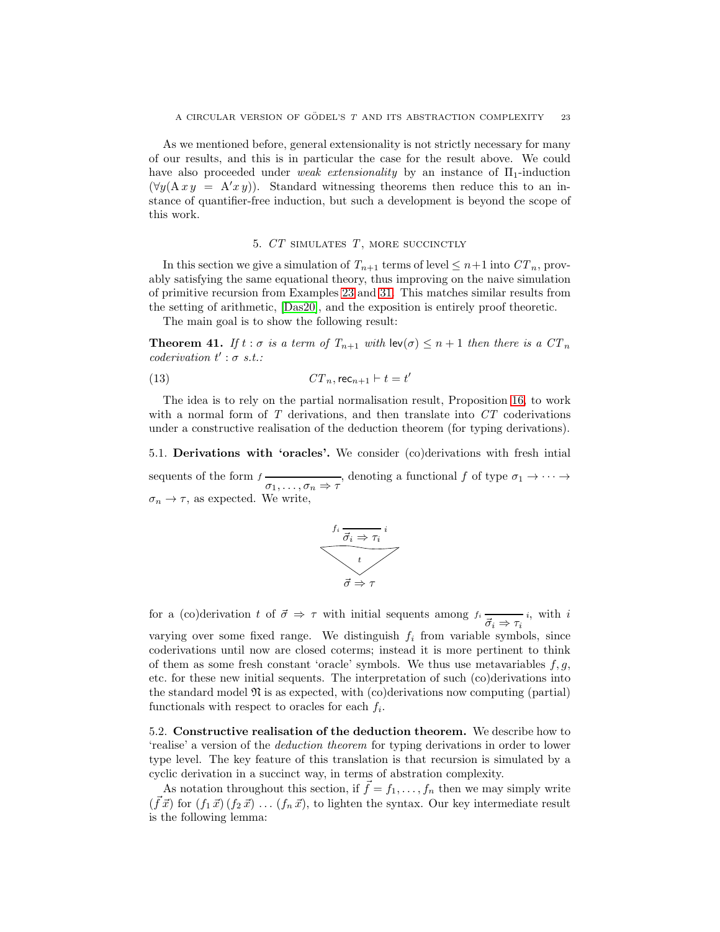As we mentioned before, general extensionality is not strictly necessary for many of our results, and this is in particular the case for the result above. We could have also proceeded under weak extensionality by an instance of  $\Pi_1$ -induction  $(\forall y(A \, x \, y = A'x \, y))$ . Standard witnessing theorems then reduce this to an instance of quantifier-free induction, but such a development is beyond the scope of this work.

#### <span id="page-23-2"></span>5. CT SIMULATES T, MORE SUCCINCTLY

<span id="page-23-0"></span>In this section we give a simulation of  $T_{n+1}$  terms of level  $\leq n+1$  into  $CT_n$ , provably satisfying the same equational theory, thus improving on the naive simulation of primitive recursion from Examples [23](#page-16-1) and [31.](#page-18-1) This matches similar results from the setting of arithmetic, [\[Das20\]](#page-64-6), and the exposition is entirely proof theoretic.

The main goal is to show the following result:

<span id="page-23-1"></span>**Theorem 41.** If  $t : \sigma$  is a term of  $T_{n+1}$  with  $\text{lev}(\sigma) \leq n+1$  then there is a  $CT_n$  $coderivation t' : \sigma s.t.$ 

$$
(13) \tCTn, \trecn+1 \vdash t = t'
$$

The idea is to rely on the partial normalisation result, Proposition [16,](#page-12-1) to work with a normal form of  $T$  derivations, and then translate into  $CT$  coderivations under a constructive realisation of the deduction theorem (for typing derivations).

5.1. Derivations with 'oracles'. We consider (co)derivations with fresh intial sequents of the form  $f \xrightarrow[\sigma_1,\ldots,\sigma_n \Rightarrow \tau]$ , denoting a functional  $f$  of type  $\sigma_1 \to \cdots \to$  $\sigma_n \to \tau$ , as expected. We write,



for a (co)derivation t of  $\vec{\sigma} \Rightarrow \tau$  with initial sequents among  $f_i \xrightarrow{\vec{\sigma}_i \Rightarrow \tau_i} i$ , with i

varying over some fixed range. We distinguish  $f_i$  from variable symbols, since coderivations until now are closed coterms; instead it is more pertinent to think of them as some fresh constant 'oracle' symbols. We thus use metavariables  $f, g$ , etc. for these new initial sequents. The interpretation of such (co)derivations into the standard model  $\mathfrak{N}$  is as expected, with (co)derivations now computing (partial) functionals with respect to oracles for each  $f_i$ .

5.2. Constructive realisation of the deduction theorem. We describe how to 'realise' a version of the deduction theorem for typing derivations in order to lower type level. The key feature of this translation is that recursion is simulated by a cyclic derivation in a succinct way, in terms of abstration complexity.

As notation throughout this section, if  $\tilde{f} = f_1, \ldots, f_n$  then we may simply write  $(\vec{f}\vec{x})$  for  $(f_1\vec{x}) (f_2\vec{x}) \dots (f_n\vec{x})$ , to lighten the syntax. Our key intermediate result is the following lemma: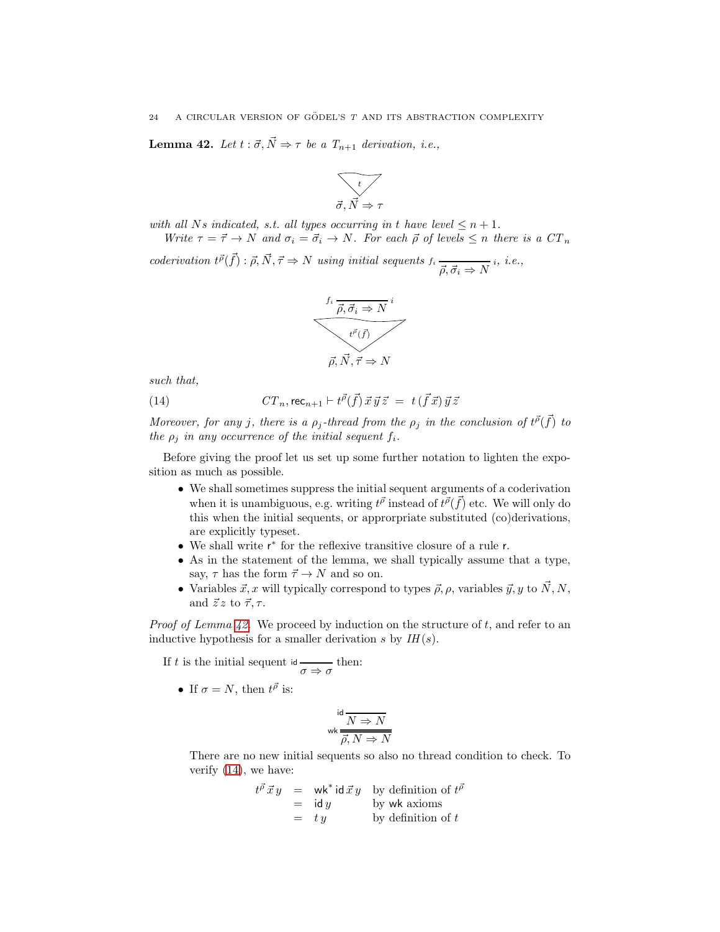<span id="page-24-0"></span>**Lemma 42.** Let  $t : \vec{\sigma}, \vec{N} \Rightarrow \tau$  be a  $T_{n+1}$  derivation, i.e.,



with all Ns indicated, s.t. all types occurring in t have level  $\leq n+1$ .

Write  $\tau = \vec{\tau} \to N$  and  $\sigma_i = \vec{\sigma}_i \to N$ . For each  $\vec{\rho}$  of levels  $\leq n$  there is a  $CT_n$ 

coderivation  $t^{\vec{\rho}}(\vec{f}) : \vec{\rho}, \vec{N}, \vec{\tau} \Rightarrow N$  using initial sequents  $f_i \rightarrow \vec{f}$  $\overrightarrow{\rho}, \overrightarrow{\sigma}_i \Rightarrow N$ <sup>i</sup>, *i.e.*,

<span id="page-24-1"></span>

such that,

(14) 
$$
CT_n, \text{rec}_{n+1} \vdash t^{\vec{\rho}}(\vec{f}) \vec{x} \vec{y} \vec{z} = t(\vec{f} \vec{x}) \vec{y} \vec{z}
$$

Moreover, for any j, there is a  $\rho_j$ -thread from the  $\rho_j$  in the conclusion of  $t^{\vec{\rho}}(\vec{f})$  to the  $\rho_i$  in any occurrence of the initial sequent  $f_i$ .

Before giving the proof let us set up some further notation to lighten the exposition as much as possible.

- We shall sometimes suppress the initial sequent arguments of a coderivation when it is unambiguous, e.g. writing  $t^{\vec{\rho}}$  instead of  $t^{\vec{\rho}}(\vec{f})$  etc. We will only do this when the initial sequents, or approrpriate substituted (co)derivations, are explicitly typeset.
- $\bullet\,$  We shall write  $\mathsf{r}^*$  for the reflexive transitive closure of a rule  $\mathsf{r}.$
- As in the statement of the lemma, we shall typically assume that a type, say,  $\tau$  has the form  $\vec{\tau} \to N$  and so on.
- Variables  $\vec{x}, x$  will typically correspond to types  $\vec{\rho}, \rho$ , variables  $\vec{y}, y$  to  $\vec{N}, N$ , and  $\vec{z} \, z$  to  $\vec{\tau}, \tau$ .

*Proof of Lemma [42.](#page-24-0)* We proceed by induction on the structure of t, and refer to an inductive hypothesis for a smaller derivation s by  $IH(s)$ .

If t is the initial sequent id  $\frac{\ }{\sigma \Rightarrow \sigma}$  then:

• If  $\sigma = N$ , then  $t^{\vec{\rho}}$  is:

$$
\text{wk} \frac{d}{N \Rightarrow N}
$$
  

$$
\overline{\rho, N \Rightarrow N}
$$

There are no new initial sequents so also no thread condition to check. To verify [\(14\)](#page-24-1), we have:

$$
t^{\vec{\rho}} \vec{x} y = \text{wk}^* \text{id} \vec{x} y \text{ by definition of } t^{\vec{\rho}}= \text{id} y \text{ by wk axioms}= ty \text{by definition of } t
$$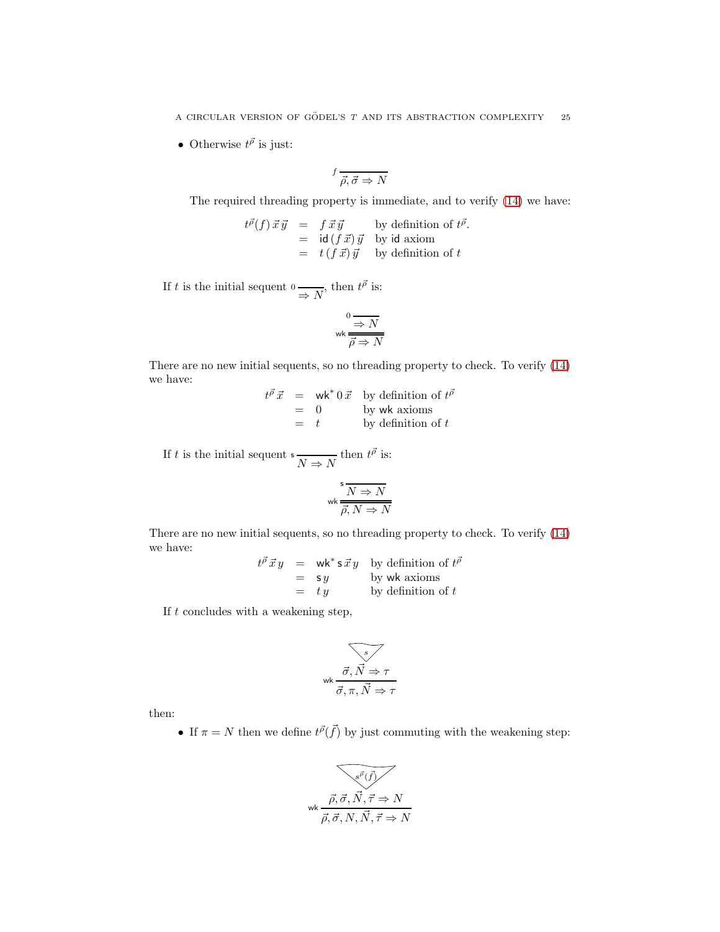• Otherwise  $t^{\vec{\rho}}$  is just:

$$
{}^f\overrightarrow{\rho,\vec{\sigma}\Rightarrow N}
$$

The required threading property is immediate, and to verify [\(14\)](#page-24-1) we have:

$$
t^{\vec{p}}(f) \vec{x} \vec{y} = f \vec{x} \vec{y} \qquad \text{by definition of } t^{\vec{p}}.
$$
  
= id (f \vec{x}) \vec{y} \qquad \text{by id axiom}  
= t (f \vec{x}) \vec{y} \qquad \text{by definition of } t

If t is the initial sequent  $0 \longrightarrow N$ , then  $t^{\vec{\rho}}$  is:

$$
\begin{array}{c}\n 0 \longrightarrow N \\
 \hline\n \text{wk} \longrightarrow N\n \end{array}
$$

There are no new initial sequents, so no threading property to check. To verify [\(14\)](#page-24-1) we have:

> $t^{\vec{\rho}} \vec{x}$  = wk\* 0  $\vec{x}$  by definition of  $t^{\vec{\rho}}$  $= 0$  by wk axioms  $=$  t by definition of t

If t is the initial sequent  $s \frac{N}{N} \Rightarrow N$  then  $t^{\vec{\rho}}$  is:

$$
\text{wk} \frac{\mathsf{s}}{\overline{\rho}, N \Rightarrow N}
$$

There are no new initial sequents, so no threading property to check. To verify [\(14\)](#page-24-1) we have:

> $t^{\vec{\rho}} \vec{x} y = \mathsf{wk}^* \mathsf{s} \vec{x} y$  by definition of  $t^{\vec{\rho}}$  $=$  s y by wk axioms  $=$  ty by definition of t

If  $t$  concludes with a weakening step,

$$
\overbrace{\vec{\sigma}, \vec{N} \Rightarrow \tau}
$$
  

$$
\overbrace{\vec{\sigma}, \pi, \vec{N} \Rightarrow \tau}
$$

then:

• If  $\pi = N$  then we define  $t^{\vec{\rho}}(\vec{f})$  by just commuting with the weakening step:

$$
\overbrace{\vec{\rho}, \vec{\sigma}, \vec{N}, \vec{\tau} \Rightarrow N}^{w\vec{\rho}, \vec{\sigma}, \vec{N}, \vec{\tau} \Rightarrow N}
$$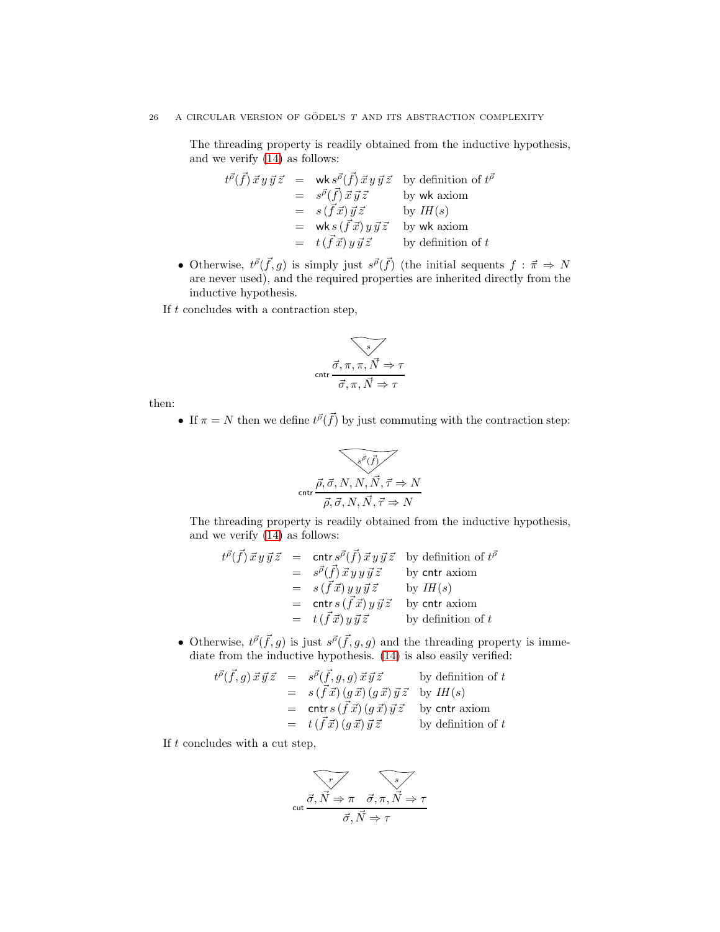The threading property is readily obtained from the inductive hypothesis, and we verify [\(14\)](#page-24-1) as follows:

$$
t^{\vec{\rho}}(\vec{f}) \vec{x} y \vec{y} \vec{z} = \text{wk } s^{\vec{\rho}}(\vec{f}) \vec{x} y \vec{y} \vec{z} \text{ by definition of } t^{\vec{\rho}}
$$
  
\n
$$
= s^{\vec{\rho}}(\vec{f}) \vec{x} \vec{y} \vec{z} \text{ by wk axiom}
$$
  
\n
$$
= s(\vec{f} \vec{x}) \vec{y} \vec{z} \text{ by } IH(s)
$$
  
\n
$$
= \text{wk } s(\vec{f} \vec{x}) y \vec{y} \vec{z} \text{ by wk axiom}
$$
  
\n
$$
= t(\vec{f} \vec{x}) y \vec{y} \vec{z} \text{ by definition of } t
$$

• Otherwise,  $t^{\vec{p}}(\vec{f},g)$  is simply just  $s^{\vec{p}}(\vec{f})$  (the initial sequents  $f : \vec{\pi} \Rightarrow N$ are never used), and the required properties are inherited directly from the inductive hypothesis.

If  $t$  concludes with a contraction step,

$$
\overbrace{\text{cntr}\frac{\vec{\sigma}, \pi, \pi, \vec{N} \Rightarrow \tau}{\vec{\sigma}, \pi, \vec{N} \Rightarrow \tau}}
$$

then:

• If  $\pi = N$  then we define  $t^{\vec{\rho}}(\vec{f})$  by just commuting with the contraction step:

$$
\overbrace{\text{cntr}\frac{\vec{\rho}, \vec{\sigma}, N, N, \vec{N}, \vec{\tau} \Rightarrow N}{\vec{\rho}, \vec{\sigma}, N, \vec{N}, \vec{\tau} \Rightarrow N}}
$$

The threading property is readily obtained from the inductive hypothesis, and we verify [\(14\)](#page-24-1) as follows:

$$
t^{\vec{\rho}}(\vec{f}) \vec{x} y \vec{y} \vec{z} = \text{cntr } s^{\vec{\rho}}(\vec{f}) \vec{x} y \vec{y} \vec{z} \text{ by definition of } t^{\vec{\rho}}
$$
  
\n
$$
= s^{\vec{\rho}}(\vec{f}) \vec{x} y y \vec{y} \vec{z} \text{ by contr axiom}
$$
  
\n
$$
= s(\vec{f} \vec{x}) y y \vec{y} \vec{z} \text{ by } IH(s)
$$
  
\n
$$
= \text{cntr } s(\vec{f} \vec{x}) y \vec{y} \vec{z} \text{ by contr axiom}
$$
  
\n
$$
= t(\vec{f} \vec{x}) y \vec{y} \vec{z} \text{ by definition of } t
$$

• Otherwise,  $t^{\vec{\rho}}(\vec{f},g)$  is just  $s^{\vec{\rho}}(\vec{f},g,g)$  and the threading property is immediate from the inductive hypothesis. [\(14\)](#page-24-1) is also easily verified:

$$
t^{\vec{\rho}}(\vec{f},g)\,\vec{x}\,\vec{y}\,\vec{z} = s^{\vec{\rho}}(\vec{f},g,g)\,\vec{x}\,\vec{y}\,\vec{z}
$$
 by definition of  $t$   
\n
$$
= s(\vec{f}\,\vec{x})\,(g\,\vec{x})\,(g\,\vec{x})\,\vec{y}\,\vec{z}
$$
 by  $IH(s)$   
\n
$$
= \text{cntr}\,s\,(\vec{f}\,\vec{x})\,(g\,\vec{x})\,\vec{y}\,\vec{z}
$$
 by  $\text{cntr\,axiom}$   
\n
$$
= t(\vec{f}\,\vec{x})\,(g\,\vec{x})\,\vec{y}\,\vec{z}
$$
 by definition of  $t$ 

If  $t$  concludes with a cut step,

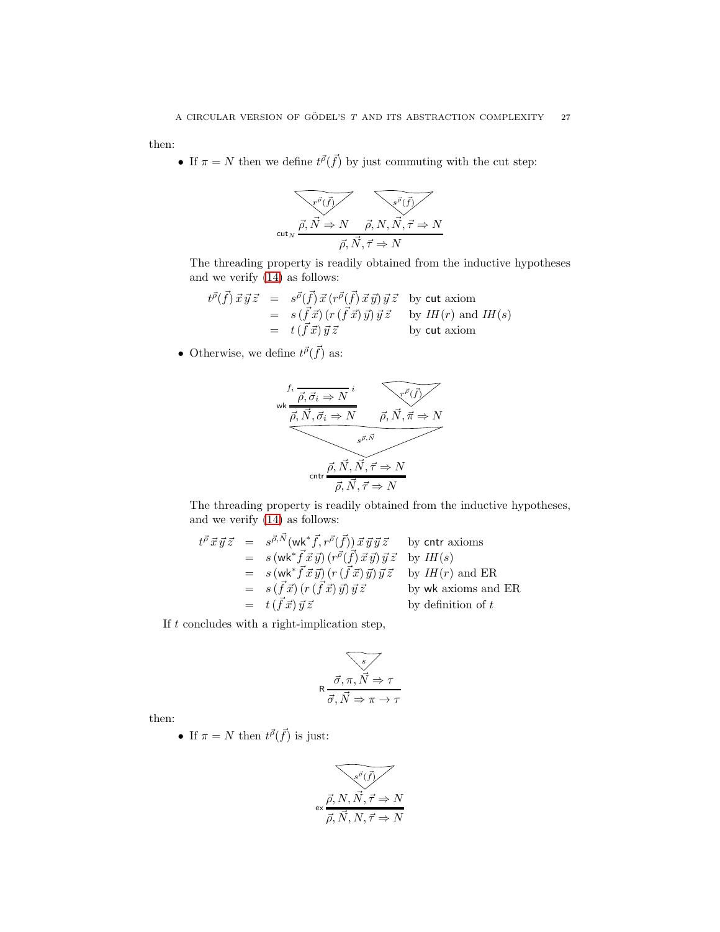then:

• If  $\pi = N$  then we define  $t^{\vec{\rho}}(\vec{f})$  by just commuting with the cut step:



The threading property is readily obtained from the inductive hypotheses and we verify [\(14\)](#page-24-1) as follows:

$$
t^{\vec{p}}(\vec{f}) \vec{x} \vec{y} \vec{z} = s^{\vec{p}}(\vec{f}) \vec{x} (r^{\vec{p}}(\vec{f}) \vec{x} \vec{y}) \vec{y} \vec{z} \text{ by cut axiom}
$$
  
\n
$$
= s(\vec{f} \vec{x}) (r(\vec{f} \vec{x}) \vec{y}) \vec{y} \vec{z} \text{ by } IH(r) \text{ and } IH(s)
$$
  
\n
$$
= t(\vec{f} \vec{x}) \vec{y} \vec{z} \text{ by cut axiom}
$$

• Otherwise, we define  $t^{\vec{\rho}}(\vec{f})$  as:



The threading property is readily obtained from the inductive hypotheses, and we verify [\(14\)](#page-24-1) as follows:

$$
t^{\vec{\rho}} \vec{x} \vec{y} \vec{z} = s^{\vec{\rho}, \vec{N}} (\mathsf{wk}^* \vec{f}, r^{\vec{\rho}}(\vec{f})) \vec{x} \vec{y} \vec{y} \vec{z} \quad \text{by entr axioms}
$$
  
\n
$$
= s (\mathsf{wk}^* \vec{f} \vec{x} \vec{y}) (r^{\vec{\rho}} (\vec{f}) \vec{x} \vec{y}) \vec{y} \vec{z} \quad \text{by } IH(s)
$$
  
\n
$$
= s (\mathsf{wk}^* \vec{f} \vec{x} \vec{y}) (r (\vec{f} \vec{x}) \vec{y}) \vec{y} \vec{z} \quad \text{by } IH(r) \text{ and ER}
$$
  
\n
$$
= s (\vec{f} \vec{x}) (r (\vec{f} \vec{x}) \vec{y}) \vec{y} \vec{z} \quad \text{by wk axioms and ER}
$$
  
\n
$$
= t (\vec{f} \vec{x}) \vec{y} \vec{z} \quad \text{by definition of } t
$$

If  $t$  concludes with a right-implication step,

$$
\overbrace{\vec{\sigma}, \vec{n}, \vec{N} \Rightarrow \tau}
$$

$$
\overline{\vec{\sigma}, \vec{N} \Rightarrow \pi \rightarrow \tau}
$$

then:

• If  $\pi = N$  then  $t^{\vec{\rho}}(\vec{f})$  is just:

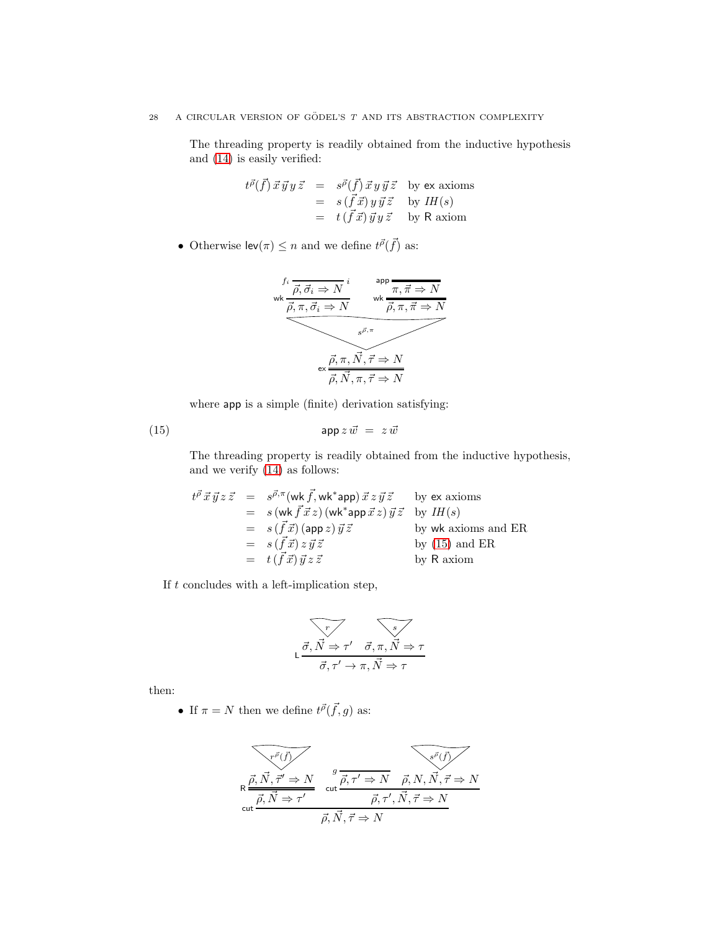# 28 A CIRCULAR VERSION OF GÖDEL'S  $T$  and its abstraction complexity

The threading property is readily obtained from the inductive hypothesis and [\(14\)](#page-24-1) is easily verified:

$$
t^{\vec{p}}(\vec{f}) \vec{x} \vec{y} y \vec{z} = s^{\vec{p}}(\vec{f}) \vec{x} y \vec{y} \vec{z} \text{ by ex axioms}
$$
  
=  $s(\vec{f} \vec{x}) y \vec{y} \vec{z}$  by  $IH(s)$   
=  $t(\vec{f} \vec{x}) \vec{y} y \vec{z}$  by R axiom

• Otherwise  $\mathsf{lev}(\pi) \leq n$  and we define  $t^{\vec{\rho}}(\vec{f})$  as:



<span id="page-28-0"></span>where app is a simple (finite) derivation satisfying:

$$
(15) \t\t\t $app z \vec{w} = z \vec{w}$
$$

The threading property is readily obtained from the inductive hypothesis, and we verify [\(14\)](#page-24-1) as follows:

$$
t^{\vec{\rho}} \vec{x} \vec{y} z \vec{z} = s^{\vec{\rho}, \pi} (\text{wk } \vec{f}, \text{wk}^* \text{app}) \vec{x} z \vec{y} \vec{z} \text{ by ex axioms}
$$
  
\n
$$
= s (\text{wk } \vec{f} \vec{x} z) (\text{wk}^* \text{app } \vec{x} z) \vec{y} \vec{z} \text{ by } IH(s)
$$
  
\n
$$
= s (\vec{f} \vec{x}) (\text{app } z) \vec{y} \vec{z} \text{ by wk axioms and ER}
$$
  
\n
$$
= s (\vec{f} \vec{x}) z \vec{y} \vec{z} \text{ by R axiom}
$$

If  $t$  concludes with a left-implication step,

$$
\begin{array}{c}\n\overbrace{\vec{\sigma}, \vec{N} \Rightarrow \tau' \quad \vec{\sigma}, \pi, \vec{N} \Rightarrow \tau} \\
\overbrace{\vec{\sigma}, \tau' \rightarrow \pi, \vec{N} \Rightarrow \tau}\n\end{array}
$$

then:

• If  $\pi = N$  then we define  $t^{\vec{\rho}}(\vec{f}, g)$  as:

$$
\overbrace{\text{Re}\frac{\vec{\rho}, \vec{N}, \vec{\tau}' \Rightarrow N}{\vec{\rho}, \vec{N} \Rightarrow \tau'}}^{\text{ref}} \quad \overbrace{\text{cut}\frac{\vec{\rho}, \vec{r} \Rightarrow N}{\vec{\rho}, \tau' \Rightarrow N}}^{\text{gt}} \quad \overbrace{\text{opt}}^{\text{gt}} \overline{\vec{\rho}, \vec{\tau} \Rightarrow N}
$$
\n
$$
\overline{\vec{\rho}, \vec{N}, \vec{\tau} \Rightarrow N}
$$
\n
$$
\overline{\vec{\rho}, \vec{N}, \vec{\tau} \Rightarrow N}
$$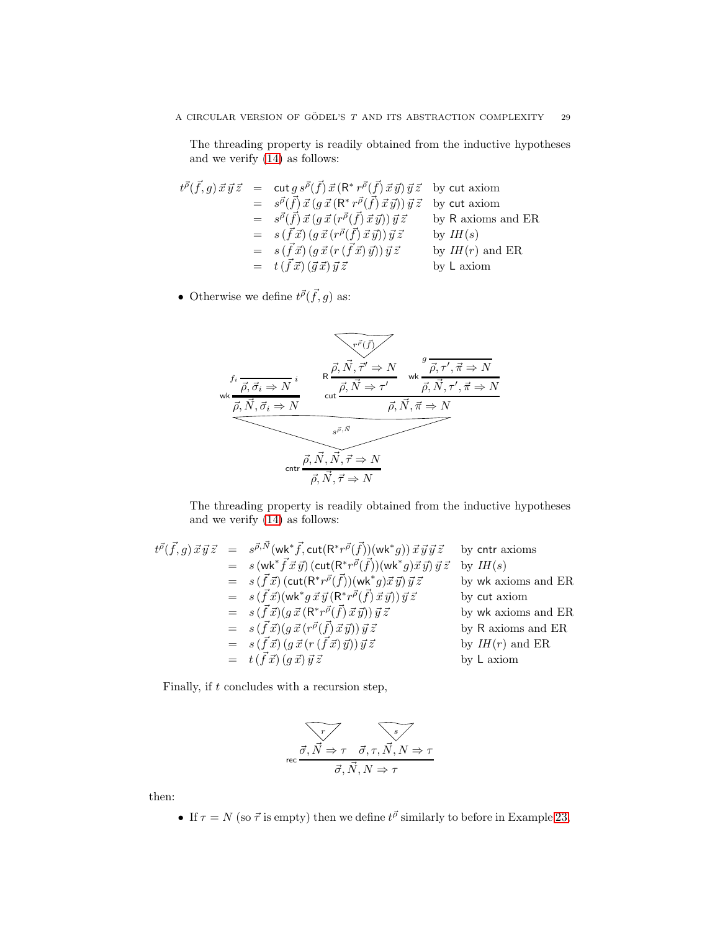The threading property is readily obtained from the inductive hypotheses and we verify [\(14\)](#page-24-1) as follows:

$$
t^{\vec{\rho}}(\vec{f},g)\,\vec{x}\,\vec{y}\,\vec{z} = \text{cut}\,g\,s^{\vec{\rho}}(\vec{f})\,\vec{x}\,(\mathsf{R}^*\,r^{\vec{\rho}}(\vec{f})\,\vec{x}\,\vec{y})\,\vec{y}\,\vec{z} \text{ by cut axiom}
$$
  
\n
$$
= s^{\vec{\rho}}(\vec{f})\,\vec{x}\,(g\,\vec{x}\,(\mathsf{R}^*\,r^{\vec{\rho}}(\vec{f})\,\vec{x}\,\vec{y}))\,\vec{y}\,\vec{z} \text{ by cut axiom}
$$
  
\n
$$
= s^{\vec{\rho}}(\vec{f})\,\vec{x}\,(g\,\vec{x}\,(r^{\vec{\rho}}(\vec{f})\,\vec{x}\,\vec{y}))\,\vec{y}\,\vec{z} \text{ by R axioms and ER}
$$
  
\n
$$
= s(\vec{f}\,\vec{x})\,(g\,\vec{x}\,(r^{\vec{\rho}}(\vec{f})\,\vec{x}\,\vec{y}))\,\vec{y}\,\vec{z} \text{ by } IH(s)
$$
  
\n
$$
= s(\vec{f}\,\vec{x})\,(g\,\vec{x}\,(r\,(\vec{f}\,\vec{x})\,\vec{y}))\,\vec{y}\,\vec{z} \text{ by } IH(r) \text{ and ER}
$$
  
\n
$$
= t(\vec{f}\,\vec{x})(\vec{g}\,\vec{x})\,\vec{y}\,\vec{z} \text{ by L axiom}
$$

• Otherwise we define  $t^{\vec{\rho}}(\vec{f},g)$  as:



The threading property is readily obtained from the inductive hypotheses and we verify [\(14\)](#page-24-1) as follows:

$$
t^{\vec{\rho}}(\vec{f},g) \vec{x}\vec{y}\vec{z} = s^{\vec{\rho},\vec{N}}(\mathsf{wk}^*\vec{f},\texttt{cut}(\mathsf{R}^*\vec{r}^{\vec{\rho}}(\vec{f}))(\mathsf{wk}^*g)) \vec{x}\vec{y}\vec{y}\vec{z} \text{ by entry axioms}
$$
  
\n
$$
= s(\mathsf{wk}^*\vec{f}\vec{x}\vec{y}) (\texttt{cut}(\mathsf{R}^*\vec{r}^{\vec{\rho}}(\vec{f}))(\mathsf{wk}^*g)\vec{x}\vec{y})\vec{y}\vec{z} \text{ by } IH(s)
$$
  
\n
$$
= s(\vec{f}\vec{x}) (\texttt{cut}(\mathsf{R}^*\vec{r}^{\vec{\rho}}(\vec{f}))(\mathsf{wk}^*g)\vec{x}\vec{y})\vec{y}\vec{z} \text{ by } \mathsf{wk} \text{ axioms and ER}
$$
  
\n
$$
= s(\vec{f}\vec{x}) (\mathsf{wk}^*\vec{g}\vec{x}\vec{y}(\mathsf{R}^*\vec{r}^{\vec{\rho}}(\vec{f})\vec{x}\vec{y}))\vec{y}\vec{z} \text{ by cut axiom}
$$
  
\n
$$
= s(\vec{f}\vec{x}) (g\vec{x}(\mathsf{R}^*\vec{r}^{\vec{\rho}}(\vec{f})\vec{x}\vec{y}))\vec{y}\vec{z} \text{ by R axioms and ER}
$$
  
\n
$$
= s(\vec{f}\vec{x}) (g\vec{x}(\mathsf{r}(\vec{f}\vec{x})\vec{y}))\vec{y}\vec{z} \text{ by } H(r) \text{ and ER}
$$
  
\n
$$
= t(\vec{f}\vec{x}) (g\vec{x})\vec{y}\vec{z} \text{ by L axiom}
$$

Finally, if  $t$  concludes with a recursion step,

$$
\overbrace{\sigma,\vec{N}\Rightarrow\tau\quad\vec{\sigma},\tau,\vec{N},N\Rightarrow\tau}^{\tau}
$$

$$
\overline{\vec{\sigma},\vec{N},N\Rightarrow\tau}
$$

then:

• If  $\tau = N$  (so  $\vec{\tau}$  is empty) then we define  $t^{\vec{\rho}}$  similarly to before in Example [23,](#page-16-1)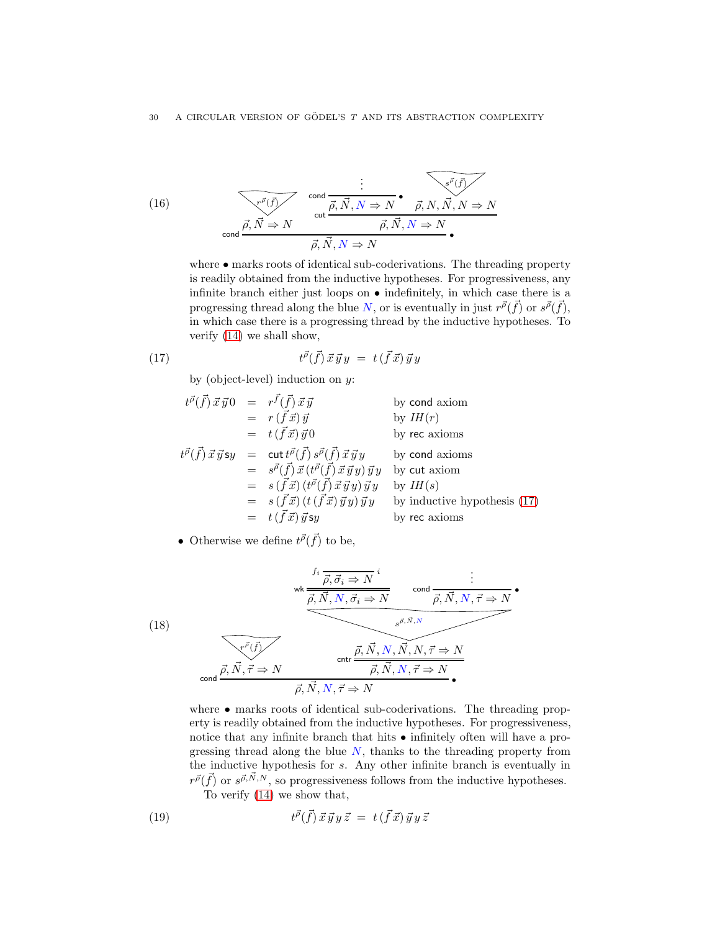(16)  
\n
$$
\frac{\vdots}{\vec{r}^{\vec{p}}(\vec{f})}
$$
\n
$$
\text{cond } \frac{\vec{p}, \vec{N} \Rightarrow N}{\text{cut } \vec{p}, \vec{N}, N \Rightarrow N} \cdot \frac{\vec{p}, N, \vec{N}, N \Rightarrow N}{\vec{p}, \vec{N}, N \Rightarrow N}
$$
\n
$$
\vec{p}, \vec{N}, N \Rightarrow N
$$

where  $\bullet$  marks roots of identical sub-coderivations. The threading property is readily obtained from the inductive hypotheses. For progressiveness, any infinite branch either just loops on • indefinitely, in which case there is a progressing thread along the blue N, or is eventually in just  $r^{\vec{\rho}}(\vec{f})$  or  $s^{\vec{\rho}}(\vec{f}),$ in which case there is a progressing thread by the inductive hypotheses. To verify [\(14\)](#page-24-1) we shall show,

$$
(17) \t\t t\vec{p}(\vec{f}) \vec{x} \vec{y} y = t(\vec{f} \vec{x}) \vec{y} y
$$

<span id="page-30-0"></span>by (object-level) induction on  $y$ :

$$
t^{\vec{\rho}}(\vec{f}) \vec{x} \vec{y} 0 = r^{\vec{f}}(\vec{f}) \vec{x} \vec{y}
$$
 by cond axiom  
\n
$$
= r(\vec{f} \vec{x}) \vec{y}
$$
 by *IH*(*r*)  
\n
$$
t^{\vec{\rho}}(\vec{f}) \vec{x} \vec{y} s y = \text{cut } t^{\vec{\rho}}(\vec{f}) s^{\vec{\rho}}(\vec{f}) \vec{x} \vec{y} y
$$
 by cond axioms  
\n
$$
= s^{\vec{\rho}}(\vec{f}) \vec{x} (\vec{f}(\vec{f}) \vec{x} \vec{y} y) \vec{y} y
$$
 by cut axiom  
\n
$$
= s(\vec{f} \vec{x}) (t^{\vec{\rho}}(\vec{f}) \vec{x} \vec{y} y) \vec{y} y
$$
 by *IH*(*s*)  
\n
$$
= s(\vec{f} \vec{x}) (t(\vec{f} \vec{x}) \vec{y} y) \vec{y} y
$$
 by inductive hypothesis (17)  
\n
$$
= t(\vec{f} \vec{x}) \vec{y} s y
$$
 by rec axioms

• Otherwise we define 
$$
t^{\vec{p}}(\vec{f})
$$
 to be,

(18)  
\n
$$
\begin{array}{c}\n \text{wk} \frac{\overrightarrow{h}, \overrightarrow{\sigma}, \overrightarrow{\sigma} \text{ in } \overrightarrow{\rho}, \overrightarrow{N}, N, \overrightarrow{\sigma} \text{ in } \overrightarrow{\rho}, \overrightarrow{N}, N, \overrightarrow{\tau} \text{ in } \overrightarrow{\rho}} \text{ (and } \overrightarrow{\rho}, \overrightarrow{N}, N, \overrightarrow{\tau} \text{ in } \overrightarrow{\rho}, \overrightarrow{N}, N, \overrightarrow{\tau} \text{ in } \overrightarrow{\rho}, \overrightarrow{N}, N, \overrightarrow{\tau} \text{ in } \overrightarrow{\rho}, \overrightarrow{N}, N, \overrightarrow{\tau} \text{ in } \overrightarrow{\rho}, \overrightarrow{N}, N, \overrightarrow{\tau} \text{ in } \overrightarrow{\rho}, \overrightarrow{N}, N, \overrightarrow{\tau} \text{ in } \overrightarrow{\rho}, \overrightarrow{N}, N, \overrightarrow{\tau} \text{ in } \overrightarrow{\rho}, \overrightarrow{N}, N, \overrightarrow{\tau} \text{ in } \overrightarrow{\rho}, \overrightarrow{N}, N, \overrightarrow{\tau} \text{ in } \overrightarrow{\rho}, \overrightarrow{N}, N, \overrightarrow{\tau} \text{ in } \overrightarrow{\rho}, \overrightarrow{N}, N, \overrightarrow{\tau} \text{ in } \overrightarrow{\rho}, \overrightarrow{N}, N, \overrightarrow{\tau} \text{ in } \overrightarrow{\rho}, \overrightarrow{N}, N, \overrightarrow{\tau} \text{ in } \overrightarrow{\rho}, \overrightarrow{N}, N, \overrightarrow{\tau} \text{ in } \overrightarrow{\rho}, \overrightarrow{N}, N, \overrightarrow{\tau} \text{ in } \overrightarrow{\rho}, \overrightarrow{N}, N, \overrightarrow{\tau} \text{ in } \overrightarrow{\rho}, \overrightarrow{N}, N, \overrightarrow{\tau} \text{ in } \overrightarrow{\rho}, \overrightarrow{N}, N, \overrightarrow{\tau} \text{ in } \overrightarrow{\rho}, \overrightarrow{N}, N, \overrightarrow{\tau} \text{ in } \overrightarrow{\rho}, \overrightarrow{N}, N, \overrightarrow{\tau} \text{ in } \overrightarrow{\rho}, \overrightarrow{N}, N, \overrightarrow{\tau} \text{ in } \overrightarrow{\rho}, \overrightarrow{N}, N, \overrightarrow{\tau} \text{ in } \overrightarrow{\rho}, \overrightarrow{N}, N, \overrightarrow{\tau} \text{ in } \overrightarrow{\rho}, \overrightarrow{N}, N, \overrightarrow{\tau} \text{ in } \overrightarrow{\rho}, \overrightarrow{N}, N, \overrightarrow{\tau} \text{ in } \overrightarrow{\rho}, \overrightarrow{N}, N, \overrightarrow{\tau} \text{ in } \overrightarrow
$$

where • marks roots of identical sub-coderivations. The threading property is readily obtained from the inductive hypotheses. For progressiveness, notice that any infinite branch that hits  $\bullet$  infinitely often will have a progressing thread along the blue  $N$ , thanks to the threading property from the inductive hypothesis for s. Any other infinite branch is eventually in  $r^{\vec{\rho}}(\vec{f})$  or  $s^{\vec{\rho}, \vec{N}, N}$ , so progressiveness follows from the inductive hypotheses. To verify [\(14\)](#page-24-1) we show that,

<span id="page-30-1"></span>(19) 
$$
t^{\vec{\rho}}(\vec{f}) \vec{x} \vec{y} y \vec{z} = t(\vec{f} \vec{x}) \vec{y} y \vec{z}
$$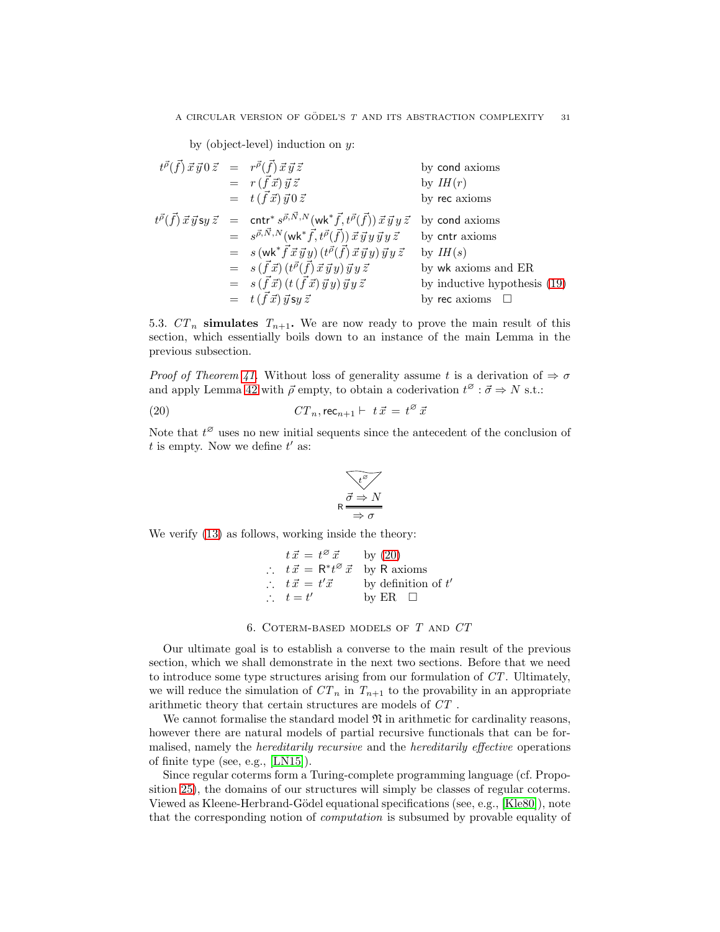by (object-level) induction on  $y$ :

$$
t^{\vec{\rho}}(\vec{f}) \vec{x} \vec{y} 0 \vec{z} = r^{\vec{\rho}}(\vec{f}) \vec{x} \vec{y} \vec{z}
$$
 by cond axioms  
\n
$$
= r(\vec{f} \vec{x}) \vec{y} \vec{z}
$$
 by  $IH(r)$   
\n
$$
t^{\vec{\rho}}(\vec{f}) \vec{x} \vec{y} s y \vec{z} = \text{cntr}^* s^{\vec{\rho}, \vec{N}, N} (\text{wk}^* \vec{f}, t^{\vec{\rho}}(\vec{f})) \vec{x} \vec{y} y \vec{z}
$$
 by cond axioms  
\n
$$
= s^{\vec{\rho}, \vec{N}, N} (\text{wk}^* \vec{f}, t^{\vec{\rho}}(\vec{f})) \vec{x} \vec{y} y \vec{y} y \vec{z}
$$
 by contr axioms  
\n
$$
= s (\text{wk}^* \vec{f} \vec{x} \vec{y} y) (t^{\vec{\rho}}(\vec{f}) \vec{x} \vec{y} y) \vec{y} y \vec{z}
$$
 by  $IH(s)$   
\n
$$
= s(\vec{f} \vec{x}) (t^{\vec{\rho}}(\vec{f}) \vec{x} \vec{y} y) \vec{y} y \vec{z}
$$
 by wk axioms and ER  
\n
$$
= s(\vec{f} \vec{x}) (t (\vec{f} \vec{x}) \vec{y} y) \vec{y} y \vec{z}
$$
 by inductive hypothesis (19)  
\n
$$
= t(\vec{f} \vec{x}) \vec{y} s y \vec{z}
$$
 by rec axioms  $\Box$ 

5.3.  $CT_n$  simulates  $T_{n+1}$ . We are now ready to prove the main result of this section, which essentially boils down to an instance of the main Lemma in the previous subsection.

Proof of Theorem [41.](#page-23-1) Without loss of generality assume t is a derivation of  $\Rightarrow \sigma$ and apply Lemma [42](#page-24-0) with  $\vec{\rho}$  empty, to obtain a coderivation  $t^{\varnothing} : \vec{\sigma} \Rightarrow N$  s.t.:

(20) 
$$
CT_n, \text{rec}_{n+1} \vdash t\vec{x} = t^{\varnothing}\vec{x}
$$

Note that  $t^{\emptyset}$  uses no new initial sequents since the antecedent of the conclusion of  $t$  is empty. Now we define  $t'$  as:

<span id="page-31-1"></span>
$$
\begin{array}{c}\n\sqrt{t^{\beta}} \\
\hline\n\frac{\vec{\sigma} \Rightarrow N}{\Rightarrow \sigma}\n\end{array}
$$

We verify [\(13\)](#page-23-2) as follows, working inside the theory:

$$
t \, \vec{x} = t^{\varnothing} \, \vec{x} \qquad \text{by (20)}
$$
\n
$$
\therefore \quad t \, \vec{x} = \mathsf{R}^* t^{\varnothing} \, \vec{x} \qquad \text{by R axioms}
$$
\n
$$
\therefore \quad t \, \vec{x} = t' \, \vec{x} \qquad \text{by definition of } t'
$$
\n
$$
\therefore \quad t = t' \qquad \qquad \text{by ER} \quad \Box
$$

6. Coterm-based models of T and CT

<span id="page-31-0"></span>Our ultimate goal is to establish a converse to the main result of the previous section, which we shall demonstrate in the next two sections. Before that we need to introduce some type structures arising from our formulation of CT. Ultimately, we will reduce the simulation of  $CT_n$  in  $T_{n+1}$  to the provability in an appropriate arithmetic theory that certain structures are models of CT .

We cannot formalise the standard model  $\mathfrak N$  in arithmetic for cardinality reasons, however there are natural models of partial recursive functionals that can be formalised, namely the hereditarily recursive and the hereditarily effective operations of finite type (see, e.g., [\[LN15\]](#page-66-9)).

Since regular coterms form a Turing-complete programming language (cf. Proposition [25\)](#page-17-2), the domains of our structures will simply be classes of regular coterms. Viewed as Kleene-Herbrand-G¨odel equational specifications (see, e.g., [\[Kle80\]](#page-65-12)), note that the corresponding notion of computation is subsumed by provable equality of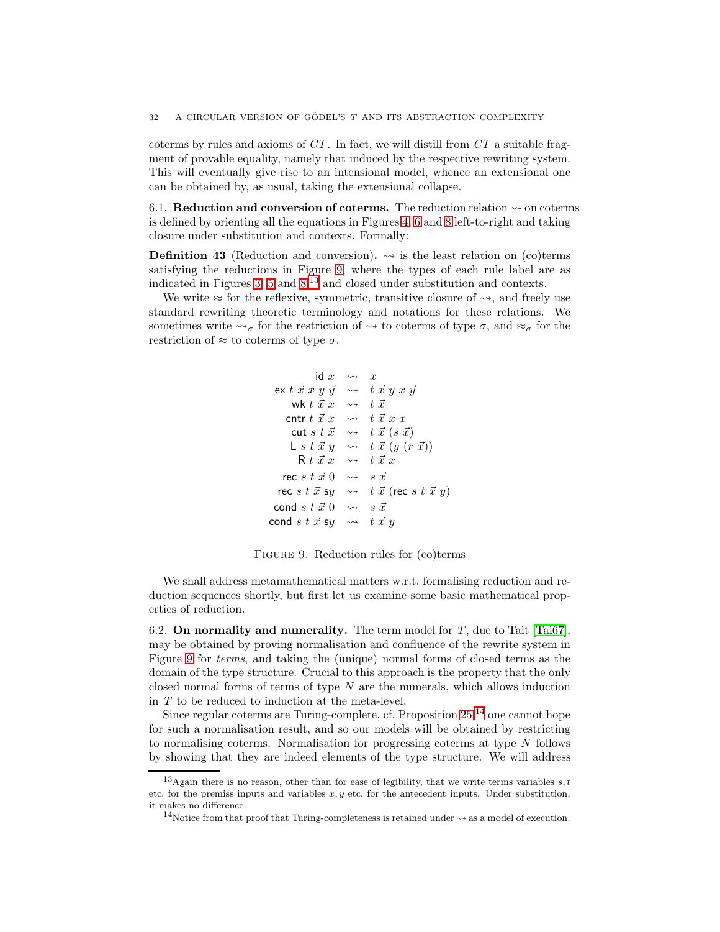coterms by rules and axioms of  $CT$ . In fact, we will distill from  $CT$  a suitable fragment of provable equality, namely that induced by the respective rewriting system. This will eventually give rise to an intensional model, whence an extensional one can be obtained by, as usual, taking the extensional collapse.

6.1. **Reduction and conversion of coterms.** The reduction relation  $\rightsquigarrow$  on coterms is defined by orienting all the equations in Figures [4,](#page-9-1) [6](#page-10-1) and [8](#page-14-0) left-to-right and taking closure under substitution and contexts. Formally:

**Definition 43** (Reduction and conversion).  $\rightarrow$  is the least relation on (co)terms satisfying the reductions in Figure [9,](#page-32-0) where the types of each rule label are as indicated in Figures [3,](#page-7-2) [5](#page-10-0) and  $8<sup>13</sup>$  $8<sup>13</sup>$  $8<sup>13</sup>$  and closed under substitution and contexts.

We write  $\approx$  for the reflexive, symmetric, transitive closure of  $\rightsquigarrow$ , and freely use standard rewriting theoretic terminology and notations for these relations. We sometimes write  $\rightsquigarrow_{\sigma}$  for the restriction of  $\rightsquigarrow$  to coterms of type  $\sigma$ , and  $\approx_{\sigma}$  for the restriction of  $\approx$  to coterms of type  $\sigma$ .

```
id x \rightarrow xex t \vec{x} x y \vec{y} \rightarrow t \vec{x} y x \vec{y}wk t \vec{x} \rightarrow t \vec{x}cntr t \vec{x} \vec{x} \rightarrow t \vec{x} x xcut s t \vec{x} \rightarrow t \vec{x} (s \vec{x})
        L s t \vec{x} y \rightarrow t \vec{x} (y (r \vec{x}))\mathsf{R}~t~\vec{x}~x~~\leadsto~~t~\vec{x}~xrec s t \vec{x} 0 \rightarrow s \vec{x}rec s t \vec{x} sy \rightsquigarrow t \vec{x} (rec s t \vec{x} y)
 cond s t \vec{x} 0 \rightsquigarrow s \vec{x}cond s t \vec{x} sy \rightsquigarrow t \vec{x} y
```
<span id="page-32-0"></span>Figure 9. Reduction rules for (co)terms

We shall address metamathematical matters w.r.t. formalising reduction and reduction sequences shortly, but first let us examine some basic mathematical properties of reduction.

6.2. On normality and numerality. The term model for  $T$ , due to Tait [\[Tai67\]](#page-66-11), may be obtained by proving normalisation and confluence of the rewrite system in Figure [9](#page-32-0) for terms, and taking the (unique) normal forms of closed terms as the domain of the type structure. Crucial to this approach is the property that the only closed normal forms of terms of type  $N$  are the numerals, which allows induction in T to be reduced to induction at the meta-level.

Since regular coterms are Turing-complete, cf. Proposition  $25$ ,  $14$  one cannot hope for such a normalisation result, and so our models will be obtained by restricting to normalising coterms. Normalisation for progressing coterms at type N follows by showing that they are indeed elements of the type structure. We will address

<sup>&</sup>lt;sup>13</sup>Again there is no reason, other than for ease of legibility, that we write terms variables  $s, t$ etc. for the premiss inputs and variables  $x, y$  etc. for the antecedent inputs. Under substitution, it makes no difference.

<span id="page-32-2"></span><span id="page-32-1"></span><sup>&</sup>lt;sup>14</sup>Notice from that proof that Turing-completeness is retained under  $\rightsquigarrow$  as a model of execution.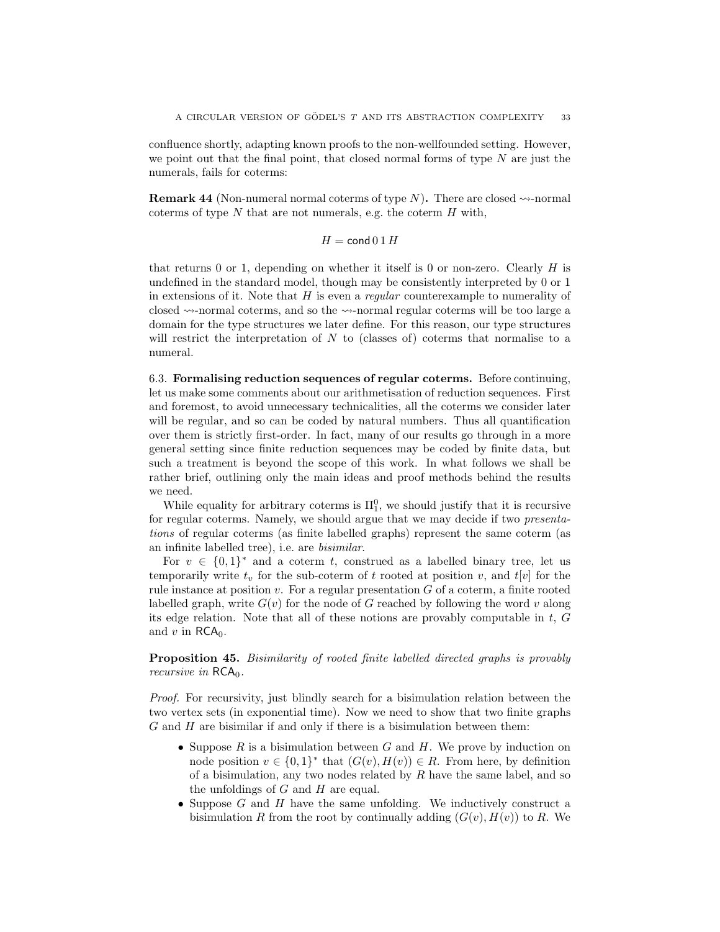confluence shortly, adapting known proofs to the non-wellfounded setting. However, we point out that the final point, that closed normal forms of type  $N$  are just the numerals, fails for coterms:

<span id="page-33-0"></span>**Remark 44** (Non-numeral normal coterms of type N). There are closed  $\rightsquigarrow$ -normal coterms of type  $N$  that are not numerals, e.g. the coterm  $H$  with,

$$
H = \mathsf{cond}\, 0 \, 1 \, H
$$

that returns  $0$  or 1, depending on whether it itself is  $0$  or non-zero. Clearly  $H$  is undefined in the standard model, though may be consistently interpreted by 0 or 1 in extensions of it. Note that  $H$  is even a *regular* counterexample to numerality of closed  $\sim$ -normal coterms, and so the  $\sim$ -normal regular coterms will be too large a domain for the type structures we later define. For this reason, our type structures will restrict the interpretation of  $N$  to (classes of) coterms that normalise to a numeral.

<span id="page-33-1"></span>6.3. Formalising reduction sequences of regular coterms. Before continuing, let us make some comments about our arithmetisation of reduction sequences. First and foremost, to avoid unnecessary technicalities, all the coterms we consider later will be regular, and so can be coded by natural numbers. Thus all quantification over them is strictly first-order. In fact, many of our results go through in a more general setting since finite reduction sequences may be coded by finite data, but such a treatment is beyond the scope of this work. In what follows we shall be rather brief, outlining only the main ideas and proof methods behind the results we need.

While equality for arbitrary coterms is  $\Pi_1^0$ , we should justify that it is recursive for regular coterms. Namely, we should argue that we may decide if two presentations of regular coterms (as finite labelled graphs) represent the same coterm (as an infinite labelled tree), i.e. are bisimilar.

For  $v \in \{0,1\}^*$  and a coterm t, construed as a labelled binary tree, let us temporarily write  $t_v$  for the sub-coterm of t rooted at position v, and  $t[v]$  for the rule instance at position  $v$ . For a regular presentation  $G$  of a coterm, a finite rooted labelled graph, write  $G(v)$  for the node of G reached by following the word v along its edge relation. Note that all of these notions are provably computable in t, G and v in  $RCA<sub>0</sub>$ .

Proposition 45. Bisimilarity of rooted finite labelled directed graphs is provably recursive in  $RCA<sub>0</sub>$ .

Proof. For recursivity, just blindly search for a bisimulation relation between the two vertex sets (in exponential time). Now we need to show that two finite graphs  $G$  and  $H$  are bisimilar if and only if there is a bisimulation between them:

- Suppose R is a bisimulation between G and H. We prove by induction on node position  $v \in \{0,1\}^*$  that  $(G(v), H(v)) \in R$ . From here, by definition of a bisimulation, any two nodes related by  $R$  have the same label, and so the unfoldings of  $G$  and  $H$  are equal.
- Suppose  $G$  and  $H$  have the same unfolding. We inductively construct a bisimulation R from the root by continually adding  $(G(v), H(v))$  to R. We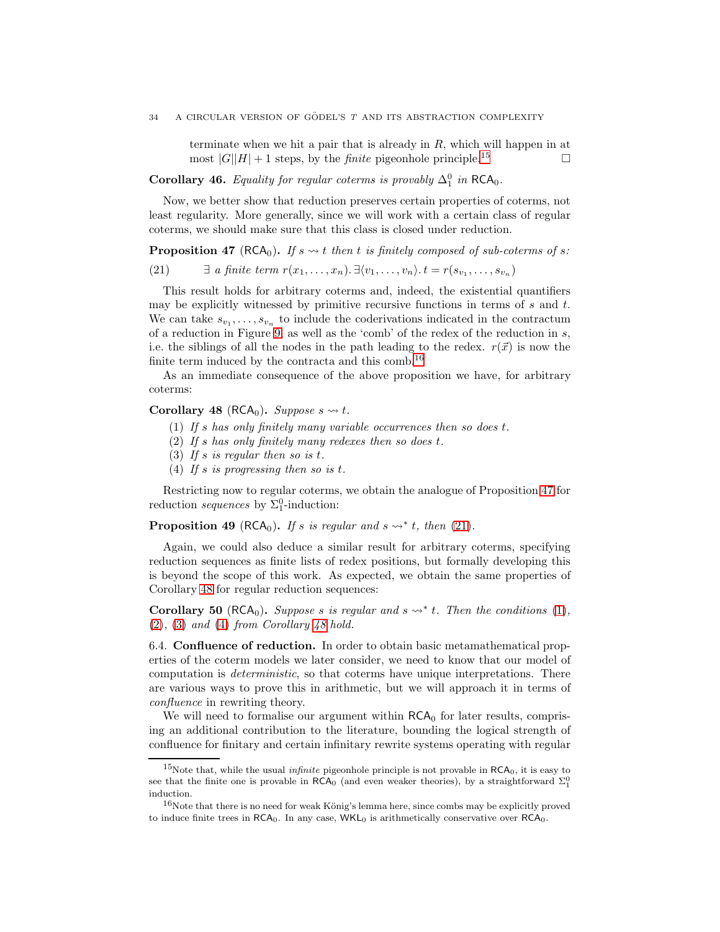terminate when we hit a pair that is already in R, which will happen in at most  $|G||H| + 1$  steps, by the *finite* pigeonhole principle.<sup>[15](#page-34-0)</sup>

Corollary 46. Equality for regular coterms is provably  $\Delta_1^0$  in RCA<sub>0</sub>.

Now, we better show that reduction preserves certain properties of coterms, not least regularity. More generally, since we will work with a certain class of regular coterms, we should make sure that this class is closed under reduction.

<span id="page-34-2"></span>**Proposition 47** (RCA<sub>0</sub>). If  $s \rightarrow t$  then t is finitely composed of sub-coterms of s:

<span id="page-34-3"></span>(21) 
$$
\exists \text{ a finite term } r(x_1, \ldots, x_n). \exists \langle v_1, \ldots, v_n \rangle. \ t = r(s_{v_1}, \ldots, s_{v_n})
$$

This result holds for arbitrary coterms and, indeed, the existential quantifiers may be explicitly witnessed by primitive recursive functions in terms of  $s$  and  $t$ . We can take  $s_{v_1}, \ldots, s_{v_n}$  to include the coderivations indicated in the contractum of a reduction in Figure [9,](#page-32-0) as well as the 'comb' of the redex of the reduction in s, i.e. the siblings of all the nodes in the path leading to the redex.  $r(\vec{x})$  is now the finite term induced by the contracta and this comb.<sup>[16](#page-34-1)</sup>

As an immediate consequence of the above proposition we have, for arbitrary coterms:

# <span id="page-34-6"></span><span id="page-34-5"></span><span id="page-34-4"></span>Corollary 48 (RCA<sub>0</sub>). Suppose  $s \rightsquigarrow t$ .

- (1) If s has only finitely many variable occurrences then so does t.
- <span id="page-34-7"></span>(2) If s has only finitely many redexes then so does t.
- <span id="page-34-8"></span>(3) If s is regular then so is t.
- (4) If s is progressing then so is t.

Restricting now to regular coterms, we obtain the analogue of Proposition [47](#page-34-2) for reduction *sequences* by  $\Sigma_1^0$ -induction:

<span id="page-34-9"></span>**Proposition 49** (RCA<sub>0</sub>). If s is regular and  $s \leadsto^* t$ , then [\(21\)](#page-34-3).

Again, we could also deduce a similar result for arbitrary coterms, specifying reduction sequences as finite lists of redex positions, but formally developing this is beyond the scope of this work. As expected, we obtain the same properties of Corollary [48](#page-34-4) for regular reduction sequences:

Corollary 50 (RCA<sub>0</sub>). Suppose s is regular and  $s \rightarrow^{*} t$ . Then the conditions [\(1\)](#page-34-5),  $(2), (3)$  $(2), (3)$  $(2), (3)$  and  $(4)$  from Corollary [48](#page-34-4) hold.

6.4. Confluence of reduction. In order to obtain basic metamathematical properties of the coterm models we later consider, we need to know that our model of computation is deterministic, so that coterms have unique interpretations. There are various ways to prove this in arithmetic, but we will approach it in terms of confluence in rewriting theory.

We will need to formalise our argument within  $RCA_0$  for later results, comprising an additional contribution to the literature, bounding the logical strength of confluence for finitary and certain infinitary rewrite systems operating with regular

<span id="page-34-0"></span><sup>&</sup>lt;sup>15</sup>Note that, while the usual *infinite* pigeonhole principle is not provable in  $RCA_0$ , it is easy to see that the finite one is provable in  $\mathsf{RCA}_0$  (and even weaker theories), by a straightforward  $\Sigma_1^0$ induction.

<span id="page-34-1"></span> $16$ Note that there is no need for weak König's lemma here, since combs may be explicitly proved to induce finite trees in  $RCA_0$ . In any case,  $WKL_0$  is arithmetically conservative over  $RCA_0$ .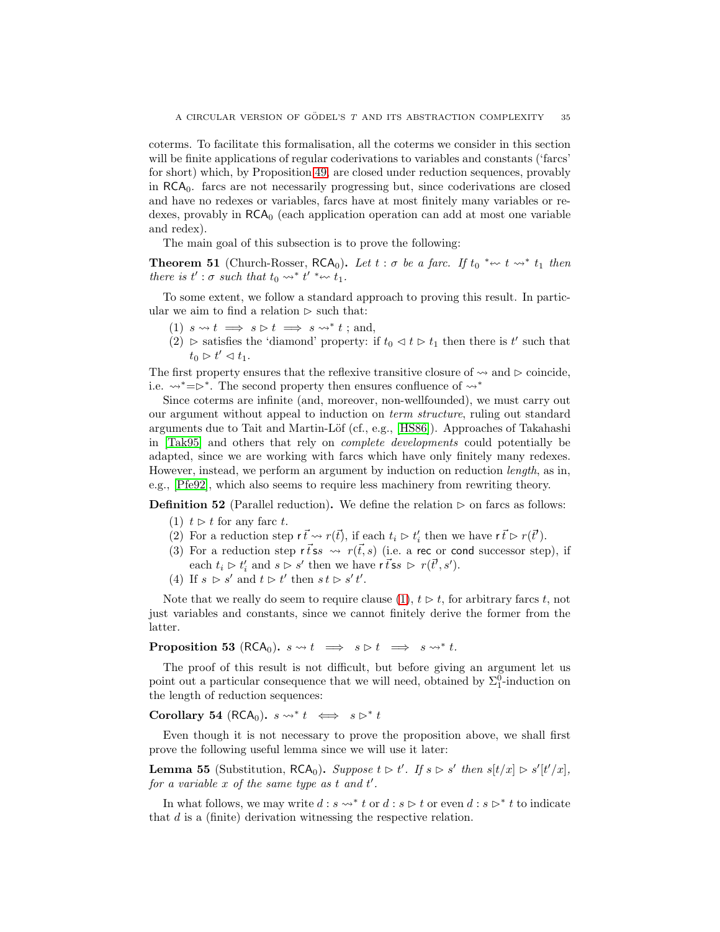coterms. To facilitate this formalisation, all the coterms we consider in this section will be finite applications of regular coderivations to variables and constants ('farcs' for short) which, by Proposition [49,](#page-34-9) are closed under reduction sequences, provably in RCA0. farcs are not necessarily progressing but, since coderivations are closed and have no redexes or variables, farcs have at most finitely many variables or redexes, provably in  $RCA<sub>0</sub>$  (each application operation can add at most one variable and redex).

The main goal of this subsection is to prove the following:

**Theorem 51** (Church-Rosser,  $RCA_0$ ). Let  $t : \sigma$  be a farc. If  $t_0 * \leadsto t \leadsto * t_1$  then there is  $t' : \sigma$  such that  $t_0 \leadsto^* t' * \leadsto t_1$ .

To some extent, we follow a standard approach to proving this result. In particular we aim to find a relation  $\triangleright$  such that:

- (1)  $s \rightsquigarrow t \implies s \triangleright t \implies s \rightsquigarrow^* t$ ; and,
- (2) ⊳ satisfies the 'diamond' property: if  $t_0 \triangleleft t \triangleright t_1$  then there is t' such that  $t_0 \rhd t' \lhd t_1.$

The first property ensures that the reflexive transitive closure of  $\sim$  and  $\triangleright$  coincide, i.e.  $\rightsquigarrow^*=\rhd^*$ . The second property then ensures confluence of  $\rightsquigarrow^*$ 

Since coterms are infinite (and, moreover, non-wellfounded), we must carry out our argument without appeal to induction on term structure, ruling out standard arguments due to Tait and Martin-Löf (cf., e.g., [\[HS86\]](#page-65-15)). Approaches of Takahashi in [\[Tak95\]](#page-66-14) and others that rely on complete developments could potentially be adapted, since we are working with farcs which have only finitely many redexes. However, instead, we perform an argument by induction on reduction length, as in, e.g., [\[Pfe92\]](#page-66-15), which also seems to require less machinery from rewriting theory.

<span id="page-35-0"></span>**Definition 52** (Parallel reduction). We define the relation  $\triangleright$  on farcs as follows:

- (1)  $t > t$  for any farc t.
- (2) For a reduction step  $r \vec{t} \leadsto r(\vec{t})$ , if each  $t_i \triangleright t'_i$  then we have  $r \vec{t} \triangleright r(\vec{t}')$ .
- (3) For a reduction step  $\vec{tss} \leadsto \vec{r(t,s)}$  (i.e. a rec or cond successor step), if each  $t_i \triangleright t'_i$  and  $s \triangleright s'$  then we have  $\vec{r}$  is  $\rhd \triangleright r(\vec{t}', s')$ .
- (4) If  $s \geq s'$  and  $t \geq t'$  then  $s t \geq s' t'$ .

Note that we really do seem to require clause  $(1), t \geq t$ , for arbitrary farcs t, not just variables and constants, since we cannot finitely derive the former from the latter.

**Proposition 53** (RCA<sub>0</sub>).  $s \rightsquigarrow t \implies s \triangleright t \implies s \rightsquigarrow^* t$ .

The proof of this result is not difficult, but before giving an argument let us point out a particular consequence that we will need, obtained by  $\Sigma_1^0$ -induction on the length of reduction sequences:

Corollary 54 (RCA<sub>0</sub>).  $s \rightsquigarrow^* t \iff s \triangleright^* t$ 

Even though it is not necessary to prove the proposition above, we shall first prove the following useful lemma since we will use it later:

**Lemma 55** (Substitution, RCA<sub>0</sub>). Suppose  $t \triangleright t'$ . If  $s \triangleright s'$  then  $s[t/x] \triangleright s'[t'/x]$ , for a variable  $x$  of the same type as  $t$  and  $t'$ .

In what follows, we may write  $d : s \rightarrow^* t$  or  $d : s \rhd t$  or even  $d : s \rhd^* t$  to indicate that  $d$  is a (finite) derivation witnessing the respective relation.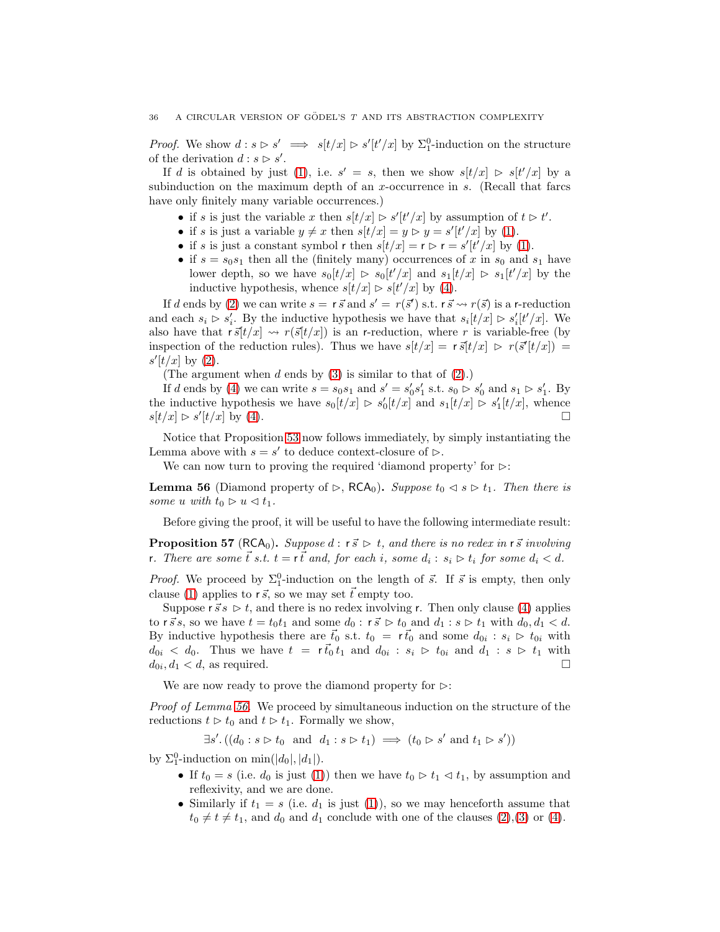*Proof.* We show  $d : s \triangleright s' \implies s[t/x] \triangleright s'[t'/x]$  by  $\Sigma_1^0$ -induction on the structure of the derivation  $d : s \triangleright s'$ .

If d is obtained by just [\(1\)](#page-35-0), i.e.  $s' = s$ , then we show  $s[t/x] \geq s[t'/x]$  by a subinduction on the maximum depth of an  $x$ -occurrence in  $s$ . (Recall that farcs have only finitely many variable occurrences.)

- if s is just the variable x then  $s[t/x] \geq s'[t'/x]$  by assumption of  $t \geq t'$ .
- if s is just a variable  $y \neq x$  then  $s[t/x] = y \triangleright y = s'[t'/x]$  by [\(1\)](#page-35-0).
- if s is just a constant symbol r then  $s[t/x] = r \triangleright r = s'[t'/x]$  by [\(1\)](#page-35-0).
- if  $s = s_0s_1$  then all the (finitely many) occurrences of x in  $s_0$  and  $s_1$  have lower depth, so we have  $s_0[t/x] \geq s_0[t'/x]$  and  $s_1[t/x] \geq s_1[t'/x]$  by the inductive hypothesis, whence  $s[t/x] \triangleright s[t'/x]$  by [\(4\)](#page-35-1).

If d ends by [\(2\)](#page-35-2) we can write  $s = r \vec{s}$  and  $s' = r(\vec{s}')$  s.t.  $r \vec{s} \leadsto r(\vec{s})$  is a r-reduction and each  $s_i > s'_i$ . By the inductive hypothesis we have that  $s_i[t/x] \geq s'_i[t'/x]$ . We also have that  $r\vec{s}[t/x] \rightarrow r(\vec{s}[t/x])$  is an r-reduction, where r is variable-free (by inspection of the reduction rules). Thus we have  $s[t/x] = r \bar{s}[t/x] > r(\bar{s}^t[t/x]) =$  $s'[t/x]$  by [\(2\)](#page-35-2).

(The argument when  $d$  ends by  $(3)$  is similar to that of  $(2)$ .)

If d ends by [\(4\)](#page-35-1) we can write  $s = s_0 s_1$  and  $s' = s'_0 s'_1$  s.t.  $s_0 \triangleright s'_0$  and  $s_1 \triangleright s'_1$ . By the inductive hypothesis we have  $s_0[t/x] \geq s'_0[t/x]$  and  $s_1[t/x] \geq s'_1[t/x]$ , whence  $s[t/x] \triangleright s'[t/x]$  by [\(4\)](#page-35-1).

Notice that Proposition [53](#page-35-4) now follows immediately, by simply instantiating the Lemma above with  $s = s'$  to deduce context-closure of  $\triangleright$ .

We can now turn to proving the required 'diamond property' for  $\triangleright$ :

<span id="page-36-0"></span>**Lemma 56** (Diamond property of ⊳, RCA<sub>0</sub>). Suppose  $t_0 \triangleleft s \triangleright t_1$ . Then there is some u with  $t_0 \triangleright u \triangleleft t_1$ .

Before giving the proof, it will be useful to have the following intermediate result:

<span id="page-36-1"></span>**Proposition 57** (RCA<sub>0</sub>). Suppose d : r  $\vec{s} \triangleright t$ , and there is no redex in r  $\vec{s}$  involving r. There are some  $\vec{t}$  s.t.  $t = r\vec{t}$  and, for each i, some  $d_i : s_i \triangleright t_i$  for some  $d_i < d$ .

*Proof.* We proceed by  $\Sigma_1^0$ -induction on the length of  $\vec{s}$ . If  $\vec{s}$  is empty, then only clause [\(1\)](#page-35-0) applies to  $r\vec{s}$ , so we may set  $\vec{t}$  empty too.

Suppose  $\vec{s} \geq t$ , and there is no redex involving r. Then only clause [\(4\)](#page-35-1) applies to  $\vec{rs}$ , so we have  $t = t_0 t_1$  and some  $d_0 : \vec{s} \geq t_0$  and  $d_1 : s \geq t_1$  with  $d_0, d_1 < d$ . By inductive hypothesis there are  $\vec{t}_0$  s.t.  $t_0 = r\vec{t}_0$  and some  $d_{0i} : s_i \triangleright t_{0i}$  with  $d_{0i} < d_0$ . Thus we have  $t = r \vec{t_0} t_1$  and  $d_{0i} : s_i > t_{0i}$  and  $d_1 : s > t_1$  with  $d_{0i}, d_1 < d$ , as required.

We are now ready to prove the diamond property for  $\triangleright$ :

Proof of Lemma [56.](#page-36-0) We proceed by simultaneous induction on the structure of the reductions  $t \geq t_0$  and  $t \geq t_1$ . Formally we show,

 $\exists s'.((d_0:s\rhd t_0 \text{ and } d_1:s\rhd t_1) \implies (t_0 \rhd s' \text{ and } t_1 \rhd s'))$ 

by  $\Sigma_1^0$ -induction on min(|d<sub>0</sub>|, |d<sub>1</sub>|).

- If  $t_0 = s$  (i.e.  $d_0$  is just [\(1\)](#page-35-0)) then we have  $t_0 \triangleright t_1 \triangleleft t_1$ , by assumption and reflexivity, and we are done.
- Similarly if  $t_1 = s$  (i.e.  $d_1$  is just [\(1\)](#page-35-0)), so we may henceforth assume that  $t_0 \neq t \neq t_1$ , and  $d_0$  and  $d_1$  conclude with one of the clauses [\(2\)](#page-35-2),[\(3\)](#page-35-3) or [\(4\)](#page-35-1).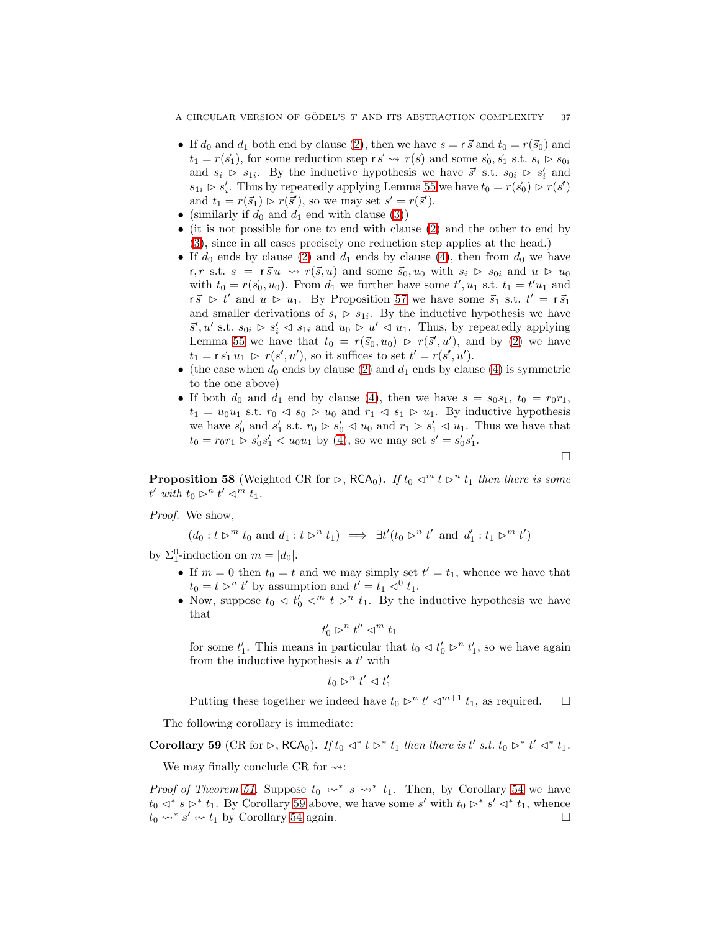- If  $d_0$  and  $d_1$  both end by clause [\(2\)](#page-35-2), then we have  $s = r \vec{s}$  and  $t_0 = r(\vec{s}_0)$  and  $t_1 = r(\vec{s}_1)$ , for some reduction step  $r \vec{s} \leadsto r(\vec{s})$  and some  $\vec{s}_0, \vec{s}_1$  s.t.  $s_i \triangleright s_{0i}$ and  $s_i > s_{1i}$ . By the inductive hypothesis we have  $\vec{s}'$  s.t.  $s_{0i} > s'_i$  and  $s_{1i} \triangleright s'_i$ . Thus by repeatedly applying Lemma [55](#page-35-5) we have  $t_0 = r(\vec{s}_0) \triangleright r(\vec{s}')$ and  $t_1 = r(\vec{s}_1) \triangleright r(\vec{s}')$ , so we may set  $s' = r(\vec{s}')$ .
- (similarly if  $d_0$  and  $d_1$  end with clause [\(3\)](#page-35-3))
- (it is not possible for one to end with clause [\(2\)](#page-35-2) and the other to end by [\(3\)](#page-35-3), since in all cases precisely one reduction step applies at the head.)
- If  $d_0$  ends by clause [\(2\)](#page-35-2) and  $d_1$  ends by clause [\(4\)](#page-35-1), then from  $d_0$  we have r, r s.t.  $s = r \vec{s} u \leadsto r(\vec{s}, u)$  and some  $\vec{s}_0, u_0$  with  $s_i > s_{0i}$  and  $u > u_0$ with  $t_0 = r(\vec{s}_0, u_0)$ . From  $d_1$  we further have some  $t', u_1$  s.t.  $t_1 = t'u_1$  and  $r \vec{s}$   $\triangleright t'$  and  $u \triangleright u_1$ . By Proposition [57](#page-36-1) we have some  $\vec{s}_1$  s.t.  $t' = r \vec{s}_1$ and smaller derivations of  $s_i \geq s_{1i}$ . By the inductive hypothesis we have  $\vec{s}', u'$  s.t.  $s_{0i} \triangleright s'_i \triangleleft s_{1i}$  and  $u_0 \triangleright u' \triangleleft u_1$ . Thus, by repeatedly applying Lemma [55](#page-35-5) we have that  $t_0 = r(\vec{s}_0, u_0) \ge r(\vec{s}', u')$ , and by [\(2\)](#page-35-2) we have  $t_1 = r \vec{s}_1 u_1 \rhd r(\vec{s}', u'),$  so it suffices to set  $t' = r(\vec{s}', u').$
- (the case when  $d_0$  ends by clause [\(2\)](#page-35-2) and  $d_1$  ends by clause [\(4\)](#page-35-1) is symmetric to the one above)
- If both  $d_0$  and  $d_1$  end by clause [\(4\)](#page-35-1), then we have  $s = s_0s_1$ ,  $t_0 = r_0r_1$ ,  $t_1 = u_0u_1$  s.t.  $r_0 \leq s_0 \geq u_0$  and  $r_1 \leq s_1 \geq u_1$ . By inductive hypothesis we have  $s'_0$  and  $s'_1$  s.t.  $r_0 \triangleright s'_0 \triangleleft u_0$  and  $r_1 \triangleright s'_1 \triangleleft u_1$ . Thus we have that  $t_0 = r_0 r_1 \rhd s'_0 s'_1 \lhd u_0 u_1$  by [\(4\)](#page-35-1), so we may set  $s' = s'_0 s'_1$ .

 $\Box$ 

**Proposition 58** (Weighted CR for ⊳, RCA<sub>0</sub>). If  $t_0 \lhd^m t \rhd^n t_1$  then there is some  $t'$  with  $t_0 \rhd^n t' \rhd^m t_1$ .

Proof. We show,

$$
(d_0: t \rhd^m t_0 \text{ and } d_1: t \rhd^n t_1) \implies \exists t' (t_0 \rhd^n t' \text{ and } d'_1: t_1 \rhd^m t')
$$

by  $\Sigma_1^0$ -induction on  $m = |d_0|$ .

- If  $m = 0$  then  $t_0 = t$  and we may simply set  $t' = t_1$ , whence we have that  $t_0 = t \rhd^n t'$  by assumption and  $t' = t_1 \rhd^0 t_1$ .
- Now, suppose  $t_0 \ll t'_0 \ll^m t \ll t_1$ . By the inductive hypothesis we have that

$$
t'_0 \vartriangleright^n t'' \vartriangleleft^m t_1
$$

for some  $t'_1$ . This means in particular that  $t_0 \lhd t'_0 \rhd^n t'_1$ , so we have again from the inductive hypothesis a  $t'$  with

$$
t_0 \rhd^n t' \lhd t'_1
$$

Putting these together we indeed have  $t_0 \triangleright^n t' \triangleleft^{m+1} t_1$ , as required.  $\Box$ 

The following corollary is immediate:

<span id="page-37-0"></span>Corollary 59 (CR for  $\triangleright$ , RCA<sub>0</sub>). If  $t_0 \triangleleft^* t \triangleright^* t_1$  then there is  $t'$  s.t.  $t_0 \triangleright^* t' \triangleleft^* t_1$ .

We may finally conclude CR for  $\rightsquigarrow$ :

*Proof of Theorem [51.](#page-35-6)* Suppose  $t_0 \leftrightarrow^* s \leftrightarrow^* t_1$ . Then, by Corollary [54](#page-35-7) we have  $t_0$   $\lhd^* s \rhd^* t_1$ . By Corollary [59](#page-37-0) above, we have some s' with  $t_0 \rhd^* s' \rhd^* t_1$ , whence  $t_0 \rightsquigarrow^* s' \rightsquigarrow t_1$  by Corollary [54](#page-35-7) again.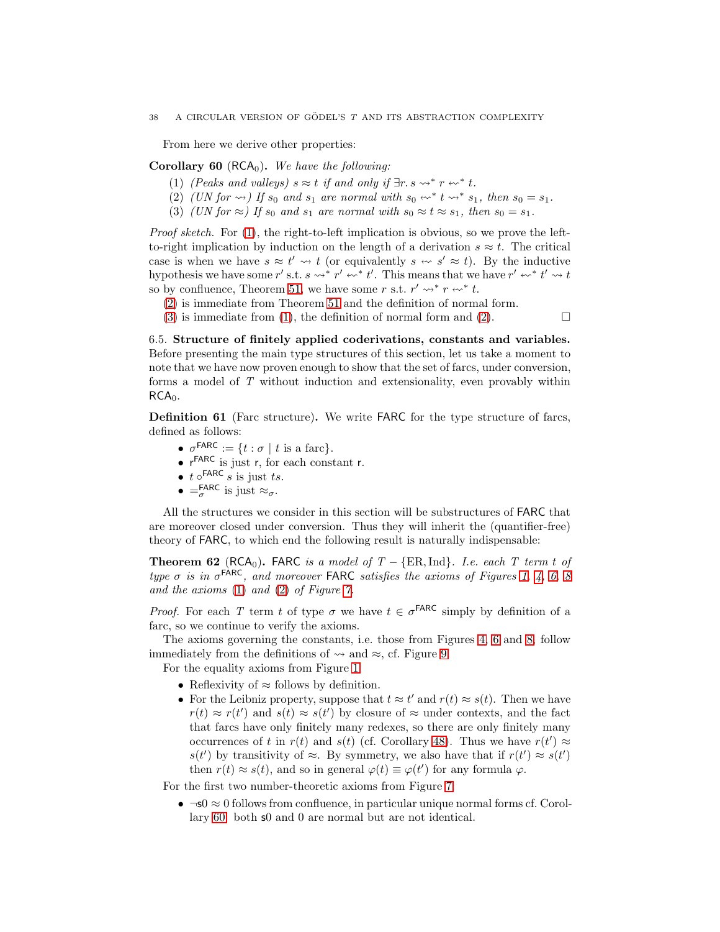From here we derive other properties:

<span id="page-38-3"></span><span id="page-38-0"></span>Corollary 60 (RCA<sub>0</sub>). We have the following:

- <span id="page-38-1"></span>(1) (Peaks and valleys)  $s \approx t$  if and only if  $\exists r. s \leadsto^* r \leftrightarrow^* t$ .
- <span id="page-38-2"></span>(2) (UN for  $\leadsto$ ) If  $s_0$  and  $s_1$  are normal with  $s_0 \leftrightarrow^* t \leftrightarrow^* s_1$ , then  $s_0 = s_1$ .
- (3) (UN for  $\approx$ ) If  $s_0$  and  $s_1$  are normal with  $s_0 \approx t \approx s_1$ , then  $s_0 = s_1$ .

Proof sketch. For [\(1\)](#page-38-0), the right-to-left implication is obvious, so we prove the leftto-right implication by induction on the length of a derivation  $s \approx t$ . The critical case is when we have  $s \approx t' \leadsto t$  (or equivalently  $s \leftrightarrow s' \approx t$ ). By the inductive hypothesis we have some r' s.t.  $s \leadsto^* r' \leftrightarrow^* t'$ . This means that we have  $r' \leftrightarrow^* t' \leadsto t$ so by confluence, Theorem [51,](#page-35-6) we have some r s.t.  $r' \leadsto r \leftrightarrow r' t$ .

- [\(2\)](#page-38-1) is immediate from Theorem [51](#page-35-6) and the definition of normal form.
- [\(3\)](#page-38-2) is immediate from [\(1\)](#page-38-0), the definition of normal form and [\(2\)](#page-38-1).  $\Box$

6.5. Structure of finitely applied coderivations, constants and variables. Before presenting the main type structures of this section, let us take a moment to note that we have now proven enough to show that the set of farcs, under conversion, forms a model of T without induction and extensionality, even provably within  $RCA<sub>0</sub>$ .

Definition 61 (Farc structure). We write FARC for the type structure of farcs, defined as follows:

- $\sigma^{\text{FARC}} := \{ t : \sigma \mid t \text{ is a fare} \}.$
- $r^{FARC}$  is just r, for each constant r.
- $t \circ$ FARC  $s$  is just  $ts$ .
- $=$   $\frac{\text{FARC}}{\sigma}$  is just  $\approx \sigma$ .

All the structures we consider in this section will be substructures of FARC that are moreover closed under conversion. Thus they will inherit the (quantifier-free) theory of FARC, to which end the following result is naturally indispensable:

<span id="page-38-4"></span>**Theorem 62** (RCA<sub>0</sub>). FARC is a model of  $T - \{ER, Ind\}$ . I.e. each T term t of type  $\sigma$  is in  $\sigma^{\text{FARC}}$ , and moreover FARC satisfies the axioms of Figures [1,](#page-6-0) [4,](#page-9-0) [6,](#page-10-0) [8](#page-14-0) and the axioms [\(1\)](#page-10-1) and [\(2\)](#page-10-2) of Figure [7.](#page-10-3)

*Proof.* For each T term t of type  $\sigma$  we have  $t \in \sigma^{\text{FARC}}$  simply by definition of a farc, so we continue to verify the axioms.

The axioms governing the constants, i.e. those from Figures [4,](#page-9-0) [6](#page-10-0) and [8,](#page-14-0) follow immediately from the definitions of  $\rightsquigarrow$  and  $\approx$ , cf. Figure [9.](#page-32-0)

For the equality axioms from Figure [1:](#page-6-0)

- Reflexivity of  $\approx$  follows by definition.
- For the Leibniz property, suppose that  $t \approx t'$  and  $r(t) \approx s(t)$ . Then we have  $r(t) \approx r(t')$  and  $s(t) \approx s(t')$  by closure of  $\approx$  under contexts, and the fact that farcs have only finitely many redexes, so there are only finitely many occurrences of t in  $r(t)$  and  $s(t)$  (cf. Corollary [48\)](#page-34-0). Thus we have  $r(t') \approx$  $s(t')$  by transitivity of  $\approx$ . By symmetry, we also have that if  $r(t') \approx s(t')$ then  $r(t) \approx s(t)$ , and so in general  $\varphi(t) \equiv \varphi(t')$  for any formula  $\varphi$ .

For the first two number-theoretic axioms from Figure [7:](#page-10-3)

•  $\neg$ s0  $\approx$  0 follows from confluence, in particular unique normal forms cf. Corollary [60:](#page-38-3) both s0 and 0 are normal but are not identical.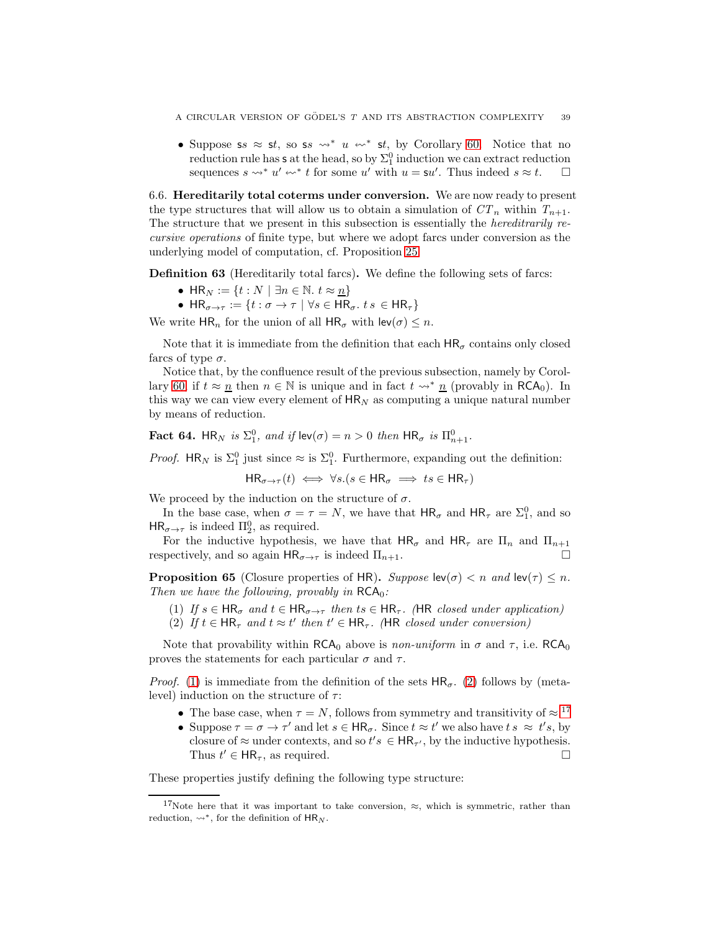• Suppose ss  $\approx$  st, so ss  $\rightsquigarrow^* u \rightsquigarrow^*$  st, by Corollary [60.](#page-38-3) Notice that no reduction rule has s at the head, so by  $\Sigma^0_1$  induction we can extract reduction sequences  $s \leadsto^* u' \leadsto^* t$  for some u' with  $u = \mathsf{s}u'$ . Thus indeed  $s \approx t$ .  $\Box$ 

6.6. Hereditarily total coterms under conversion. We are now ready to present the type structures that will allow us to obtain a simulation of  $CT_n$  within  $T_{n+1}$ . The structure that we present in this subsection is essentially the *hereditrarily re*cursive operations of finite type, but where we adopt farcs under conversion as the underlying model of computation, cf. Proposition [25.](#page-17-0)

Definition 63 (Hereditarily total farcs). We define the following sets of farcs:

- HR<sub>N</sub> := {t : N | ∃n ∈ N. t  $\approx$  <u>n</u>}
- $HR_{\sigma \to \tau} := \{t : \sigma \to \tau \mid \forall s \in HR_{\sigma}, \ t \ s \in HR_{\tau}\}\$

We write  $HR_n$  for the union of all  $HR_\sigma$  with  $lev(\sigma) \leq n$ .

Note that it is immediate from the definition that each  $HR_{\sigma}$  contains only closed farcs of type  $\sigma$ .

Notice that, by the confluence result of the previous subsection, namely by Corol-lary [60,](#page-38-3) if  $t \approx \underline{n}$  then  $n \in \mathbb{N}$  is unique and in fact  $t \leadsto^* \underline{n}$  (provably in RCA<sub>0</sub>). In this way we can view every element of  $HR_N$  as computing a unique natural number by means of reduction.

<span id="page-39-3"></span>**Fact 64.** HR<sub>N</sub> is  $\Sigma_1^0$ , and if  $\text{lev}(\sigma) = n > 0$  then  $\text{HR}_{\sigma}$  is  $\Pi_{n+1}^0$ .

*Proof.* HR<sub>N</sub> is  $\Sigma_1^0$  just since  $\approx$  is  $\Sigma_1^0$ . Furthermore, expanding out the definition:

 $HR_{\sigma \to \tau}(t) \iff \forall s.(s \in HR_{\sigma} \implies ts \in HR_{\tau})$ 

We proceed by the induction on the structure of  $\sigma$ .

In the base case, when  $\sigma = \tau = N$ , we have that  $HR_{\sigma}$  and  $HR_{\tau}$  are  $\Sigma_1^0$ , and so  $HR_{\sigma \to \tau}$  is indeed  $\Pi_2^0$ , as required.

For the inductive hypothesis, we have that  $HR_{\sigma}$  and  $HR_{\tau}$  are  $\Pi_n$  and  $\Pi_{n+1}$ respectively, and so again  $HR_{\sigma \to \tau}$  is indeed  $\Pi_{n+1}$ .

<span id="page-39-4"></span><span id="page-39-0"></span>**Proposition 65** (Closure properties of HR). Suppose  $\text{lev}(\sigma) < n$  and  $\text{lev}(\tau) \leq n$ . Then we have the following, provably in  $RCA_0$ :

- <span id="page-39-1"></span>(1) If  $s \in \mathsf{HR}_{\sigma}$  and  $t \in \mathsf{HR}_{\sigma \to \tau}$  then  $ts \in \mathsf{HR}_{\tau}$ . (HR closed under application)
- (2) If  $t \in \mathsf{HR}_{\tau}$  and  $t \approx t'$  then  $t' \in \mathsf{HR}_{\tau}$ . (HR closed under conversion)

Note that provability within RCA<sub>0</sub> above is non-uniform in  $\sigma$  and  $\tau$ , i.e. RCA<sub>0</sub> proves the statements for each particular  $\sigma$  and  $\tau$ .

*Proof.* [\(1\)](#page-39-0) is immediate from the definition of the sets  $HR_{\sigma}$ . [\(2\)](#page-39-1) follows by (metalevel) induction on the structure of  $\tau$ :

- The base case, when  $\tau = N$ , follows from symmetry and transitivity of  $\approx$ .<sup>[17](#page-39-2)</sup>
- Suppose  $\tau = \sigma \to \tau'$  and let  $s \in \mathsf{HR}_{\sigma}$ . Since  $t \approx t'$  we also have  $ts \approx t's$ , by closure of  $\approx$  under contexts, and so  $t's \in HR_{\tau'}$ , by the inductive hypothesis. Thus  $t' \in \mathsf{HR}_{\tau}$ , as required.

These properties justify defining the following type structure:

<span id="page-39-2"></span><sup>&</sup>lt;sup>17</sup>Note here that it was important to take conversion,  $\approx$ , which is symmetric, rather than reduction,  $\rightsquigarrow^*$ , for the definition of  $HR_N$ .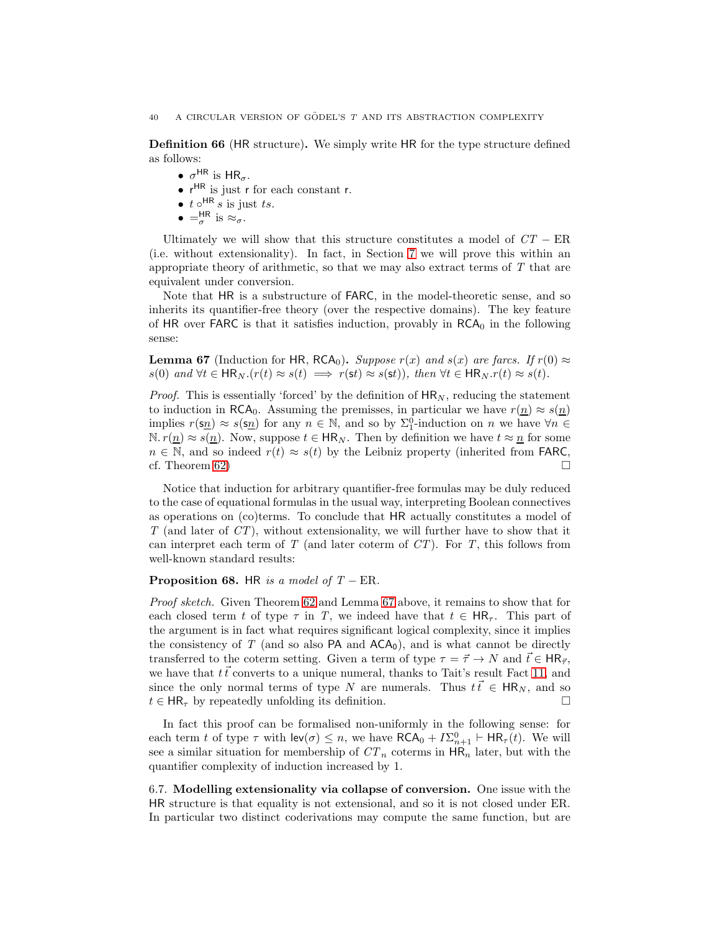Definition 66 (HR structure). We simply write HR for the type structure defined as follows:

- $\sigma^{\text{HR}}$  is  $\text{HR}_{\sigma}$ .
- r<sup>HR</sup> is just r for each constant r.
- $t \circ^{\text{HR}} s$  is just  $ts$ .
- $\bullet$  =  $\frac{\text{HR}}{\sigma}$  is  $\approx_{\sigma}$ .

Ultimately we will show that this structure constitutes a model of  $CT - ER$ (i.e. without extensionality). In fact, in Section [7](#page-42-0) we will prove this within an appropriate theory of arithmetic, so that we may also extract terms of  $T$  that are equivalent under conversion.

Note that HR is a substructure of FARC, in the model-theoretic sense, and so inherits its quantifier-free theory (over the respective domains). The key feature of  $HR$  over  $FARC$  is that it satisfies induction, provably in  $RCA<sub>0</sub>$  in the following sense:

<span id="page-40-0"></span>**Lemma 67** (Induction for HR, RCA<sub>0</sub>). Suppose  $r(x)$  and  $s(x)$  are farcs. If  $r(0) \approx$  $s(0)$  and  $\forall t \in \mathsf{HR}_N$ . $(r(t) \approx s(t) \implies r(st) \approx s(st))$ , then  $\forall t \in \mathsf{HR}_N$ . $r(t) \approx s(t)$ .

*Proof.* This is essentially 'forced' by the definition of  $HR_N$ , reducing the statement to induction in RCA<sub>0</sub>. Assuming the premisses, in particular we have  $r(n) \approx s(n)$ implies  $r(\mathbf{s}_n) \approx s(\mathbf{s}_n)$  for any  $n \in \mathbb{N}$ , and so by  $\Sigma_1^0$ -induction on n we have  $\forall n \in \mathbb{N}$  $\mathbb{N}. r(n) \approx s(n)$ . Now, suppose  $t \in \mathsf{HR}_N$ . Then by definition we have  $t \approx n$  for some  $n \in \mathbb{N}$ , and so indeed  $r(t) \approx s(t)$  by the Leibniz property (inherited from FARC, cf. Theorem [62\)](#page-38-4)  $\Box$ 

Notice that induction for arbitrary quantifier-free formulas may be duly reduced to the case of equational formulas in the usual way, interpreting Boolean connectives as operations on (co)terms. To conclude that HR actually constitutes a model of  $T$  (and later of  $CT$ ), without extensionality, we will further have to show that it can interpret each term of  $T$  (and later coterm of  $CT$ ). For  $T$ , this follows from well-known standard results:

## <span id="page-40-1"></span>**Proposition 68.** HR is a model of  $T$  – ER.

Proof sketch. Given Theorem [62](#page-38-4) and Lemma [67](#page-40-0) above, it remains to show that for each closed term t of type  $\tau$  in T, we indeed have that  $t \in HR_{\tau}$ . This part of the argument is in fact what requires significant logical complexity, since it implies the consistency of T (and so also  $PA$  and  $ACA<sub>0</sub>$ ), and is what cannot be directly transferred to the coterm setting. Given a term of type  $\tau = \vec{\tau} \to N$  and  $\vec{t} \in HR_{\vec{\tau}}$ , we have that  $t\vec{t}$  converts to a unique numeral, thanks to Tait's result Fact [11,](#page-10-4) and since the only normal terms of type N are numerals. Thus  $t\vec{t} \in HR_N$ , and so  $t \in HR_{\tau}$  by repeatedly unfolding its definition.

In fact this proof can be formalised non-uniformly in the following sense: for each term t of type  $\tau$  with  $\mathsf{lev}(\sigma) \leq n$ , we have  $\mathsf{RCA}_0 + I\Sigma_{n+1}^0 \vdash \mathsf{HR}_{\tau}(t)$ . We will see a similar situation for membership of  $CT_n$  coterms in  $HR_n$  later, but with the quantifier complexity of induction increased by 1.

6.7. Modelling extensionality via collapse of conversion. One issue with the HR structure is that equality is not extensional, and so it is not closed under ER. In particular two distinct coderivations may compute the same function, but are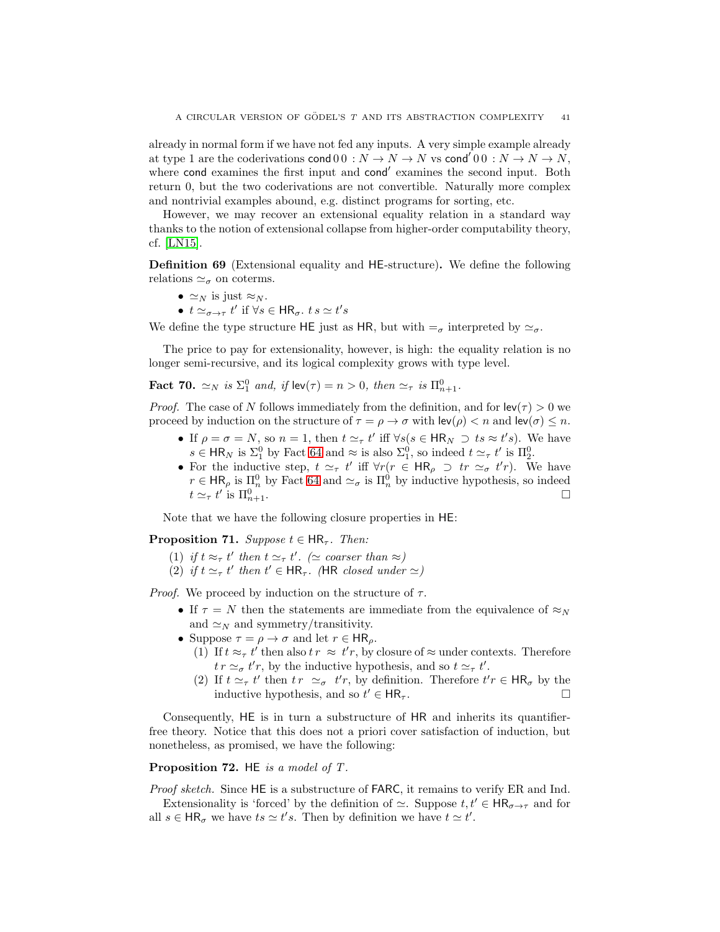already in normal form if we have not fed any inputs. A very simple example already at type 1 are the coderivations  $\text{cond } 0 \cdot 0 : N \to N \to N$  vs  $\text{cond}' 0 \cdot 0 : N \to N \to N$ , where cond examines the first input and cond' examines the second input. Both return 0, but the two coderivations are not convertible. Naturally more complex and nontrivial examples abound, e.g. distinct programs for sorting, etc.

However, we may recover an extensional equality relation in a standard way thanks to the notion of extensional collapse from higher-order computability theory, cf. [\[LN15\]](#page-66-0).

Definition 69 (Extensional equality and HE-structure). We define the following relations  $\simeq_{\sigma}$  on coterms.

- $\simeq_N$  is just  $\approx_N$ .
- $t \simeq_{\sigma \to \tau} t'$  if  $\forall s \in \mathsf{HR}_{\sigma}$ .  $t s \simeq t's$

We define the type structure HE just as HR, but with  $=\sigma$  interpreted by  $\simeq_{\sigma}$ .

The price to pay for extensionality, however, is high: the equality relation is no longer semi-recursive, and its logical complexity grows with type level.

<span id="page-41-1"></span>**Fact 70.**  $\simeq_N$  is  $\Sigma_1^0$  and, if  $\text{lev}(\tau) = n > 0$ , then  $\simeq_\tau$  is  $\Pi_{n+1}^0$ .

*Proof.* The case of N follows immediately from the definition, and for  $\text{lev}(\tau) > 0$  we proceed by induction on the structure of  $\tau = \rho \to \sigma$  with  $\text{lev}(\rho) < n$  and  $\text{lev}(\sigma) \leq n$ .

- If  $\rho = \sigma = N$ , so  $n = 1$ , then  $t \simeq_{\tau} t'$  iff  $\forall s (s \in \mathsf{HR}_N \supset ts \approx t's)$ . We have  $s \in \mathsf{HR}_N$  is  $\Sigma^0_1$  by Fact [64](#page-39-3) and  $\approx$  is also  $\Sigma^0_1$ , so indeed  $t \simeq_\tau t'$  is  $\Pi^0_2$ .
- For the inductive step,  $t \simeq_{\tau} t'$  iff  $\forall r (r \in HR_{\rho} \supset tr \simeq_{\sigma} t'r)$ . We have  $r \in \mathsf{HR}_{\rho}$  is  $\Pi_n^0$  by Fact [64](#page-39-3) and  $\simeq_{\sigma}$  is  $\Pi_n^0$  by inductive hypothesis, so indeed  $t \simeq_\tau t'$  is  $\Pi^0_n$  $\bigcap_{n+1}$ .

Note that we have the following closure properties in HE:

**Proposition 71.** Suppose  $t \in HR_{\tau}$ . Then:

- (1) if  $t \approx_\tau t'$  then  $t \simeq_\tau t'$ . ( $\simeq$  coarser than  $\approx$ )
- (2) if  $t \simeq_{\tau} t'$  then  $t' \in \mathsf{HR}_{\tau}$ . (HR closed under  $\simeq$ )

*Proof.* We proceed by induction on the structure of  $\tau$ .

- If  $\tau = N$  then the statements are immediate from the equivalence of  $\approx_N$ and  $\simeq_N$  and symmetry/transitivity.
- Suppose  $\tau = \rho \rightarrow \sigma$  and let  $r \in HR_{\rho}$ .
	- (1) If  $t \approx_\tau t'$  then also  $t r \approx t' r$ , by closure of  $\approx$  under contexts. Therefore  $tr \simeq_{\sigma} t'r$ , by the inductive hypothesis, and so  $t \simeq_{\tau} t'.$
	- (2) If  $t \simeq_{\tau} t'$  then  $tr \simeq_{\sigma} t'r$ , by definition. Therefore  $t'r \in HR_{\sigma}$  by the inductive hypothesis, and so  $t' \in \mathsf{HR}_{\tau}$ .

Consequently, HE is in turn a substructure of HR and inherits its quantifierfree theory. Notice that this does not a priori cover satisfaction of induction, but nonetheless, as promised, we have the following:

# <span id="page-41-0"></span>**Proposition 72.** HE is a model of  $T$ .

Proof sketch. Since HE is a substructure of FARC, it remains to verify ER and Ind.

Extensionality is 'forced' by the definition of  $\simeq$ . Suppose  $t, t' \in HR_{\sigma \to \tau}$  and for all  $s \in \mathsf{HR}_{\sigma}$  we have  $ts \simeq t's$ . Then by definition we have  $t \simeq t'.$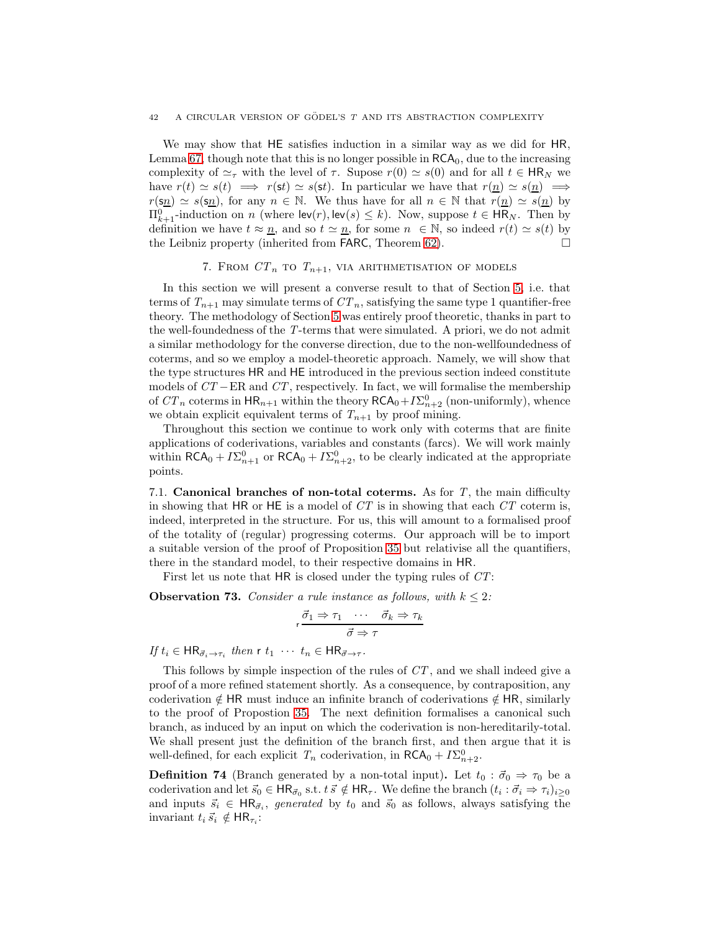We may show that HE satisfies induction in a similar way as we did for HR, Lemma [67,](#page-40-0) though note that this is no longer possible in  $RCA<sub>0</sub>$ , due to the increasing complexity of  $\simeq_\tau$  with the level of  $\tau$ . Supose  $r(0) \simeq s(0)$  and for all  $t \in HR_N$  we have  $r(t) \simeq s(t) \implies r(st) \simeq s(st)$ . In particular we have that  $r(\underline{n}) \simeq s(\underline{n}) \implies$  $r(\mathbf{s}_n) \simeq s(\mathbf{s}_n)$ , for any  $n \in \mathbb{N}$ . We thus have for all  $n \in \mathbb{N}$  that  $r(\underline{n}) \simeq s(\underline{n})$  by  $\Pi_{k+1}^0$ -induction on n (where  $\mathsf{lev}(r)$ ,  $\mathsf{lev}(s) \leq k$ ). Now, suppose  $t \in \mathsf{HR}_N$ . Then by definition we have  $t \approx \underline{n}$ , and so  $t \approx \underline{n}$ , for some  $n \in \mathbb{N}$ , so indeed  $r(t) \approx s(t)$  by the Leibniz property (inherited from FARC, Theorem [62\)](#page-38-4).

# 7. FROM  $CT_n$  to  $T_{n+1}$ , via arithmetisation of models

<span id="page-42-0"></span>In this section we will present a converse result to that of Section [5,](#page-23-0) i.e. that terms of  $T_{n+1}$  may simulate terms of  $CT_n$ , satisfying the same type 1 quantifier-free theory. The methodology of Section [5](#page-23-0) was entirely proof theoretic, thanks in part to the well-foundedness of the T-terms that were simulated. A priori, we do not admit a similar methodology for the converse direction, due to the non-wellfoundedness of coterms, and so we employ a model-theoretic approach. Namely, we will show that the type structures HR and HE introduced in the previous section indeed constitute models of  $CT$  – ER and  $CT$ , respectively. In fact, we will formalise the membership of  $CT_n$  coterms in  $HR_{n+1}$  within the theory  $RCA_0+I\Sigma_{n+2}^0$  (non-uniformly), whence we obtain explicit equivalent terms of  $T_{n+1}$  by proof mining.

Throughout this section we continue to work only with coterms that are finite applications of coderivations, variables and constants (farcs). We will work mainly within  $\mathsf{RCA}_0 + I\Sigma_{n+1}^0$  or  $\mathsf{RCA}_0 + I\Sigma_{n+2}^0$ , to be clearly indicated at the appropriate points.

7.1. Canonical branches of non-total coterms. As for  $T$ , the main difficulty in showing that HR or HE is a model of  $CT$  is in showing that each  $CT$  coterm is, indeed, interpreted in the structure. For us, this will amount to a formalised proof of the totality of (regular) progressing coterms. Our approach will be to import a suitable version of the proof of Proposition [35](#page-19-0) but relativise all the quantifiers, there in the standard model, to their respective domains in HR.

First let us note that HR is closed under the typing rules of  $CT$ :

<span id="page-42-2"></span>**Observation 73.** Consider a rule instance as follows, with  $k \leq 2$ :

$$
\mathsf{r} \frac{\vec{\sigma}_1 \Rightarrow \tau_1 \quad \cdots \quad \vec{\sigma}_k \Rightarrow \tau_k}{\vec{\sigma} \Rightarrow \tau}
$$

If  $t_i \in \mathsf{HR}_{\vec{\sigma}_i \to \tau_i}$  then  $\mathsf{r} \; t_1 \; \cdots \; t_n \in \mathsf{HR}_{\vec{\sigma} \to \tau}$ .

This follows by simple inspection of the rules of  $CT$ , and we shall indeed give a proof of a more refined statement shortly. As a consequence, by contraposition, any coderivation  $\notin$  HR must induce an infinite branch of coderivations  $\notin$  HR, similarly to the proof of Propostion [35.](#page-19-0) The next definition formalises a canonical such branch, as induced by an input on which the coderivation is non-hereditarily-total. We shall present just the definition of the branch first, and then argue that it is well-defined, for each explicit  $T_n$  coderivation, in  $\mathsf{RCA}_0 + I\Sigma^0_{n+2}$ .

<span id="page-42-1"></span>**Definition 74** (Branch generated by a non-total input). Let  $t_0 : \vec{\sigma}_0 \Rightarrow \tau_0$  be a coderivation and let  $\vec{s}_0 \in HR_{\vec{\sigma}_0}$  s.t.  $t \, \vec{s} \notin HR_{\tau}$ . We define the branch  $(t_i : \vec{\sigma}_i \Rightarrow \tau_i)_{i \geq 0}$ and inputs  $\vec{s}_i \in \mathsf{HR}_{\vec{\sigma}_i}$ , generated by  $t_0$  and  $\vec{s}_0$  as follows, always satisfying the invariant  $t_i \vec{s}_i \notin \mathsf{HR}_{\tau_i}$ :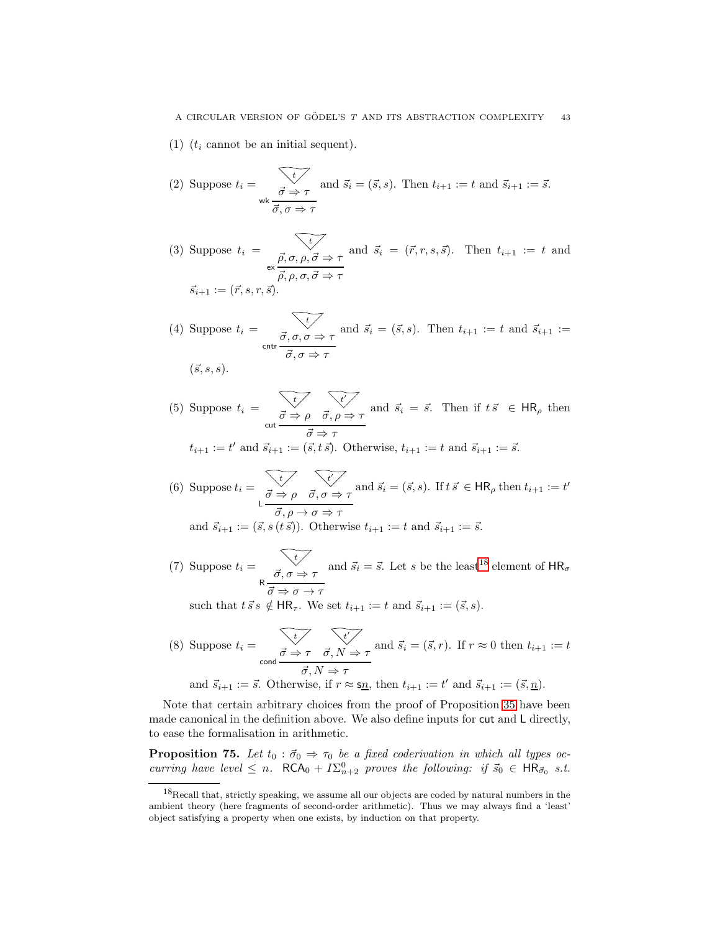<span id="page-43-2"></span><span id="page-43-1"></span>(1)  $(t_i$  cannot be an initial sequent).

(2) Suppose 
$$
t_i = \overrightarrow{\sigma} \Rightarrow \tau
$$
 and  $\vec{s}_i = (\vec{s}, s)$ . Then  $t_{i+1} := t$  and  $\vec{s}_{i+1} := \vec{s}$ .  
\n $\vec{\sigma}, \sigma \Rightarrow \tau$ 

<span id="page-43-3"></span>(3) Suppose  $t_i = \begin{cases} \frac{1}{\sqrt{2}} & \text{if } i \neq j \end{cases}$  $\alpha \propto \frac{\vec{\rho}, \sigma, \rho, \vec{\sigma} \Rightarrow \tau}{\vec{\rho}, \rho, \sigma, \vec{\sigma} \Rightarrow \tau}$ and  $\vec{s}_i = (\vec{r}, r, s, \vec{s})$ . Then  $t_{i+1} := t$  and  $\vec{s}_{i+1} := (\vec{r}, s, r, \vec{s}).$ 

<span id="page-43-4"></span>(4) Suppose 
$$
t_i = \overline{\sigma, \sigma, \sigma \Rightarrow \tau}
$$
 and  $\vec{s}_i = (\vec{s}, s)$ . Then  $t_{i+1} := t$  and  $\vec{s}_{i+1} := \sigma$ .

$$
(\vec{s},s,s).
$$

<span id="page-43-5"></span>(5) Suppose  $t_i = \begin{cases} t_i & \text{if } i \leq 1 \end{cases}$  $\vec{\sigma} \Rightarrow \rho$ t ′  $\frac{\vec{\sigma} \Rightarrow \rho \quad \vec{\sigma}, \rho \Rightarrow \tau}{\vec{\sigma} \Rightarrow \tau}$ and  $\vec{s}_i = \vec{s}$ . Then if  $t \vec{s} \in \mathsf{HR}_{\rho}$  then

$$
t_{i+1} := t'
$$
 and  $\vec{s}_{i+1} := (\vec{s}, t \vec{s})$ . Otherwise,  $t_{i+1} := t$  and  $\vec{s}_{i+1} := \vec{s}$ .

<span id="page-43-6"></span>(6) Suppose 
$$
t_i = \begin{cases} \overrightarrow{t} & \overrightarrow{t'} \\ \overrightarrow{\sigma} \Rightarrow \rho & \overrightarrow{\sigma}, \sigma \Rightarrow \tau \end{cases}
$$
 and  $\overrightarrow{s}_i = (\overrightarrow{s}, s)$ . If  $t \overrightarrow{s} \in \mathsf{HR}_{\rho}$  then  $t_{i+1} := t'$   
and  $\overrightarrow{s}_{i+1} := (\overrightarrow{s}, s(t \overrightarrow{s}))$ . Otherwise  $t_{i+1} := t$  and  $\overrightarrow{s}_{i+1} := \overrightarrow{s}$ .

<span id="page-43-7"></span>(7) Suppose  $t_i = \begin{cases} \frac{t}{\epsilon} & \frac{1}{\epsilon} \\ 0 & \frac{1}{\epsilon} \end{cases}$  $R \frac{\vec{\sigma}, \sigma \Rightarrow \tau}{\vec{\sigma} \Rightarrow \sigma \to \tau}$ and  $\vec{s}_i = \vec{s}$ . Let s be the least<sup>[18](#page-43-0)</sup> element of  $HR_{\sigma}$ 

such that  $t \, \vec{s} \, s \notin \mathsf{HR}_{\tau}$ . We set  $t_{i+1} := t$  and  $\vec{s}_{i+1} := (\vec{s}, s)$ .

<span id="page-43-8"></span>(8) Suppose 
$$
t_i = \underbrace{\overbrace{\overrightarrow{\sigma} \Rightarrow \tau \quad \overrightarrow{\sigma}, N \Rightarrow \tau}}_{\text{cond}} \text{ and } \overrightarrow{s_i} = (\overrightarrow{s}, r)
$$
. If  $r \approx 0$  then  $t_{i+1} := t$   
and  $\overrightarrow{s}_{i+1} := \overrightarrow{s}$ . Otherwise, if  $r \approx \underline{\text{sn}}$ , then  $t_{i+1} := t'$  and  $\overrightarrow{s}_{i+1} := (\overrightarrow{s}, \underline{n})$ .

Note that certain arbitrary choices from the proof of Proposition [35](#page-19-0) have been made canonical in the definition above. We also define inputs for cut and L directly, to ease the formalisation in arithmetic.

<span id="page-43-9"></span>**Proposition 75.** Let  $t_0 : \vec{\sigma}_0 \Rightarrow \tau_0$  be a fixed coderivation in which all types occurring have level  $\leq n$ .  $\mathsf{RCA}_0 + I\Sigma_{n+2}^0$  proves the following: if  $\vec{s}_0 \in \mathsf{HR}_{\vec{\sigma}_0}$  s.t.

<span id="page-43-0"></span> $18$ Recall that, strictly speaking, we assume all our objects are coded by natural numbers in the ambient theory (here fragments of second-order arithmetic). Thus we may always find a 'least' object satisfying a property when one exists, by induction on that property.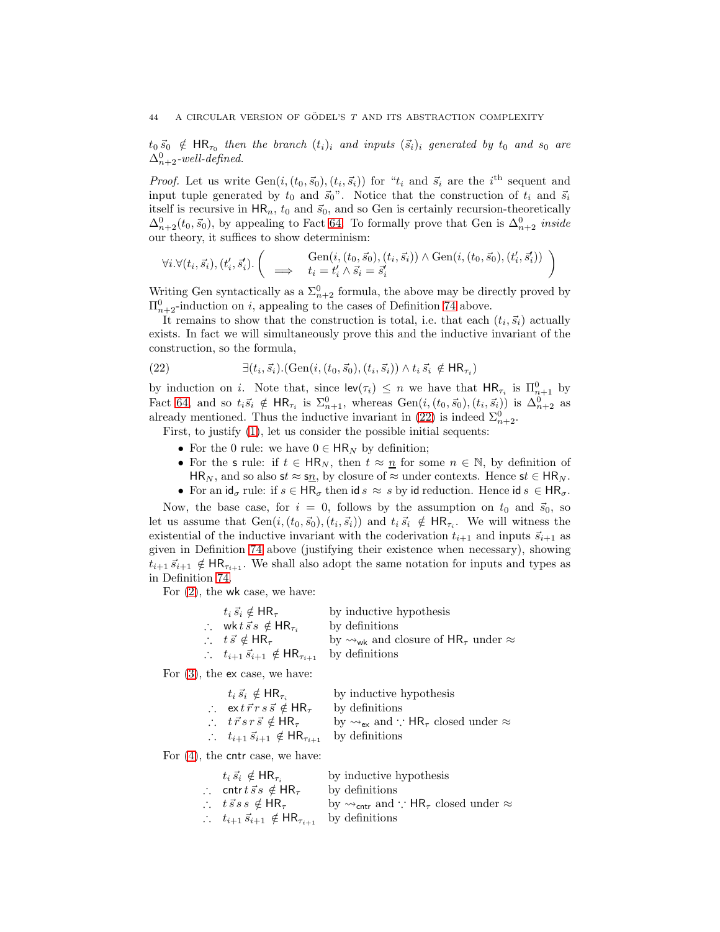$t_0\,\vec{s}_0$   $\notin$  HR<sub> $\tau_0$ </sub> then the branch  $(t_i)_i$  and inputs  $(\vec{s}_i)_i$  generated by  $t_0$  and  $s_0$  are  $\Delta_{n+2}^0$ -well-defined.

*Proof.* Let us write  $Gen(i, (t_0, \vec{s}_0), (t_i, \vec{s}_i))$  for " $t_i$  and  $\vec{s}_i$  are the i<sup>th</sup> sequent and input tuple generated by  $t_0$  and  $\vec{s}_0$ ". Notice that the construction of  $t_i$  and  $\vec{s}_i$ itself is recursive in  $HR_n$ ,  $t_0$  and  $\vec{s}_0$ , and so Gen is certainly recursion-theoretically  $\Delta_{n+2}^0(t_0, \vec{s}_0)$ , by appealing to Fact [64.](#page-39-3) To formally prove that Gen is  $\Delta_{n+2}^0$  inside our theory, it suffices to show determinism:

$$
\forall i. \forall (t_i, \vec{s_i}), (t'_i, \vec{s'_i}). \left( \implies \begin{array}{c} \text{Gen}(i, (t_0, \vec{s}_0), (t_i, \vec{s_i})) \land \text{Gen}(i, (t_0, \vec{s}_0), (t'_i, \vec{s'_i})) \\ \implies t_i = t'_i \land \vec{s_i} = \vec{s'_i} \end{array} \right)
$$

Writing Gen syntactically as a  $\Sigma_{n+2}^0$  formula, the above may be directly proved by  $\Pi_{n+2}^0$ -induction on i, appealing to the cases of Definition [74](#page-42-1) above.

It remains to show that the construction is total, i.e. that each  $(t_i, \vec{s}_i)$  actually exists. In fact we will simultaneously prove this and the inductive invariant of the construction, so the formula,

<span id="page-44-0"></span>(22) 
$$
\exists (t_i, \vec{s_i}). (\text{Gen}(i, (t_0, \vec{s_0}), (t_i, \vec{s_i})) \land t_i \vec{s_i} \notin \mathsf{HR}_{\tau_i})
$$

by induction on *i*. Note that, since  $\mathsf{lev}(\tau_i) \leq n$  we have that  $\mathsf{HR}_{\tau_i}$  is  $\Pi_{n+1}^0$  by Fact [64,](#page-39-3) and so  $t_i\vec{s}_i \notin \mathsf{HR}_{\tau_i}$  is  $\Sigma_{n+1}^0$ , whereas  $Gen(i, (t_0, \vec{s}_0), (t_i, \vec{s}_i))$  is  $\Delta_{n+2}^0$  as already mentioned. Thus the inductive invariant in [\(22\)](#page-44-0) is indeed  $\Sigma_{n+2}^0$ .

First, to justify [\(1\)](#page-43-1), let us consider the possible initial sequents:

- For the 0 rule: we have  $0 \in \mathsf{HR}_N$  by definition;
- For the s rule: if  $t \in HR_N$ , then  $t \approx n$  for some  $n \in \mathbb{N}$ , by definition of HR<sub>N</sub>, and so also st  $\approx$  s<sub>n</sub>, by closure of  $\approx$  under contexts. Hence st  $\in$  HR<sub>N</sub>.
- For an  $id_{\sigma}$  rule: if  $s \in HR_{\sigma}$  then id  $s \approx s$  by id reduction. Hence id  $s \in HR_{\sigma}$ .

Now, the base case, for  $i = 0$ , follows by the assumption on  $t_0$  and  $\vec{s}_0$ , so let us assume that  $Gen(i, (t_0, \vec{s}_0), (t_i, \vec{s}_i))$  and  $t_i \, \vec{s}_i \notin \text{HR}_{\tau_i}$ . We will witness the existential of the inductive invariant with the coderivation  $t_{i+1}$  and inputs  $\vec{s}_{i+1}$  as given in Definition [74](#page-42-1) above (justifying their existence when necessary), showing  $t_{i+1}$   $\vec{s}_{i+1} \notin \text{HR}_{\tau_{i+1}}$ . We shall also adopt the same notation for inputs and types as in Definition [74.](#page-42-1)

For [\(2\)](#page-43-2), the wk case, we have:

| $t_i \vec{s}_i \notin \mathsf{HR}_{\tau}$                              | by inductive hypothesis                                                   |
|------------------------------------------------------------------------|---------------------------------------------------------------------------|
| $\therefore$ wktss $\notin$ HR <sub><math>\tau_i</math></sub>          | by definitions                                                            |
| $\therefore$ $t \vec{s} \notin \mathsf{HR}_{\tau}$                     | by $\rightsquigarrow_{wk}$ and closure of HR <sub>7</sub> under $\approx$ |
| $\therefore$ $t_{i+1}$ $\vec{s}_{i+1} \notin \mathsf{HR}_{\tau_{i+1}}$ | by definitions                                                            |

For [\(3\)](#page-43-3), the ex case, we have:

| $t_i \vec{s}_i \notin \mathsf{HR}_{\tau_i}$                                           | by inductive hypothesis                                                                                     |
|---------------------------------------------------------------------------------------|-------------------------------------------------------------------------------------------------------------|
| $\therefore$ extr $\vec{r}$ rss $\vec{s} \notin \mathsf{HR}_{\tau}$                   | by definitions                                                                                              |
| $\therefore$ $t \vec{r} s r \vec{s} \notin \text{HR}_{\tau}$                          | by $\rightsquigarrow_{\mathsf{ex}}$ and $\therefore$ HR <sub><math>\tau</math></sub> closed under $\approx$ |
| $\therefore$ $t_{i+1}$ $\vec{s}_{i+1}$ $\notin$ HR <sub><math>\tau_{i+1}</math></sub> | by definitions                                                                                              |

For [\(4\)](#page-43-4), the cntr case, we have:

| $t_i \vec{s}_i \notin \mathsf{HR}_{\tau_i}$                            | by inductive hypothesis                                                                                       |
|------------------------------------------------------------------------|---------------------------------------------------------------------------------------------------------------|
| $\therefore$ cntr $t \vec{s} s \notin \mathsf{HR}_{\tau}$              | by definitions                                                                                                |
| $\therefore$ $t \vec{s} s s \notin \text{HR}_{\tau}$                   | by $\rightsquigarrow_{\mathsf{cntr}}$ and $\therefore$ HR <sub><math>\tau</math></sub> closed under $\approx$ |
| $\therefore$ $t_{i+1}$ $\vec{s}_{i+1} \notin \mathsf{HR}_{\tau_{i+1}}$ | by definitions                                                                                                |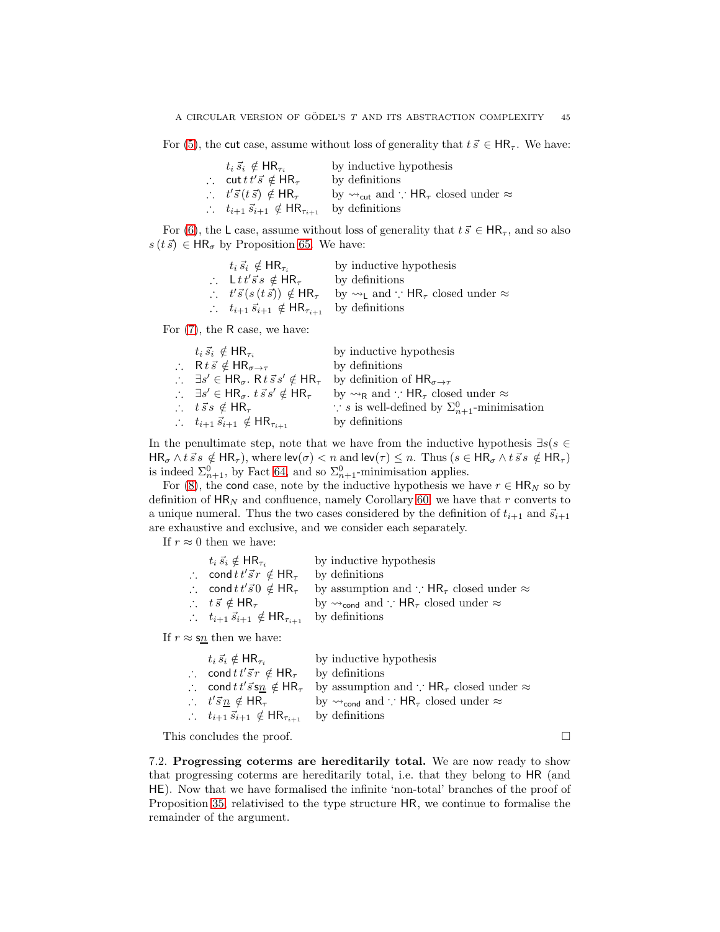For [\(5\)](#page-43-5), the cut case, assume without loss of generality that  $t \, \vec{s} \in HR_\tau$ . We have:

| $t_i \vec{s}_i \notin \mathsf{HR}_{\tau_i}$                            | by inductive hypothesis                                                                                      |
|------------------------------------------------------------------------|--------------------------------------------------------------------------------------------------------------|
| $\therefore$ cut $t\,t'\vec{s} \notin HR_{\tau}$                       | by definitions                                                                                               |
| $\therefore$ $t'\vec{s}(t\vec{s}) \notin HR_{\tau}$                    | by $\rightsquigarrow_{\mathsf{cut}}$ and $\therefore$ HR <sub><math>\tau</math></sub> closed under $\approx$ |
| $\therefore$ $t_{i+1}$ $\vec{s}_{i+1} \notin \mathsf{HR}_{\tau_{i+1}}$ | by definitions                                                                                               |

For [\(6\)](#page-43-6), the L case, assume without loss of generality that  $t \, \vec{s} \in HR_\tau$ , and so also  $s(t \vec{s}) \in HR_{\sigma}$  by Proposition [65.](#page-39-4) We have:

| $t_i \vec{s}_i \notin \mathsf{HR}_{\tau_i}$                            | by inductive hypothesis                                                                         |
|------------------------------------------------------------------------|-------------------------------------------------------------------------------------------------|
| $\therefore$ Ltt's's $\notin$ HR <sub>T</sub>                          | by definitions                                                                                  |
| $\therefore$ $t'\vec{s}(s(t\vec{s})) \notin \mathsf{HR}_{\tau}$        | by $\rightsquigarrow_L$ and $\therefore$ HR <sub><math>\tau</math></sub> closed under $\approx$ |
| $\therefore$ $t_{i+1}$ $\vec{s}_{i+1} \notin \mathsf{HR}_{\tau_{i+1}}$ | by definitions                                                                                  |

For [\(7\)](#page-43-7), the R case, we have:

| $t_i \vec{s}_i \notin \mathsf{HR}_{\tau_i}$                                                     | by inductive hypothesis                                                         |
|-------------------------------------------------------------------------------------------------|---------------------------------------------------------------------------------|
| $\therefore$ R t $\vec{s} \notin HR_{\sigma \to \tau}$                                          | by definitions                                                                  |
| $\therefore$ $\exists s' \in \mathsf{HR}_{\sigma}$ . R $t \vec{s} s' \notin \mathsf{HR}_{\tau}$ | by definition of $HR_{\sigma \rightarrow \tau}$                                 |
| $\therefore$ $\exists s' \in \mathsf{HR}_{\sigma}$ . $t \vec{s} s' \notin \mathsf{HR}_{\tau}$   | by $\rightsquigarrow_R$ and $\therefore$ HR <sub>7</sub> closed under $\approx$ |
| $\therefore$ $t\vec{s}s \notin HR_{\tau}$                                                       | $\therefore$ s is well-defined by $\Sigma_{n+1}^0$ -minimisation                |
| $\therefore$ $t_{i+1} \vec{s}_{i+1} \notin \mathsf{HR}_{\tau_{i+1}}$                            | by definitions                                                                  |

In the penultimate step, note that we have from the inductive hypothesis  $\exists s(s \in \mathbb{R})$  $HR_{\sigma} \wedge t \vec{s} s \notin HR_{\tau}$ , where  $lev(\sigma) < n$  and  $lev(\tau) \leq n$ . Thus  $(s \in HR_{\sigma} \wedge t \vec{s} s \notin HR_{\tau})$ is indeed  $\Sigma_{n+1}^0$ , by Fact [64,](#page-39-3) and so  $\Sigma_{n+1}^0$ -minimisation applies.

For [\(8\)](#page-43-8), the cond case, note by the inductive hypothesis we have  $r \in \mathsf{HR}_N$  so by definition of  $HR_N$  and confluence, namely Corollary [60,](#page-38-3) we have that r converts to a unique numeral. Thus the two cases considered by the definition of  $t_{i+1}$  and  $\vec{s}_{i+1}$ are exhaustive and exclusive, and we consider each separately.

If  $r \approx 0$  then we have:

| $t_i \vec{s}_i \notin \mathsf{HR}_{\tau_i}$                          | by inductive hypothesis                                                                                       |
|----------------------------------------------------------------------|---------------------------------------------------------------------------------------------------------------|
| $\therefore$ cond $t \, t' \vec{s} \, r \notin \mathsf{HR}_{\tau}$   | by definitions                                                                                                |
| $\therefore$ cond $t\,t'\vec{s}$ $\theta \notin HR_{\tau}$           | by assumption and $\cdot$ : HR <sub><math>\tau</math></sub> closed under $\approx$                            |
| $\therefore$ $t \vec{s} \notin \mathsf{HR}_{\tau}$                   | by $\rightsquigarrow_{\mathsf{cond}}$ and $\therefore$ HR <sub><math>\tau</math></sub> closed under $\approx$ |
| $\therefore$ $t_{i+1} \vec{s}_{i+1} \notin \mathsf{HR}_{\tau_{i+1}}$ | by definitions                                                                                                |

If  $r \approx s\underline{n}$  then we have:

| $t_i \vec{s}_i \notin \mathsf{HR}_{\tau_i}$                          | by inductive hypothesis                                                                                       |
|----------------------------------------------------------------------|---------------------------------------------------------------------------------------------------------------|
| $\therefore$ cond $t \, t' \vec{s} \, r \notin \mathsf{HR}_{\tau}$   | by definitions                                                                                                |
| $\therefore$ cond $tt'\vec{s}$ s $n \notin \text{HR}_{\tau}$         | by assumption and $\therefore$ HR <sub><math>\tau</math></sub> closed under $\approx$                         |
| $\therefore$ $t'\vec{s} \cdot n \notin \mathsf{HR}_{\tau}$           | by $\rightsquigarrow_{\mathsf{cond}}$ and $\therefore$ HR <sub><math>\tau</math></sub> closed under $\approx$ |
| $\therefore$ $t_{i+1} \vec{s}_{i+1} \notin \mathsf{HR}_{\tau_{i+1}}$ | by definitions                                                                                                |

This concludes the proof.

7.2. Progressing coterms are hereditarily total. We are now ready to show that progressing coterms are hereditarily total, i.e. that they belong to HR (and HE). Now that we have formalised the infinite 'non-total' branches of the proof of Proposition [35,](#page-19-0) relativised to the type structure HR, we continue to formalise the remainder of the argument.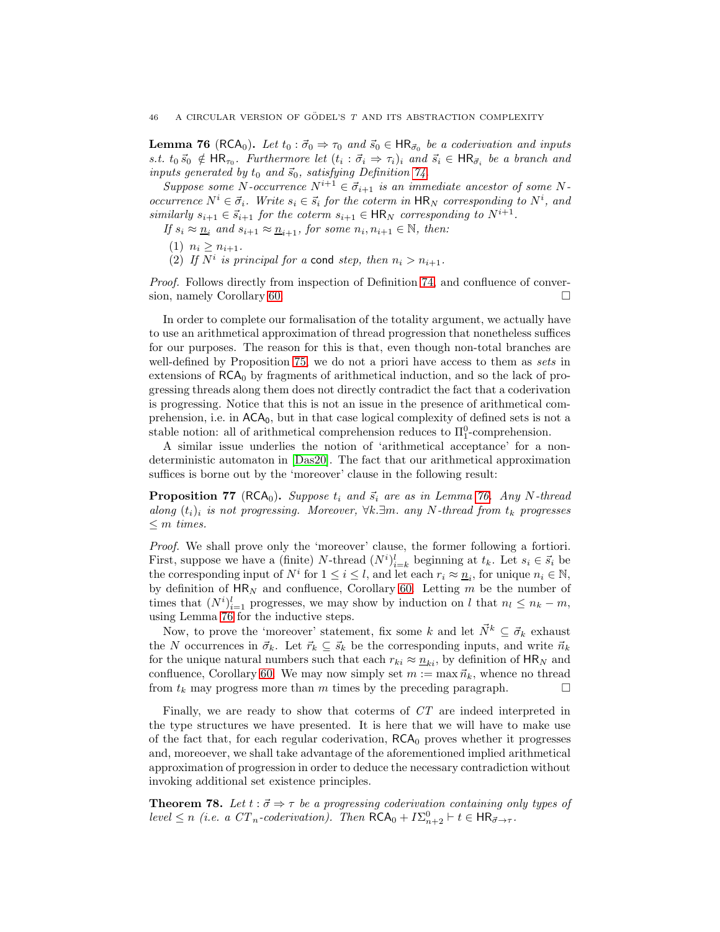<span id="page-46-0"></span>**Lemma 76** (RCA<sub>0</sub>). Let  $t_0 : \vec{\sigma}_0 \Rightarrow \tau_0$  and  $\vec{s}_0 \in \text{HR}_{\vec{\sigma}_0}$  be a coderivation and inputs s.t.  $t_0 \vec{s}_0 \notin \mathsf{HR}_{\tau_0}$ . Furthermore let  $(t_i : \vec{\sigma}_i \Rightarrow \tau_i)_i$  and  $\vec{s}_i \in \mathsf{HR}_{\vec{\sigma}_i}$  be a branch and inputs generated by  $t_0$  and  $\vec{s}_0$ , satisfying Definition [74.](#page-42-1)

Suppose some N-occurrence  $N^{i+1} \in \vec{\sigma}_{i+1}$  is an immediate ancestor of some Noccurrence  $N^i \in \vec{\sigma}_i$ . Write  $s_i \in \vec{s}_i$  for the coterm in  $\mathsf{HR}_N$  corresponding to  $N^i$ , and similarly  $s_{i+1} \in \vec{s}_{i+1}$  for the coterm  $s_{i+1} \in \mathsf{HR}_N$  corresponding to  $N^{i+1}$ .

If  $s_i \approx \underline{n}_i$  and  $s_{i+1} \approx \underline{n}_{i+1}$ , for some  $n_i, n_{i+1} \in \mathbb{N}$ , then:

(1)  $n_i \geq n_{i+1}$ .

(2) If  $N^i$  is principal for a cond step, then  $n_i > n_{i+1}$ .

Proof. Follows directly from inspection of Definition [74,](#page-42-1) and confluence of conver-sion, namely Corollary [60.](#page-38-3)

In order to complete our formalisation of the totality argument, we actually have to use an arithmetical approximation of thread progression that nonetheless suffices for our purposes. The reason for this is that, even though non-total branches are well-defined by Proposition [75,](#page-43-9) we do not a priori have access to them as sets in extensions of  $RCA_0$  by fragments of arithmetical induction, and so the lack of progressing threads along them does not directly contradict the fact that a coderivation is progressing. Notice that this is not an issue in the presence of arithmetical comprehension, i.e. in  $ACA_0$ , but in that case logical complexity of defined sets is not a stable notion: all of arithmetical comprehension reduces to  $\Pi_1^0$ -comprehension.

A similar issue underlies the notion of 'arithmetical acceptance' for a nondeterministic automaton in [\[Das20\]](#page-64-0). The fact that our arithmetical approximation suffices is borne out by the 'moreover' clause in the following result:

<span id="page-46-1"></span>**Proposition 77** (RCA<sub>0</sub>). Suppose  $t_i$  and  $\vec{s}_i$  are as in Lemma [76.](#page-46-0) Any N-thread along  $(t_i)_i$  is not progressing. Moreover,  $\forall k.\exists m.$  any N-thread from  $t_k$  progresses  $\leq m$  times.

Proof. We shall prove only the 'moreover' clause, the former following a fortiori. First, suppose we have a (finite) N-thread  $(N^i)_{i=k}^l$  beginning at  $t_k$ . Let  $s_i \in \vec{s}_i$  be the corresponding input of  $N^i$  for  $1 \leq i \leq l$ , and let each  $r_i \approx \underline{n}_i$ , for unique  $n_i \in \mathbb{N}$ , by definition of  $HR_N$  and confluence, Corollary [60.](#page-38-3) Letting m be the number of times that  $(N^{i})_{i=1}^{l}$  progresses, we may show by induction on l that  $n_{l} \leq n_{k} - m$ , using Lemma [76](#page-46-0) for the inductive steps.

Now, to prove the 'moreover' statement, fix some k and let  $\vec{N}^k \subseteq \vec{\sigma}_k$  exhaust the N occurrences in  $\vec{\sigma}_k$ . Let  $\vec{r}_k \subseteq \vec{s}_k$  be the corresponding inputs, and write  $\vec{n}_k$ for the unique natural numbers such that each  $r_{ki} \approx \underline{n}_{ki}$ , by definition of  $HR_N$  and confluence, Corollary [60.](#page-38-3) We may now simply set  $m := \max \vec{n}_k$ , whence no thread from  $t_k$  may progress more than m times by the preceding paragraph.  $\square$ 

Finally, we are ready to show that coterms of CT are indeed interpreted in the type structures we have presented. It is here that we will have to make use of the fact that, for each regular coderivation,  $RCA_0$  proves whether it progresses and, moreoever, we shall take advantage of the aforementioned implied arithmetical approximation of progression in order to deduce the necessary contradiction without invoking additional set existence principles.

<span id="page-46-2"></span>**Theorem 78.** Let  $t : \vec{\sigma} \Rightarrow \tau$  be a progressing coderivation containing only types of level  $\leq n$  (i.e. a  $CT_n$ -coderivation). Then  $\mathsf{RCA}_0 + I\Sigma_{n+2}^0 \vdash t \in \mathsf{HR}_{\vec{\sigma}\to\tau}$ .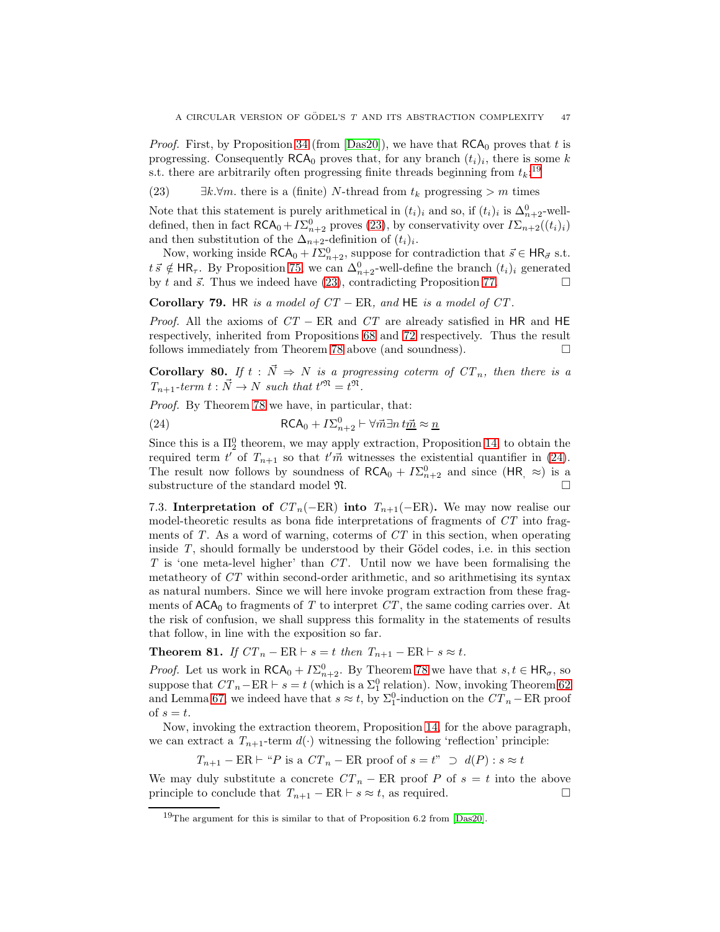*Proof.* First, by Proposition [34](#page-19-1) (from [\[Das20\]](#page-64-0)), we have that  $RCA_0$  proves that t is progressing. Consequently  $RCA_0$  proves that, for any branch  $(t_i)_i$ , there is some k s.t. there are arbitrarily often progressing finite threads beginning from  $t_k$ <sup>[19](#page-47-0)</sup>

<span id="page-47-1"></span>(23)  $\exists k.\forall m.$  there is a (finite) N-thread from  $t_k$  progressing  $>m$  times

Note that this statement is purely arithmetical in  $(t_i)_i$  and so, if  $(t_i)_i$  is  $\Delta_{n+2}^0$ -welldefined, then in fact  $\mathsf{RCA}_0 + I\Sigma_{n+2}^0$  proves [\(23\)](#page-47-1), by conservativity over  $I\Sigma_{n+2}((t_i)_i)$ and then substitution of the  $\Delta_{n+2}$ -definition of  $(t_i)_i$ .

Now, working inside  $\mathsf{RCA}_0 + I\Sigma_{n+2}^0$ , suppose for contradiction that  $\vec{s} \in \mathsf{HR}_{\vec{\sigma}}$  s.t.  $t\,\vec{s} \notin \mathsf{HR}_{\tau}$ . By Proposition [75,](#page-43-9) we can  $\Delta_{n+2}^0$ -well-define the branch  $(t_i)_i$  generated by t and  $\vec{s}$ . Thus we indeed have [\(23\)](#page-47-1), contradicting Proposition [77.](#page-46-1)

Corollary 79. HR is a model of  $CT - ER$ , and HE is a model of  $CT$ .

*Proof.* All the axioms of  $CT$  – ER and  $CT$  are already satisfied in HR and HE respectively, inherited from Propositions [68](#page-40-1) and [72](#page-41-0) respectively. Thus the result follows immediately from Theorem [78](#page-46-2) above (and soundness).  $\Box$ 

Corollary 80. If  $t : \vec{N} \Rightarrow N$  is a progressing coterm of  $CT_n$ , then there is a  $T_{n+1}$ -term  $t : \vec{N} \to N$  such that  $t^{\prime \mathfrak{N}} = t^{\mathfrak{N}}$ .

Proof. By Theorem [78](#page-46-2) we have, in particular, that:

<span id="page-47-2"></span>(24) 
$$
\mathsf{RCA}_0 + I\Sigma_{n+2}^0 \vdash \forall \vec{m} \exists n \operatorname{tr\!} \approx \underline{n}
$$

Since this is a  $\Pi_2^0$  theorem, we may apply extraction, Proposition [14,](#page-11-0) to obtain the required term t' of  $T_{n+1}$  so that  $t'$ m witnesses the existential quantifier in [\(24\)](#page-47-2). The result now follows by soundness of  $RCA_0 + I\Sigma_{n+2}^0$  and since  $(HR, \approx)$  is a substructure of the standard model  $\mathfrak{N}$ .

7.3. Interpretation of  $CT_n(-ER)$  into  $T_{n+1}(-ER)$ . We may now realise our model-theoretic results as bona fide interpretations of fragments of CT into fragments of  $T$ . As a word of warning, coterms of  $CT$  in this section, when operating inside  $T$ , should formally be understood by their Gödel codes, i.e. in this section  $T$  is 'one meta-level higher' than  $CT$ . Until now we have been formalising the metatheory of CT within second-order arithmetic, and so arithmetising its syntax as natural numbers. Since we will here invoke program extraction from these fragments of  $ACA_0$  to fragments of T to interpret CT, the same coding carries over. At the risk of confusion, we shall suppress this formality in the statements of results that follow, in line with the exposition so far.

Theorem 81. If  $CT_n - ER \vdash s = t$  then  $T_{n+1} - ER \vdash s \approx t$ .

*Proof.* Let us work in  $\mathsf{RCA}_0 + I\Sigma_{n+2}^0$ . By Theorem [78](#page-46-2) we have that  $s, t \in \mathsf{HR}_{\sigma}$ , so suppose that  $CT_n$ –ER  $\vdash s = t$  (which is a  $\Sigma^0$  relation). Now, invoking Theorem [62](#page-38-4) and Lemma [67,](#page-40-0) we indeed have that  $s \approx t$ , by  $\Sigma_1^0$ -induction on the  $CT_n - ER$  proof of  $s = t$ .

Now, invoking the extraction theorem, Proposition [14,](#page-11-0) for the above paragraph, we can extract a  $T_{n+1}$ -term  $d(\cdot)$  witnessing the following 'reflection' principle:

 $T_{n+1}$  – ER  $\vdash$  "P is a  $CT_n$  – ER proof of  $s = t$ "  $\supset d(P)$  :  $s \approx t$ 

We may duly substitute a concrete  $CT_n$  – ER proof P of  $s = t$  into the above principle to conclude that  $T_{n+1} - ER \vdash s \approx t$ , as required.

<span id="page-47-0"></span><sup>&</sup>lt;sup>19</sup>The argument for this is similar to that of Proposition 6.2 from [\[Das20\]](#page-64-0).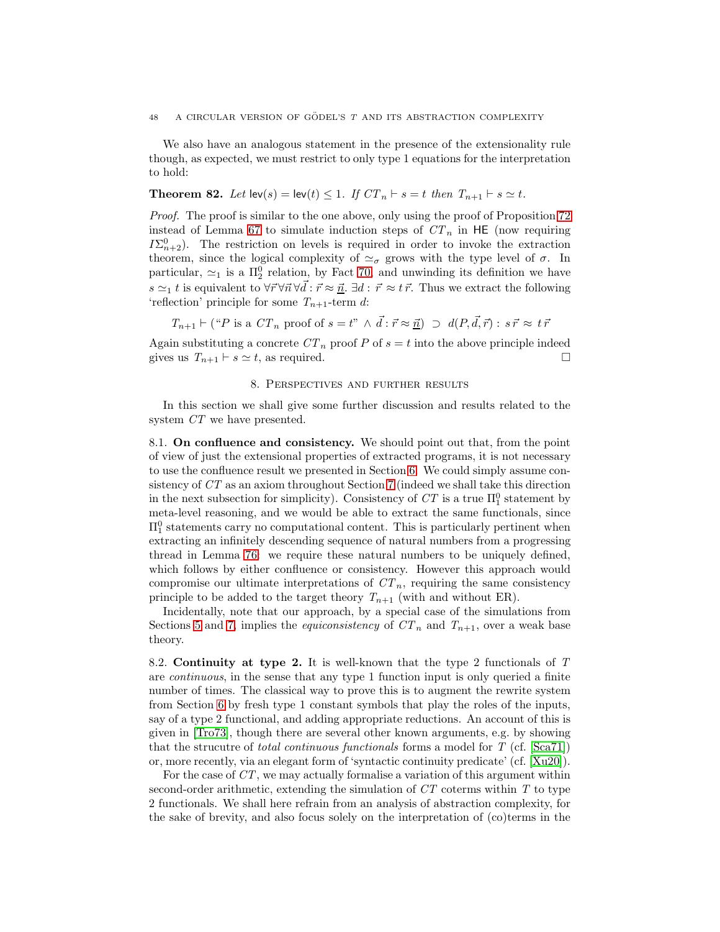We also have an analogous statement in the presence of the extensionality rule though, as expected, we must restrict to only type 1 equations for the interpretation to hold:

# **Theorem 82.** Let  $\text{lev}(s) = \text{lev}(t) \leq 1$ . If  $CT_n \vdash s = t$  then  $T_{n+1} \vdash s \simeq t$ .

Proof. The proof is similar to the one above, only using the proof of Proposition [72](#page-41-0) instead of Lemma [67](#page-40-0) to simulate induction steps of  $CT_n$  in HE (now requiring  $I\Sigma_{n+2}^0$ ). The restriction on levels is required in order to invoke the extraction theorem, since the logical complexity of  $\approx_{\sigma}$  grows with the type level of  $\sigma$ . In particular,  $\simeq_1$  is a  $\Pi_2^0$  relation, by Fact [70,](#page-41-1) and unwinding its definition we have s  $\approx_1 t$  is equivalent to  $\forall \vec{r} \forall \vec{n} \forall \vec{d} : \vec{r} \approx \vec{n}$ .  $\exists d : \vec{r} \approx t \vec{r}$ . Thus we extract the following 'reflection' principle for some  $T_{n+1}$ -term d:

$$
T_{n+1} \vdash ("P \text{ is a } CT_n \text{ proof of } s = t"\ \land \vec{d} : \vec{r} \approx \vec{n}) \supset d(P, \vec{d}, \vec{r}) : s\vec{r} \approx t\vec{r}
$$

Again substituting a concrete  $CT_n$  proof P of  $s = t$  into the above principle indeed gives us  $T_{n+1} \vdash s \simeq t$ , as required.

# 8. Perspectives and further results

In this section we shall give some further discussion and results related to the system  $CT$  we have presented.

8.1. On confluence and consistency. We should point out that, from the point of view of just the extensional properties of extracted programs, it is not necessary to use the confluence result we presented in Section [6.](#page-31-0) We could simply assume consistency of CT as an axiom throughout Section [7](#page-42-0) (indeed we shall take this direction in the next subsection for simplicity). Consistency of  $CT$  is a true  $\Pi_1^0$  statement by meta-level reasoning, and we would be able to extract the same functionals, since  $\Pi_1^0$  statements carry no computational content. This is particularly pertinent when extracting an infinitely descending sequence of natural numbers from a progressing thread in Lemma [76:](#page-46-0) we require these natural numbers to be uniquely defined, which follows by either confluence or consistency. However this approach would compromise our ultimate interpretations of  $CT_n$ , requiring the same consistency principle to be added to the target theory  $T_{n+1}$  (with and without ER).

Incidentally, note that our approach, by a special case of the simulations from Sections [5](#page-23-0) and [7,](#page-42-0) implies the *equiconsistency* of  $CT_n$  and  $T_{n+1}$ , over a weak base theory.

8.2. Continuity at type 2. It is well-known that the type 2 functionals of T are continuous, in the sense that any type 1 function input is only queried a finite number of times. The classical way to prove this is to augment the rewrite system from Section [6](#page-31-0) by fresh type 1 constant symbols that play the roles of the inputs, say of a type 2 functional, and adding appropriate reductions. An account of this is given in [\[Tro73\]](#page-66-1), though there are several other known arguments, e.g. by showing that the strucutre of *total continuous functionals* forms a model for  $T$  (cf. [\[Sca71\]](#page-66-2)) or, more recently, via an elegant form of 'syntactic continuity predicate' (cf. [\[Xu20\]](#page-66-3)).

For the case of CT, we may actually formalise a variation of this argument within second-order arithmetic, extending the simulation of  $CT$  coterms within  $T$  to type 2 functionals. We shall here refrain from an analysis of abstraction complexity, for the sake of brevity, and also focus solely on the interpretation of (co)terms in the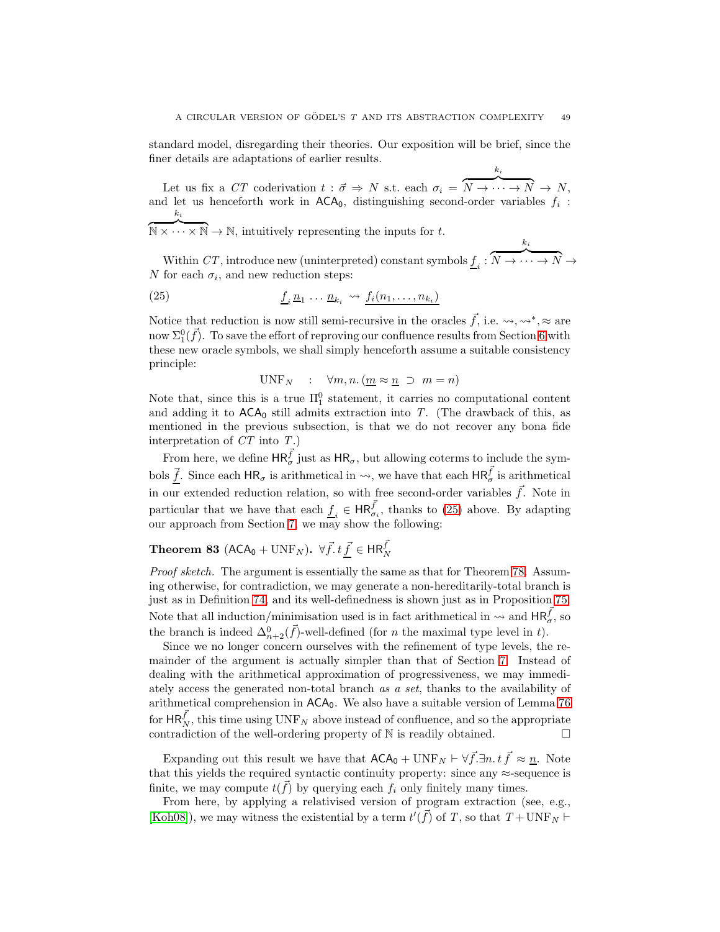standard model, disregarding their theories. Our exposition will be brief, since the finer details are adaptations of earlier results.

Let us fix a  $CT$  coderivation  $t : \vec{\sigma} \Rightarrow N$  s.t. each  $\sigma_i =$  $\scriptstyle k_i$  $\overline{N \to \cdots \to N} \to N,$ and let us henceforth work in  $ACA_0$ , distinguishing second-order variables  $f_i$ : ki

 $\overline{\mathbb{N}\times\cdots\times\mathbb{N}}\to\mathbb{N}$ , intuitively representing the inputs for t.

Within  $CT$ , introduce new (uninterpreted) constant symbols  $\underline{f}_i$ :  $\overline{N \to \cdots \to N} \to$ N for each  $\sigma_i$ , and new reduction steps:

ki

(25) 
$$
\underline{f}_i \underline{n}_1 \cdots \underline{n}_{k_i} \rightsquigarrow \underline{f}_i (n_1, \ldots, n_{k_i})
$$

Notice that reduction is now still semi-recursive in the oracles  $\vec{f}$ , i.e.  $\leadsto, \leadsto^*, \approx$  are now  $\Sigma_1^0(\vec{f})$ . To save the effort of reproving our confluence results from Section [6](#page-31-0) with these new oracle symbols, we shall simply henceforth assume a suitable consistency principle:

<span id="page-49-0"></span>
$$
UNF_N : \forall m, n. (m \approx n \supset m = n)
$$

Note that, since this is a true  $\Pi_1^0$  statement, it carries no computational content and adding it to  $ACA<sub>0</sub>$  still admits extraction into T. (The drawback of this, as mentioned in the previous subsection, is that we do not recover any bona fide interpretation of  $CT$  into  $T$ .)

From here, we define  $HR_{\sigma}^{\vec{f}}$  just as  $HR_{\sigma}$ , but allowing coterms to include the symbols  $\vec{f}$ . Since each  $HR_{\sigma}$  is arithmetical in  $\leadsto$ , we have that each  $HR_{\sigma}^{\vec{f}}$  is arithmetical in our extended reduction relation, so with free second-order variables  $\vec{f}$ . Note in particular that we have that each  $\underline{f}_i \in \text{HR}_{\sigma_i}^{\vec{f}}$ , thanks to [\(25\)](#page-49-0) above. By adapting our approach from Section [7,](#page-42-0) we may show the following:

# Theorem 83 (ACA<sub>0</sub> + UNF<sub>N</sub>).  $\forall \vec{f} \cdot t \vec{\underline{f}} \in \mathsf{HR}_N^{\vec{f}}$

Proof sketch. The argument is essentially the same as that for Theorem [78.](#page-46-2) Assuming otherwise, for contradiction, we may generate a non-hereditarily-total branch is just as in Definition [74,](#page-42-1) and its well-definedness is shown just as in Proposition [75.](#page-43-9) Note that all induction/minimisation used is in fact arithmetical in  $\leadsto$  and  $\text{HR}_{\sigma}^{\vec{f}}$ , so the branch is indeed  $\Delta_{n+2}^0(\vec{f})$ -well-defined (for *n* the maximal type level in *t*).

Since we no longer concern ourselves with the refinement of type levels, the remainder of the argument is actually simpler than that of Section [7.](#page-42-0) Instead of dealing with the arithmetical approximation of progressiveness, we may immediately access the generated non-total branch as a set, thanks to the availability of arithmetical comprehension in ACA0. We also have a suitable version of Lemma [76](#page-46-0) for  $\text{HR}_N^{\vec{f}}$ , this time using  $\text{UNF}_N$  above instead of confluence, and so the appropriate contradiction of the well-ordering property of  $\mathbb N$  is readily obtained.  $\Box$ 

Expanding out this result we have that  $ACA_0 + \text{UNF}_N \vdash \forall \vec{f}.\exists n.t \vec{f} \approx \underline{n}$ . Note that this yields the required syntactic continuity property: since any  $\approx$ -sequence is finite, we may compute  $t(\vec{f})$  by querying each  $f_i$  only finitely many times.

From here, by applying a relativised version of program extraction (see, e.g., [\[Koh08\]](#page-65-0)), we may witness the existential by a term  $t'(\vec{f})$  of T, so that  $T + \text{UNF}_N \vdash$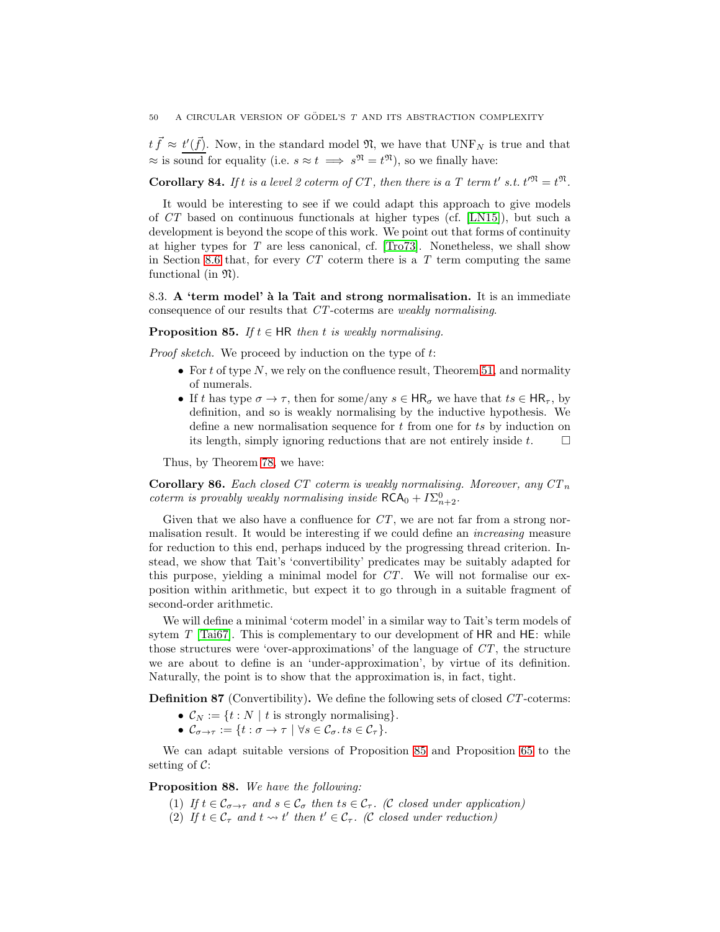$t \vec{f} \approx t'(\vec{f})$ . Now, in the standard model  $\mathfrak{N}$ , we have that  $\text{UNF}_N$  is true and that  $\approx$  is sound for equality (i.e.  $s \approx t \implies s^{\mathfrak{N}} = t^{\mathfrak{N}}$ ), so we finally have:

**Corollary 84.** If t is a level 2 coterm of CT, then there is a T term t' s.t.  $t^{\infty} = t^{\infty}$ .

It would be interesting to see if we could adapt this approach to give models of CT based on continuous functionals at higher types (cf. [\[LN15\]](#page-66-0)), but such a development is beyond the scope of this work. We point out that forms of continuity at higher types for T are less canonical, cf. [\[Tro73\]](#page-66-1). Nonetheless, we shall show in Section [8.6](#page-57-0) that, for every  $CT$  coterm there is a T term computing the same functional (in  $\mathfrak{N}$ ).

8.3. A 'term model' à la Tait and strong normalisation. It is an immediate consequence of our results that CT-coterms are weakly normalising.

<span id="page-50-0"></span>**Proposition 85.** If  $t \in \mathsf{HR}$  then t is weakly normalising.

Proof sketch. We proceed by induction on the type of t:

- For t of type N, we rely on the confluence result, Theorem [51,](#page-35-6) and normality of numerals.
- If t has type  $\sigma \to \tau$ , then for some/any  $s \in HR_{\sigma}$  we have that  $ts \in HR_{\tau}$ , by definition, and so is weakly normalising by the inductive hypothesis. We define a new normalisation sequence for  $t$  from one for  $ts$  by induction on its length, simply ignoring reductions that are not entirely inside  $t$ .  $\Box$

Thus, by Theorem [78,](#page-46-2) we have:

**Corollary 86.** Each closed CT coterm is weakly normalising. Moreover, any  $CT_n$ *coterm is provably weakly normalising inside*  $\mathsf{RCA}_0 + I\Sigma_{n+2}^0$ .

Given that we also have a confluence for  $CT$ , we are not far from a strong normalisation result. It would be interesting if we could define an increasing measure for reduction to this end, perhaps induced by the progressing thread criterion. Instead, we show that Tait's 'convertibility' predicates may be suitably adapted for this purpose, yielding a minimal model for CT. We will not formalise our exposition within arithmetic, but expect it to go through in a suitable fragment of second-order arithmetic.

We will define a minimal 'coterm model' in a similar way to Tait's term models of sytem  $T$  [\[Tai67\]](#page-66-4). This is complementary to our development of HR and HE: while those structures were 'over-approximations' of the language of  $CT$ , the structure we are about to define is an 'under-approximation', by virtue of its definition. Naturally, the point is to show that the approximation is, in fact, tight.

Definition 87 (Convertibility). We define the following sets of closed CT-coterms:

- $\mathcal{C}_N := \{t : N \mid t \text{ is strongly normalising}\}.$
- $\mathcal{C}_{\sigma \to \tau} := \{ t : \sigma \to \tau \mid \forall s \in \mathcal{C}_{\sigma}.$   $ts \in \mathcal{C}_{\tau} \}.$

We can adapt suitable versions of Proposition [85](#page-50-0) and Proposition [65](#page-39-4) to the setting of  $\mathcal{C}$ :

<span id="page-50-3"></span><span id="page-50-2"></span><span id="page-50-1"></span>Proposition 88. We have the following:

- (1) If  $t \in \mathcal{C}_{\sigma \to \tau}$  and  $s \in \mathcal{C}_{\sigma}$  then  $ts \in \mathcal{C}_{\tau}$ . (C closed under application)
- (2) If  $t \in \mathcal{C}_{\tau}$  and  $t \leadsto t'$  then  $t' \in \mathcal{C}_{\tau}$ . (C closed under reduction)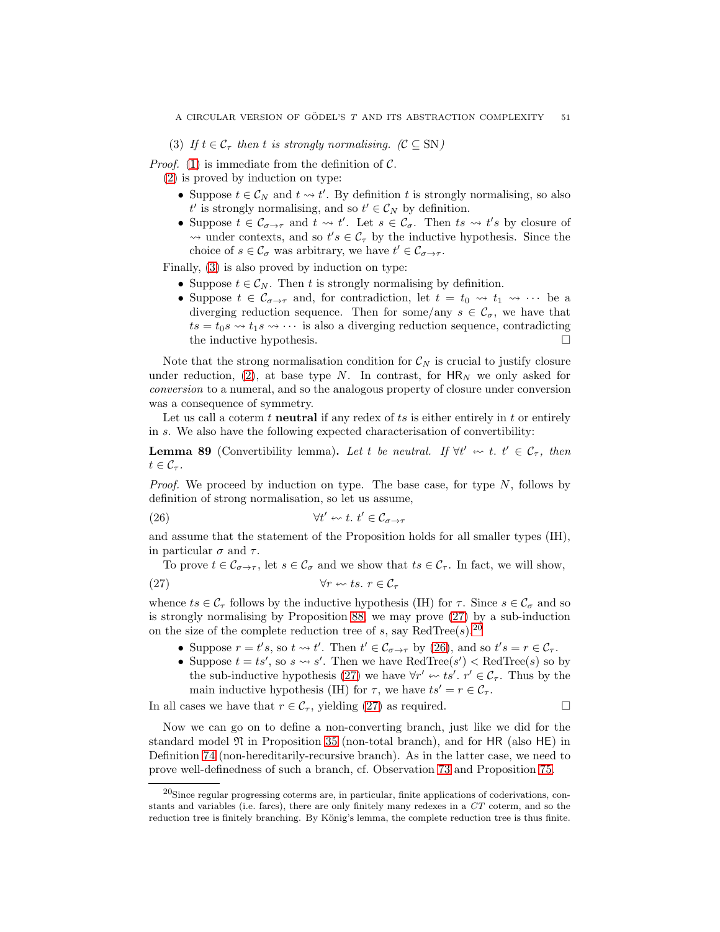<span id="page-51-0"></span>(3) If  $t \in C_{\tau}$  then t is strongly normalising.  $(C \subseteq SN)$ 

*Proof.* [\(1\)](#page-50-1) is immediate from the definition of  $\mathcal{C}$ .

[\(2\)](#page-50-2) is proved by induction on type:

- Suppose  $t \in \mathcal{C}_N$  and  $t \leadsto t'$ . By definition t is strongly normalising, so also  $t'$  is strongly normalising, and so  $t' \in \mathcal{C}_N$  by definition.
- Suppose  $t \in \mathcal{C}_{\sigma \to \tau}$  and  $t \leadsto t'$ . Let  $s \in \mathcal{C}_{\sigma}$ . Then  $ts \leadsto t's$  by closure of  $\rightsquigarrow$  under contexts, and so  $t's \in C_{\tau}$  by the inductive hypothesis. Since the choice of  $s \in \mathcal{C}_{\sigma}$  was arbitrary, we have  $t' \in \mathcal{C}_{\sigma \to \tau}$ .

Finally, [\(3\)](#page-51-0) is also proved by induction on type:

- Suppose  $t \in \mathcal{C}_N$ . Then t is strongly normalising by definition.
- Suppose  $t \in \mathcal{C}_{\sigma \to \tau}$  and, for contradiction, let  $t = t_0 \leadsto t_1 \leadsto \cdots$  be a diverging reduction sequence. Then for some/any  $s \in \mathcal{C}_{\sigma}$ , we have that  $ts = t_0s \rightsquigarrow t_1s \rightsquigarrow \cdots$  is also a diverging reduction sequence, contradicting the inductive hypothesis.

Note that the strong normalisation condition for  $\mathcal{C}_N$  is crucial to justify closure under reduction, [\(2\)](#page-50-2), at base type N. In contrast, for  $HR_N$  we only asked for conversion to a numeral, and so the analogous property of closure under conversion was a consequence of symmetry.

Let us call a coterm  $t$  neutral if any redex of  $ts$  is either entirely in  $t$  or entirely in s. We also have the following expected characterisation of convertibility:

<span id="page-51-4"></span>**Lemma 89** (Convertibility lemma). Let t be neutral. If  $\forall t' \leftrightarrow t$ .  $t' \in C_{\tau}$ , then  $t\in\mathcal{C}_{\tau}$ .

*Proof.* We proceed by induction on type. The base case, for type  $N$ , follows by definition of strong normalisation, so let us assume,

<span id="page-51-3"></span>
$$
(26) \t\t\t \forall t' \leftrightarrow t. \ t' \in \mathcal{C}_{\sigma \to \tau}
$$

and assume that the statement of the Proposition holds for all smaller types (IH), in particular  $\sigma$  and  $\tau$ .

To prove  $t \in \mathcal{C}_{\sigma \to \tau}$ , let  $s \in \mathcal{C}_{\sigma}$  and we show that  $ts \in \mathcal{C}_{\tau}$ . In fact, we will show,

(27) ∀r ts. r ∈ C<sup>τ</sup>

whence  $ts \in \mathcal{C}_{\tau}$  follows by the inductive hypothesis (IH) for  $\tau$ . Since  $s \in \mathcal{C}_{\sigma}$  and so is strongly normalising by Proposition [88,](#page-50-3) we may prove [\(27\)](#page-51-1) by a sub-induction on the size of the complete reduction tree of s, say RedTree $(s)$ .<sup>[20](#page-51-2)</sup>

- <span id="page-51-1"></span>• Suppose  $r = t's$ , so  $t \leadsto t'$ . Then  $t' \in \mathcal{C}_{\sigma \to \tau}$  by [\(26\)](#page-51-3), and so  $t's = r \in \mathcal{C}_{\tau}$ .
- Suppose  $t = ts'$ , so  $s \leadsto s'$ . Then we have  $\text{RedTree}(s') < \text{RedTree}(s)$  so by the sub-inductive hypothesis [\(27\)](#page-51-1) we have  $\forall r' \leftrightarrow ts'$ .  $r' \in C_{\tau}$ . Thus by the main inductive hypothesis (IH) for  $\tau$ , we have  $ts' = r \in C_{\tau}$ .

In all cases we have that  $r \in C_{\tau}$ , yielding [\(27\)](#page-51-1) as required.

Now we can go on to define a non-converting branch, just like we did for the standard model  $\mathfrak N$  in Proposition [35](#page-19-0) (non-total branch), and for HR (also HE) in Definition [74](#page-42-1) (non-hereditarily-recursive branch). As in the latter case, we need to prove well-definedness of such a branch, cf. Observation [73](#page-42-2) and Proposition [75.](#page-43-9)

<span id="page-51-2"></span> $^{20}$ Since regular progressing coterms are, in particular, finite applications of coderivations, constants and variables (i.e. farcs), there are only finitely many redexes in a *CT* coterm, and so the reduction tree is finitely branching. By König's lemma, the complete reduction tree is thus finite.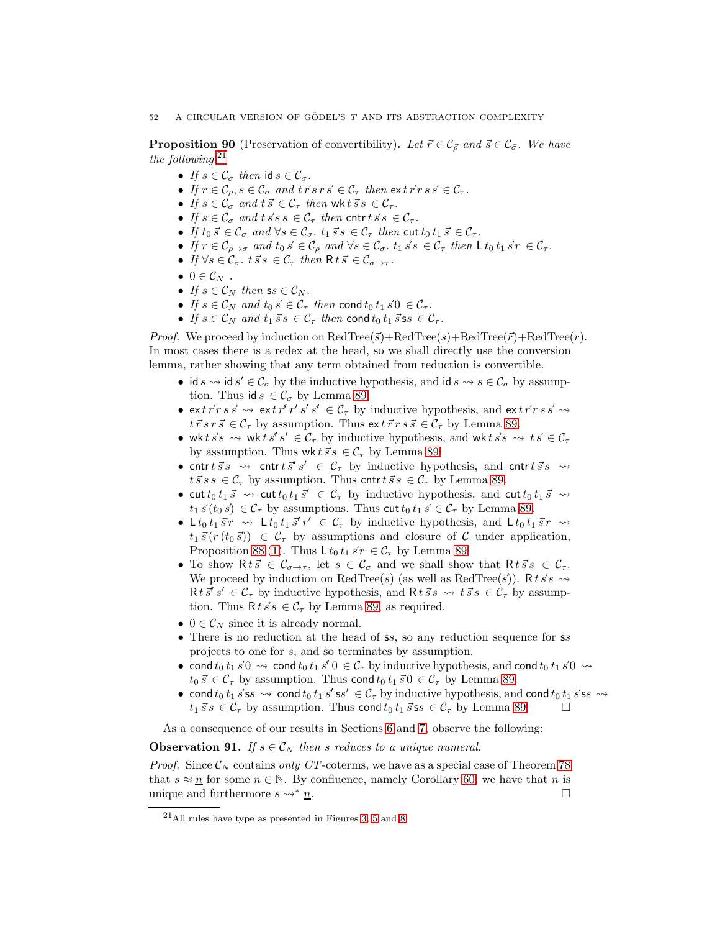<span id="page-52-1"></span>**Proposition 90** (Preservation of convertibility). Let  $\vec{r} \in C_{\vec{\sigma}}$  and  $\vec{s} \in C_{\vec{\sigma}}$ . We have the following: $^{21}$  $^{21}$  $^{21}$ 

- If  $s \in \mathcal{C}_{\sigma}$  then id  $s \in \mathcal{C}_{\sigma}$ .
- If  $r \in \mathcal{C}_o$ ,  $s \in \mathcal{C}_\sigma$  and  $t \, \vec{r} \, s \, \vec{r} \in \mathcal{C}_\tau$  then  $\mathsf{ext} \, \vec{r} \, r \, s \, \vec{s} \in \mathcal{C}_\tau$ .
- If  $s \in \mathcal{C}_{\sigma}$  and  $t \vec{s} \in \mathcal{C}_{\tau}$  then wk  $t \vec{s} s \in \mathcal{C}_{\tau}$ .
- If  $s \in \mathcal{C}_{\sigma}$  and  $t \, \vec{s} \, s \, s \in \mathcal{C}_{\tau}$  then cntrt  $\vec{s} \, s \in \mathcal{C}_{\tau}$ .
- If  $t_0 \vec{s} \in \mathcal{C}_{\sigma}$  and  $\forall s \in \mathcal{C}_{\sigma}$ .  $t_1 \vec{s} s \in \mathcal{C}_{\tau}$  then cut  $t_0 t_1 \vec{s} \in \mathcal{C}_{\tau}$ .
- If  $r \in \mathcal{C}_{\rho \to \sigma}$  and  $t_0 \vec{s} \in \mathcal{C}_{\rho}$  and  $\forall s \in \mathcal{C}_{\sigma}$ .  $t_1 \vec{s} s \in \mathcal{C}_{\tau}$  then  $\mathsf{L} t_0 t_1 \vec{s} r \in \mathcal{C}_{\tau}$ .
- If  $\forall s \in \mathcal{C}_{\sigma}$ ,  $t \vec{s} s \in \mathcal{C}_{\tau}$  then  $R t \vec{s} \in \mathcal{C}_{\sigma \to \tau}$ .
- $\bullet\ 0\in\mathcal{C}_N$ .
- If  $s \in \mathcal{C}_N$  then  $ss \in \mathcal{C}_N$ .
- If  $s \in \mathcal{C}_N$  and  $t_0 \, \vec{s} \in \mathcal{C}_\tau$  then cond  $t_0 \, t_1 \, \vec{s} \, 0 \in \mathcal{C}_\tau$ .
- If  $s \in \mathcal{C}_N$  and  $t_1 \vec{s} s \in \mathcal{C}_\tau$  then cond  $t_0 t_1 \vec{s} s s \in \mathcal{C}_\tau$ .

*Proof.* We proceed by induction on  $\text{RedTree}(\vec{s})+\text{RedTree}(s)+\text{RedTree}(\vec{r})+\text{RedTree}(r)$ . In most cases there is a redex at the head, so we shall directly use the conversion lemma, rather showing that any term obtained from reduction is convertible.

- id  $s \leadsto$  id  $s' \in \mathcal{C}_{\sigma}$  by the inductive hypothesis, and id  $s \leadsto s \in \mathcal{C}_{\sigma}$  by assumption. Thus id  $s \in \mathcal{C}_{\sigma}$  by Lemma [89.](#page-51-4)
- ex  $t \, \vec{r} \, r s \, \vec{s} \rightsquigarrow$  ex  $t \, \vec{r}' \, r' s' \, \vec{s}' \in \mathcal{C}_{\tau}$  by inductive hypothesis, and ex  $t \, \vec{r} \, r s \, \vec{s} \rightsquigarrow$  $t \, \vec{r} \, s \, r \, \vec{s} \in \mathcal{C}_{\tau}$  by assumption. Thus  $\mathsf{ext} \, \vec{r} \, r \, s \, \vec{s} \in \mathcal{C}_{\tau}$  by Lemma [89.](#page-51-4)
- wk  $t \, \vec{s} \, s \leadsto$  wk  $t \, \vec{s}' \, s' \in C_\tau$  by inductive hypothesis, and wk  $t \, \vec{s} \, s \leadsto t \, \vec{s} \in C_\tau$ by assumption. Thus wk  $t \overline{s} s \in C_{\tau}$  by Lemma [89.](#page-51-4)
- cntr  $t\vec{s}s \rightsquigarrow$  cntr  $t\vec{s}'s' \in C_{\tau}$  by inductive hypothesis, and cntr  $t\vec{s}s \rightsquigarrow$  $t\,\vec{s}\,s\,s \in \mathcal{C}_{\tau}$  by assumption. Thus cntr $t\,\vec{s}\,s \in \mathcal{C}_{\tau}$  by Lemma [89.](#page-51-4)
- cut  $t_0 t_1 \vec{s} \leadsto$  cut  $t_0 t_1 \vec{s}' \in C_\tau$  by inductive hypothesis, and cut  $t_0 t_1 \vec{s} \leadsto$  $t_1 ~\vec{s}~ (t_0 ~\vec{s}) \in C_\tau$  by assumptions. Thus cut  $t_0 ~t_1 ~\vec{s}~ \in C_\tau$  by Lemma [89.](#page-51-4)
- L  $t_0 t_1 \vec{s} r \rightarrow$  L  $t_0 t_1 \vec{s} r' \in C_\tau$  by inductive hypothesis, and L  $t_0 t_1 \vec{s} r \rightarrow$  $t_1 \vec{s} (r (t_0 \vec{s})) \in C_{\tau}$  by assumptions and closure of C under application, Proposition [88.](#page-50-3)[\(1\)](#page-50-1). Thus  $L t_0 t_1 \vec{s} r \in C_\tau$  by Lemma [89.](#page-51-4)
- To show R  $t\vec{s} \in \mathcal{C}_{\sigma \to \tau}$ , let  $s \in \mathcal{C}_{\sigma}$  and we shall show that R  $t\vec{s} s \in \mathcal{C}_{\tau}$ . We proceed by induction on RedTree(s) (as well as RedTree( $\vec{s}$ ). R t  $\vec{s}$  s  $\rightsquigarrow$  $R t \vec{s}' s' \in C_\tau$  by inductive hypothesis, and  $R t \vec{s} s \leadsto t \vec{s} s \in C_\tau$  by assumption. Thus  $R t \vec{s} s \in C_{\tau}$  by Lemma [89,](#page-51-4) as required.
- $0 \in \mathcal{C}_N$  since it is already normal.
- There is no reduction at the head of ss, so any reduction sequence for ss projects to one for s, and so terminates by assumption.
- cond  $t_0 t_1 \vec{s}$   $\rightsquigarrow$  cond  $t_0 t_1 \vec{s}'$   $0 \in C_\tau$  by inductive hypothesis, and cond  $t_0 t_1 \vec{s}$   $\rightsquigarrow$  $t_0 \vec{s} \in \mathcal{C}_{\tau}$  by assumption. Thus cond  $t_0 t_1 \vec{s}$   $\in \mathcal{C}_{\tau}$  by Lemma [89.](#page-51-4)
- cond  $t_0 t_1 \vec{s}$  is  $\leadsto$  cond  $t_0 t_1 \vec{s}'$  is  $\in C_\tau$  by inductive hypothesis, and cond  $t_0 t_1 \vec{s}$  is  $\leadsto$  $t_1 \vec{s} s \in C_\tau$  by assumption. Thus cond  $t_0 t_1 \vec{s} s s \in C_\tau$  by Lemma [89.](#page-51-4)

As a consequence of our results in Sections [6](#page-31-0) and [7,](#page-42-0) observe the following:

<span id="page-52-2"></span>**Observation 91.** If  $s \in \mathcal{C}_N$  then s reduces to a unique numeral.

*Proof.* Since  $\mathcal{C}_N$  contains only CT-coterms, we have as a special case of Theorem [78](#page-46-2) that  $s \approx n$  for some  $n \in \mathbb{N}$ . By confluence, namely Corollary [60,](#page-38-3) we have that n is unique and furthermore  $s \leadsto^* \underline{n}$ .

<span id="page-52-0"></span><sup>21</sup>All rules have type as presented in Figures [3,](#page-7-0) [5](#page-10-5) and [8.](#page-14-0)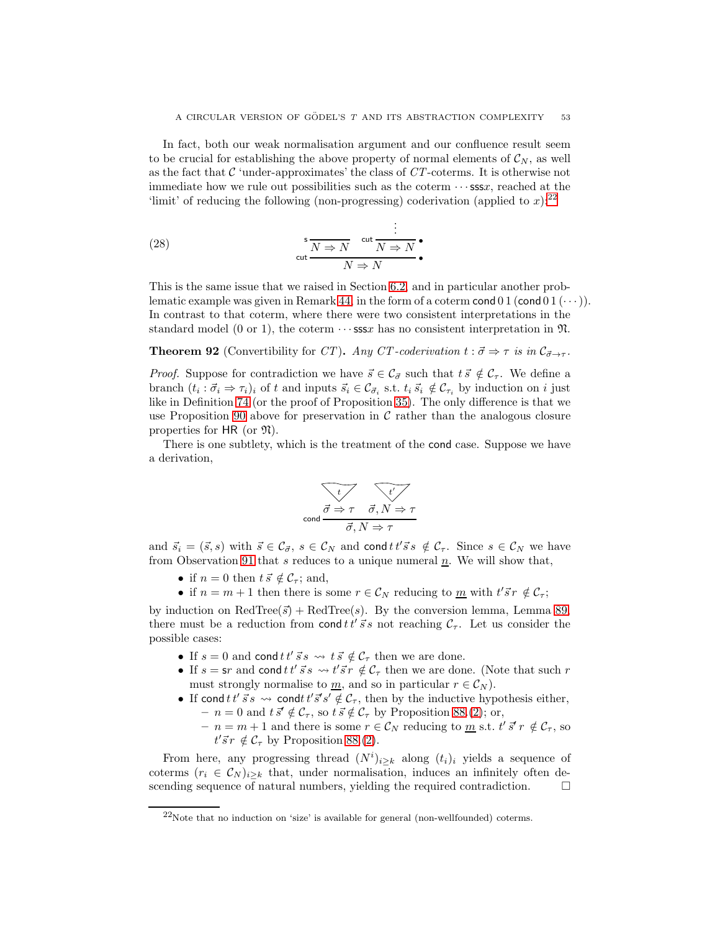In fact, both our weak normalisation argument and our confluence result seem to be crucial for establishing the above property of normal elements of  $\mathcal{C}_N$ , as well as the fact that  $C$  'under-approximates' the class of  $CT$ -coterms. It is otherwise not immediate how we rule out possibilities such as the coterm  $\cdots$  sssx, reached at the 'limit' of reducing the following (non-progressing) coderivation (applied to  $x$ ):<sup>[22](#page-53-0)</sup>

(28) 
$$
\frac{\mathsf{s}}{\mathsf{cut}} \frac{N \Rightarrow N}{N \Rightarrow N} \cdot \frac{\mathsf{cut}}{N \Rightarrow N} \cdot
$$

This is the same issue that we raised in Section [6.2,](#page-32-1) and in particular another prob-lematic example was given in Remark [44,](#page-33-0) in the form of a coterm cond 0 1 (cond 0 1  $(\cdots)$ ). In contrast to that coterm, where there were two consistent interpretations in the standard model (0 or 1), the coterm  $\cdots$  sssx has no consistent interpretation in  $\mathfrak{N}$ .

<span id="page-53-1"></span>.

**Theorem 92** (Convertibility for CT). Any CT-coderivation  $t : \vec{\sigma} \Rightarrow \tau$  is in  $C_{\vec{\sigma} \to \tau}$ .

*Proof.* Suppose for contradiction we have  $\vec{s} \in C_{\vec{\sigma}}$  such that  $t \vec{s} \notin C_{\tau}$ . We define a branch  $(t_i : \vec{\sigma}_i \Rightarrow \tau_i)_i$  of t and inputs  $\vec{s}_i \in C_{\vec{\sigma}_i}$  s.t.  $t_i \vec{s}_i \notin C_{\tau_i}$  by induction on i just like in Definition [74](#page-42-1) (or the proof of Proposition [35\)](#page-19-0). The only difference is that we use Proposition [90](#page-52-1) above for preservation in  $\mathcal C$  rather than the analogous closure properties for HR (or  $\mathfrak{N}$ ).

There is one subtlety, which is the treatment of the cond case. Suppose we have a derivation,

$$
\overbrace{\text{cond}}^{\overbrace{\sigma \Rightarrow \tau} \quad \overbrace{\sigma, N \Rightarrow \tau}}^{\overbrace{\tau'}}
$$

and  $\vec{s}_i = (\vec{s}, s)$  with  $\vec{s} \in C_{\vec{\sigma}}, s \in C_N$  and cond  $t \, t' \, \vec{s} \, s \notin C_\tau$ . Since  $s \in C_N$  we have from Observation [91](#page-52-2) that s reduces to a unique numeral  $\underline{n}$ . We will show that,

- if  $n = 0$  then  $t \, \vec{s} \notin \mathcal{C}_{\tau}$ ; and,
- if  $n = m + 1$  then there is some  $r \in \mathcal{C}_N$  reducing to  $\underline{m}$  with  $t' \vec{s} r \notin \mathcal{C}_\tau$ ;

by induction on  $\text{RedTree}(\vec{s}) + \text{RedTree}(s)$ . By the conversion lemma, Lemma [89,](#page-51-4) there must be a reduction from cond  $t t' \vec{s} s$  not reaching  $C_{\tau}$ . Let us consider the possible cases:

- If  $s = 0$  and cond  $t t' \vec{s} s \leadsto t \vec{s} \notin C_{\tau}$  then we are done.
- If  $s = \text{sr}$  and cond  $tt'$   $\vec{s}$  s  $\sim t' \vec{s}$  r  $\notin C_{\tau}$  then we are done. (Note that such r must strongly normalise to  $\underline{m}$ , and so in particular  $r \in \mathcal{C}_N$ .
- If cond  $t t' \vec{s} s \leadsto \text{cond } t' \vec{s}' s' \notin \mathcal{C}_{\tau}$ , then by the inductive hypothesis either,  $- n = 0$  and  $t \bar{s}' \notin C_{\tau}$ , so  $t \bar{s} \notin C_{\tau}$  by Proposition [88.](#page-50-3)[\(2\)](#page-50-2); or,
	- $n = m + 1$  and there is some  $r \in \mathcal{C}_N$  reducing to  $\underline{m}$  s.t.  $t' \overline{s}' r \notin \mathcal{C}_{\tau}$ , so  $t'\vec{s}r \notin \mathcal{C}_{\tau}$  by Proposition [88.](#page-50-3)[\(2\)](#page-50-2).

From here, any progressing thread  $(N^{i})_{i\geq k}$  along  $(t_{i})_{i}$  yields a sequence of coterms  $(r_i \in C_N)_{i\geq k}$  that, under normalisation, induces an infinitely often descending sequence of natural numbers, yielding the required contradiction.  $\Box$ 

<span id="page-53-0"></span> $22$ Note that no induction on 'size' is available for general (non-wellfounded) coterms.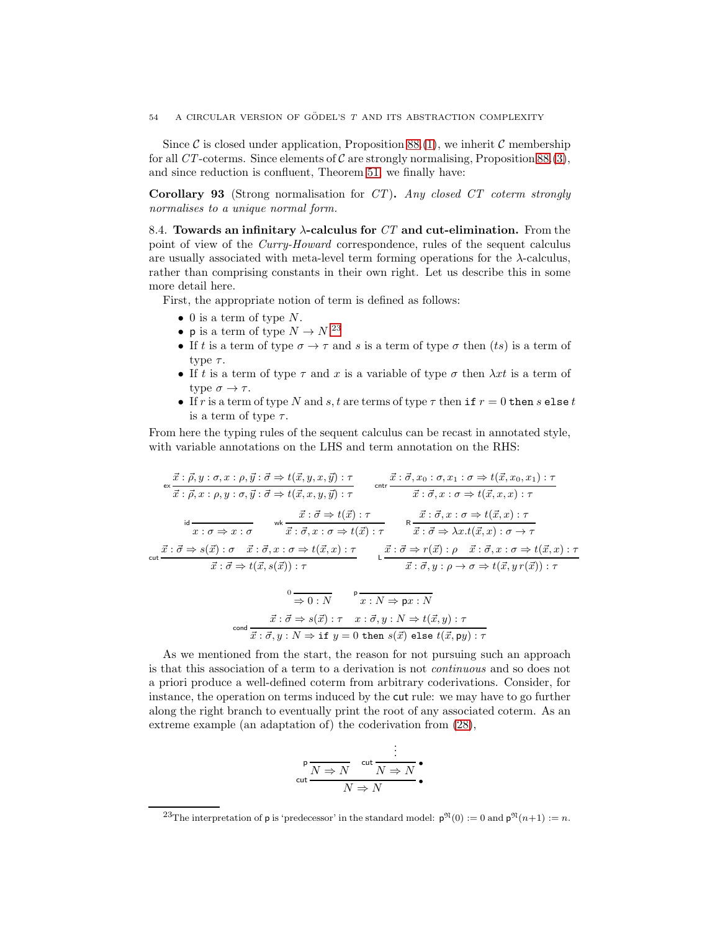Since C is closed under application, Proposition [88.](#page-50-3)[\(1\)](#page-50-1), we inherit C membership for all CT-coterms. Since elements of C are strongly normalising, Proposition [88.](#page-50-3)[\(3\)](#page-51-0), and since reduction is confluent, Theorem [51,](#page-35-6) we finally have:

Corollary 93 (Strong normalisation for CT). Any closed CT coterm strongly normalises to a unique normal form.

8.4. Towards an infinitary  $\lambda$ -calculus for CT and cut-elimination. From the point of view of the Curry-Howard correspondence, rules of the sequent calculus are usually associated with meta-level term forming operations for the  $\lambda$ -calculus, rather than comprising constants in their own right. Let us describe this in some more detail here.

First, the appropriate notion of term is defined as follows:

- $\bullet$  0 is a term of type N.
- p is a term of type  $N \to N$ .<sup>[23](#page-54-0)</sup>
- If t is a term of type  $\sigma \to \tau$  and s is a term of type  $\sigma$  then (ts) is a term of type  $\tau$ .
- If t is a term of type  $\tau$  and x is a variable of type  $\sigma$  then  $\lambda xt$  is a term of type  $\sigma \to \tau$ .
- If r is a term of type N and s, t are terms of type  $\tau$  then if  $r = 0$  then s else t is a term of type  $\tau$ .

From here the typing rules of the sequent calculus can be recast in annotated style, with variable annotations on the LHS and term annotation on the RHS:

$$
\overrightarrow{x} : \overrightarrow{\beta}, y : \sigma, x : \rho, \overrightarrow{y} : \overrightarrow{\sigma} \Rightarrow t(\overrightarrow{x}, y, x, \overrightarrow{y}) : \tau
$$
\n
$$
\overrightarrow{x} : \overrightarrow{\beta}, x : \rho, y : \sigma, \overrightarrow{y} : \overrightarrow{\sigma} \Rightarrow t(\overrightarrow{x}, x, y, \overrightarrow{y}) : \tau
$$
\n
$$
\overrightarrow{x} : \overrightarrow{\sigma}, x : \sigma \Rightarrow t(\overrightarrow{x}, x, y, \overrightarrow{y}) : \tau
$$
\n
$$
\overrightarrow{x} : \overrightarrow{\sigma} \Rightarrow t(\overrightarrow{x}) : \tau
$$
\n
$$
\overrightarrow{x} : \overrightarrow{\sigma} \Rightarrow t(\overrightarrow{x}) : \tau
$$
\n
$$
\overrightarrow{x} : \overrightarrow{\sigma} \Rightarrow t(\overrightarrow{x}) : \tau
$$
\n
$$
\overrightarrow{x} : \overrightarrow{\sigma} \Rightarrow t(\overrightarrow{x}) : \tau
$$
\n
$$
\overrightarrow{x} : \overrightarrow{\sigma} \Rightarrow s(\overrightarrow{x}) : \sigma \Rightarrow \overrightarrow{x} : \overrightarrow{\sigma}, x : \sigma \Rightarrow t(\overrightarrow{x}) : \tau
$$
\n
$$
\overrightarrow{x} : \overrightarrow{\sigma} \Rightarrow s(\overrightarrow{x}) : \sigma \Rightarrow t(\overrightarrow{x}, x) : \tau
$$
\n
$$
\overrightarrow{x} : \overrightarrow{\sigma} \Rightarrow t(\overrightarrow{x}, s(\overrightarrow{x})) : \tau
$$
\n
$$
\overrightarrow{x} : \overrightarrow{\sigma} \Rightarrow t(\overrightarrow{x}, s(\overrightarrow{x})) : \tau
$$
\n
$$
\overrightarrow{x} : \overrightarrow{\sigma} \Rightarrow s(\overrightarrow{x}) : \tau
$$
\n
$$
\overrightarrow{x} : \overrightarrow{y} : N \Rightarrow px : N
$$
\n
$$
\overrightarrow{x} : \overrightarrow{\sigma} \Rightarrow s(\overrightarrow{x}) : \tau \Rightarrow t(\overrightarrow{x}, y) : \tau
$$
\n
$$
\overrightarrow{x} : \overrightarrow{\sigma} \Rightarrow s(\overrightarrow{x}) : \tau \Rightarrow t(\overrightarrow{x}, y) : \tau
$$
\n
$$
\overrightarrow{x} : \overrightarrow{\sigma} \Rightarrow s(\overrightarrow{x}) : \tau \Rightarrow t(\overrightarrow{x}, y) : \tau
$$
\n
$$
\overrightarrow{x} : \overrightarrow{\sigma} \Rightarrow s(\overrightarrow{x}) : \tau \Rightarrow t(\overrightarrow{x}, y) : \tau
$$

As we mentioned from the start, the reason for not pursuing such an approach is that this association of a term to a derivation is not continuous and so does not a priori produce a well-defined coterm from arbitrary coderivations. Consider, for instance, the operation on terms induced by the cut rule: we may have to go further along the right branch to eventually print the root of any associated coterm. As an extreme example (an adaptation of) the coderivation from [\(28\)](#page-53-1),

$$
\frac{\mathsf{P}}{\mathsf{cut}} \frac{\overbrace{N \Rightarrow N}^{\mathsf{cut}} \frac{\mathsf{cut}}{N \Rightarrow N}}{\overbrace{N \Rightarrow N}^{\bullet}}
$$

<span id="page-54-0"></span><sup>&</sup>lt;sup>23</sup>The interpretation of **p** is 'predecessor' in the standard model:  $p^{\mathfrak{N}}(0) := 0$  and  $p^{\mathfrak{N}}(n+1) := n$ .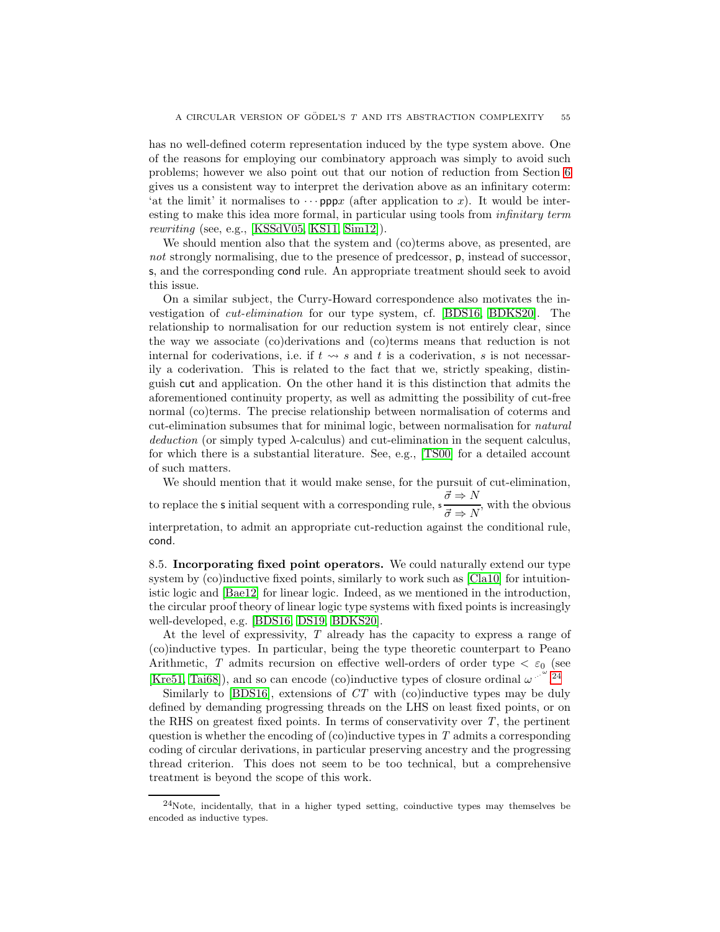has no well-defined coterm representation induced by the type system above. One of the reasons for employing our combinatory approach was simply to avoid such problems; however we also point out that our notion of reduction from Section [6](#page-31-0) gives us a consistent way to interpret the derivation above as an infinitary coterm: 'at the limit' it normalises to  $\cdots$  pppx (after application to x). It would be interesting to make this idea more formal, in particular using tools from *infinitary term* rewriting (see, e.g., [\[KSSdV05,](#page-65-1) [KS11,](#page-65-2) [Sim12\]](#page-66-5)).

We should mention also that the system and (co)terms above, as presented, are not strongly normalising, due to the presence of predcessor, p, instead of successor, s, and the corresponding cond rule. An appropriate treatment should seek to avoid this issue.

On a similar subject, the Curry-Howard correspondence also motivates the investigation of cut-elimination for our type system, cf. [\[BDS16,](#page-63-0) [BDKS20\]](#page-63-1). The relationship to normalisation for our reduction system is not entirely clear, since the way we associate (co)derivations and (co)terms means that reduction is not internal for coderivations, i.e. if  $t \leadsto s$  and t is a coderivation, s is not necessarily a coderivation. This is related to the fact that we, strictly speaking, distinguish cut and application. On the other hand it is this distinction that admits the aforementioned continuity property, as well as admitting the possibility of cut-free normal (co)terms. The precise relationship between normalisation of coterms and cut-elimination subsumes that for minimal logic, between normalisation for natural deduction (or simply typed λ-calculus) and cut-elimination in the sequent calculus, for which there is a substantial literature. See, e.g., [\[TS00\]](#page-66-6) for a detailed account of such matters.

We should mention that it would make sense, for the pursuit of cut-elimination, to replace the **s** initial sequent with a corresponding rule,  $s \frac{\vec{\sigma} \Rightarrow N}{\vec{\sigma} \Rightarrow N}$ , with the obvious interpretation, to admit an appropriate cut-reduction against the conditional rule, cond.

8.5. Incorporating fixed point operators. We could naturally extend our type system by (co)inductive fixed points, similarly to work such as [\[Cla10\]](#page-64-1) for intuitionistic logic and [\[Bae12\]](#page-63-2) for linear logic. Indeed, as we mentioned in the introduction, the circular proof theory of linear logic type systems with fixed points is increasingly well-developed, e.g. [\[BDS16,](#page-63-0) [DS19,](#page-65-3) [BDKS20\]](#page-63-1).

At the level of expressivity, T already has the capacity to express a range of (co)inductive types. In particular, being the type theoretic counterpart to Peano Arithmetic, T admits recursion on effective well-orders of order type  $\langle \varepsilon_0 \rangle$  (see [\[Kre51,](#page-65-4) [Tai68\]](#page-66-7)), and so can encode (co)inductive types of closure ordinal  $\omega$ .  $24$ 

Similarly to  $[BDS16]$ , extensions of  $CT$  with  $[co)$  inductive types may be duly defined by demanding progressing threads on the LHS on least fixed points, or on the RHS on greatest fixed points. In terms of conservativity over  $T$ , the pertinent question is whether the encoding of  $(c)$  inductive types in T admits a corresponding coding of circular derivations, in particular preserving ancestry and the progressing thread criterion. This does not seem to be too technical, but a comprehensive treatment is beyond the scope of this work.

<span id="page-55-0"></span> $24$ Note, incidentally, that in a higher typed setting, coinductive types may themselves be encoded as inductive types.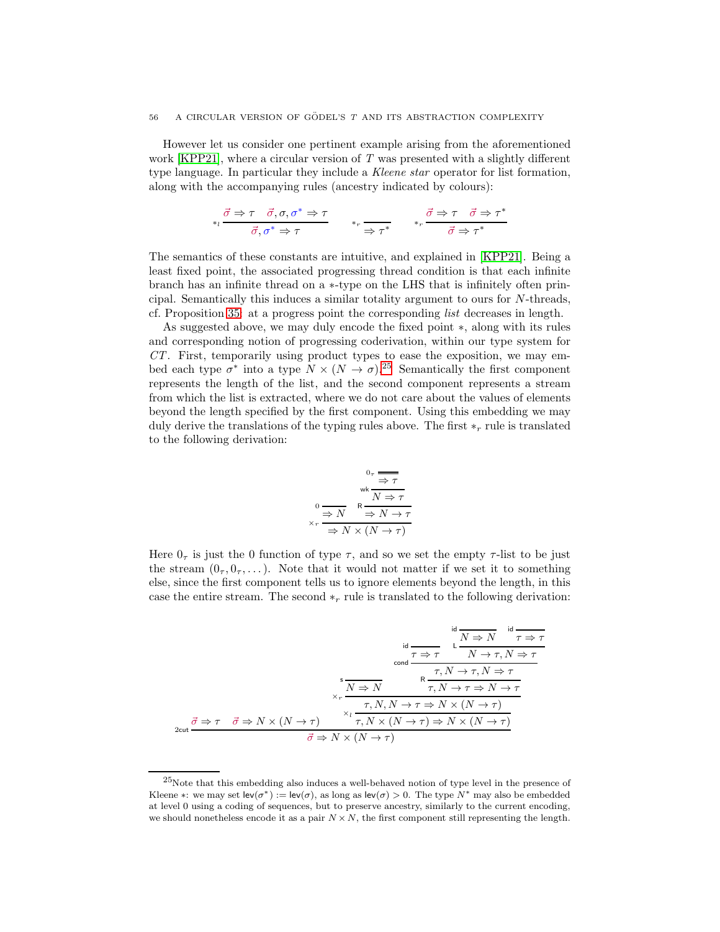However let us consider one pertinent example arising from the aforementioned work  $KPP21$ , where a circular version of T was presented with a slightly different type language. In particular they include a Kleene star operator for list formation, along with the accompanying rules (ancestry indicated by colours):

$$
*_t \frac{\vec{\sigma} \Rightarrow \tau \quad \vec{\sigma}, \sigma, \sigma^* \Rightarrow \tau}{\vec{\sigma}, \sigma^* \Rightarrow \tau} \qquad *_{r} \frac{\vec{\sigma} \Rightarrow \tau \quad \vec{\sigma} \Rightarrow \tau^*}{\Rightarrow \tau^*}
$$

The semantics of these constants are intuitive, and explained in [\[KPP21\]](#page-65-5). Being a least fixed point, the associated progressing thread condition is that each infinite branch has an infinite thread on a ∗-type on the LHS that is infinitely often principal. Semantically this induces a similar totality argument to ours for N-threads, cf. Proposition [35:](#page-19-0) at a progress point the corresponding list decreases in length.

As suggested above, we may duly encode the fixed point ∗, along with its rules and corresponding notion of progressing coderivation, within our type system for CT. First, temporarily using product types to ease the exposition, we may embed each type  $\sigma^*$  into a type  $N \times (N \to \sigma)$ .<sup>[25](#page-56-0)</sup> Semantically the first component represents the length of the list, and the second component represents a stream from which the list is extracted, where we do not care about the values of elements beyond the length specified by the first component. Using this embedding we may duly derive the translations of the typing rules above. The first  $*_r$  rule is translated to the following derivation:

$$
0 \tau \frac{1}{\Rightarrow \tau}
$$
  

$$
0 \frac{1}{\Rightarrow N} \frac{1}{\Rightarrow N \Rightarrow \tau}
$$
  

$$
\times r \frac{1}{\Rightarrow N \times (N \to \tau)}
$$

Here  $0<sub>\tau</sub>$  is just the 0 function of type  $\tau$ , and so we set the empty  $\tau$ -list to be just the stream  $(0_7, 0_7, \ldots)$ . Note that it would not matter if we set it to something else, since the first component tells us to ignore elements beyond the length, in this case the entire stream. The second  $*_r$  rule is translated to the following derivation:

| $N \Rightarrow N$                                                                                                                                                   |  |
|---------------------------------------------------------------------------------------------------------------------------------------------------------------------|--|
| $\tau \Rightarrow \tau \qquad N \to \tau, N \Rightarrow \tau$<br>cond                                                                                               |  |
| $\tau, N \to \tau, N \Rightarrow \tau$                                                                                                                              |  |
| $\tau, N \to \tau \Rightarrow N \to \tau$<br>$N \Rightarrow N$<br>$\times r$                                                                                        |  |
| $\tau, N, N \to \tau \Rightarrow N \times (N \to \tau)$<br>$x_1 -$<br>$\tau, N \times (N \to \tau) \Rightarrow N \times (N \to \tau)$                               |  |
| $\vec{\sigma} \Rightarrow \tau \quad \vec{\sigma} \Rightarrow N \times (N \rightarrow \tau)$<br>$2$ cut<br>$\vec{\sigma} \Rightarrow N \times (N \rightarrow \tau)$ |  |

<span id="page-56-0"></span> $25$ Note that this embedding also induces a well-behaved notion of type level in the presence of Kleene \*: we may set  $\mathsf{lev}(\sigma^*) := \mathsf{lev}(\sigma)$ , as long as  $\mathsf{lev}(\sigma) > 0$ . The type  $N^*$  may also be embedded at level 0 using a coding of sequences, but to preserve ancestry, similarly to the current encoding, we should nonetheless encode it as a pair  $N \times N$ , the first component still representing the length.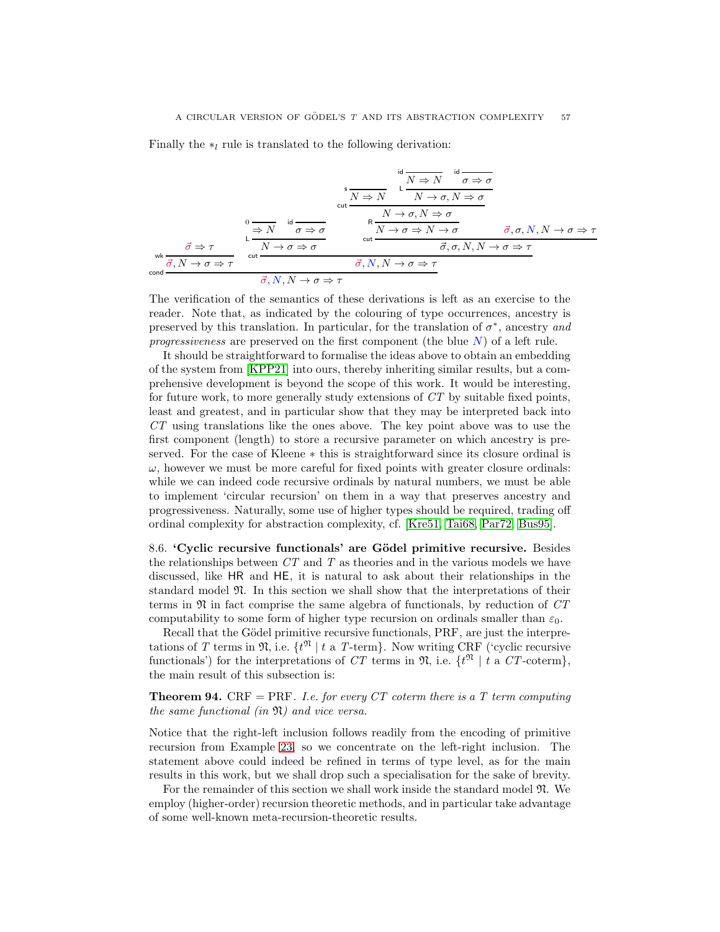Finally the  $*_l$  rule is translated to the following derivation:

$$
\frac{\partial}{\partial N} \frac{\partial \phi}{\partial N} \frac{\partial \phi}{\partial N} \frac{\partial \phi}{\partial N} \frac{\partial \phi}{\partial N} \frac{\partial \phi}{\partial N} \frac{\partial \phi}{\partial N} \frac{\partial \phi}{\partial N} \frac{\partial \phi}{\partial N} \frac{\partial \phi}{\partial N} \frac{\partial \phi}{\partial N} \frac{\partial \phi}{\partial N} \frac{\partial \phi}{\partial N} \frac{\partial \phi}{\partial N} \frac{\partial \phi}{\partial N} \frac{\partial \phi}{\partial N} \frac{\partial \phi}{\partial N} \frac{\partial \phi}{\partial N} \frac{\partial \phi}{\partial N} \frac{\partial \phi}{\partial N} \frac{\partial \phi}{\partial N} \frac{\partial \phi}{\partial N} \frac{\partial \phi}{\partial N} \frac{\partial \phi}{\partial N} \frac{\partial \phi}{\partial N} \frac{\partial \phi}{\partial N} \frac{\partial \phi}{\partial N} \frac{\partial \phi}{\partial N} \frac{\partial \phi}{\partial N} \frac{\partial \phi}{\partial N} \frac{\partial \phi}{\partial N} \frac{\partial \phi}{\partial N} \frac{\partial \phi}{\partial N} \frac{\partial \phi}{\partial N} \frac{\partial \phi}{\partial N} \frac{\partial \phi}{\partial N} \frac{\partial \phi}{\partial N} \frac{\partial \phi}{\partial N} \frac{\partial \phi}{\partial N} \frac{\partial \phi}{\partial N} \frac{\partial \phi}{\partial N} \frac{\partial \phi}{\partial N} \frac{\partial \phi}{\partial N} \frac{\partial \phi}{\partial N} \frac{\partial \phi}{\partial N} \frac{\partial \phi}{\partial N} \frac{\partial \phi}{\partial N} \frac{\partial \phi}{\partial N} \frac{\partial \phi}{\partial N} \frac{\partial \phi}{\partial N} \frac{\partial \phi}{\partial N} \frac{\partial \phi}{\partial N} \frac{\partial \phi}{\partial N} \frac{\partial \phi}{\partial N} \frac{\partial \phi}{\partial N} \frac{\partial \phi}{\partial N} \frac{\partial \phi}{\partial N} \frac{\partial \phi}{\partial N} \frac{\partial \phi}{\partial N} \frac{\partial \phi}{\partial N} \frac{\partial \phi}{\partial N} \frac{\partial \phi}{\partial N} \frac{\partial \phi}{\partial N} \frac{\partial \phi}{\partial N} \frac{\partial \phi}{\partial N} \frac{\partial \phi}{\partial N} \frac{\partial \phi}{\partial N} \frac{\partial \phi}{\partial N} \frac{\partial \phi}{\partial N} \frac{\
$$

The verification of the semantics of these derivations is left as an exercise to the reader. Note that, as indicated by the colouring of type occurrences, ancestry is preserved by this translation. In particular, for the translation of  $\sigma^*$ , ancestry and progressiveness are preserved on the first component (the blue  $N$ ) of a left rule.

It should be straightforward to formalise the ideas above to obtain an embedding of the system from [\[KPP21\]](#page-65-5) into ours, thereby inheriting similar results, but a comprehensive development is beyond the scope of this work. It would be interesting, for future work, to more generally study extensions of CT by suitable fixed points, least and greatest, and in particular show that they may be interpreted back into CT using translations like the ones above. The key point above was to use the first component (length) to store a recursive parameter on which ancestry is preserved. For the case of Kleene ∗ this is straightforward since its closure ordinal is  $\omega$ , however we must be more careful for fixed points with greater closure ordinals: while we can indeed code recursive ordinals by natural numbers, we must be able to implement 'circular recursion' on them in a way that preserves ancestry and progressiveness. Naturally, some use of higher types should be required, trading off ordinal complexity for abstraction complexity, cf. [\[Kre51,](#page-65-4) [Tai68,](#page-66-7) [Par72,](#page-66-8) [Bus95\]](#page-64-2).

<span id="page-57-0"></span>8.6. 'Cyclic recursive functionals' are Gödel primitive recursive. Besides the relationships between  $CT$  and  $T$  as theories and in the various models we have discussed, like HR and HE, it is natural to ask about their relationships in the standard model  $\mathfrak{N}$ . In this section we shall show that the interpretations of their terms in  $\mathfrak N$  in fact comprise the same algebra of functionals, by reduction of  $CT$ computability to some form of higher type recursion on ordinals smaller than  $\varepsilon_0$ .

Recall that the Gödel primitive recursive functionals, PRF, are just the interpretations of T terms in  $\mathfrak{N}$ , i.e.  $\{t^{\mathfrak{N}} \mid t \text{ a } T\text{-term}\}\$ . Now writing CRF ('cyclic recursive functionals') for the interpretations of CT terms in  $\mathfrak{N}$ , i.e.  $\{t^{\mathfrak{N}} \mid t \text{ a } CT\text{-coterm}\},$ the main result of this subsection is:

<span id="page-57-1"></span>**Theorem 94.** CRF = PRF. I.e. for every CT coterm there is a T term computing the same functional (in  $\mathfrak{N}$ ) and vice versa.

Notice that the right-left inclusion follows readily from the encoding of primitive recursion from Example [23,](#page-16-0) so we concentrate on the left-right inclusion. The statement above could indeed be refined in terms of type level, as for the main results in this work, but we shall drop such a specialisation for the sake of brevity.

For the remainder of this section we shall work inside the standard model N. We employ (higher-order) recursion theoretic methods, and in particular take advantage of some well-known meta-recursion-theoretic results.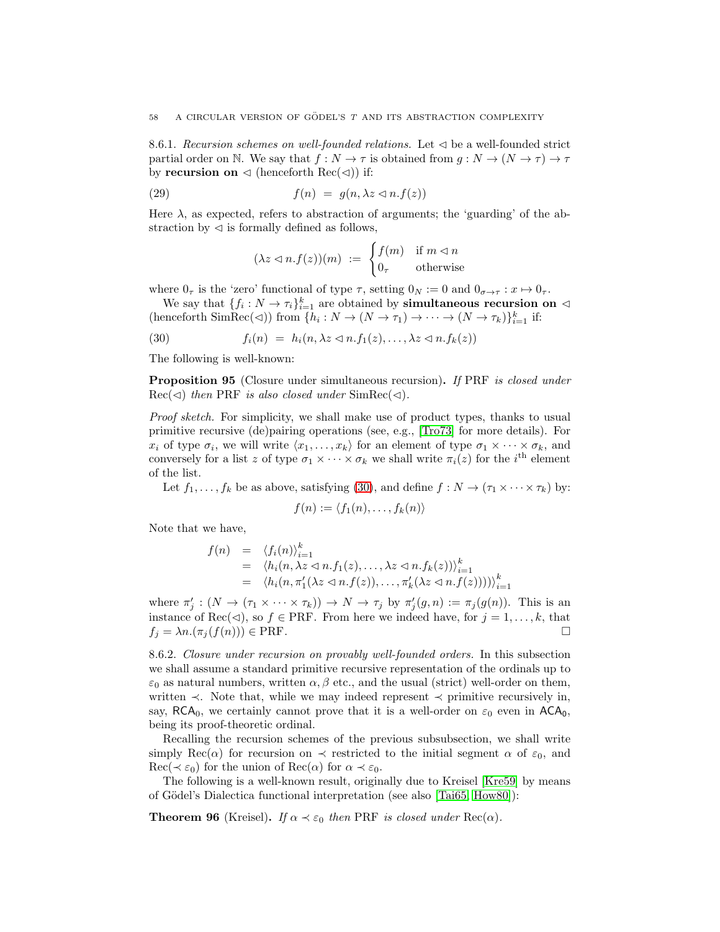8.6.1. Recursion schemes on well-founded relations. Let  $\triangleleft$  be a well-founded strict partial order on N. We say that  $f : N \to \tau$  is obtained from  $g : N \to (N \to \tau) \to \tau$ by recursion on  $\triangleleft$  (henceforth Rec( $\triangleleft$ )) if:

(29) 
$$
f(n) = g(n, \lambda z \lhd n.f(z))
$$

Here  $\lambda$ , as expected, refers to abstraction of arguments; the 'guarding' of the abstraction by  $\triangleleft$  is formally defined as follows,

<span id="page-58-0"></span>
$$
(\lambda z \lhd n.f(z))(m) := \begin{cases} f(m) & \text{if } m \lhd n \\ 0_{\tau} & \text{otherwise} \end{cases}
$$

where  $0_{\tau}$  is the 'zero' functional of type  $\tau$ , setting  $0_N := 0$  and  $0_{\sigma \to \tau} : x \mapsto 0_{\tau}$ .

We say that  $\{f_i: N \to \tau_i\}_{i=1}^k$  are obtained by **simultaneous recursion on**  $\triangleleft$ (henceforth SimRec(<)) from  $\{h_i: N \to (N \to \tau_1) \to \cdots \to (N \to \tau_k)\}_{i=1}^k$  if:

(30) 
$$
f_i(n) = h_i(n, \lambda z \langle n.f_1(z), \ldots, \lambda z \langle n.f_k(z) \rangle)
$$

The following is well-known:

<span id="page-58-2"></span>**Proposition 95** (Closure under simultaneous recursion). If PRF is closed under  $Rec(\lhd)$  then PRF is also closed under SimRec( $\lhd$ ).

Proof sketch. For simplicity, we shall make use of product types, thanks to usual primitive recursive (de)pairing operations (see, e.g., [\[Tro73\]](#page-66-1) for more details). For  $x_i$  of type  $\sigma_i$ , we will write  $\langle x_1, \ldots, x_k \rangle$  for an element of type  $\sigma_1 \times \cdots \times \sigma_k$ , and conversely for a list z of type  $\sigma_1 \times \cdots \times \sigma_k$  we shall write  $\pi_i(z)$  for the *i*<sup>th</sup> element of the list.

Let  $f_1, \ldots, f_k$  be as above, satisfying [\(30\)](#page-58-0), and define  $f : N \to (\tau_1 \times \cdots \times \tau_k)$  by:

$$
f(n) := \langle f_1(n), \ldots, f_k(n) \rangle
$$

Note that we have,

$$
f(n) = \langle f_i(n) \rangle_{i=1}^k
$$
  
=  $\langle h_i(n, \lambda z \langle n.f_1(z), \ldots, \lambda z \langle n.f_k(z) \rangle) \rangle_{i=1}^k$   
=  $\langle h_i(n, \pi'_1(\lambda z \langle n.f(z)), \ldots, \pi'_k(\lambda z \langle n.f(z) \rangle)) \rangle_{i=1}^k$ 

where  $\pi'_j : (N \to (\tau_1 \times \cdots \times \tau_k)) \to N \to \tau_j$  by  $\pi'_j(g, n) := \pi_j(g(n))$ . This is an instance of Rec( $\lhd$ ), so  $f \in \text{PRF}$ . From here we indeed have, for  $j = 1, \ldots, k$ , that  $f_j = \lambda n.(\pi_j(f(n))) \in \text{PRF}.$ 

8.6.2. Closure under recursion on provably well-founded orders. In this subsection we shall assume a standard primitive recursive representation of the ordinals up to  $\varepsilon_0$  as natural numbers, written  $\alpha, \beta$  etc., and the usual (strict) well-order on them, written  $\prec$ . Note that, while we may indeed represent  $\prec$  primitive recursively in, say, RCA<sub>0</sub>, we certainly cannot prove that it is a well-order on  $\varepsilon_0$  even in ACA<sub>0</sub>, being its proof-theoretic ordinal.

Recalling the recursion schemes of the previous subsubsection, we shall write simply Rec( $\alpha$ ) for recursion on  $\prec$  restricted to the initial segment  $\alpha$  of  $\varepsilon_0$ , and  $\text{Rec}(\prec \varepsilon_0)$  for the union of  $\text{Rec}(\alpha)$  for  $\alpha \prec \varepsilon_0$ .

The following is a well-known result, originally due to Kreisel [\[Kre59\]](#page-65-6) by means of Gödel's Dialectica functional interpretation (see also [\[Tai65,](#page-66-9) [How80\]](#page-65-7)):

<span id="page-58-1"></span>**Theorem 96** (Kreisel). If  $\alpha \prec \varepsilon_0$  then PRF is closed under  $\text{Rec}(\alpha)$ .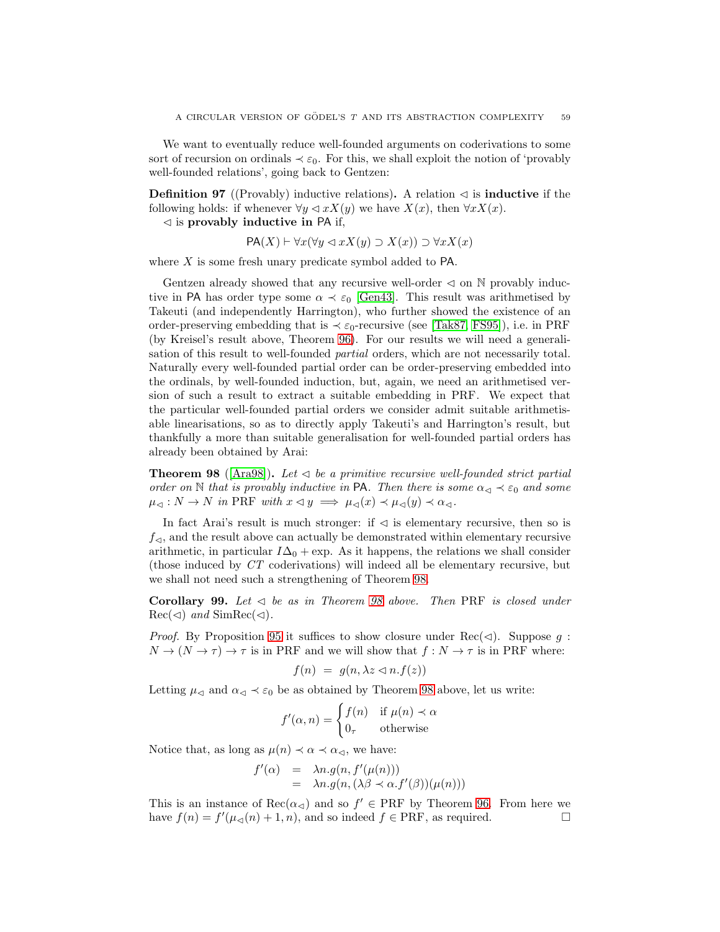We want to eventually reduce well-founded arguments on coderivations to some sort of recursion on ordinals  $\prec \varepsilon_0$ . For this, we shall exploit the notion of 'provably well-founded relations', going back to Gentzen:

**Definition 97** ((Provably) inductive relations). A relation  $\triangleleft$  is **inductive** if the following holds: if whenever  $\forall y \triangleleft x X(y)$  we have  $X(x)$ , then  $\forall x X(x)$ .

 $\triangleleft$  is provably inductive in PA if,

$$
PA(X) \vdash \forall x (\forall y \lhd x X(y) \supset X(x)) \supset \forall x X(x)
$$

where  $X$  is some fresh unary predicate symbol added to  $PA$ .

Gentzen already showed that any recursive well-order  $\triangleleft$  on N provably inductive in PA has order type some  $\alpha \prec \varepsilon_0$  [\[Gen43\]](#page-65-8). This result was arithmetised by Takeuti (and independently Harrington), who further showed the existence of an order-preserving embedding that is  $\prec \varepsilon_0$ -recursive (see [\[Tak87,](#page-66-10) [FS95\]](#page-65-9)), i.e. in PRF (by Kreisel's result above, Theorem [96\)](#page-58-1). For our results we will need a generalisation of this result to well-founded partial orders, which are not necessarily total. Naturally every well-founded partial order can be order-preserving embedded into the ordinals, by well-founded induction, but, again, we need an arithmetised version of such a result to extract a suitable embedding in PRF. We expect that the particular well-founded partial orders we consider admit suitable arithmetisable linearisations, so as to directly apply Takeuti's and Harrington's result, but thankfully a more than suitable generalisation for well-founded partial orders has already been obtained by Arai:

<span id="page-59-0"></span>**Theorem 98** ([\[Ara98\]](#page-63-3)). Let  $\triangleleft$  be a primitive recursive well-founded strict partial order on N that is provably inductive in PA. Then there is some  $\alpha_{\leq} \prec \varepsilon_0$  and some  $\mu_{\lhd}: N \to N$  in PRF with  $x \lhd y \implies \mu_{\lhd}(x) \prec \mu_{\lhd}(y) \prec \alpha_{\lhd}.$ 

In fact Arai's result is much stronger: if  $\triangleleft$  is elementary recursive, then so is  $f_{\leq 1}$ , and the result above can actually be demonstrated within elementary recursive arithmetic, in particular  $I\Delta_0 + \exp$ . As it happens, the relations we shall consider (those induced by CT coderivations) will indeed all be elementary recursive, but we shall not need such a strengthening of Theorem [98.](#page-59-0)

<span id="page-59-1"></span>Corollary 99. Let  $\triangleleft$  be as in Theorem [98](#page-59-0) above. Then PRF is closed under  $Rec(\lhd)$  and  $SimRec(\lhd)$ .

*Proof.* By Proposition [95](#page-58-2) it suffices to show closure under Rec( $\triangleleft$ ). Suppose q:  $N \to (N \to \tau) \to \tau$  is in PRF and we will show that  $f: N \to \tau$  is in PRF where:

$$
f(n) = g(n, \lambda z \lhd n.f(z))
$$

Letting  $\mu_{\lhd}$  and  $\alpha_{\lhd} \prec \varepsilon_0$  be as obtained by Theorem [98](#page-59-0) above, let us write:

$$
f'(\alpha, n) = \begin{cases} f(n) & \text{if } \mu(n) \prec \alpha \\ 0_{\tau} & \text{otherwise} \end{cases}
$$

Notice that, as long as  $\mu(n) \prec \alpha \prec \alpha_{\leq 0}$ , we have:

$$
f'(\alpha) = \lambda n. g(n, f'(\mu(n)))
$$
  
=  $\lambda n. g(n, (\lambda \beta \prec \alpha.f'(\beta))(\mu(n)))$ 

This is an instance of  $\text{Rec}(\alpha_{\leq})$  and so  $f' \in \text{PRF}$  by Theorem [96.](#page-58-1) From here we have  $f(n) = f'(\mu_{\lhd}(n) + 1, n)$ , and so indeed  $f \in \text{PRF}$ , as required.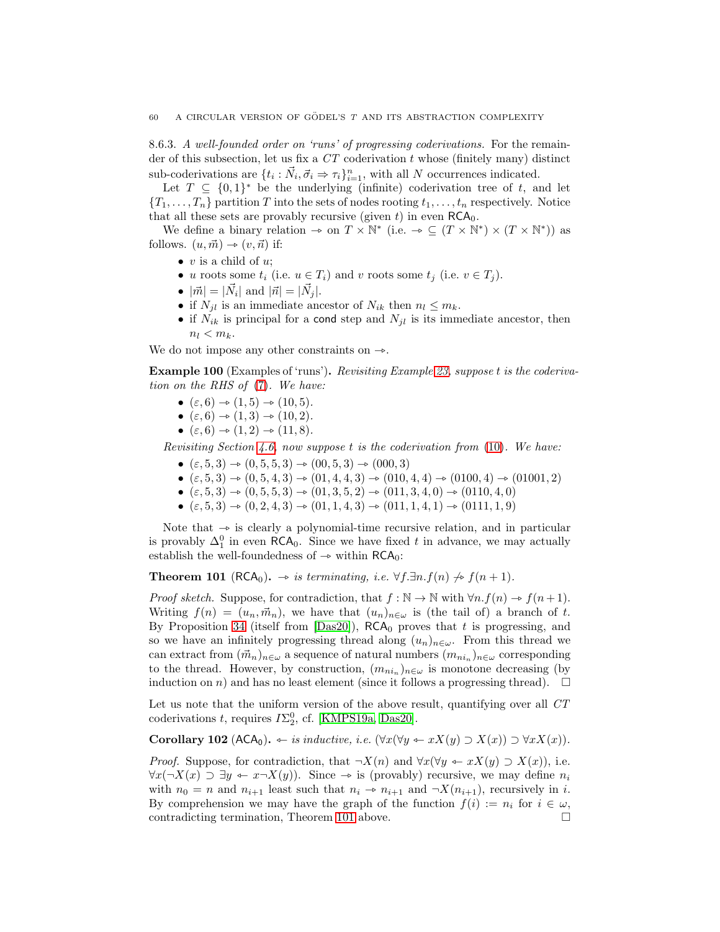8.6.3. A well-founded order on 'runs' of progressing coderivations. For the remainder of this subsection, let us fix a  $CT$  coderivation t whose (finitely many) distinct sub-coderivations are  $\{t_i : \vec{N}_i, \vec{\sigma}_i \Rightarrow \tau_i\}_{i=1}^n$ , with all N occurrences indicated.

Let  $T \subseteq \{0,1\}^*$  be the underlying (infinite) coderivation tree of t, and let  ${T_1, \ldots, T_n}$  partition T into the sets of nodes rooting  $t_1, \ldots, t_n$  respectively. Notice that all these sets are provably recursive (given  $t$ ) in even  $RCA_0$ .

We define a binary relation  $\to$  on  $T \times \mathbb{N}^*$  (i.e.  $\to \subseteq (T \times \mathbb{N}^*) \times (T \times \mathbb{N}^*)$ ) as follows.  $(u, \vec{m}) \rightarrow (v, \vec{n})$  if:

- $v$  is a child of  $u$ :
- u roots some  $t_i$  (i.e.  $u \in T_i$ ) and v roots some  $t_j$  (i.e.  $v \in T_j$ ).
- $|\vec{m}| = |\vec{N}_i|$  and  $|\vec{n}| = |\vec{N}_j|$ .
- if  $N_{jl}$  is an immediate ancestor of  $N_{ik}$  then  $n_l \leq m_k$ .
- if  $N_{ik}$  is principal for a cond step and  $N_{jl}$  is its immediate ancestor, then  $n_l < m_k$ .

We do not impose any other constraints on  $\rightarrow$ .

Example 100 (Examples of 'runs'). Revisiting Example [23,](#page-16-0) suppose t is the coderivation on the RHS of [\(7\)](#page-16-1). We have:

- $(\varepsilon, 6) \to (1, 5) \to (10, 5)$ .
- $(\varepsilon, 6) \to (1, 3) \to (10, 2)$ .
- $(\varepsilon, 6) \rightarrow (1, 2) \rightarrow (11, 8).$

Revisiting Section [4.6,](#page-20-0) now suppose t is the coderivation from [\(10\)](#page-21-0). We have:

- $(\varepsilon, 5, 3) \rightarrow (0, 5, 5, 3) \rightarrow (0, 5, 3) \rightarrow (0, 0, 3)$
- $(\varepsilon, 5, 3) \rightarrow (0, 5, 4, 3) \rightarrow (01, 4, 4, 3) \rightarrow (010, 4, 4) \rightarrow (0100, 4) \rightarrow (01001, 2)$
- $(\varepsilon, 5, 3) \rightarrow (0, 5, 5, 3) \rightarrow (01, 3, 5, 2) \rightarrow (011, 3, 4, 0) \rightarrow (0110, 4, 0)$
- $(\varepsilon, 5, 3) \rightarrow (0, 2, 4, 3) \rightarrow (01, 1, 4, 3) \rightarrow (011, 1, 4, 1) \rightarrow (0111, 1, 9)$

Note that  $\rightarrow$  is clearly a polynomial-time recursive relation, and in particular is provably  $\Delta_1^0$  in even RCA<sub>0</sub>. Since we have fixed t in advance, we may actually establish the well-foundedness of  $\rightarrow$  within RCA<sub>0</sub>:

<span id="page-60-0"></span>**Theorem 101** (RCA<sub>0</sub>).  $\rightarrow$  is terminating, i.e. ∀f.∃n.f(n)  $\nrightarrow$  f(n + 1).

*Proof sketch.* Suppose, for contradiction, that  $f : \mathbb{N} \to \mathbb{N}$  with  $\forall n.f(n) \to f(n+1)$ . Writing  $f(n) = (u_n, \vec{m}_n)$ , we have that  $(u_n)_{n \in \omega}$  is (the tail of) a branch of t. By Proposition [34](#page-19-1) (itself from [\[Das20\]](#page-64-0)),  $RCA_0$  proves that t is progressing, and so we have an infinitely progressing thread along  $(u_n)_{n\in\omega}$ . From this thread we can extract from  $(\vec{m}_n)_{n\in\omega}$  a sequence of natural numbers  $(m_{ni_n})_{n\in\omega}$  corresponding to the thread. However, by construction,  $(m_{ni_n})_{n\in\omega}$  is monotone decreasing (by induction on n) and has no least element (since it follows a progressing thread).  $\square$ 

Let us note that the uniform version of the above result, quantifying over all CT coderivations t, requires  $I\Sigma_2^0$ , cf. [\[KMPS19a,](#page-65-10) [Das20\]](#page-64-0).

<span id="page-60-1"></span>Corollary 102 (ACA<sub>0</sub>).  $\leftarrow$  *is inductive, i.e.* (∀x(∀y  $\leftarrow$  xX(y) ⊃ X(x)) ⊃ ∀xX(x)).

*Proof.* Suppose, for contradiction, that  $\neg X(n)$  and  $\forall x (\forall y \leftarrow xX(y) \supset X(x))$ , i.e.  $\forall x (\neg X(x) \supset \exists y \leftarrow x \neg X(y)).$  Since  $\rightarrow$  is (provably) recursive, we may define  $n_i$ with  $n_0 = n$  and  $n_{i+1}$  least such that  $n_i \to n_{i+1}$  and  $\neg X(n_{i+1})$ , recursively in i. By comprehension we may have the graph of the function  $f(i) := n_i$  for  $i \in \omega$ , contradicting termination, Theorem [101](#page-60-0) above.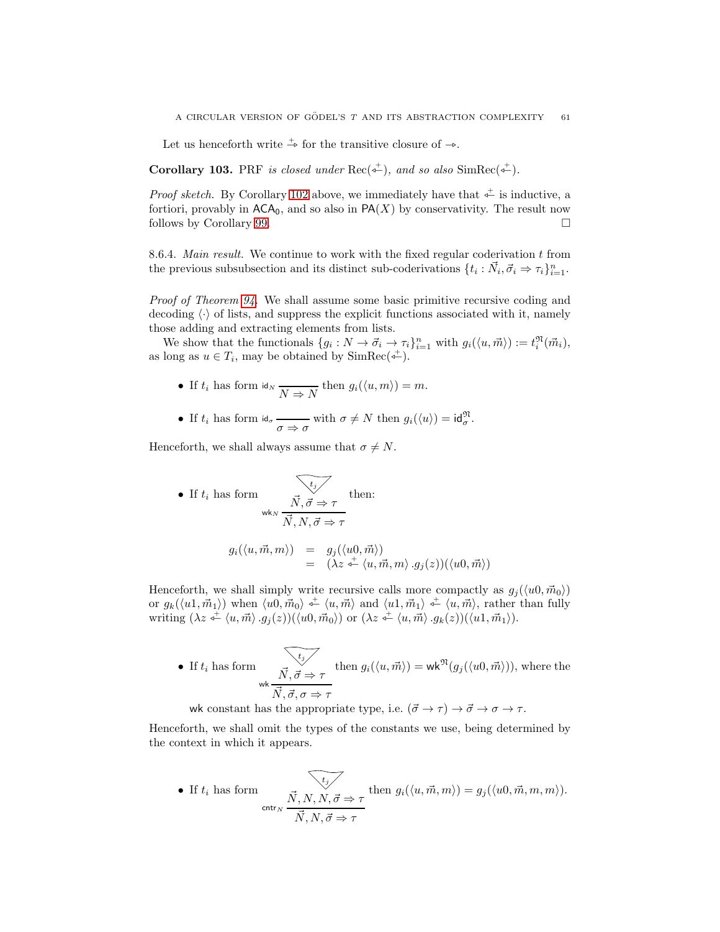Let us henceforth write  $\stackrel{+}{\rightarrow}$  for the transitive closure of  $\rightarrow$ .

**Corollary 103.** PRF is closed under  $Rec(\overline{\phi}^+)$ , and so also Sim $Rec(\overline{\phi}^+)$ .

*Proof sketch.* By Corollary [102](#page-60-1) above, we immediately have that  $\stackrel{+}{\leftarrow}$  is inductive, a fortiori, provably in  $\mathsf{ACA}_0$ , and so also in  $\mathsf{PA}(X)$  by conservativity. The result now follows by Corollary [99.](#page-59-1)

8.6.4. Main result. We continue to work with the fixed regular coderivation t from the previous subsubsection and its distinct sub-coderivations  $\{t_i : \vec{N}_i, \vec{\sigma}_i \Rightarrow \tau_i\}_{i=1}^n$ .

Proof of Theorem [94.](#page-57-1) We shall assume some basic primitive recursive coding and decoding  $\langle \cdot \rangle$  of lists, and suppress the explicit functions associated with it, namely those adding and extracting elements from lists.

We show that the functionals  $\{g_i: N \to \vec{\sigma}_i \to \tau_i\}_{i=1}^n$  with  $g_i(\langle u, \vec{m} \rangle) := t_i^{\mathfrak{N}}(\vec{m}_i)$ , as long as  $u \in T_i$ , may be obtained by  $\text{SimRec}(\triangle^+).$ 

- If  $t_i$  has form  $\mathsf{id}_N$   $\overline{N \Rightarrow N}$  then  $g_i(\langle u, m \rangle) = m$ .
- If  $t_i$  has form  $d_{\sigma} \xrightarrow[\sigma \Rightarrow \sigma]{}$  with  $\sigma \neq N$  then  $g_i(\langle u \rangle) = id_{\sigma}^{\mathfrak{N}}$ .

Henceforth, we shall always assume that  $\sigma \neq N$ .

• If 
$$
t_i
$$
 has form  
\n
$$
\overrightarrow{N}, \overrightarrow{\sigma} \Rightarrow \tau
$$
 then:  
\n
$$
g_i(\langle u, \overrightarrow{m}, m \rangle) = g_j(\langle u0, \overrightarrow{m} \rangle)
$$
\n
$$
= (\lambda z \stackrel{\leftarrow}{\leftarrow} \langle u, \overrightarrow{m}, m \rangle g_j(z))(\langle u0, \overrightarrow{m} \rangle)
$$

Henceforth, we shall simply write recursive calls more compactly as  $g_j(\langle u0, \vec{m}_0 \rangle)$ or  $g_k(\langle u_1, \vec{m}_1 \rangle)$  when  $\langle u_0, \vec{m}_0 \rangle \stackrel{+}{\leftarrow} \langle u, \vec{m} \rangle$  and  $\langle u_1, \vec{m}_1 \rangle \stackrel{+}{\leftarrow} \langle u, \vec{m} \rangle$ , rather than fully writing  $(\lambda z \stackrel{+}{\leftarrow} \langle u, \vec{m} \rangle \cdot g_i(z))(\langle u0, \vec{m}_0 \rangle)$  or  $(\lambda z \stackrel{+}{\leftarrow} \langle u, \vec{m} \rangle \cdot g_k(z))(\langle u1, \vec{m}_1 \rangle)$ .

• If 
$$
t_i
$$
 has form  
\n
$$
\overrightarrow{N}, \overrightarrow{\sigma} \Rightarrow \tau
$$
\nthen  $g_i(\langle u, \overrightarrow{m} \rangle) = \mathsf{wk}^{\mathfrak{N}}(g_j(\langle u0, \overrightarrow{m} \rangle)),$  where the

wk constant has the appropriate type, i.e.  $(\vec{\sigma} \rightarrow \tau) \rightarrow \vec{\sigma} \rightarrow \sigma \rightarrow \tau$ .

Henceforth, we shall omit the types of the constants we use, being determined by the context in which it appears.

• If 
$$
t_i
$$
 has form  
\n
$$
\overrightarrow{N}, N, N, \vec{\sigma} \Rightarrow \tau
$$
\nthen  $g_i(\langle u, \vec{m}, m \rangle) = g_j(\langle u0, \vec{m}, m, m \rangle)$ .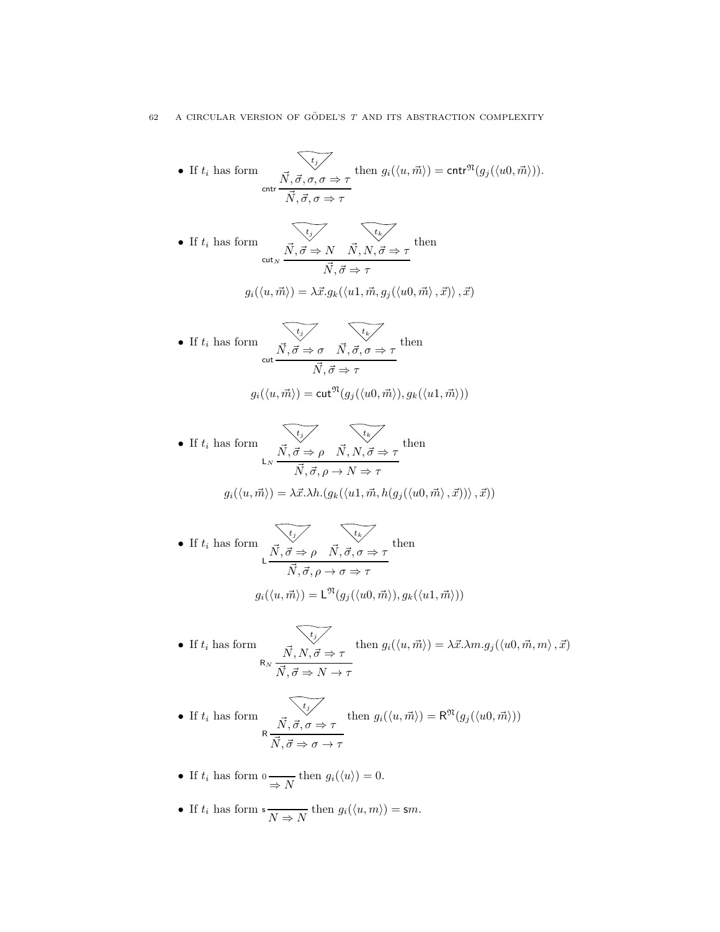\n- \n If 
$$
t_i
$$
 has form\n 
$$
\overrightarrow{N}, \overrightarrow{\sigma}, \sigma, \sigma \Rightarrow \tau
$$
\n then\n 
$$
g_i(\langle u, \overrightarrow{m} \rangle) = \text{cntr}^{\mathfrak{N}}(g_j(\langle u0, \overrightarrow{m} \rangle)).
$$
\n
\n- \n If  $t_i$  has form\n 
$$
\overrightarrow{N}, \overrightarrow{\sigma} \Rightarrow N, \overrightarrow{N}, N, \overrightarrow{\sigma} \Rightarrow \tau
$$
\n
$$
g_i(\langle u, \overrightarrow{m} \rangle) = \lambda \overrightarrow{x}.g_k(\langle u1, \overrightarrow{m}, g_j(\langle u0, \overrightarrow{m} \rangle, \overrightarrow{x})) , \overrightarrow{x})
$$
\n
\n- \n If  $t_i$  has form\n 
$$
\overrightarrow{N}, \overrightarrow{\sigma} \Rightarrow \sigma, \overrightarrow{N}, \overrightarrow{\sigma}, \sigma \Rightarrow \tau
$$
\n
$$
g_i(\langle u, \overrightarrow{m} \rangle) = \text{cut}^{\mathfrak{N}}(g_j(\langle u0, \overrightarrow{m} \rangle), g_k(\langle u1, \overrightarrow{m} \rangle))
$$
\n
\n- \n If  $t_i$  has form\n 
$$
\overrightarrow{N}, \overrightarrow{\sigma} \Rightarrow \rho, \overrightarrow{N}, N, \overrightarrow{\sigma} \Rightarrow \tau
$$
\n
$$
g_i(\langle u, \overrightarrow{m} \rangle) = \text{cut}^{\mathfrak{N}}(g_j(\langle u0, \overrightarrow{m} \rangle), g_k(\langle u1, \overrightarrow{m} \rangle))
$$
\n
\n- \n If  $t_i$  has form\n 
$$
\overrightarrow{N}, \overrightarrow{\sigma} \Rightarrow \rho, \overrightarrow{N}, N, \overrightarrow{\sigma} \Rightarrow \tau
$$
\n
$$
g_i(\langle u, \overrightarrow{m} \rangle) = \lambda \overrightarrow{x}. \lambda h. (g_k(\langle u1, \overrightarrow{m}, h(g_j(\langle u0, \overrightarrow{m} \rangle, \overrightarrow{x})) \rangle, \overrightarrow{x})
$$
\n
\n- \n If  $t_i$  has form\n 
$$
\overrightarrow{N}, \overrightarrow{\sigma} \Rightarrow \rho, \overrightarrow{N}, \overrightarrow{\sigma}, \sigma \Rightarrow \tau
$$
\n
$$
g_i(\langle u, \over
$$

• If 
$$
t_i
$$
 has form  
\n
$$
\overrightarrow{N}, \overrightarrow{N}, \overrightarrow{\sigma} \Rightarrow \tau
$$
\nthen  $g_i(\langle u, \overrightarrow{m} \rangle) = \lambda \overrightarrow{x}. \lambda m. g_j(\langle u0, \overrightarrow{m}, m \rangle, \overrightarrow{x})$   
\n $\overrightarrow{N}, \overrightarrow{\sigma} \Rightarrow N \to \tau$ 

• If 
$$
t_i
$$
 has form  
\n
$$
\overrightarrow{N}, \overrightarrow{\sigma}, \sigma \Rightarrow \tau
$$
\nthen  $g_i(\langle u, \overrightarrow{m} \rangle) = \mathsf{R}^{\mathfrak{N}}(g_j(\langle u0, \overrightarrow{m} \rangle))$ 

• If 
$$
t_i
$$
 has form  $0 \longrightarrow N$  then  $g_i(\langle u \rangle) = 0$ .

• If  $t_i$  has form  $s \frac{}{N \Rightarrow N}$  then  $g_i(\langle u, m \rangle) = sm$ .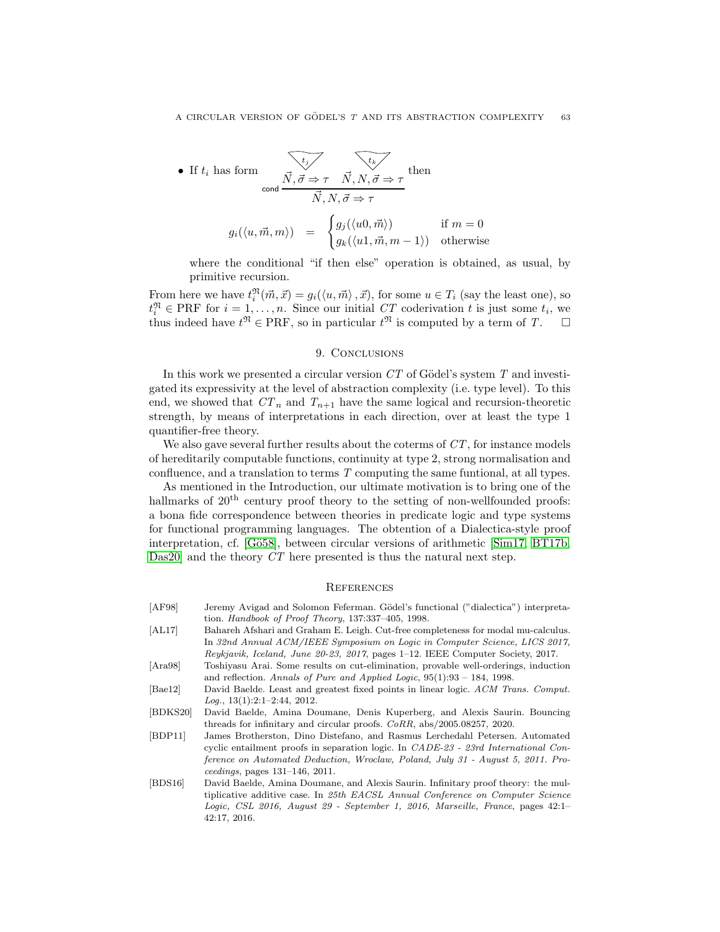• If 
$$
t_i
$$
 has form  
\n
$$
\overrightarrow{N}, \overrightarrow{\sigma} \Rightarrow \tau \overrightarrow{N}, N, \overrightarrow{\sigma} \Rightarrow \tau
$$
\n
$$
g_i(\langle u, \overrightarrow{m}, m \rangle) = \begin{cases}\ng_j(\langle u0, \overrightarrow{m} \rangle) & \text{if } m = 0 \\
g_k(\langle u1, \overrightarrow{m}, m - 1 \rangle) & \text{otherwise}\n\end{cases}
$$

where the conditional "if then else" operation is obtained, as usual, by primitive recursion.

From here we have  $t_i^{\mathfrak{N}}(\vec{m}, \vec{x}) = g_i(\langle u, \vec{m} \rangle, \vec{x})$ , for some  $u \in T_i$  (say the least one), so  $t_i^{\mathfrak{N}} \in \text{PRF}$  for  $i = 1, \ldots, n$ . Since our initial CT coderivation t is just some  $t_i$ , we thus indeed have  $t^{\mathfrak{N}} \in \mathrm{PRF}$ , so in particular  $t^{\mathfrak{N}}$  is computed by a term of T.  $\Box$ 

## 9. CONCLUSIONS

In this work we presented a circular version  $CT$  of Gödel's system  $T$  and investigated its expressivity at the level of abstraction complexity (i.e. type level). To this end, we showed that  $CT_n$  and  $T_{n+1}$  have the same logical and recursion-theoretic strength, by means of interpretations in each direction, over at least the type 1 quantifier-free theory.

We also gave several further results about the coterms of  $CT$ , for instance models of hereditarily computable functions, continuity at type 2, strong normalisation and confluence, and a translation to terms T computing the same funtional, at all types.

As mentioned in the Introduction, our ultimate motivation is to bring one of the hallmarks of  $20<sup>th</sup>$  century proof theory to the setting of non-wellfounded proofs: a bona fide correspondence between theories in predicate logic and type systems for functional programming languages. The obtention of a Dialectica-style proof interpretation, cf. [Gö58], between circular versions of arithmetic [\[Sim17,](#page-66-11) [BT17b,](#page-64-3) Das20 and the theory CT here presented is thus the natural next step.

#### **REFERENCES**

- [AF98] Jeremy Avigad and Solomon Feferman. Gödel's functional ("dialectica") interpretation. *Handbook of Proof Theory*, 137:337–405, 1998.
- [AL17] Bahareh Afshari and Graham E. Leigh. Cut-free completeness for modal mu-calculus. In *32nd Annual ACM/IEEE Symposium on Logic in Computer Science, LICS 2017, Reykjavik, Iceland, June 20-23, 2017*, pages 1–12. IEEE Computer Society, 2017.
- <span id="page-63-3"></span>[Ara98] Toshiyasu Arai. Some results on cut-elimination, provable well-orderings, induction and reflection. *Annals of Pure and Applied Logic*, 95(1):93 – 184, 1998.
- <span id="page-63-2"></span>[Bae12] David Baelde. Least and greatest fixed points in linear logic. *ACM Trans. Comput. Log.*, 13(1):2:1–2:44, 2012.
- <span id="page-63-1"></span>[BDKS20] David Baelde, Amina Doumane, Denis Kuperberg, and Alexis Saurin. Bouncing threads for infinitary and circular proofs. *CoRR*, abs/2005.08257, 2020.
- [BDP11] James Brotherston, Dino Distefano, and Rasmus Lerchedahl Petersen. Automated cyclic entailment proofs in separation logic. In *CADE-23 - 23rd International Conference on Automated Deduction, Wroclaw, Poland, July 31 - August 5, 2011. Proceedings*, pages 131–146, 2011.
- <span id="page-63-0"></span>[BDS16] David Baelde, Amina Doumane, and Alexis Saurin. Infinitary proof theory: the multiplicative additive case. In *25th EACSL Annual Conference on Computer Science Logic, CSL 2016, August 29 - September 1, 2016, Marseille, France*, pages 42:1– 42:17, 2016.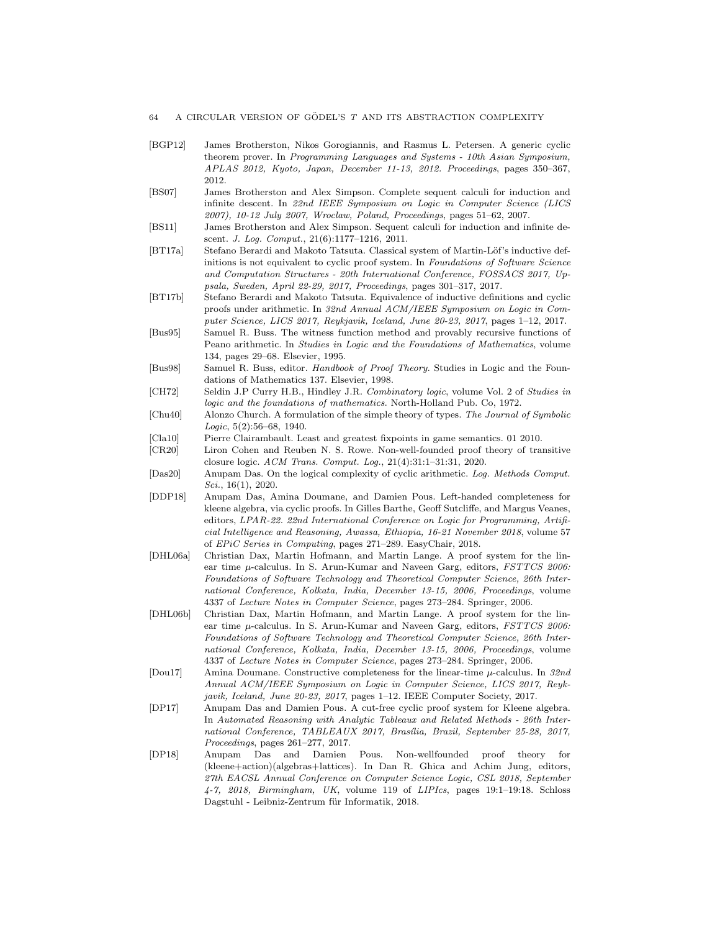- [BGP12] James Brotherston, Nikos Gorogiannis, and Rasmus L. Petersen. A generic cyclic theorem prover. In *Programming Languages and Systems - 10th Asian Symposium, APLAS 2012, Kyoto, Japan, December 11-13, 2012. Proceedings*, pages 350–367, 2012.
- [BS07] James Brotherston and Alex Simpson. Complete sequent calculi for induction and infinite descent. In *22nd IEEE Symposium on Logic in Computer Science (LICS 2007), 10-12 July 2007, Wroclaw, Poland, Proceedings*, pages 51–62, 2007.
- [BS11] James Brotherston and Alex Simpson. Sequent calculi for induction and infinite descent. *J. Log. Comput.*, 21(6):1177–1216, 2011.
- [BT17a] Stefano Berardi and Makoto Tatsuta. Classical system of Martin-Löf's inductive definitions is not equivalent to cyclic proof system. In *Foundations of Software Science and Computation Structures - 20th International Conference, FOSSACS 2017, Uppsala, Sweden, April 22-29, 2017, Proceedings*, pages 301–317, 2017.
- <span id="page-64-3"></span>[BT17b] Stefano Berardi and Makoto Tatsuta. Equivalence of inductive definitions and cyclic proofs under arithmetic. In *32nd Annual ACM/IEEE Symposium on Logic in Computer Science, LICS 2017, Reykjavik, Iceland, June 20-23, 2017*, pages 1–12, 2017.
- <span id="page-64-2"></span>[Bus95] Samuel R. Buss. The witness function method and provably recursive functions of Peano arithmetic. In *Studies in Logic and the Foundations of Mathematics*, volume 134, pages 29–68. Elsevier, 1995.
- [Bus98] Samuel R. Buss, editor. *Handbook of Proof Theory*. Studies in Logic and the Foundations of Mathematics 137. Elsevier, 1998.
- [CH72] Seldin J.P Curry H.B., Hindley J.R. *Combinatory logic*, volume Vol. 2 of *Studies in logic and the foundations of mathematics*. North-Holland Pub. Co, 1972.
- [Chu40] Alonzo Church. A formulation of the simple theory of types. *The Journal of Symbolic Logic*, 5(2):56–68, 1940.
- <span id="page-64-1"></span>[Cla10] Pierre Clairambault. Least and greatest fixpoints in game semantics. 01 2010.
- [CR20] Liron Cohen and Reuben N. S. Rowe. Non-well-founded proof theory of transitive closure logic. *ACM Trans. Comput. Log.*, 21(4):31:1–31:31, 2020.
- <span id="page-64-0"></span>[Das20] Anupam Das. On the logical complexity of cyclic arithmetic. *Log. Methods Comput. Sci.*, 16(1), 2020.
- [DDP18] Anupam Das, Amina Doumane, and Damien Pous. Left-handed completeness for kleene algebra, via cyclic proofs. In Gilles Barthe, Geoff Sutcliffe, and Margus Veanes, editors, *LPAR-22. 22nd International Conference on Logic for Programming, Artificial Intelligence and Reasoning, Awassa, Ethiopia, 16-21 November 2018*, volume 57 of *EPiC Series in Computing*, pages 271–289. EasyChair, 2018.
- [DHL06a] Christian Dax, Martin Hofmann, and Martin Lange. A proof system for the linear time µ-calculus. In S. Arun-Kumar and Naveen Garg, editors, *FSTTCS 2006: Foundations of Software Technology and Theoretical Computer Science, 26th International Conference, Kolkata, India, December 13-15, 2006, Proceedings*, volume 4337 of *Lecture Notes in Computer Science*, pages 273–284. Springer, 2006.
- [DHL06b] Christian Dax, Martin Hofmann, and Martin Lange. A proof system for the linear time µ-calculus. In S. Arun-Kumar and Naveen Garg, editors, *FSTTCS 2006: Foundations of Software Technology and Theoretical Computer Science, 26th International Conference, Kolkata, India, December 13-15, 2006, Proceedings*, volume 4337 of *Lecture Notes in Computer Science*, pages 273–284. Springer, 2006.
- [Dou17] Amina Doumane. Constructive completeness for the linear-time µ-calculus. In *32nd Annual ACM/IEEE Symposium on Logic in Computer Science, LICS 2017, Reykjavik, Iceland, June 20-23, 2017*, pages 1–12. IEEE Computer Society, 2017.
- [DP17] Anupam Das and Damien Pous. A cut-free cyclic proof system for Kleene algebra. In *Automated Reasoning with Analytic Tableaux and Related Methods - 26th International Conference, TABLEAUX 2017, Bras´ılia, Brazil, September 25-28, 2017, Proceedings*, pages 261–277, 2017.
- [DP18] Anupam Das and Damien Pous. Non-wellfounded proof theory for (kleene+action)(algebras+lattices). In Dan R. Ghica and Achim Jung, editors, *27th EACSL Annual Conference on Computer Science Logic, CSL 2018, September 4-7, 2018, Birmingham, UK*, volume 119 of *LIPIcs*, pages 19:1–19:18. Schloss Dagstuhl - Leibniz-Zentrum für Informatik, 2018.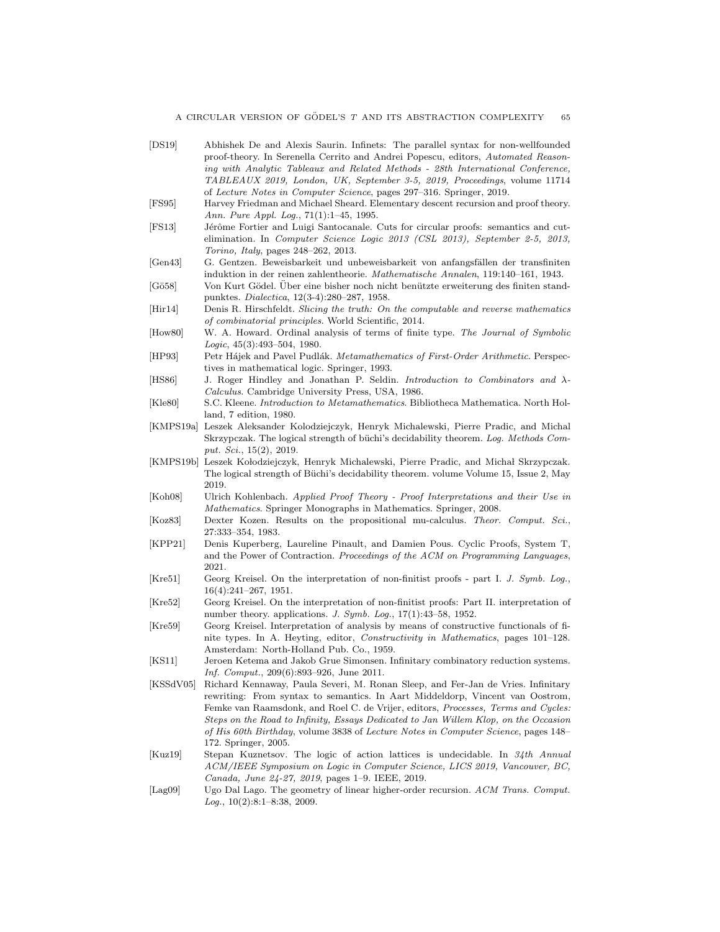- <span id="page-65-12"></span><span id="page-65-11"></span><span id="page-65-10"></span><span id="page-65-9"></span><span id="page-65-8"></span><span id="page-65-7"></span><span id="page-65-3"></span>[DS19] Abhishek De and Alexis Saurin. Infinets: The parallel syntax for non-wellfounded proof-theory. In Serenella Cerrito and Andrei Popescu, editors, *Automated Reasoning with Analytic Tableaux and Related Methods - 28th International Conference, TABLEAUX 2019, London, UK, September 3-5, 2019, Proceedings*, volume 11714 of *Lecture Notes in Computer Science*, pages 297–316. Springer, 2019. [FS95] Harvey Friedman and Michael Sheard. Elementary descent recursion and proof theory. *Ann. Pure Appl. Log.*, 71(1):1–45, 1995. [FS13] Jérôme Fortier and Luigi Santocanale. Cuts for circular proofs: semantics and cutelimination. In *Computer Science Logic 2013 (CSL 2013), September 2-5, 2013, Torino, Italy*, pages 248–262, 2013. [Gen43] G. Gentzen. Beweisbarkeit und unbeweisbarkeit von anfangsfällen der transfiniten induktion in der reinen zahlentheorie. *Mathematische Annalen*, 119:140–161, 1943. [Gö58] Von Kurt Gödel. Über eine bisher noch nicht benützte erweiterung des finiten standpunktes. *Dialectica*, 12(3-4):280–287, 1958. [Hir14] Denis R. Hirschfeldt. *Slicing the truth: On the computable and reverse mathematics of combinatorial principles*. World Scientific, 2014. [How80] W. A. Howard. Ordinal analysis of terms of finite type. *The Journal of Symbolic Logic*, 45(3):493–504, 1980. [HP93] Petr H´ajek and Pavel Pudl´ak. *Metamathematics of First-Order Arithmetic*. Perspectives in mathematical logic. Springer, 1993. [HS86] J. Roger Hindley and Jonathan P. Seldin. *Introduction to Combinators and* λ*-Calculus*. Cambridge University Press, USA, 1986. [Kle80] S.C. Kleene. *Introduction to Metamathematics*. Bibliotheca Mathematica. North Holland, 7 edition, 1980. [KMPS19a] Leszek Aleksander Kolodziejczyk, Henryk Michalewski, Pierre Pradic, and Michal Skrzypczak. The logical strength of büchi's decidability theorem. *Log. Methods Comput. Sci.*, 15(2), 2019. [KMPS19b] Leszek Kołodziejczyk, Henryk Michalewski, Pierre Pradic, and Michał Skrzypczak. The logical strength of Büchi's decidability theorem. volume Volume 15, Issue 2, May 2019. [Koh08] Ulrich Kohlenbach. *Applied Proof Theory - Proof Interpretations and their Use in Mathematics*. Springer Monographs in Mathematics. Springer, 2008. [Koz83] Dexter Kozen. Results on the propositional mu-calculus. *Theor. Comput. Sci.*, 27:333–354, 1983. [KPP21] Denis Kuperberg, Laureline Pinault, and Damien Pous. Cyclic Proofs, System T, and the Power of Contraction. *Proceedings of the ACM on Programming Languages*, 2021. [Kre51] Georg Kreisel. On the interpretation of non-finitist proofs - part I. *J. Symb. Log.*, 16(4):241–267, 1951. [Kre52] Georg Kreisel. On the interpretation of non-finitist proofs: Part II. interpretation of number theory. applications. *J. Symb. Log.*, 17(1):43–58, 1952. [Kre59] Georg Kreisel. Interpretation of analysis by means of constructive functionals of finite types. In A. Heyting, editor, *Constructivity in Mathematics*, pages 101–128. Amsterdam: North-Holland Pub. Co., 1959. [KS11] Jeroen Ketema and Jakob Grue Simonsen. Infinitary combinatory reduction systems. *Inf. Comput.*, 209(6):893–926, June 2011. [KSSdV05] Richard Kennaway, Paula Severi, M. Ronan Sleep, and Fer-Jan de Vries. Infinitary rewriting: From syntax to semantics. In Aart Middeldorp, Vincent van Oostrom, Femke van Raamsdonk, and Roel C. de Vrijer, editors, *Processes, Terms and Cycles: Steps on the Road to Infinity, Essays Dedicated to Jan Willem Klop, on the Occasion of His 60th Birthday*, volume 3838 of *Lecture Notes in Computer Science*, pages 148– 172. Springer, 2005. [Kuz19] Stepan Kuznetsov. The logic of action lattices is undecidable. In *34th Annual ACM/IEEE Symposium on Logic in Computer Science, LICS 2019, Vancouver, BC, Canada, June 24-27, 2019*, pages 1–9. IEEE, 2019.
- <span id="page-65-6"></span><span id="page-65-5"></span><span id="page-65-4"></span><span id="page-65-2"></span><span id="page-65-1"></span><span id="page-65-0"></span>[Lag09] Ugo Dal Lago. The geometry of linear higher-order recursion. *ACM Trans. Comput. Log.*, 10(2):8:1–8:38, 2009.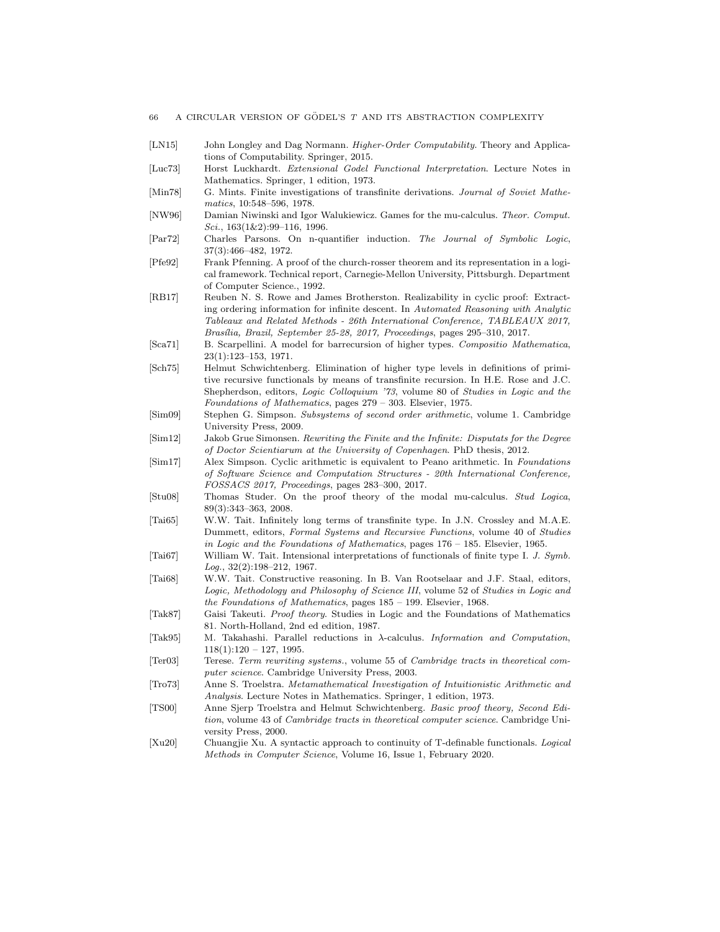- <span id="page-66-0"></span>[LN15] John Longley and Dag Normann. *Higher-Order Computability*. Theory and Applications of Computability. Springer, 2015.
- [Luc73] Horst Luckhardt. *Extensional Godel Functional Interpretation*. Lecture Notes in Mathematics. Springer, 1 edition, 1973.
- [Min78] G. Mints. Finite investigations of transfinite derivations. *Journal of Soviet Mathematics*, 10:548–596, 1978.
- [NW96] Damian Niwinski and Igor Walukiewicz. Games for the mu-calculus. *Theor. Comput. Sci.*, 163(1&2):99–116, 1996.
- <span id="page-66-8"></span>[Par72] Charles Parsons. On n-quantifier induction. *The Journal of Symbolic Logic*, 37(3):466–482, 1972.
- [Pfe92] Frank Pfenning. A proof of the church-rosser theorem and its representation in a logical framework. Technical report, Carnegie-Mellon University, Pittsburgh. Department of Computer Science., 1992.
- [RB17] Reuben N. S. Rowe and James Brotherston. Realizability in cyclic proof: Extracting ordering information for infinite descent. In *Automated Reasoning with Analytic Tableaux and Related Methods - 26th International Conference, TABLEAUX 2017, Bras´ılia, Brazil, September 25-28, 2017, Proceedings*, pages 295–310, 2017.
- <span id="page-66-2"></span>[Sca71] B. Scarpellini. A model for barrecursion of higher types. *Compositio Mathematica*, 23(1):123–153, 1971.
- [Sch75] Helmut Schwichtenberg. Elimination of higher type levels in definitions of primitive recursive functionals by means of transfinite recursion. In H.E. Rose and J.C. Shepherdson, editors, *Logic Colloquium '73*, volume 80 of *Studies in Logic and the Foundations of Mathematics*, pages 279 – 303. Elsevier, 1975.
- [Sim09] Stephen G. Simpson. *Subsystems of second order arithmetic*, volume 1. Cambridge University Press, 2009.
- <span id="page-66-5"></span>[Sim12] Jakob Grue Simonsen. *Rewriting the Finite and the Infinite: Disputats for the Degree of Doctor Scientiarum at the University of Copenhagen*. PhD thesis, 2012.
- <span id="page-66-11"></span>[Sim17] Alex Simpson. Cyclic arithmetic is equivalent to Peano arithmetic. In *Foundations of Software Science and Computation Structures - 20th International Conference, FOSSACS 2017, Proceedings*, pages 283–300, 2017.
- [Stu08] Thomas Studer. On the proof theory of the modal mu-calculus. *Stud Logica*, 89(3):343–363, 2008.
- <span id="page-66-9"></span>[Tai65] W.W. Tait. Infinitely long terms of transfinite type. In J.N. Crossley and M.A.E. Dummett, editors, *Formal Systems and Recursive Functions*, volume 40 of *Studies in Logic and the Foundations of Mathematics*, pages 176 – 185. Elsevier, 1965.
- <span id="page-66-4"></span>[Tai67] William W. Tait. Intensional interpretations of functionals of finite type I. *J. Symb. Log.*, 32(2):198–212, 1967.
- <span id="page-66-7"></span>[Tai68] W.W. Tait. Constructive reasoning. In B. Van Rootselaar and J.F. Staal, editors, *Logic, Methodology and Philosophy of Science III*, volume 52 of *Studies in Logic and the Foundations of Mathematics*, pages 185 – 199. Elsevier, 1968.
- <span id="page-66-10"></span>[Tak87] Gaisi Takeuti. *Proof theory*. Studies in Logic and the Foundations of Mathematics 81. North-Holland, 2nd ed edition, 1987.
- [Tak95] M. Takahashi. Parallel reductions in λ-calculus. *Information and Computation*,  $118(1):120 - 127, 1995.$
- [Ter03] Terese. *Term rewriting systems.*, volume 55 of *Cambridge tracts in theoretical computer science*. Cambridge University Press, 2003.
- <span id="page-66-1"></span>[Tro73] Anne S. Troelstra. *Metamathematical Investigation of Intuitionistic Arithmetic and Analysis*. Lecture Notes in Mathematics. Springer, 1 edition, 1973.
- <span id="page-66-6"></span>[TS00] Anne Sjerp Troelstra and Helmut Schwichtenberg. *Basic proof theory, Second Edition*, volume 43 of *Cambridge tracts in theoretical computer science*. Cambridge University Press, 2000.
- <span id="page-66-3"></span>[Xu20] Chuangjie Xu. A syntactic approach to continuity of T-definable functionals. *Logical Methods in Computer Science*, Volume 16, Issue 1, February 2020.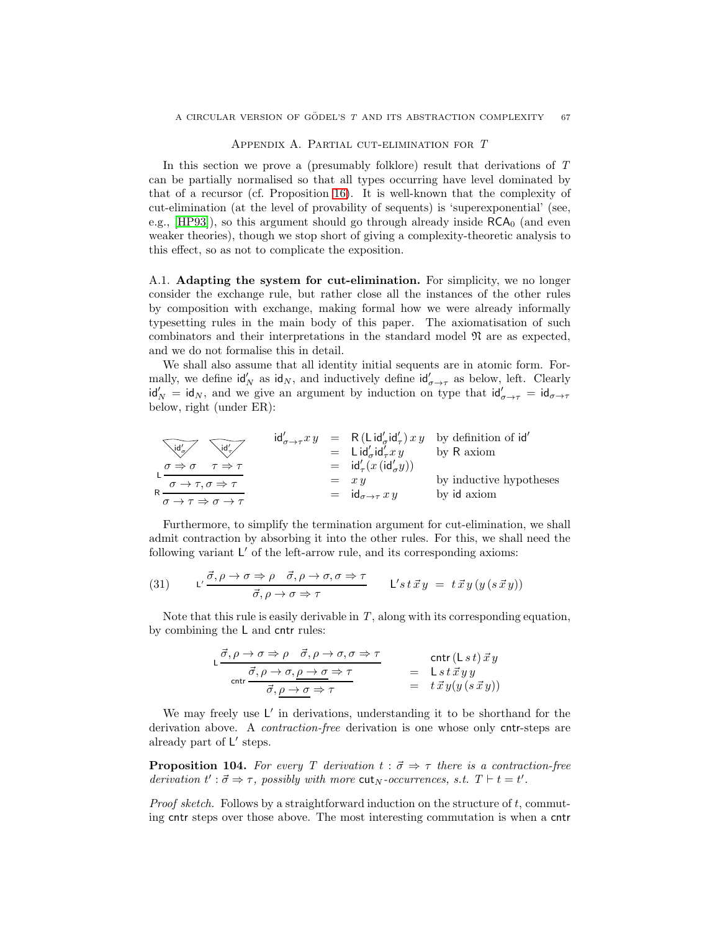#### Appendix A. Partial cut-elimination for T

In this section we prove a (presumably folklore) result that derivations of T can be partially normalised so that all types occurring have level dominated by that of a recursor (cf. Proposition [16\)](#page-12-0). It is well-known that the complexity of cut-elimination (at the level of provability of sequents) is 'superexponential' (see, e.g.,  $[HP93]$ , so this argument should go through already inside  $RCA<sub>0</sub>$  (and even weaker theories), though we stop short of giving a complexity-theoretic analysis to this effect, so as not to complicate the exposition.

A.1. Adapting the system for cut-elimination. For simplicity, we no longer consider the exchange rule, but rather close all the instances of the other rules by composition with exchange, making formal how we were already informally typesetting rules in the main body of this paper. The axiomatisation of such combinators and their interpretations in the standard model  $\mathfrak{N}$  are as expected, and we do not formalise this in detail.

We shall also assume that all identity initial sequents are in atomic form. Formally, we define  $\mathsf{id}'_N$  as  $\mathsf{id}_N$ , and inductively define  $\mathsf{id}'_{\sigma \to \tau}$  as below, left. Clearly  $\mathsf{id}'_N = \mathsf{id}_N$ , and we give an argument by induction on type that  $\mathsf{id}'_{\sigma \to \tau} = \mathsf{id}_{\sigma \to \tau}$ below, right (under ER):

$$
\begin{array}{ccc}\n\sqrt{\text{id}'_{\sigma}} & \sqrt{\text{id}'_{\sigma}} & \text{id}'_{\sigma \to \tau} xy &= R(\text{Lid}'_{\sigma} \text{id}'_{\tau}) xy & \text{by definition of id}' \\
&= \text{Lid}'_{\sigma} \text{id}'_{\tau} xy & \text{by R axiom} \\
\frac{\sigma \Rightarrow \sigma & \tau \Rightarrow \tau}{\sigma \to \tau, \sigma \Rightarrow \tau} &= \text{id}'_{\tau}(x(\text{id}'_{\sigma} y)) \\
R &= xy & \text{by inductive hypothesis} \\
\sigma \to \tau \Rightarrow \sigma \to \tau &= \text{id}_{\sigma \to \tau} xy & \text{by id axiom}\n\end{array}
$$

Furthermore, to simplify the termination argument for cut-elimination, we shall admit contraction by absorbing it into the other rules. For this, we shall need the following variant L' of the left-arrow rule, and its corresponding axioms:

(31) 
$$
L' \frac{\vec{\sigma}, \rho \to \sigma \Rightarrow \rho \quad \vec{\sigma}, \rho \to \sigma, \sigma \Rightarrow \tau}{\vec{\sigma}, \rho \to \sigma \Rightarrow \tau} \qquad L's \, t \, \vec{x} \, y \; = \; t \, \vec{x} \, y \, (y \, (s \, \vec{x} \, y))
$$

Note that this rule is easily derivable in  $T$ , along with its corresponding equation, by combining the L and cntr rules:

$$
\mathsf{L} \frac{\vec{\sigma}, \rho \to \sigma \Rightarrow \rho \quad \vec{\sigma}, \rho \to \sigma, \sigma \Rightarrow \tau}{\mathsf{c} \mathsf{n} \mathsf{t} \mathsf{r}} \quad \mathsf{c} \mathsf{n} \mathsf{t} \quad \mathsf{r} \quad \mathsf{c} \mathsf{r} \mathsf{r}} \quad \mathsf{c} \mathsf{n} \mathsf{t} \mathsf{r} \mathsf{r} \mathsf{r}} \quad \mathsf{c} \mathsf{r} \mathsf{r} \mathsf{r} \mathsf{r} \mathsf{r} \mathsf{r} \mathsf{r} \mathsf{r} \mathsf{r} \mathsf{r} \mathsf{r} \mathsf{r} \mathsf{r} \mathsf{r} \mathsf{r} \mathsf{r} \mathsf{r} \mathsf{r} \mathsf{r} \mathsf{r} \mathsf{r} \mathsf{r} \mathsf{r} \mathsf{r} \mathsf{r} \mathsf{r} \mathsf{r} \mathsf{r} \mathsf{r} \mathsf{r} \mathsf{r} \mathsf{r} \mathsf{r} \mathsf{r} \mathsf{r} \mathsf{r} \mathsf{r} \mathsf{r} \mathsf{r} \mathsf{r} \mathsf{r} \mathsf{r} \mathsf{r} \mathsf{r} \mathsf{r} \mathsf{r} \mathsf{r} \mathsf{r} \mathsf{r} \mathsf{r} \mathsf{r} \mathsf{r} \mathsf{r} \mathsf{r} \mathsf{r} \mathsf{r} \mathsf{r} \mathsf{r} \mathsf{r} \mathsf{r} \mathsf{r} \mathsf{r} \mathsf{r} \mathsf{r} \mathsf{r} \mathsf{r} \mathsf{r} \mathsf{r} \mathsf{r} \mathsf{r} \mathsf{r} \mathsf{r} \mathsf{r} \mathsf{r} \mathsf{r} \mathsf{r} \mathsf{r} \mathsf{r} \mathsf{r} \mathsf{r} \mathsf{r} \mathsf{r} \mathsf{r} \mathsf{r} \mathsf{r} \mathsf{r} \mathsf{r} \mathsf{r} \mathsf{r} \mathsf{r} \mathsf{r} \mathsf{r} \mathsf{r} \mathsf{r} \mathsf{r} \mathsf{r} \mathsf{r} \mathsf{r} \mathsf{r} \mathsf{
$$

We may freely use  $L'$  in derivations, understanding it to be shorthand for the derivation above. A contraction-free derivation is one whose only cntr-steps are already part of  $L'$  steps.

<span id="page-67-0"></span>**Proposition 104.** For every T derivation  $t : \vec{\sigma} \Rightarrow \tau$  there is a contraction-free derivation  $t' : \vec{\sigma} \Rightarrow \tau$ , possibly with more cut<sub>N</sub>-occurrences, s.t.  $T \vdash t = t'$ .

Proof sketch. Follows by a straightforward induction on the structure of t, commuting cntr steps over those above. The most interesting commutation is when a cntr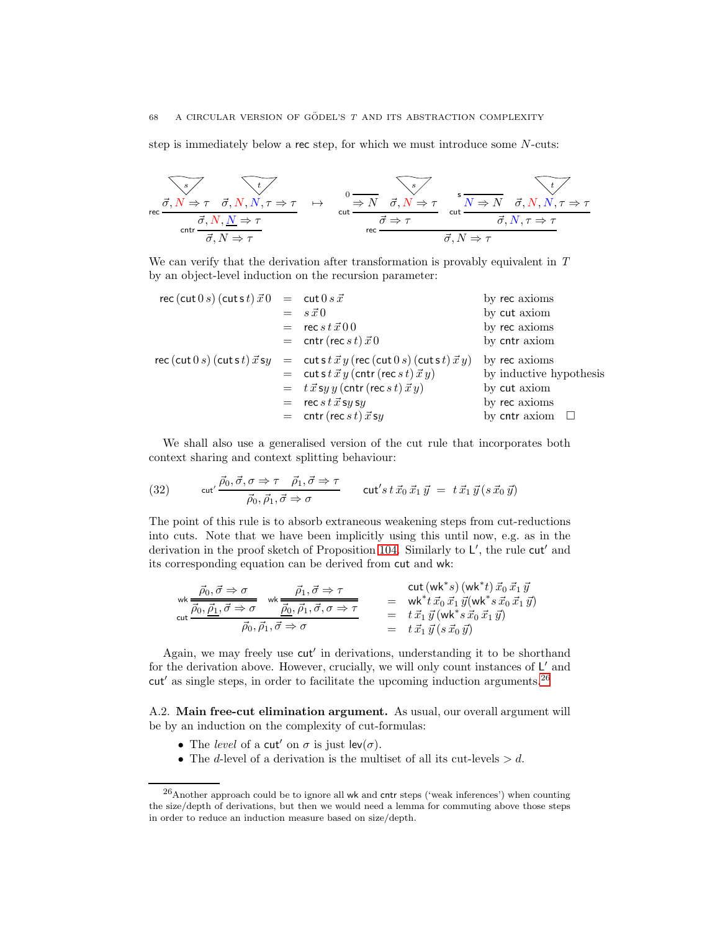step is immediately below a rec step, for which we must introduce some N-cuts:

$$
\overbrace{\sigma, N \Rightarrow \tau \quad \vec{\sigma}, N, N, \tau \Rightarrow \tau}_{\text{crit}} \quad \overbrace{\sigma, N \Rightarrow \tau}_{\text{crit}} \quad \overbrace{\sigma, N \Rightarrow \tau}_{\text{ref}} \quad \overbrace{\sigma, N \Rightarrow \tau}_{\text{ref}} \quad \overbrace{\sigma, N \Rightarrow \tau}_{\text{ref}} \quad \overbrace{\sigma, N, \tau \Rightarrow \tau}_{\text{ref}} \quad \overbrace{\sigma, N, \tau \Rightarrow \tau}_{\text{ref}} \quad \overbrace{\sigma, N, \tau \Rightarrow \tau}_{\text{ref}} \quad \overbrace{\sigma, N \Rightarrow \tau}_{\text{ref}} \quad \overbrace{\sigma, N \Rightarrow \tau}_{\text{ref}} \quad \overbrace{\sigma, N \Rightarrow \tau}_{\text{ref}} \quad \overbrace{\sigma, N \Rightarrow \tau}_{\text{ref}} \quad \overbrace{\sigma, N \Rightarrow \tau}_{\text{ref}} \quad \overbrace{\sigma, N \Rightarrow \tau}_{\text{ref}} \quad \overbrace{\sigma, N \Rightarrow \tau}_{\text{ref}} \quad \overbrace{\sigma, N \Rightarrow \tau}_{\text{ref}} \quad \overbrace{\sigma, N \Rightarrow \tau}_{\text{ref}} \quad \overbrace{\sigma, N \Rightarrow \tau}_{\text{ref}} \quad \overbrace{\sigma, N \Rightarrow \tau}_{\text{ref}} \quad \overbrace{\sigma, N \Rightarrow \tau}_{\text{ref}} \quad \overbrace{\sigma, N \Rightarrow \tau}_{\text{ref}} \quad \overbrace{\sigma, N \Rightarrow \tau}_{\text{ref}} \quad \overbrace{\sigma, N \Rightarrow \tau}_{\text{ref}} \quad \overbrace{\sigma, N \Rightarrow \tau}_{\text{ref}} \quad \overbrace{\sigma, N \Rightarrow \tau}_{\text{ref}} \quad \overbrace{\sigma, N \Rightarrow \tau}_{\text{ref}} \quad \overbrace{\sigma, N \Rightarrow \tau}_{\text{ref}} \quad \overbrace{\sigma, N \Rightarrow \tau}_{\text{ref}} \quad \overbrace{\sigma, N \Rightarrow \tau}_{\text{ref}} \quad \overbrace{\sigma, N \Rightarrow \tau}_{\text{ref}} \quad \overbrace{\sigma, N \Rightarrow \tau}_{\text{ref}} \quad \overbrace{\sigma, N \Rightarrow \tau}_{\text{ref}} \quad \overbrace{\sigma, N \Rightarrow \tau}_{\text{ref}} \quad \overbrace{\sigma, N \Rightarrow \tau}_{\text{ref}} \quad \overbrace{\sigma, N \Rightarrow \tau}_{\text{ref}} \quad \overbrace{\sigma, N \Rightarrow \tau}_{\text{ref}} \quad \overbrace{\sigma, N \Rightarrow \tau}_{\text{ref}} \quad \overbrace{\sigma, N \Rightarrow \tau}_{\text{ref}} \quad \overbrace{\sigma, N \Rightarrow \tau}_{
$$

We can verify that the derivation after transformation is provably equivalent in T by an object-level induction on the recursion parameter:

$$
rec (cut 0 s) (cut st)  $\vec{x}$  0 = cut 0 s  $\vec{x}$   
\n= s  $\vec{x}$  0 by ret axioms  
\n= ret s  $\vec{x}$  0 by cut axiom  
\n= cut t (rec s t)  $\vec{x}$  0 by ret axioms  
\n= cut s t  $\vec{x}$  y (rec (cut 0 s) (cuts t)  $\vec{x}$  y) by rec axioms  
\n= cut s t  $\vec{x}$  y (contr (rec s t)  $\vec{x}$  y) by inductive hypothesis  
\n= t  $\vec{x}$  s y y (contr (rec s t)  $\vec{x}$  y)  
\n= rec s t  $\vec{x}$  s y s  
\n= cut s t  $\vec{x}$  y  
\nby cut axiom  
\nby cut axiom  
\nby cut axiom  
\nby ret axioms  
\nby cut axiom  
\nby ret axiom  
\nby ret axiom  
\nby ret axiom  
\nby ret axiom  
\nby ret axiom  
\nby ret axiom  
\nby ret axiom  
\nby ret axiom
$$

We shall also use a generalised version of the cut rule that incorporates both context sharing and context splitting behaviour:

(32) 
$$
\operatorname{cut}' \frac{\vec{\rho}_0, \vec{\sigma}, \sigma \Rightarrow \tau \quad \vec{\rho}_1, \vec{\sigma} \Rightarrow \tau}{\vec{\rho}_0, \vec{\rho}_1, \vec{\sigma} \Rightarrow \sigma} \qquad \operatorname{cut}' s \, t \, \vec{x}_0 \, \vec{x}_1 \, \vec{y} \; = \; t \, \vec{x}_1 \, \vec{y} \, (s \, \vec{x}_0 \, \vec{y})
$$

The point of this rule is to absorb extraneous weakening steps from cut-reductions into cuts. Note that we have been implicitly using this until now, e.g. as in the derivation in the proof sketch of Proposition [104.](#page-67-0) Similarly to L', the rule cut' and its corresponding equation can be derived from cut and wk:

$$
\begin{array}{rcl}\n\text{wk} & \vec{\rho}_0, \vec{\sigma} \Rightarrow \sigma & \text{wk} & \vec{\rho}_1, \vec{\sigma} \Rightarrow \tau & \text{cut} \left( \text{wk*} s \right) \left( \text{wk*} t \right) \vec{x}_0 \, \vec{x}_1 \, \vec{y} \\
\text{cut} & \vec{\rho}_0, \vec{\underline{\rho}_1}, \vec{\sigma} \Rightarrow \sigma & \text{Wk*} \vec{x}_0 \, \vec{x}_1 \, \vec{y} \left( \text{wk*} s \, \vec{x}_0 \, \vec{x}_1 \, \vec{y} \right) \\
\text{cut} & \vec{\rho}_0, \vec{\rho}_1, \vec{\sigma} \Rightarrow \sigma & \text{Vk*} \vec{x}_0 \, \vec{x}_1 \, \vec{y} \left( \text{wk*} s \, \vec{x}_0 \, \vec{x}_1 \, \vec{y} \right) \\
\vec{\rho}_0, \vec{\rho}_1, \vec{\sigma} \Rightarrow \sigma & \text{Vk*} \vec{x}_0 \, \vec{x}_1 \, \vec{y} \left( \text{wk*} s \, \vec{x}_0 \, \vec{x}_1 \, \vec{y} \right)\n\end{array}
$$

Again, we may freely use cut′ in derivations, understanding it to be shorthand for the derivation above. However, crucially, we will only count instances of  $L'$  and  $cut'$  as single steps, in order to facilitate the upcoming induction arguments.<sup>[26](#page-68-0)</sup>

A.2. Main free-cut elimination argument. As usual, our overall argument will be by an induction on the complexity of cut-formulas:

- The level of a cut' on  $\sigma$  is just lev $(\sigma)$ .
- The *d*-level of a derivation is the multiset of all its cut-levels  $> d$ .

<span id="page-68-0"></span><sup>26</sup>Another approach could be to ignore all wk and cntr steps ('weak inferences') when counting the size/depth of derivations, but then we would need a lemma for commuting above those steps in order to reduce an induction measure based on size/depth.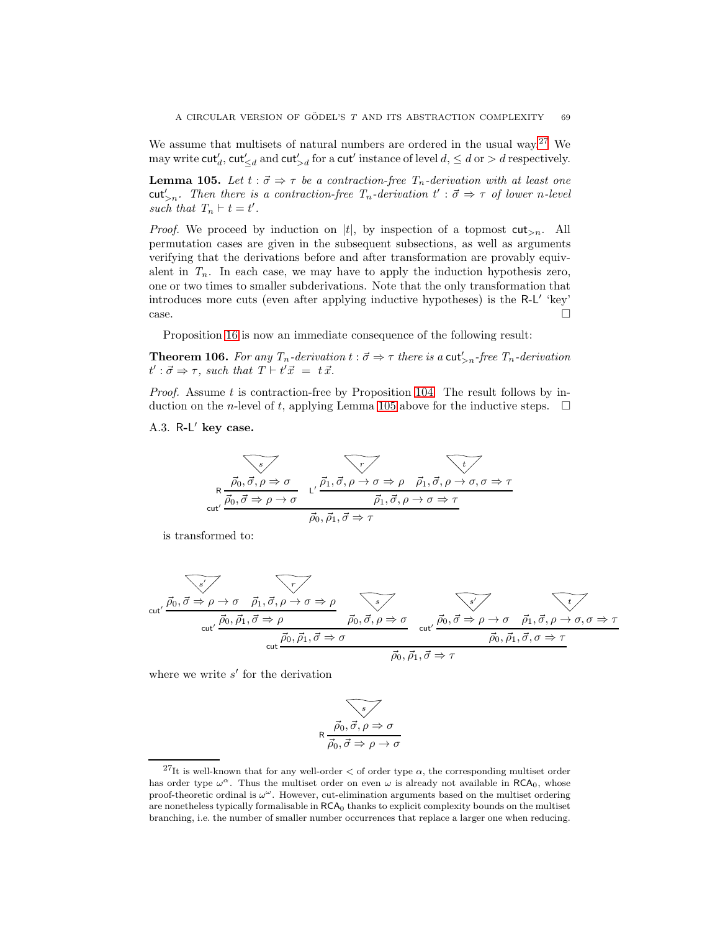We assume that multisets of natural numbers are ordered in the usual way.<sup>[27](#page-69-0)</sup> We may write  $\mathsf{cut}'_d$ ,  $\mathsf{cut}'_{\leq d}$  and  $\mathsf{cut}'_{>d}$  for a  $\mathsf{cut}'$  instance of level  $d, \leq d$  or  $>d$  respectively.

<span id="page-69-1"></span>**Lemma 105.** Let  $t : \vec{\sigma} \Rightarrow \tau$  be a contraction-free  $T_n$ -derivation with at least one cut'<sub>>n</sub>. Then there is a contraction-free  $T_n$ -derivation  $t' : \vec{\sigma} \Rightarrow \tau$  of lower n-level such that  $T_n \vdash t = t'$ .

*Proof.* We proceed by induction on |t|, by inspection of a topmost  $\text{cut}_{\geq n}$ . All permutation cases are given in the subsequent subsections, as well as arguments verifying that the derivations before and after transformation are provably equivalent in  $T_n$ . In each case, we may have to apply the induction hypothesis zero, one or two times to smaller subderivations. Note that the only transformation that introduces more cuts (even after applying inductive hypotheses) is the R-L' 'key'  $\Box$ 

Proposition [16](#page-12-0) is now an immediate consequence of the following result:

**Theorem 106.** For any  $T_n$ -derivation  $t : \vec{\sigma} \Rightarrow \tau$  there is a cut'<sub>>n</sub>-free  $T_n$ -derivation  $t' : \vec{\sigma} \Rightarrow \tau$ , such that  $T \vdash t' \vec{x} = t \vec{x}$ .

*Proof.* Assume t is contraction-free by Proposition [104.](#page-67-0) The result follows by induction on the *n*-level of t, applying Lemma [105](#page-69-1) above for the inductive steps.  $\Box$ 

A.3. R-L' key case.

$$
\overbrace{\text{R} \frac{\vec{p}_0, \vec{\sigma}, \rho \Rightarrow \sigma}{\vec{p}_0, \vec{\sigma} \Rightarrow \rho \rightarrow \sigma}} \quad \overbrace{\text{L'} \frac{\vec{p}_1, \vec{\sigma}, \rho \rightarrow \sigma \Rightarrow \rho}{\vec{p}_1, \vec{\sigma}, \rho \rightarrow \sigma \Rightarrow \tau} \quad \overline{\vec{p}_0, \vec{\sigma}, \rho \rightarrow \sigma \Rightarrow \tau}}
$$
\n
$$
\overbrace{\text{cut'}} \frac{\vec{p}_0, \vec{\sigma} \Rightarrow \rho \rightarrow \sigma}{\vec{p}_0, \vec{p}_1, \vec{\sigma} \Rightarrow \tau}
$$

is transformed to:

$$
\text{cut}' \overrightarrow{\vec{p_0}, \vec{\sigma} \Rightarrow \rho \rightarrow \sigma} \overrightarrow{\vec{p_1}, \vec{\sigma}, \rho \rightarrow \sigma \Rightarrow \rho} \overrightarrow{\vec{p_0}, \vec{\sigma}, \rho \Rightarrow \sigma} \overrightarrow{\vec{p_0}, \vec{\sigma}, \rho \Rightarrow \sigma} \overrightarrow{\vec{p_0}, \vec{\sigma} \Rightarrow \rho \rightarrow \sigma} \overrightarrow{\vec{p_0}, \vec{\sigma} \Rightarrow \rho \rightarrow \sigma} \overrightarrow{\vec{p_0}, \vec{\rho_1}, \vec{\sigma}, \rho \Rightarrow \tau}
$$
\n
$$
\text{cut}' \overrightarrow{\vec{p_0}, \vec{\rho_1}, \vec{\sigma} \Rightarrow \sigma} \overrightarrow{\vec{p_0}, \vec{\rho_1}, \vec{\sigma} \Rightarrow \tau}
$$

where we write  $s'$  for the derivation

$$
\overbrace{\vec{\rho_0}, \vec{\sigma}, \rho \Rightarrow \sigma}
$$

$$
\overbrace{\vec{\rho_0}, \vec{\sigma} \Rightarrow \rho \to \sigma}
$$

<span id="page-69-0"></span> $^{27}$ It is well-known that for any well-order  $\lt$  of order type  $\alpha$ , the corresponding multiset order has order type  $\omega^{\alpha}$ . Thus the multiset order on even  $\omega$  is already not available in RCA<sub>0</sub>, whose proof-theoretic ordinal is  $\omega^{\omega}$ . However, cut-elimination arguments based on the multiset ordering are nonetheless typically formalisable in RCA<sub>0</sub> thanks to explicit complexity bounds on the multiset branching, i.e. the number of smaller number occurrences that replace a larger one when reducing.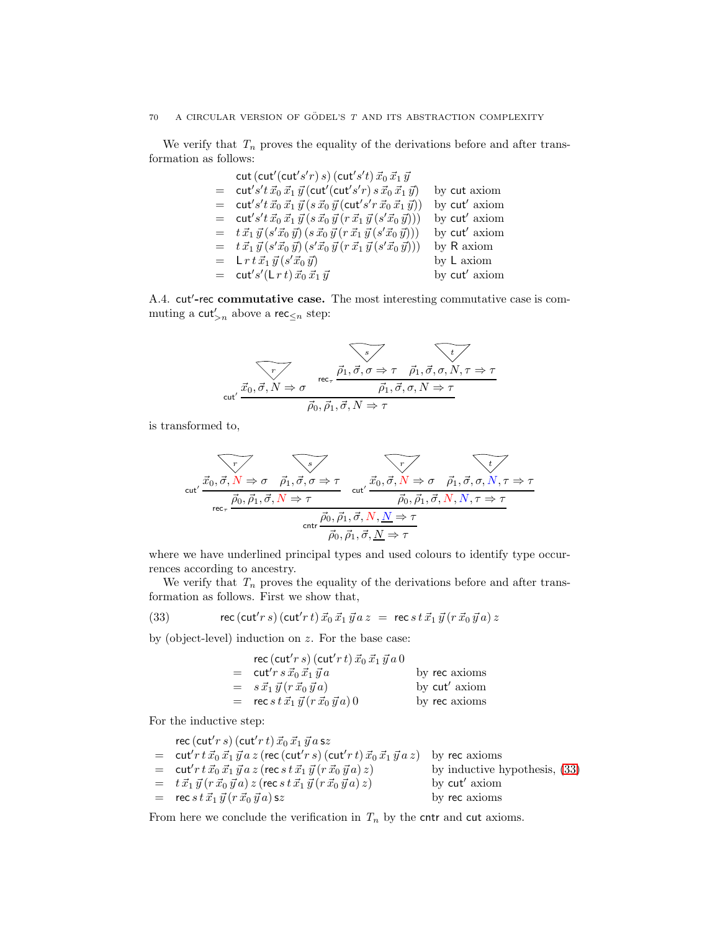We verify that  $T_n$  proves the equality of the derivations before and after transformation as follows:

cut (cut'(cut's'r) s) (cut's't) 
$$
\vec{x}_0 \vec{x}_1 \vec{y}
$$
  
\n= cut's't  $\vec{x}_0 \vec{x}_1 \vec{y}$  (cut'(cut's'r) s  $\vec{x}_0 \vec{x}_1 \vec{y}$ ) by cut axiom  
\n= cut's't  $\vec{x}_0 \vec{x}_1 \vec{y}$  (s  $\vec{x}_0 \vec{y}$  (cut's'r  $\vec{x}_0 \vec{x}_1 \vec{y}$ )) by cut' axiom  
\n= cut's't  $\vec{x}_0 \vec{x}_1 \vec{y}$  (s  $\vec{x}_0 \vec{y}$  (r  $\vec{x}_1 \vec{y}$  (s' $\vec{x}_0 \vec{y}$ ))) by cut' axiom  
\n=  $t \vec{x}_1 \vec{y}$  (s' $\vec{x}_0 \vec{y}$ ) (s  $\vec{x}_0 \vec{y}$  (r  $\vec{x}_1 \vec{y}$  (s' $\vec{x}_0 \vec{y}$ ))) by Ru  
\n=  $t \vec{x}_1 \vec{y}$  (s' $\vec{x}_0 \vec{y}$ ) (s' $\vec{x}_0 \vec{y}$  (r  $\vec{x}_1 \vec{y}$  (s' $\vec{x}_0 \vec{y}$ ))) by R axiom  
\n= Lr t  $\vec{x}_1 \vec{y}$  (s' $\vec{x}_0 \vec{y}$ ) by L axiom  
\n= cut's'(Lr t)  $\vec{x}_0 \vec{x}_1 \vec{y}$  by cut' axiom  
\nby cut' axiom

A.4. cut'-rec commutative case. The most interesting commutative case is commuting a  $\mathsf{cut}_{>n}'$  above a rec $\leq_n$  step:

$$
\overbrace{\text{cut}^{\prime} \xrightarrow{\vec{r}} \overrightarrow{\vec{p}_1, \vec{\sigma}, \sigma \Rightarrow \tau} \qquad \overrightarrow{\vec{p}_1, \vec{\sigma}, \sigma, N, \tau \Rightarrow \tau}}
$$
\n
$$
\text{cut}^{\prime} \xrightarrow{\vec{x}_0, \vec{\sigma}, N \Rightarrow \sigma} \overrightarrow{\vec{p}_0, \vec{\rho}_1, \vec{\sigma}, N \Rightarrow \tau}
$$

is transformed to,

r ~x0, ~σ, N ⇒ σ s ~ρ1, ~σ, σ ⇒ τ cut′ ~ρ0, ~ρ1, ~σ, N ⇒ τ r ~x0, ~σ, N ⇒ σ t ~ρ1, ~σ, σ, N, τ ⇒ τ cut′ ~ρ0, ~ρ1, ~σ, N, N, τ ⇒ τ rec<sup>τ</sup> ~ρ0, ~ρ1, ~σ, N, N ⇒ τ cntr ~ρ0, ~ρ1, ~σ, N ⇒ τ

where we have underlined principal types and used colours to identify type occurrences according to ancestry.

We verify that  $T_n$  proves the equality of the derivations before and after transformation as follows. First we show that,

(33) 
$$
\text{rec}(\text{cut}' r \, s) \, (\text{cut}' r \, t) \, \vec{x}_0 \, \vec{x}_1 \, \vec{y} \, a \, z \ = \ \text{rec} \, s \, t \, \vec{x}_1 \, \vec{y} \, (r \, \vec{x}_0 \, \vec{y} \, a) \, z
$$

by (object-level) induction on  $z$ . For the base case:

<span id="page-70-0"></span>

| rec (cut'r s) (cut'r t) $\vec{x}_0 \, \vec{x}_1 \, \vec{y} \, a \, 0$            |               |
|----------------------------------------------------------------------------------|---------------|
| $=$ cut'r s $\vec{x}_0 \, \vec{x}_1 \, \vec{y} \, a$                             | by rec axioms |
| $= s \vec{x}_1 \vec{y} (r \vec{x}_0 \vec{y} a)$                                  | by cut' axiom |
| = $\sec s \, t \, \vec{x}_1 \, \vec{y} \, (r \, \vec{x}_0 \, \vec{y} \, a) \, 0$ | by rec axioms |

For the inductive step:

| rec (cut'r s) (cut'r t) $\vec{x}_0 \, \vec{x}_1 \, \vec{y} \, a \,$ sz                                                                               |                                 |
|------------------------------------------------------------------------------------------------------------------------------------------------------|---------------------------------|
| $=$ cut'r $t\vec{x}_0 \vec{x}_1 \vec{y}$ a z (rec (cut'r s) (cut'r t) $\vec{x}_0 \vec{x}_1 \vec{y}$ a z)                                             | by rec axioms                   |
| = $\cot^2 r t \, \vec{x}_0 \, \vec{x}_1 \, \vec{y} \, a \, z \, ( \sec \, s \, t \, \vec{x}_1 \, \vec{y} \, (r \, \vec{x}_0 \, \vec{y} \, a) \, z )$ | by inductive hypothesis, $(33)$ |
| $=$ $t \, \vec{x}_1 \, \vec{y} (r \, \vec{x}_0 \, \vec{y} a) z$ (rec s $t \, \vec{x}_1 \, \vec{y} (r \, \vec{x}_0 \, \vec{y} a) z$ )                 | by cut' axiom                   |
| $=$ rec s t $\vec{x}_1 \vec{y} (r \vec{x}_0 \vec{y} a)$ sz                                                                                           | by rec axioms                   |
|                                                                                                                                                      |                                 |

From here we conclude the verification in  $T_n$  by the cntr and cut axioms.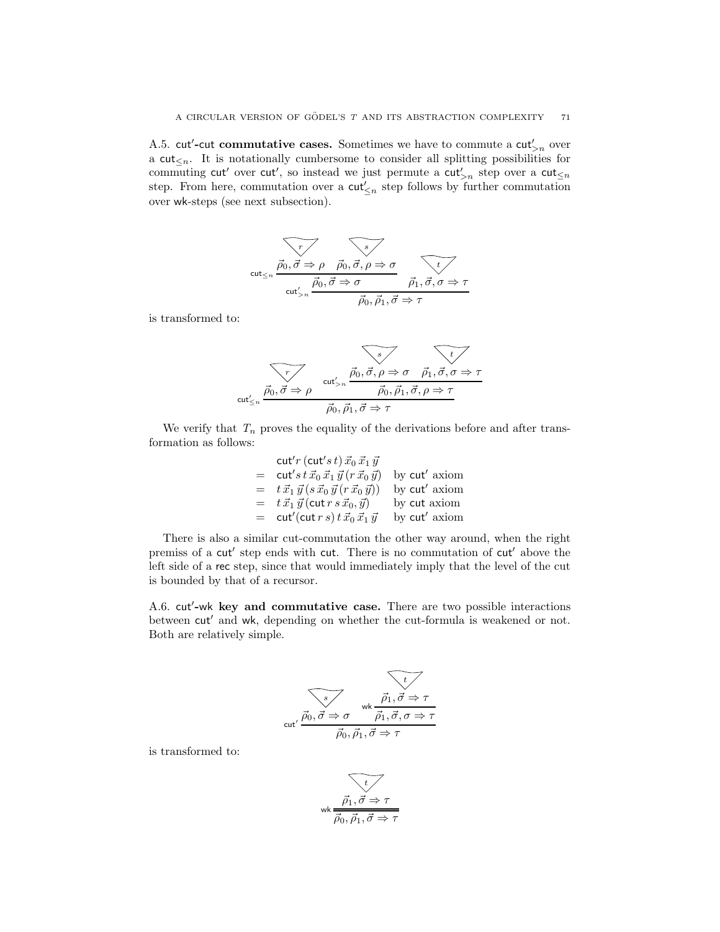A.5. cut'-cut commutative cases. Sometimes we have to commute a  $\text{cut}_{>n}'$  over a cut<sub> $\leq n$ </sub>. It is notationally cumbersome to consider all splitting possibilities for commuting cut' over cut', so instead we just permute a cut'<sub>>n</sub> step over a cut<sub>'
sa</sub> step. From here, commutation over a  $\mathsf{cut}'_{\leq n}$  step follows by further commutation over wk-steps (see next subsection).

$$
\overbrace{\text{cut}_{\leq n} \frac{\vec{\rho}_0, \vec{\sigma} \Rightarrow \rho \quad \vec{\rho}_0, \vec{\sigma}, \rho \Rightarrow \sigma}{\text{cut}'_{>n} \frac{\vec{\rho}_0, \vec{\sigma} \Rightarrow \sigma}{\vec{\rho}_0, \vec{\rho}_1, \vec{\sigma} \Rightarrow \tau}}
$$

is transformed to:



We verify that  $T_n$  proves the equality of the derivations before and after transformation as follows:

$$
\begin{array}{rcl}\n\text{cut}'r(\text{cut}'s\,t)\,\vec{x}_0\,\vec{x}_1\,\vec{y} \\
= & \text{cut}'s\,t\,\vec{x}_0\,\vec{x}_1\,\vec{y}\,(r\,\vec{x}_0\,\vec{y}) & \text{by cut}'\text{ axiom} \\
= & t\,\vec{x}_1\,\vec{y}\,(s\,\vec{x}_0\,\vec{y}\,(r\,\vec{x}_0\,\vec{y})) & \text{by cut}'\text{ axiom} \\
= & t\,\vec{x}_1\,\vec{y}\,(\text{cut}\,r\,s\,\vec{x}_0,\vec{y}) & \text{by cut axiom} \\
= & \text{cut}'(\text{cut}\,r\,s)\,t\,\vec{x}_0\,\vec{x}_1\,\vec{y} & \text{by cut}'\text{ axiom}\n\end{array}
$$

There is also a similar cut-commutation the other way around, when the right premiss of a cut' step ends with cut. There is no commutation of cut' above the left side of a rec step, since that would immediately imply that the level of the cut is bounded by that of a recursor.

A.6. cut′ -wk key and commutative case. There are two possible interactions between cut′ and wk, depending on whether the cut-formula is weakened or not. Both are relatively simple.

$$
\overbrace{\vec{p_0}, \vec{\sigma} \Rightarrow \sigma \quad \text{wk} \quad \vec{\vec{p_1}, \vec{\sigma} \Rightarrow \tau}
$$
\n
$$
\text{cut}' \quad \overline{\vec{p_0}, \vec{\rho_1}, \vec{\sigma} \Rightarrow \tau}
$$
\n
$$
\overline{\vec{p_0}, \vec{p_1}, \vec{\sigma} \Rightarrow \tau}
$$

is transformed to:

$$
\underbrace{\overbrace{\vec{\rho_1}, \vec{\sigma} \Rightarrow \tau}}_{\overline{\vec{\rho_0}, \vec{\rho_1}, \vec{\sigma} \Rightarrow \tau}}
$$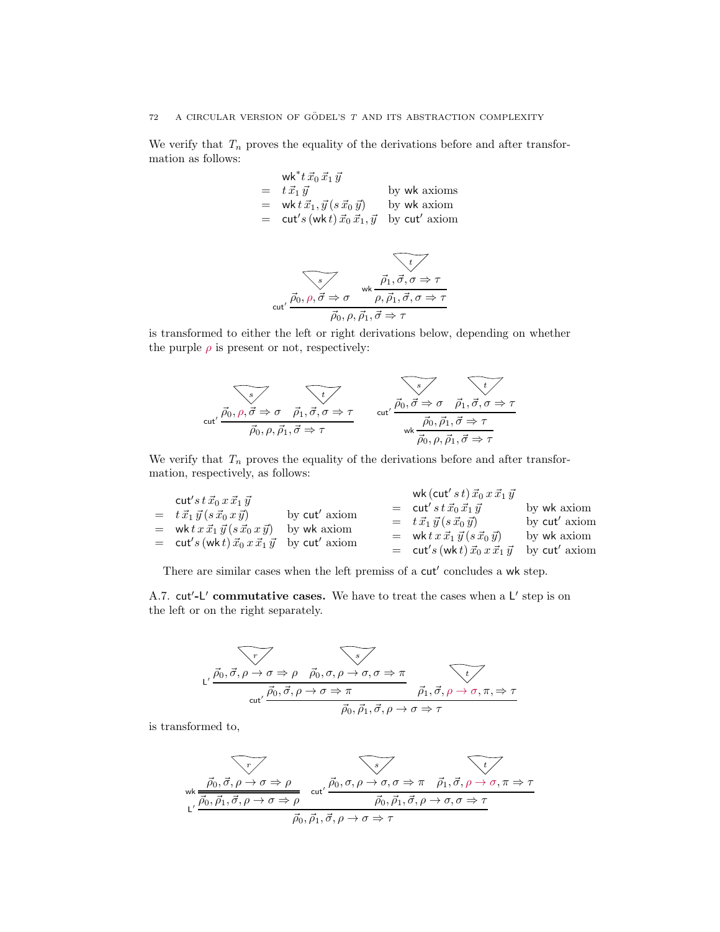## 72 A CIRCULAR VERSION OF GÖDEL'S  $\mathcal T$  AND ITS ABSTRACTION COMPLEXITY

We verify that  $T_n$  proves the equality of the derivations before and after transformation as follows:

$$
\begin{array}{rcl}\n\mathsf{wk}^* t\,\vec{x}_0\,\vec{x}_1\,\vec{y} \\
= & t\,\vec{x}_1\,\vec{y} \\
= & \mathsf{wk}\,t\,\vec{x}_1, \vec{y}\,(s\,\vec{x}_0\,\vec{y})\n\end{array}\n\quad \text{by } \mathsf{wk} \text{ axioms} \\
= & \mathsf{cut}'s\,(\mathsf{wk}\,t)\,\vec{x}_0\,\vec{x}_1, \vec{y} \quad \text{by } \mathsf{cut}' \text{ axiom}
$$

$$
\overbrace{\text{cut}' \stackrel{\overrightarrow{\rho_0}, \rho, \overrightarrow{\sigma} \Rightarrow \sigma}{\overrightarrow{\rho_1}, \overrightarrow{\sigma}, \sigma, \sigma \Rightarrow \tau}}
$$
\n
$$
\overbrace{\text{cut}' \stackrel{\overrightarrow{\rho_0}, \rho, \overrightarrow{\sigma}_1, \overrightarrow{\sigma} \Rightarrow \tau}{\overrightarrow{\rho_0}, \rho, \overrightarrow{\rho}_1, \overrightarrow{\sigma} \Rightarrow \tau}}
$$

is transformed to either the left or right derivations below, depending on whether the purple  $\rho$  is present or not, respectively:

$$
\overbrace{\text{cut'}}\n\overbrace{\vec{p_0}, \rho, \vec{\sigma} \Rightarrow \sigma \quad \vec{\rho_1}, \vec{\sigma}, \sigma \Rightarrow \tau}_{\vec{p_0}, \rho, \vec{p_1}, \vec{\sigma} \Rightarrow \tau}
$$
\n
$$
\overbrace{\text{cut'}}\n\overbrace{\vec{p_0}, \vec{\rho_1}, \vec{\sigma} \Rightarrow \tau}_{\text{wk}}\n\overbrace{\vec{p_0}, \vec{\rho_1}, \vec{\sigma} \Rightarrow \tau}_{\vec{p_0}, \rho, \vec{p_1}, \vec{\sigma} \Rightarrow \tau}
$$

We verify that  $T_n$  proves the equality of the derivations before and after transformation, respectively, as follows:

| cut's t $\vec{x}_0 x \vec{x}_1 \vec{y}$                               |                                                                                                         | wk (cut' $s\,t) \,\vec{x}_0\,x\,\vec{x}_1\,\vec{y}$              |               |
|-----------------------------------------------------------------------|---------------------------------------------------------------------------------------------------------|------------------------------------------------------------------|---------------|
| $= t \, \vec{x_1} \, \vec{y} \, (s \, \vec{x_0} \, x \, \vec{y})$     | by cut' axiom<br>by wk axiom<br>$=$ cut's (wk t) $\vec{x}_0 \, x \, \vec{x}_1 \, \vec{y}$ by cut' axiom | $=$ cut's $t \vec{x}_0 \vec{x}_1 \vec{y}$                        | by wk axiom   |
| = wk $tx \, \vec{x_1} \, \vec{y} \, (s \, \vec{x_0} \, x \, \vec{y})$ |                                                                                                         | $= t \, \vec{x_1} \, \vec{y} \, (s \, \vec{x_0} \, \vec{y})$     | by cut' axiom |
|                                                                       |                                                                                                         | = wk $tx \, \vec{x_1} \, \vec{y} \, (s \, \vec{x_0} \, \vec{y})$ | by wk axiom   |
|                                                                       |                                                                                                         | $=$ cut's (wk t) $\vec{x}_0 x \vec{x}_1 \vec{y}$                 | by cut' axiom |

There are similar cases when the left premiss of a cut' concludes a wk step.

A.7. cut'-L' commutative cases. We have to treat the cases when a L' step is on the left or on the right separately.

$$
\begin{array}{ccc}\n\overbrace{\vec{p_0}, \vec{\sigma}, \rho \to \sigma \Rightarrow \rho & \vec{\rho_0}, \sigma, \rho \to \sigma, \sigma \Rightarrow \pi} \\
\downarrow \overbrace{\vec{p_0}, \vec{\sigma}, \rho \to \sigma \Rightarrow \pi & \vec{\rho_1}, \vec{\sigma}, \rho \to \sigma, \pi, \Rightarrow \tau} \\
\downarrow \overline{\vec{p_0}, \vec{\rho_1}, \vec{\sigma}, \rho \to \sigma \Rightarrow \tau}\n\end{array}
$$

is transformed to,

$$
\overbrace{\vec{\rho_0}, \vec{\sigma}, \rho \to \sigma \Rightarrow \rho}_{L'} \quad \overbrace{\vec{\rho_0}, \vec{\rho_1}, \vec{\sigma}, \rho \to \sigma \Rightarrow \rho}_{cut'} \quad \overbrace{\vec{\rho_0}, \sigma, \rho \to \sigma, \sigma \Rightarrow \pi \quad \vec{\rho_1}, \vec{\sigma}, \rho \to \sigma, \pi \Rightarrow \tau}_{\vec{\rho_0}, \vec{\rho_1}, \vec{\sigma}, \rho \to \sigma \Rightarrow \tau}
$$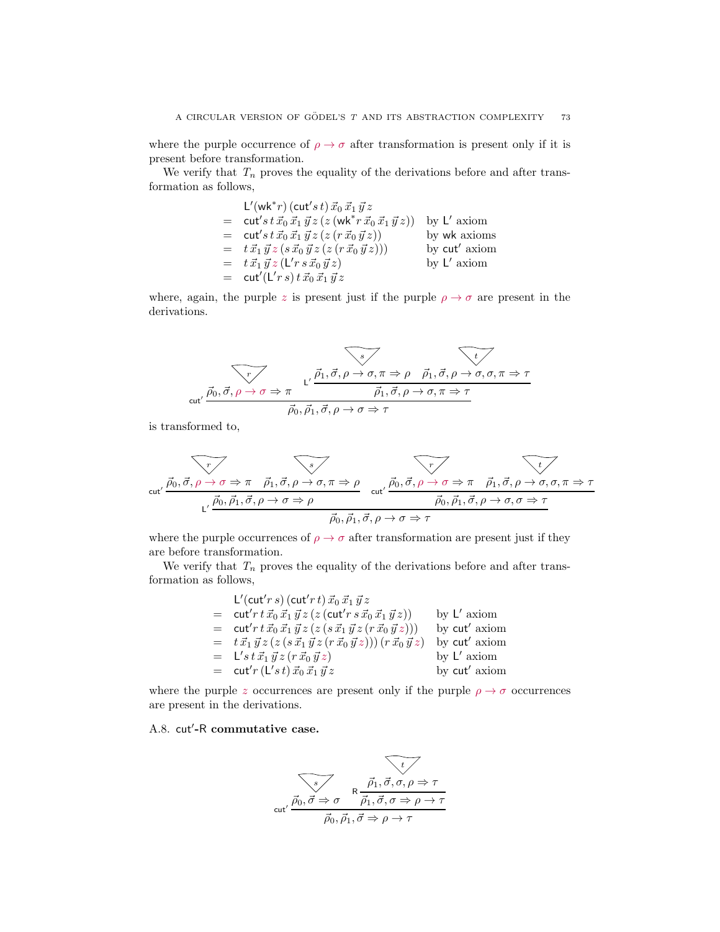where the purple occurrence of  $\rho \to \sigma$  after transformation is present only if it is present before transformation.

We verify that  $T_n$  proves the equality of the derivations before and after transformation as follows,

$$
L'(wk^*r) (cut's t) \vec{x}_0 \vec{x}_1 \vec{y}_2
$$
  
= cut's t \vec{x}\_0 \vec{x}\_1 \vec{y}\_2 (z (wk^\*r \vec{x}\_0 \vec{x}\_1 \vec{y}\_2)) by L' axiom  
= cut's t \vec{x}\_0 \vec{x}\_1 \vec{y}\_2 (z (r \vec{x}\_0 \vec{y}\_2)) by wk axioms  
= t \vec{x}\_1 \vec{y}\_2 (s \vec{x}\_0 \vec{y}\_2 (z (r \vec{x}\_0 \vec{y}\_2))) by cut' axiom  
= t \vec{x}\_1 \vec{y}\_2 (L'rs \vec{x}\_0 \vec{y}\_2) by L' axiom  
= cut'(L'rs) t \vec{x}\_0 \vec{x}\_1 \vec{y}\_2

where, again, the purple z is present just if the purple  $\rho \rightarrow \sigma$  are present in the derivations.

$$
\overbrace{\text{cut}^{\prime} \stackrel{\vec{p}_0, \vec{\sigma}, \rho \to \sigma \Rightarrow \pi}{\vec{p}_0, \vec{\sigma}, \rho \to \sigma \Rightarrow \pi}}^{\text{L}^{\prime} \stackrel{\vec{p}_1, \vec{\sigma}, \rho \to \sigma, \pi \Rightarrow \rho}{\vec{p}_1, \vec{\sigma}, \rho \to \sigma, \pi \Rightarrow \tau}}
$$

is transformed to,

$$
\overbrace{\text{cut}^{\prime} \stackrel{\vec{p}_0, \vec{\sigma}, \rho \to \sigma \Rightarrow \pi \quad \vec{p}_1, \vec{\sigma}, \rho \to \sigma, \pi \Rightarrow \rho}_{\text{L}^{\prime} \stackrel{\vec{p}_0, \vec{\rho}_1, \vec{\sigma}, \rho \to \sigma \Rightarrow \rho}} \quad \text{cut}^{\prime} \stackrel{\vec{p}_0, \vec{\sigma}, \rho \to \sigma \Rightarrow \pi \quad \vec{p}_1, \vec{\sigma}, \rho \to \sigma, \sigma, \pi \Rightarrow \tau}{\vec{p}_0, \vec{p}_1, \vec{\sigma}, \rho \to \sigma \Rightarrow \tau}
$$

where the purple occurrences of  $\rho \to \sigma$  after transformation are present just if they are before transformation.

We verify that  $T_n$  proves the equality of the derivations before and after transformation as follows,

| L'(cut'r s) (cut'r t) $\vec{x}_0 \, \vec{x}_1 \, \vec{y} \, z$                                                                                        |               |
|-------------------------------------------------------------------------------------------------------------------------------------------------------|---------------|
| = $cut' r t \vec{x}_0 \vec{x}_1 \vec{y} z (z (cut' r s \vec{x}_0 \vec{x}_1 \vec{y} z))$                                                               | by $L'$ axiom |
| = $cut' r t \vec{x}_0 \vec{x}_1 \vec{y} z (z (s \vec{x}_1 \vec{y} z (r \vec{x}_0 \vec{y} z)))$                                                        | by cut' axiom |
| $= t \, \vec{x}_1 \, \vec{y} \, z \, (z \, (s \, \vec{x}_1 \, \vec{y} \, z \, (r \, \vec{x}_0 \, \vec{y} \, z))) \, (r \, \vec{x}_0 \, \vec{y} \, z)$ | by cut' axiom |
| $=$ $\mathsf{L}'$ s t $\vec{x}_1 \vec{y}$ z (r $\vec{x}_0 \vec{y}$ z)                                                                                 | by $L'$ axiom |
| $=$ cut'r (L's t) $\vec{x}_0 \, \vec{x}_1 \, \vec{y} \, z$                                                                                            | by cut' axiom |

where the purple z occurrences are present only if the purple  $\rho \to \sigma$  occurrences are present in the derivations.

## A.8. cut′ -R commutative case.

$$
\overbrace{\text{cut}^{\prime} \stackrel{\vec{p}_0, \vec{\sigma} \Rightarrow \sigma}{\vec{\rho}_0, \vec{\rho}_1, \vec{\sigma}, \sigma, \rho \Rightarrow \tau}}
$$
\n
$$
\overbrace{\text{cut}^{\prime} \stackrel{\vec{p}_0, \vec{\sigma} \Rightarrow \sigma}{\vec{\rho}_0, \vec{\rho}_1, \vec{\sigma} \Rightarrow \rho \rightarrow \tau}}
$$